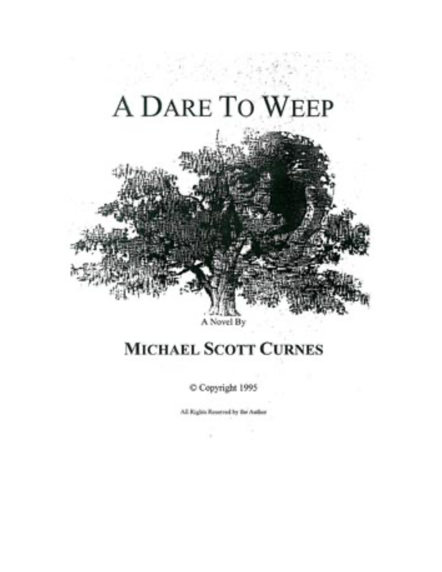#### A DARE TO WEEP



#### **MICHAEL SCOTT CURNES**

#### C Copyright 1995

All Rights Reserved by the Audior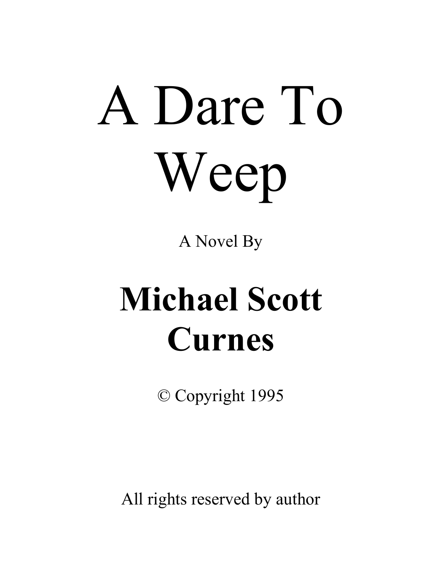# A Dare To Weep

A Novel By

### **Michael Scott Curnes**

© Copyright 1995

All rights reserved by author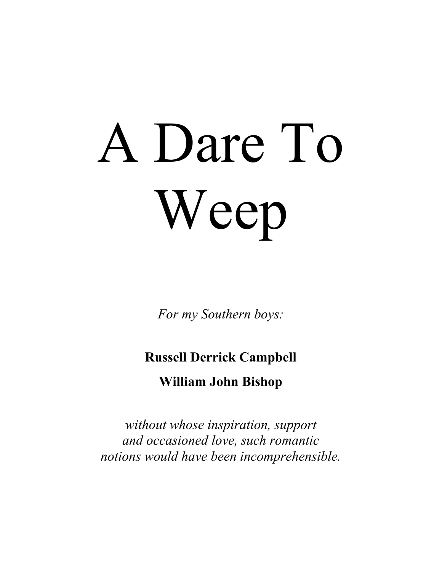# A Dare To Weep

*For my Southern boys:*

#### **Russell Derrick Campbell William John Bishop**

*without whose inspiration, support and occasioned love, such romantic notions would have been incomprehensible.*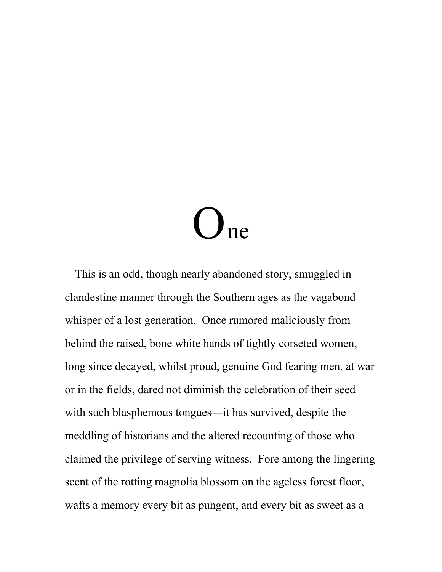## $\bigcap_{n \in \mathbb{N}}$

This is an odd, though nearly abandoned story, smuggled in clandestine manner through the Southern ages as the vagabond whisper of a lost generation. Once rumored maliciously from behind the raised, bone white hands of tightly corseted women, long since decayed, whilst proud, genuine God fearing men, at war or in the fields, dared not diminish the celebration of their seed with such blasphemous tongues—it has survived, despite the meddling of historians and the altered recounting of those who claimed the privilege of serving witness. Fore among the lingering scent of the rotting magnolia blossom on the ageless forest floor, wafts a memory every bit as pungent, and every bit as sweet as a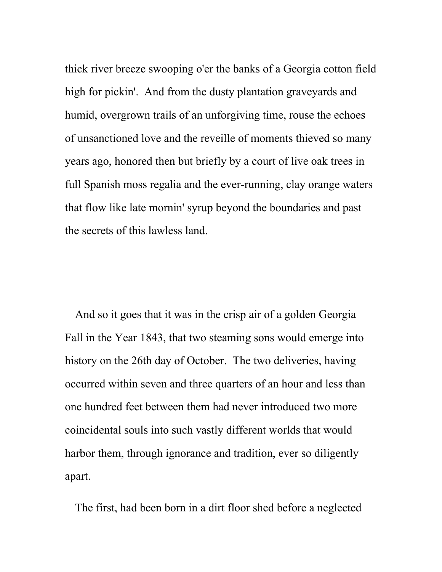thick river breeze swooping o'er the banks of a Georgia cotton field high for pickin'. And from the dusty plantation graveyards and humid, overgrown trails of an unforgiving time, rouse the echoes of unsanctioned love and the reveille of moments thieved so many years ago, honored then but briefly by a court of live oak trees in full Spanish moss regalia and the ever-running, clay orange waters that flow like late mornin' syrup beyond the boundaries and past the secrets of this lawless land.

And so it goes that it was in the crisp air of a golden Georgia Fall in the Year 1843, that two steaming sons would emerge into history on the 26th day of October. The two deliveries, having occurred within seven and three quarters of an hour and less than one hundred feet between them had never introduced two more coincidental souls into such vastly different worlds that would harbor them, through ignorance and tradition, ever so diligently apart.

The first, had been born in a dirt floor shed before a neglected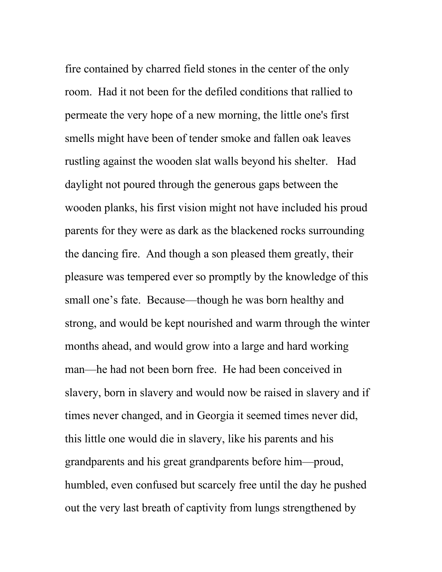fire contained by charred field stones in the center of the only room. Had it not been for the defiled conditions that rallied to permeate the very hope of a new morning, the little one's first smells might have been of tender smoke and fallen oak leaves rustling against the wooden slat walls beyond his shelter. Had daylight not poured through the generous gaps between the wooden planks, his first vision might not have included his proud parents for they were as dark as the blackened rocks surrounding the dancing fire. And though a son pleased them greatly, their pleasure was tempered ever so promptly by the knowledge of this small one's fate. Because—though he was born healthy and strong, and would be kept nourished and warm through the winter months ahead, and would grow into a large and hard working man—he had not been born free. He had been conceived in slavery, born in slavery and would now be raised in slavery and if times never changed, and in Georgia it seemed times never did, this little one would die in slavery, like his parents and his grandparents and his great grandparents before him—proud, humbled, even confused but scarcely free until the day he pushed out the very last breath of captivity from lungs strengthened by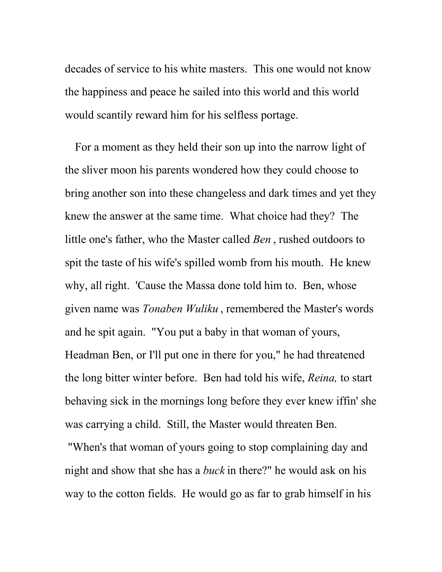decades of service to his white masters. This one would not know the happiness and peace he sailed into this world and this world would scantily reward him for his selfless portage.

For a moment as they held their son up into the narrow light of the sliver moon his parents wondered how they could choose to bring another son into these changeless and dark times and yet they knew the answer at the same time. What choice had they? The little one's father, who the Master called *Ben* , rushed outdoors to spit the taste of his wife's spilled womb from his mouth. He knew why, all right. 'Cause the Massa done told him to. Ben, whose given name was *Tonaben Wuliku* , remembered the Master's words and he spit again. "You put a baby in that woman of yours, Headman Ben, or I'll put one in there for you," he had threatened the long bitter winter before. Ben had told his wife, *Reina,* to start behaving sick in the mornings long before they ever knew iffin' she was carrying a child. Still, the Master would threaten Ben.

"When's that woman of yours going to stop complaining day and night and show that she has a *buck* in there?" he would ask on his way to the cotton fields. He would go as far to grab himself in his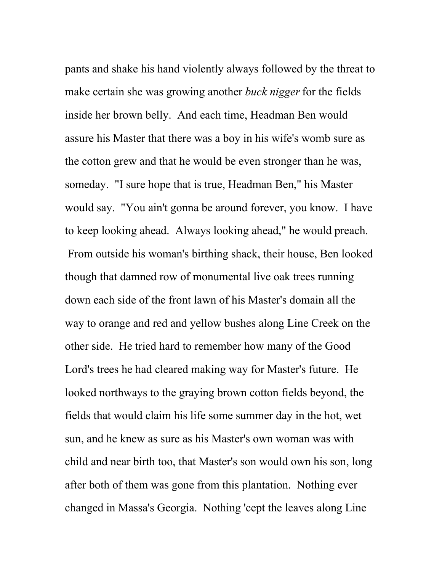pants and shake his hand violently always followed by the threat to make certain she was growing another *buck nigger* for the fields inside her brown belly. And each time, Headman Ben would assure his Master that there was a boy in his wife's womb sure as the cotton grew and that he would be even stronger than he was, someday. "I sure hope that is true, Headman Ben," his Master would say. "You ain't gonna be around forever, you know. I have to keep looking ahead. Always looking ahead," he would preach. From outside his woman's birthing shack, their house, Ben looked though that damned row of monumental live oak trees running down each side of the front lawn of his Master's domain all the way to orange and red and yellow bushes along Line Creek on the other side. He tried hard to remember how many of the Good Lord's trees he had cleared making way for Master's future. He looked northways to the graying brown cotton fields beyond, the fields that would claim his life some summer day in the hot, wet sun, and he knew as sure as his Master's own woman was with child and near birth too, that Master's son would own his son, long after both of them was gone from this plantation. Nothing ever changed in Massa's Georgia. Nothing 'cept the leaves along Line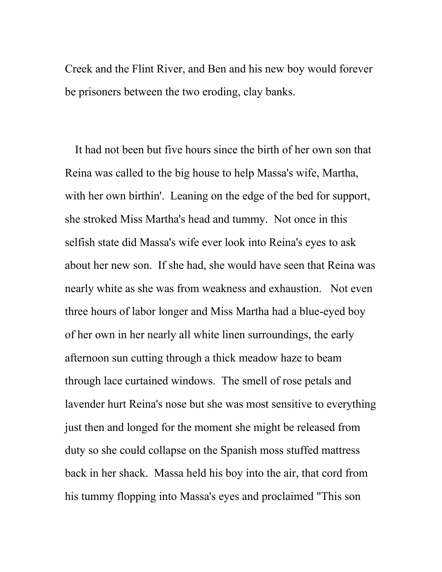Creek and the Flint River, and Ben and his new boy would forever be prisoners between the two eroding, clay banks.

It had not been but five hours since the birth of her own son that Reina was called to the big house to help Massa's wife, Martha, with her own birthin'. Leaning on the edge of the bed for support, she stroked Miss Martha's head and tummy. Not once in this selfish state did Massa's wife ever look into Reina's eyes to ask about her new son. If she had, she would have seen that Reina was nearly white as she was from weakness and exhaustion. Not even three hours of labor longer and Miss Martha had a blue-eyed boy of her own in her nearly all white linen surroundings, the early afternoon sun cutting through a thick meadow haze to beam through lace curtained windows. The smell of rose petals and lavender hurt Reina's nose but she was most sensitive to everything just then and longed for the moment she might be released from duty so she could collapse on the Spanish moss stuffed mattress back in her shack. Massa held his boy into the air, that cord from his tummy flopping into Massa's eyes and proclaimed "This son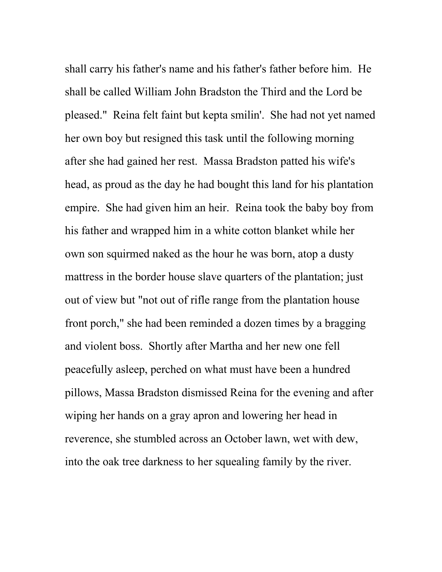shall carry his father's name and his father's father before him. He shall be called William John Bradston the Third and the Lord be pleased." Reina felt faint but kepta smilin'. She had not yet named her own boy but resigned this task until the following morning after she had gained her rest. Massa Bradston patted his wife's head, as proud as the day he had bought this land for his plantation empire. She had given him an heir. Reina took the baby boy from his father and wrapped him in a white cotton blanket while her own son squirmed naked as the hour he was born, atop a dusty mattress in the border house slave quarters of the plantation; just out of view but "not out of rifle range from the plantation house front porch," she had been reminded a dozen times by a bragging and violent boss. Shortly after Martha and her new one fell peacefully asleep, perched on what must have been a hundred pillows, Massa Bradston dismissed Reina for the evening and after wiping her hands on a gray apron and lowering her head in reverence, she stumbled across an October lawn, wet with dew, into the oak tree darkness to her squealing family by the river.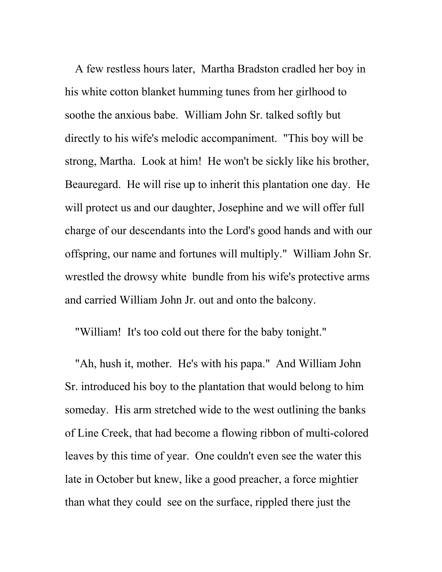A few restless hours later, Martha Bradston cradled her boy in his white cotton blanket humming tunes from her girlhood to soothe the anxious babe. William John Sr. talked softly but directly to his wife's melodic accompaniment. "This boy will be strong, Martha. Look at him! He won't be sickly like his brother, Beauregard. He will rise up to inherit this plantation one day. He will protect us and our daughter, Josephine and we will offer full charge of our descendants into the Lord's good hands and with our offspring, our name and fortunes will multiply." William John Sr. wrestled the drowsy white bundle from his wife's protective arms and carried William John Jr. out and onto the balcony.

"William! It's too cold out there for the baby tonight."

"Ah, hush it, mother. He's with his papa." And William John Sr. introduced his boy to the plantation that would belong to him someday. His arm stretched wide to the west outlining the banks of Line Creek, that had become a flowing ribbon of multi-colored leaves by this time of year. One couldn't even see the water this late in October but knew, like a good preacher, a force mightier than what they could see on the surface, rippled there just the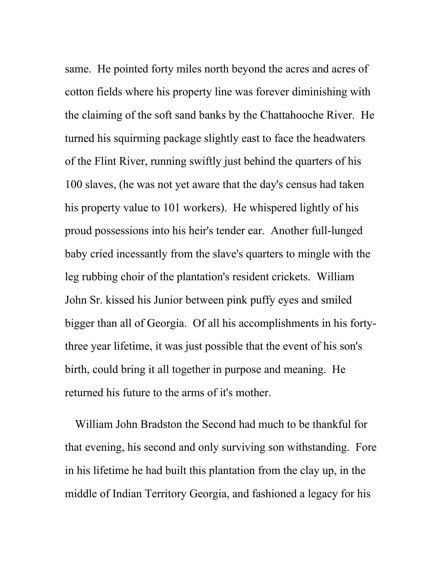same. He pointed forty miles north beyond the acres and acres of cotton fields where his property line was forever diminishing with the claiming of the soft sand banks by the Chattahooche River. He turned his squirming package slightly east to face the headwaters of the Flint River, running swiftly just behind the quarters of his 100 slaves, (he was not yet aware that the day's census had taken his property value to 101 workers). He whispered lightly of his proud possessions into his heir's tender ear. Another full-lunged baby cried incessantly from the slave's quarters to mingle with the leg rubbing choir of the plantation's resident crickets. William John Sr. kissed his Junior between pink puffy eyes and smiled bigger than all of Georgia. Of all his accomplishments in his fortythree year lifetime, it was just possible that the event of his son's birth, could bring it all together in purpose and meaning. He returned his future to the arms of it's mother.

William John Bradston the Second had much to be thankful for that evening, his second and only surviving son withstanding. Fore in his lifetime he had built this plantation from the clay up, in the middle of Indian Territory Georgia, and fashioned a legacy for his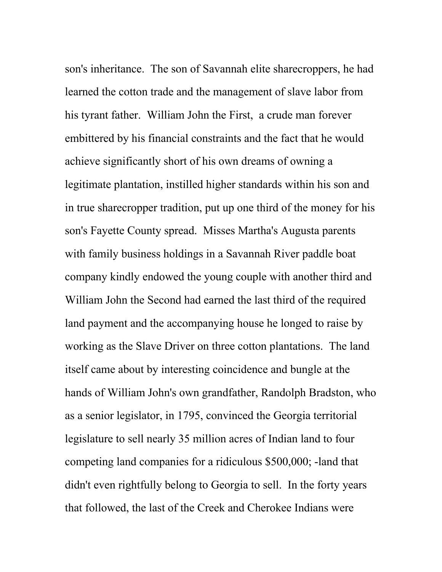son's inheritance. The son of Savannah elite sharecroppers, he had learned the cotton trade and the management of slave labor from his tyrant father. William John the First, a crude man forever embittered by his financial constraints and the fact that he would achieve significantly short of his own dreams of owning a legitimate plantation, instilled higher standards within his son and in true sharecropper tradition, put up one third of the money for his son's Fayette County spread. Misses Martha's Augusta parents with family business holdings in a Savannah River paddle boat company kindly endowed the young couple with another third and William John the Second had earned the last third of the required land payment and the accompanying house he longed to raise by working as the Slave Driver on three cotton plantations. The land itself came about by interesting coincidence and bungle at the hands of William John's own grandfather, Randolph Bradston, who as a senior legislator, in 1795, convinced the Georgia territorial legislature to sell nearly 35 million acres of Indian land to four competing land companies for a ridiculous \$500,000; -land that didn't even rightfully belong to Georgia to sell. In the forty years that followed, the last of the Creek and Cherokee Indians were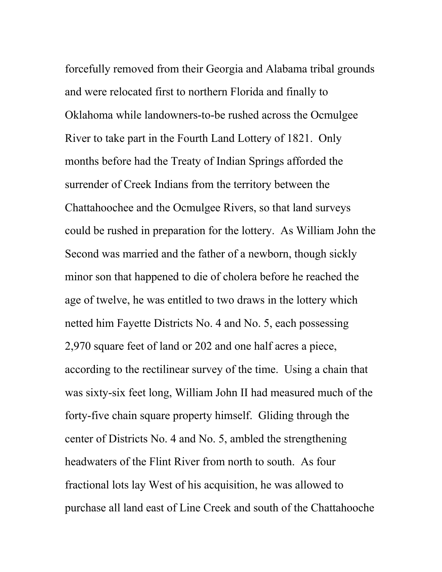forcefully removed from their Georgia and Alabama tribal grounds and were relocated first to northern Florida and finally to Oklahoma while landowners-to-be rushed across the Ocmulgee River to take part in the Fourth Land Lottery of 1821. Only months before had the Treaty of Indian Springs afforded the surrender of Creek Indians from the territory between the Chattahoochee and the Ocmulgee Rivers, so that land surveys could be rushed in preparation for the lottery. As William John the Second was married and the father of a newborn, though sickly minor son that happened to die of cholera before he reached the age of twelve, he was entitled to two draws in the lottery which netted him Fayette Districts No. 4 and No. 5, each possessing 2,970 square feet of land or 202 and one half acres a piece, according to the rectilinear survey of the time. Using a chain that was sixty-six feet long, William John II had measured much of the forty-five chain square property himself. Gliding through the center of Districts No. 4 and No. 5, ambled the strengthening headwaters of the Flint River from north to south. As four fractional lots lay West of his acquisition, he was allowed to purchase all land east of Line Creek and south of the Chattahooche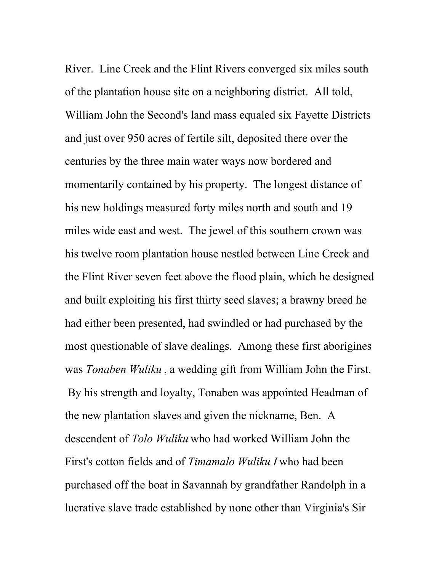River. Line Creek and the Flint Rivers converged six miles south of the plantation house site on a neighboring district. All told, William John the Second's land mass equaled six Fayette Districts and just over 950 acres of fertile silt, deposited there over the centuries by the three main water ways now bordered and momentarily contained by his property. The longest distance of his new holdings measured forty miles north and south and 19 miles wide east and west. The jewel of this southern crown was his twelve room plantation house nestled between Line Creek and the Flint River seven feet above the flood plain, which he designed and built exploiting his first thirty seed slaves; a brawny breed he had either been presented, had swindled or had purchased by the most questionable of slave dealings. Among these first aborigines was *Tonaben Wuliku* , a wedding gift from William John the First. By his strength and loyalty, Tonaben was appointed Headman of the new plantation slaves and given the nickname, Ben. A descendent of *Tolo Wuliku* who had worked William John the First's cotton fields and of *Timamalo Wuliku I* who had been purchased off the boat in Savannah by grandfather Randolph in a lucrative slave trade established by none other than Virginia's Sir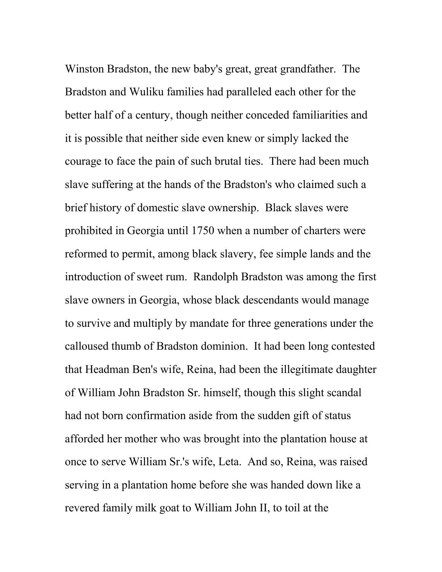Winston Bradston, the new baby's great, great grandfather. The Bradston and Wuliku families had paralleled each other for the better half of a century, though neither conceded familiarities and it is possible that neither side even knew or simply lacked the courage to face the pain of such brutal ties. There had been much slave suffering at the hands of the Bradston's who claimed such a brief history of domestic slave ownership. Black slaves were prohibited in Georgia until 1750 when a number of charters were reformed to permit, among black slavery, fee simple lands and the introduction of sweet rum. Randolph Bradston was among the first slave owners in Georgia, whose black descendants would manage to survive and multiply by mandate for three generations under the calloused thumb of Bradston dominion. It had been long contested that Headman Ben's wife, Reina, had been the illegitimate daughter of William John Bradston Sr. himself, though this slight scandal had not born confirmation aside from the sudden gift of status afforded her mother who was brought into the plantation house at once to serve William Sr.'s wife, Leta. And so, Reina, was raised serving in a plantation home before she was handed down like a revered family milk goat to William John II, to toil at the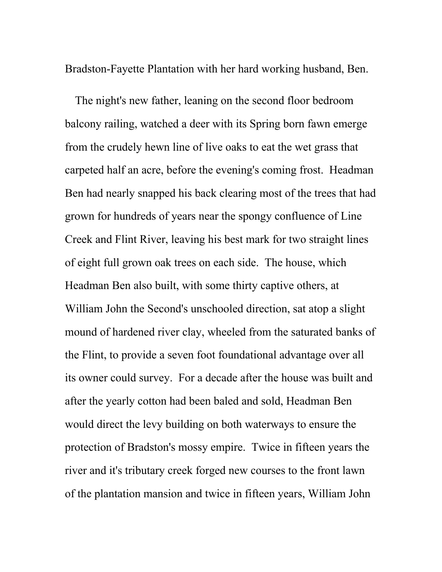Bradston-Fayette Plantation with her hard working husband, Ben.

The night's new father, leaning on the second floor bedroom balcony railing, watched a deer with its Spring born fawn emerge from the crudely hewn line of live oaks to eat the wet grass that carpeted half an acre, before the evening's coming frost. Headman Ben had nearly snapped his back clearing most of the trees that had grown for hundreds of years near the spongy confluence of Line Creek and Flint River, leaving his best mark for two straight lines of eight full grown oak trees on each side. The house, which Headman Ben also built, with some thirty captive others, at William John the Second's unschooled direction, sat atop a slight mound of hardened river clay, wheeled from the saturated banks of the Flint, to provide a seven foot foundational advantage over all its owner could survey. For a decade after the house was built and after the yearly cotton had been baled and sold, Headman Ben would direct the levy building on both waterways to ensure the protection of Bradston's mossy empire. Twice in fifteen years the river and it's tributary creek forged new courses to the front lawn of the plantation mansion and twice in fifteen years, William John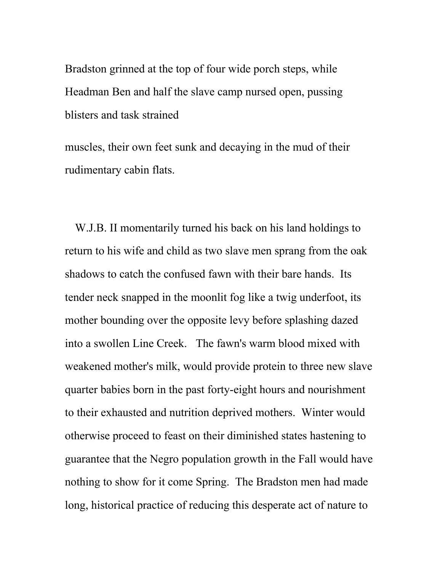Bradston grinned at the top of four wide porch steps, while Headman Ben and half the slave camp nursed open, pussing blisters and task strained

muscles, their own feet sunk and decaying in the mud of their rudimentary cabin flats.

W.J.B. II momentarily turned his back on his land holdings to return to his wife and child as two slave men sprang from the oak shadows to catch the confused fawn with their bare hands. Its tender neck snapped in the moonlit fog like a twig underfoot, its mother bounding over the opposite levy before splashing dazed into a swollen Line Creek. The fawn's warm blood mixed with weakened mother's milk, would provide protein to three new slave quarter babies born in the past forty-eight hours and nourishment to their exhausted and nutrition deprived mothers. Winter would otherwise proceed to feast on their diminished states hastening to guarantee that the Negro population growth in the Fall would have nothing to show for it come Spring. The Bradston men had made long, historical practice of reducing this desperate act of nature to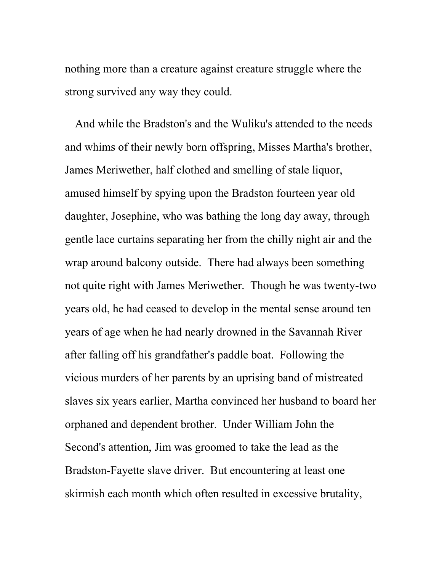nothing more than a creature against creature struggle where the strong survived any way they could.

And while the Bradston's and the Wuliku's attended to the needs and whims of their newly born offspring, Misses Martha's brother, James Meriwether, half clothed and smelling of stale liquor, amused himself by spying upon the Bradston fourteen year old daughter, Josephine, who was bathing the long day away, through gentle lace curtains separating her from the chilly night air and the wrap around balcony outside. There had always been something not quite right with James Meriwether. Though he was twenty-two years old, he had ceased to develop in the mental sense around ten years of age when he had nearly drowned in the Savannah River after falling off his grandfather's paddle boat. Following the vicious murders of her parents by an uprising band of mistreated slaves six years earlier, Martha convinced her husband to board her orphaned and dependent brother. Under William John the Second's attention, Jim was groomed to take the lead as the Bradston-Fayette slave driver. But encountering at least one skirmish each month which often resulted in excessive brutality,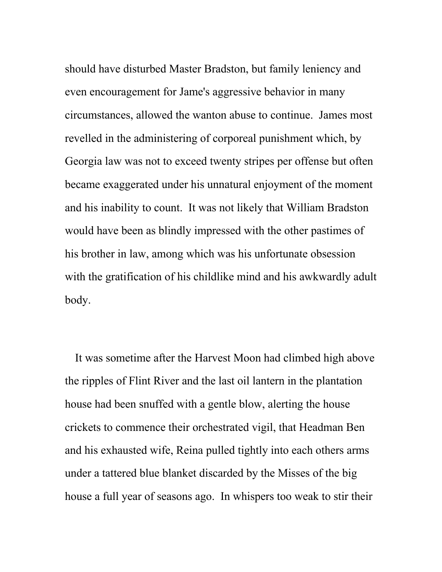should have disturbed Master Bradston, but family leniency and even encouragement for Jame's aggressive behavior in many circumstances, allowed the wanton abuse to continue. James most revelled in the administering of corporeal punishment which, by Georgia law was not to exceed twenty stripes per offense but often became exaggerated under his unnatural enjoyment of the moment and his inability to count. It was not likely that William Bradston would have been as blindly impressed with the other pastimes of his brother in law, among which was his unfortunate obsession with the gratification of his childlike mind and his awkwardly adult body.

It was sometime after the Harvest Moon had climbed high above the ripples of Flint River and the last oil lantern in the plantation house had been snuffed with a gentle blow, alerting the house crickets to commence their orchestrated vigil, that Headman Ben and his exhausted wife, Reina pulled tightly into each others arms under a tattered blue blanket discarded by the Misses of the big house a full year of seasons ago. In whispers too weak to stir their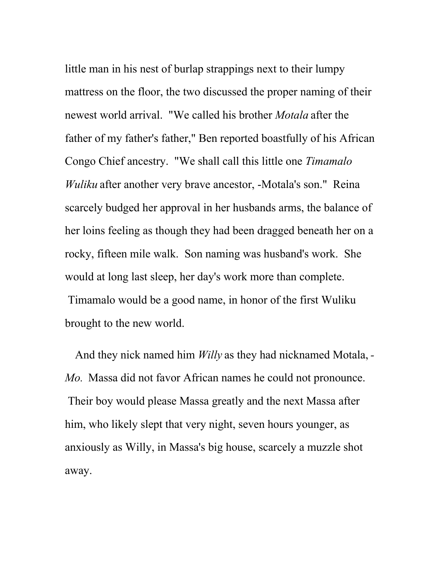little man in his nest of burlap strappings next to their lumpy mattress on the floor, the two discussed the proper naming of their newest world arrival. "We called his brother *Motala* after the father of my father's father," Ben reported boastfully of his African Congo Chief ancestry. "We shall call this little one *Timamalo Wuliku* after another very brave ancestor, -Motala's son." Reina scarcely budged her approval in her husbands arms, the balance of her loins feeling as though they had been dragged beneath her on a rocky, fifteen mile walk. Son naming was husband's work. She would at long last sleep, her day's work more than complete. Timamalo would be a good name, in honor of the first Wuliku brought to the new world.

And they nick named him *Willy* as they had nicknamed Motala, *- Mo.* Massa did not favor African names he could not pronounce. Their boy would please Massa greatly and the next Massa after him, who likely slept that very night, seven hours younger, as anxiously as Willy, in Massa's big house, scarcely a muzzle shot away.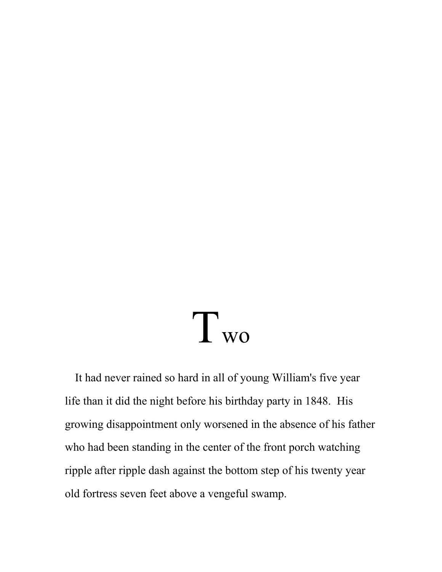### Two

It had never rained so hard in all of young William's five year life than it did the night before his birthday party in 1848. His growing disappointment only worsened in the absence of his father who had been standing in the center of the front porch watching ripple after ripple dash against the bottom step of his twenty year old fortress seven feet above a vengeful swamp.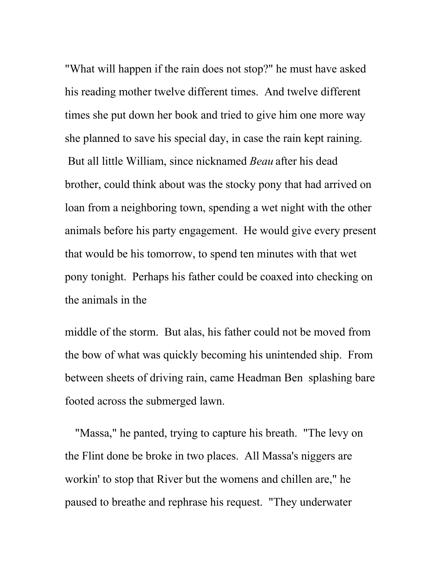"What will happen if the rain does not stop?" he must have asked his reading mother twelve different times. And twelve different times she put down her book and tried to give him one more way she planned to save his special day, in case the rain kept raining. But all little William, since nicknamed *Beau* after his dead brother, could think about was the stocky pony that had arrived on loan from a neighboring town, spending a wet night with the other animals before his party engagement. He would give every present that would be his tomorrow, to spend ten minutes with that wet pony tonight. Perhaps his father could be coaxed into checking on the animals in the

middle of the storm. But alas, his father could not be moved from the bow of what was quickly becoming his unintended ship. From between sheets of driving rain, came Headman Ben splashing bare footed across the submerged lawn.

"Massa," he panted, trying to capture his breath. "The levy on the Flint done be broke in two places. All Massa's niggers are workin' to stop that River but the womens and chillen are," he paused to breathe and rephrase his request. "They underwater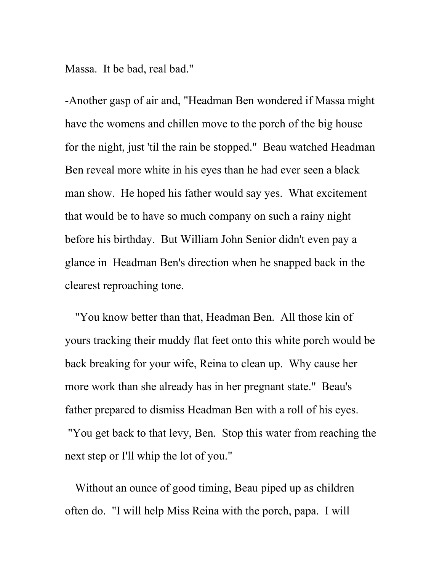Massa. It be bad, real bad."

-Another gasp of air and, "Headman Ben wondered if Massa might have the womens and chillen move to the porch of the big house for the night, just 'til the rain be stopped." Beau watched Headman Ben reveal more white in his eyes than he had ever seen a black man show. He hoped his father would say yes. What excitement that would be to have so much company on such a rainy night before his birthday. But William John Senior didn't even pay a glance in Headman Ben's direction when he snapped back in the clearest reproaching tone.

"You know better than that, Headman Ben. All those kin of yours tracking their muddy flat feet onto this white porch would be back breaking for your wife, Reina to clean up. Why cause her more work than she already has in her pregnant state." Beau's father prepared to dismiss Headman Ben with a roll of his eyes. "You get back to that levy, Ben. Stop this water from reaching the next step or I'll whip the lot of you."

Without an ounce of good timing, Beau piped up as children often do. "I will help Miss Reina with the porch, papa. I will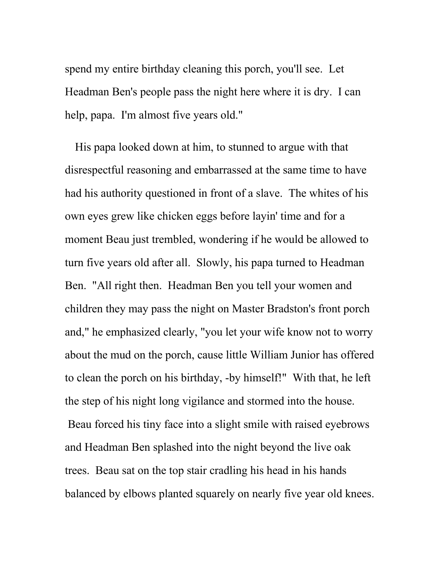spend my entire birthday cleaning this porch, you'll see. Let Headman Ben's people pass the night here where it is dry. I can help, papa. I'm almost five years old."

His papa looked down at him, to stunned to argue with that disrespectful reasoning and embarrassed at the same time to have had his authority questioned in front of a slave. The whites of his own eyes grew like chicken eggs before layin' time and for a moment Beau just trembled, wondering if he would be allowed to turn five years old after all. Slowly, his papa turned to Headman Ben. "All right then. Headman Ben you tell your women and children they may pass the night on Master Bradston's front porch and," he emphasized clearly, "you let your wife know not to worry about the mud on the porch, cause little William Junior has offered to clean the porch on his birthday, -by himself!" With that, he left the step of his night long vigilance and stormed into the house. Beau forced his tiny face into a slight smile with raised eyebrows and Headman Ben splashed into the night beyond the live oak trees. Beau sat on the top stair cradling his head in his hands balanced by elbows planted squarely on nearly five year old knees.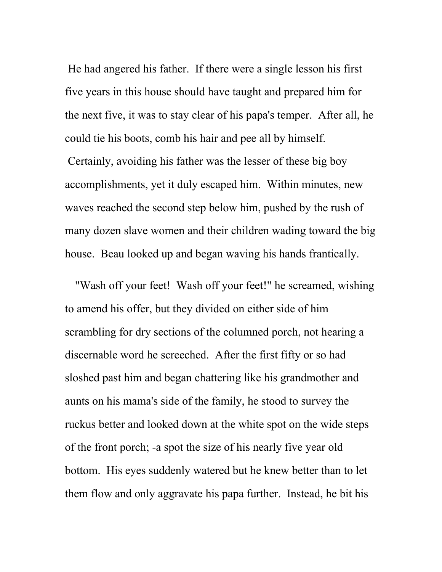He had angered his father. If there were a single lesson his first five years in this house should have taught and prepared him for the next five, it was to stay clear of his papa's temper. After all, he could tie his boots, comb his hair and pee all by himself.

Certainly, avoiding his father was the lesser of these big boy accomplishments, yet it duly escaped him. Within minutes, new waves reached the second step below him, pushed by the rush of many dozen slave women and their children wading toward the big house. Beau looked up and began waving his hands frantically.

"Wash off your feet! Wash off your feet!" he screamed, wishing to amend his offer, but they divided on either side of him scrambling for dry sections of the columned porch, not hearing a discernable word he screeched. After the first fifty or so had sloshed past him and began chattering like his grandmother and aunts on his mama's side of the family, he stood to survey the ruckus better and looked down at the white spot on the wide steps of the front porch; -a spot the size of his nearly five year old bottom. His eyes suddenly watered but he knew better than to let them flow and only aggravate his papa further. Instead, he bit his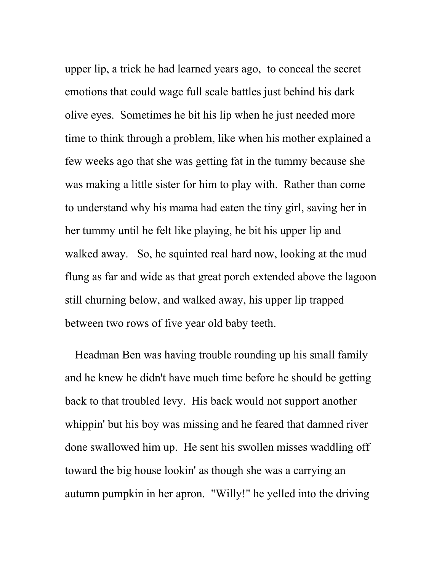upper lip, a trick he had learned years ago, to conceal the secret emotions that could wage full scale battles just behind his dark olive eyes. Sometimes he bit his lip when he just needed more time to think through a problem, like when his mother explained a few weeks ago that she was getting fat in the tummy because she was making a little sister for him to play with. Rather than come to understand why his mama had eaten the tiny girl, saving her in her tummy until he felt like playing, he bit his upper lip and walked away. So, he squinted real hard now, looking at the mud flung as far and wide as that great porch extended above the lagoon still churning below, and walked away, his upper lip trapped between two rows of five year old baby teeth.

Headman Ben was having trouble rounding up his small family and he knew he didn't have much time before he should be getting back to that troubled levy. His back would not support another whippin' but his boy was missing and he feared that damned river done swallowed him up. He sent his swollen misses waddling off toward the big house lookin' as though she was a carrying an autumn pumpkin in her apron. "Willy!" he yelled into the driving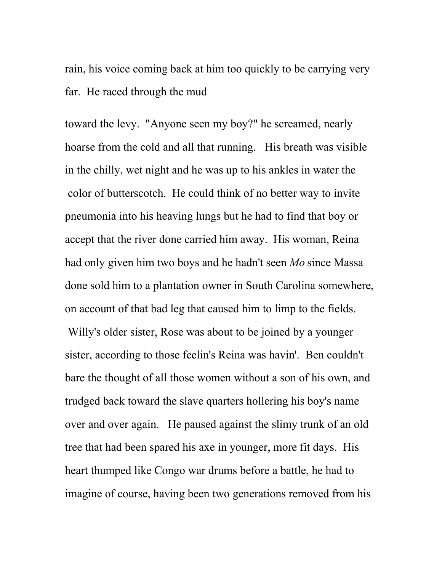rain, his voice coming back at him too quickly to be carrying very far. He raced through the mud

toward the levy. "Anyone seen my boy?" he screamed, nearly hoarse from the cold and all that running. His breath was visible in the chilly, wet night and he was up to his ankles in water the color of butterscotch. He could think of no better way to invite pneumonia into his heaving lungs but he had to find that boy or accept that the river done carried him away. His woman, Reina had only given him two boys and he hadn't seen *Mo* since Massa done sold him to a plantation owner in South Carolina somewhere, on account of that bad leg that caused him to limp to the fields. Willy's older sister, Rose was about to be joined by a younger sister, according to those feelin's Reina was havin'. Ben couldn't bare the thought of all those women without a son of his own, and trudged back toward the slave quarters hollering his boy's name over and over again. He paused against the slimy trunk of an old tree that had been spared his axe in younger, more fit days. His heart thumped like Congo war drums before a battle, he had to imagine of course, having been two generations removed from his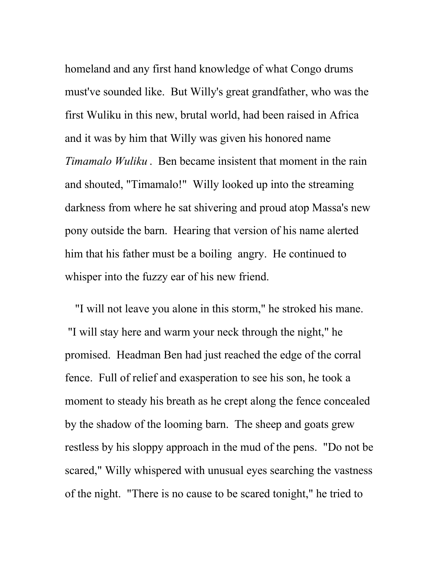homeland and any first hand knowledge of what Congo drums must've sounded like. But Willy's great grandfather, who was the first Wuliku in this new, brutal world, had been raised in Africa and it was by him that Willy was given his honored name *Timamalo Wuliku* . Ben became insistent that moment in the rain and shouted, "Timamalo!" Willy looked up into the streaming darkness from where he sat shivering and proud atop Massa's new pony outside the barn. Hearing that version of his name alerted him that his father must be a boiling angry. He continued to whisper into the fuzzy ear of his new friend.

"I will not leave you alone in this storm," he stroked his mane. "I will stay here and warm your neck through the night," he promised. Headman Ben had just reached the edge of the corral fence. Full of relief and exasperation to see his son, he took a moment to steady his breath as he crept along the fence concealed by the shadow of the looming barn. The sheep and goats grew restless by his sloppy approach in the mud of the pens. "Do not be scared," Willy whispered with unusual eyes searching the vastness of the night. "There is no cause to be scared tonight," he tried to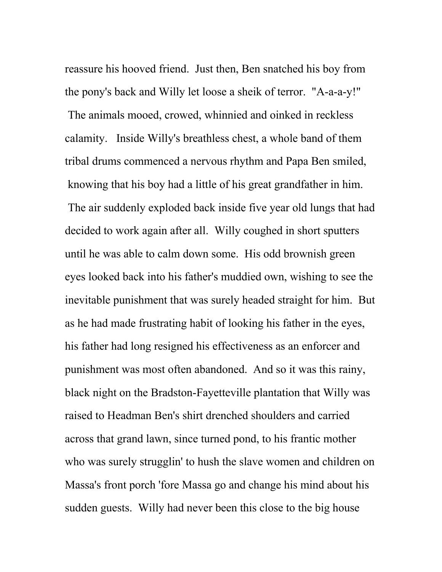reassure his hooved friend. Just then, Ben snatched his boy from the pony's back and Willy let loose a sheik of terror. "A-a-a-y!" The animals mooed, crowed, whinnied and oinked in reckless calamity. Inside Willy's breathless chest, a whole band of them tribal drums commenced a nervous rhythm and Papa Ben smiled, knowing that his boy had a little of his great grandfather in him. The air suddenly exploded back inside five year old lungs that had decided to work again after all. Willy coughed in short sputters until he was able to calm down some. His odd brownish green eyes looked back into his father's muddied own, wishing to see the inevitable punishment that was surely headed straight for him. But as he had made frustrating habit of looking his father in the eyes, his father had long resigned his effectiveness as an enforcer and punishment was most often abandoned. And so it was this rainy, black night on the Bradston-Fayetteville plantation that Willy was raised to Headman Ben's shirt drenched shoulders and carried across that grand lawn, since turned pond, to his frantic mother who was surely strugglin' to hush the slave women and children on Massa's front porch 'fore Massa go and change his mind about his sudden guests. Willy had never been this close to the big house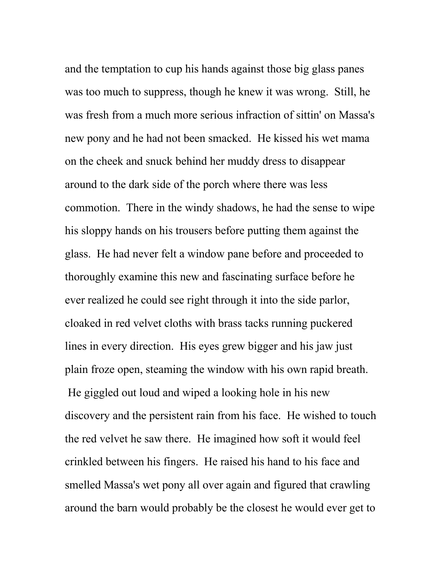and the temptation to cup his hands against those big glass panes was too much to suppress, though he knew it was wrong. Still, he was fresh from a much more serious infraction of sittin' on Massa's new pony and he had not been smacked. He kissed his wet mama on the cheek and snuck behind her muddy dress to disappear around to the dark side of the porch where there was less commotion. There in the windy shadows, he had the sense to wipe his sloppy hands on his trousers before putting them against the glass. He had never felt a window pane before and proceeded to thoroughly examine this new and fascinating surface before he ever realized he could see right through it into the side parlor, cloaked in red velvet cloths with brass tacks running puckered lines in every direction. His eyes grew bigger and his jaw just plain froze open, steaming the window with his own rapid breath. He giggled out loud and wiped a looking hole in his new discovery and the persistent rain from his face. He wished to touch the red velvet he saw there. He imagined how soft it would feel crinkled between his fingers. He raised his hand to his face and smelled Massa's wet pony all over again and figured that crawling around the barn would probably be the closest he would ever get to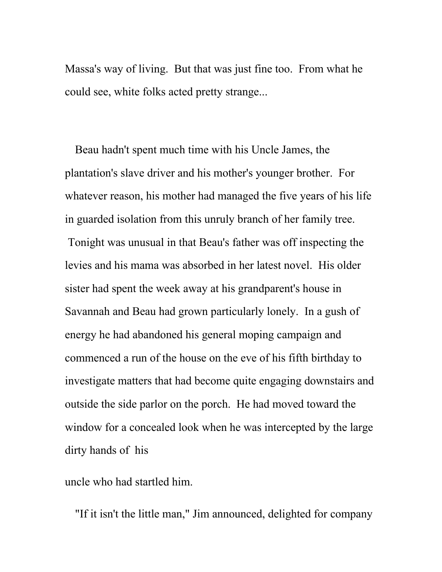Massa's way of living. But that was just fine too. From what he could see, white folks acted pretty strange...

Beau hadn't spent much time with his Uncle James, the plantation's slave driver and his mother's younger brother. For whatever reason, his mother had managed the five years of his life in guarded isolation from this unruly branch of her family tree. Tonight was unusual in that Beau's father was off inspecting the levies and his mama was absorbed in her latest novel. His older sister had spent the week away at his grandparent's house in Savannah and Beau had grown particularly lonely. In a gush of energy he had abandoned his general moping campaign and commenced a run of the house on the eve of his fifth birthday to investigate matters that had become quite engaging downstairs and outside the side parlor on the porch. He had moved toward the window for a concealed look when he was intercepted by the large dirty hands of his

uncle who had startled him.

"If it isn't the little man," Jim announced, delighted for company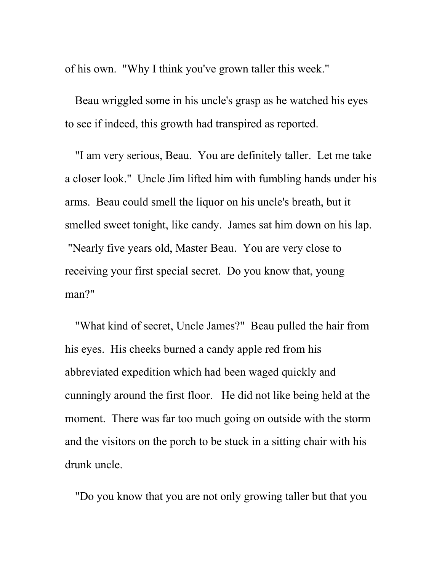of his own. "Why I think you've grown taller this week."

Beau wriggled some in his uncle's grasp as he watched his eyes to see if indeed, this growth had transpired as reported.

"I am very serious, Beau. You are definitely taller. Let me take a closer look." Uncle Jim lifted him with fumbling hands under his arms. Beau could smell the liquor on his uncle's breath, but it smelled sweet tonight, like candy. James sat him down on his lap. "Nearly five years old, Master Beau. You are very close to receiving your first special secret. Do you know that, young man?"

"What kind of secret, Uncle James?" Beau pulled the hair from his eyes. His cheeks burned a candy apple red from his abbreviated expedition which had been waged quickly and cunningly around the first floor. He did not like being held at the moment. There was far too much going on outside with the storm and the visitors on the porch to be stuck in a sitting chair with his drunk uncle.

"Do you know that you are not only growing taller but that you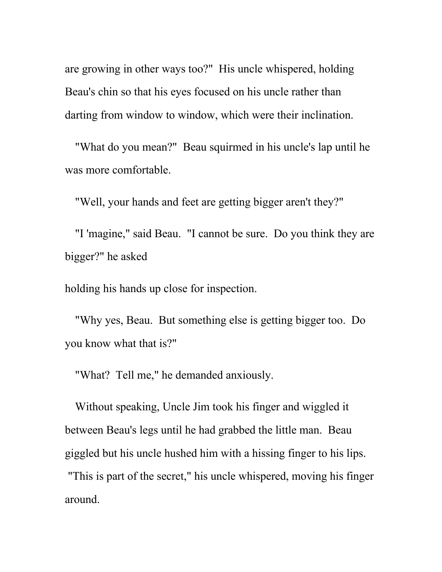are growing in other ways too?" His uncle whispered, holding Beau's chin so that his eyes focused on his uncle rather than darting from window to window, which were their inclination.

"What do you mean?" Beau squirmed in his uncle's lap until he was more comfortable.

"Well, your hands and feet are getting bigger aren't they?"

"I 'magine," said Beau. "I cannot be sure. Do you think they are bigger?" he asked

holding his hands up close for inspection.

"Why yes, Beau. But something else is getting bigger too. Do you know what that is?"

"What? Tell me," he demanded anxiously.

Without speaking, Uncle Jim took his finger and wiggled it between Beau's legs until he had grabbed the little man. Beau giggled but his uncle hushed him with a hissing finger to his lips. "This is part of the secret," his uncle whispered, moving his finger around.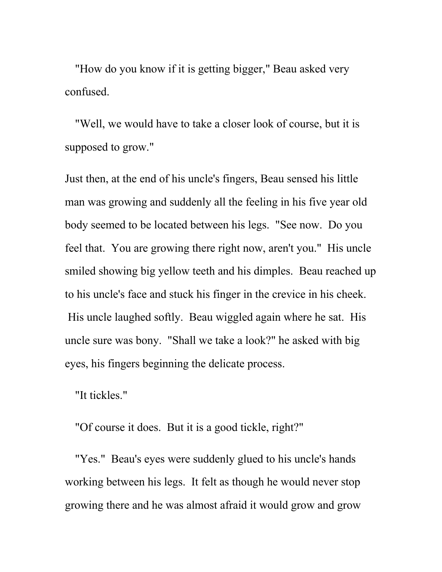"How do you know if it is getting bigger," Beau asked very confused.

"Well, we would have to take a closer look of course, but it is supposed to grow."

Just then, at the end of his uncle's fingers, Beau sensed his little man was growing and suddenly all the feeling in his five year old body seemed to be located between his legs. "See now. Do you feel that. You are growing there right now, aren't you." His uncle smiled showing big yellow teeth and his dimples. Beau reached up to his uncle's face and stuck his finger in the crevice in his cheek. His uncle laughed softly. Beau wiggled again where he sat. His uncle sure was bony. "Shall we take a look?" he asked with big eyes, his fingers beginning the delicate process.

"It tickles."

"Of course it does. But it is a good tickle, right?"

"Yes." Beau's eyes were suddenly glued to his uncle's hands working between his legs. It felt as though he would never stop growing there and he was almost afraid it would grow and grow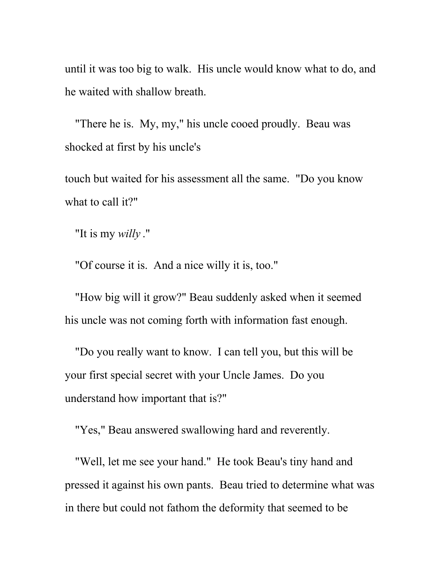until it was too big to walk. His uncle would know what to do, and he waited with shallow breath.

"There he is. My, my," his uncle cooed proudly. Beau was shocked at first by his uncle's

touch but waited for his assessment all the same. "Do you know what to call it?"

"It is my *willy* ."

"Of course it is. And a nice willy it is, too."

"How big will it grow?" Beau suddenly asked when it seemed his uncle was not coming forth with information fast enough.

"Do you really want to know. I can tell you, but this will be your first special secret with your Uncle James. Do you understand how important that is?"

"Yes," Beau answered swallowing hard and reverently.

"Well, let me see your hand." He took Beau's tiny hand and pressed it against his own pants. Beau tried to determine what was in there but could not fathom the deformity that seemed to be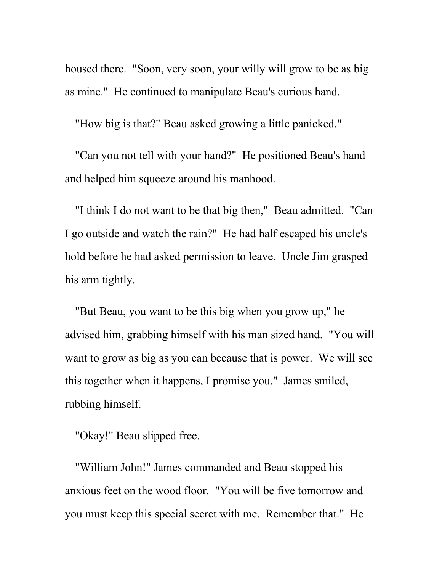housed there. "Soon, very soon, your willy will grow to be as big as mine." He continued to manipulate Beau's curious hand.

"How big is that?" Beau asked growing a little panicked."

"Can you not tell with your hand?" He positioned Beau's hand and helped him squeeze around his manhood.

"I think I do not want to be that big then," Beau admitted. "Can I go outside and watch the rain?" He had half escaped his uncle's hold before he had asked permission to leave. Uncle Jim grasped his arm tightly.

"But Beau, you want to be this big when you grow up," he advised him, grabbing himself with his man sized hand. "You will want to grow as big as you can because that is power. We will see this together when it happens, I promise you." James smiled, rubbing himself.

"Okay!" Beau slipped free.

"William John!" James commanded and Beau stopped his anxious feet on the wood floor. "You will be five tomorrow and you must keep this special secret with me. Remember that." He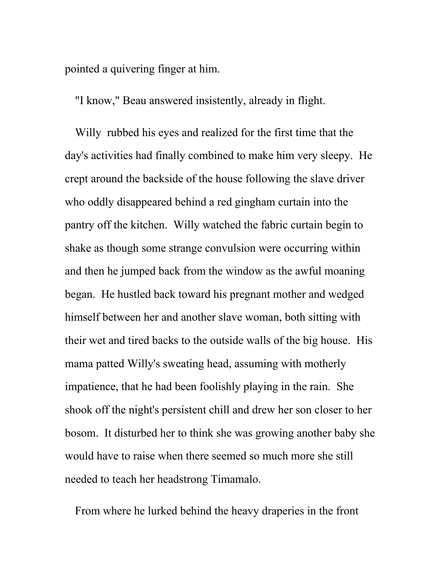pointed a quivering finger at him.

"I know," Beau answered insistently, already in flight.

Willy rubbed his eyes and realized for the first time that the day's activities had finally combined to make him very sleepy. He crept around the backside of the house following the slave driver who oddly disappeared behind a red gingham curtain into the pantry off the kitchen. Willy watched the fabric curtain begin to shake as though some strange convulsion were occurring within and then he jumped back from the window as the awful moaning began. He hustled back toward his pregnant mother and wedged himself between her and another slave woman, both sitting with their wet and tired backs to the outside walls of the big house. His mama patted Willy's sweating head, assuming with motherly impatience, that he had been foolishly playing in the rain. She shook off the night's persistent chill and drew her son closer to her bosom. It disturbed her to think she was growing another baby she would have to raise when there seemed so much more she still needed to teach her headstrong Timamalo.

From where he lurked behind the heavy draperies in the front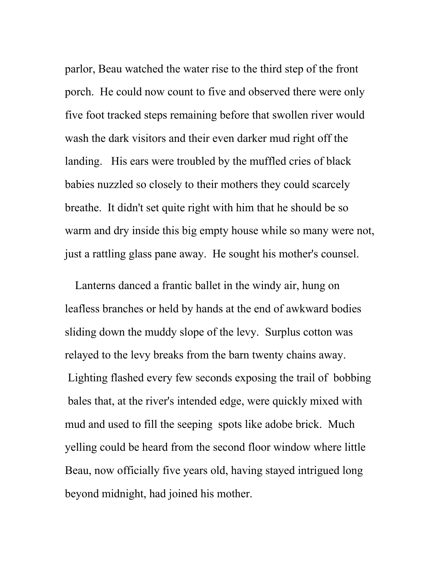parlor, Beau watched the water rise to the third step of the front porch. He could now count to five and observed there were only five foot tracked steps remaining before that swollen river would wash the dark visitors and their even darker mud right off the landing. His ears were troubled by the muffled cries of black babies nuzzled so closely to their mothers they could scarcely breathe. It didn't set quite right with him that he should be so warm and dry inside this big empty house while so many were not, just a rattling glass pane away. He sought his mother's counsel.

Lanterns danced a frantic ballet in the windy air, hung on leafless branches or held by hands at the end of awkward bodies sliding down the muddy slope of the levy. Surplus cotton was relayed to the levy breaks from the barn twenty chains away. Lighting flashed every few seconds exposing the trail of bobbing bales that, at the river's intended edge, were quickly mixed with mud and used to fill the seeping spots like adobe brick. Much yelling could be heard from the second floor window where little Beau, now officially five years old, having stayed intrigued long beyond midnight, had joined his mother.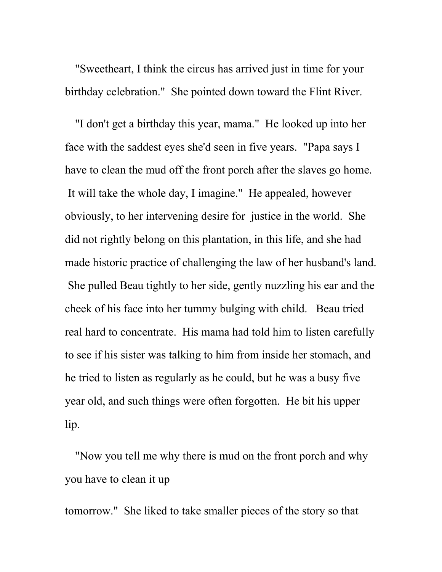"Sweetheart, I think the circus has arrived just in time for your birthday celebration." She pointed down toward the Flint River.

"I don't get a birthday this year, mama." He looked up into her face with the saddest eyes she'd seen in five years. "Papa says I have to clean the mud off the front porch after the slaves go home. It will take the whole day, I imagine." He appealed, however obviously, to her intervening desire for justice in the world. She did not rightly belong on this plantation, in this life, and she had made historic practice of challenging the law of her husband's land. She pulled Beau tightly to her side, gently nuzzling his ear and the cheek of his face into her tummy bulging with child. Beau tried real hard to concentrate. His mama had told him to listen carefully to see if his sister was talking to him from inside her stomach, and he tried to listen as regularly as he could, but he was a busy five year old, and such things were often forgotten. He bit his upper lip.

"Now you tell me why there is mud on the front porch and why you have to clean it up

tomorrow." She liked to take smaller pieces of the story so that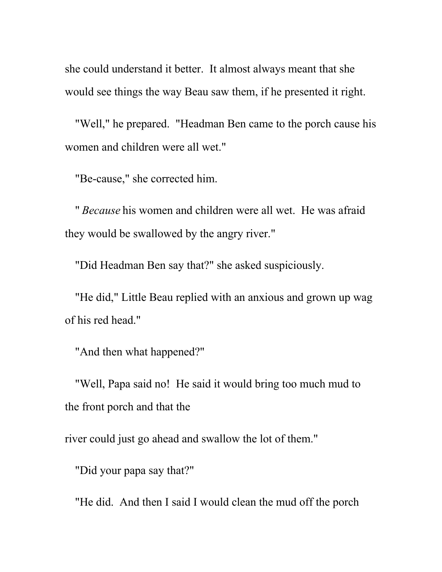she could understand it better. It almost always meant that she would see things the way Beau saw them, if he presented it right.

"Well," he prepared. "Headman Ben came to the porch cause his women and children were all wet."

"Be-cause," she corrected him.

" *Because* his women and children were all wet. He was afraid they would be swallowed by the angry river."

"Did Headman Ben say that?" she asked suspiciously.

"He did," Little Beau replied with an anxious and grown up wag of his red head."

"And then what happened?"

"Well, Papa said no! He said it would bring too much mud to the front porch and that the

river could just go ahead and swallow the lot of them."

"Did your papa say that?"

"He did. And then I said I would clean the mud off the porch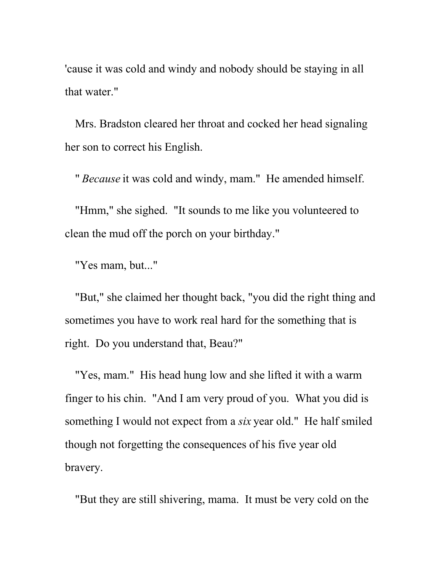'cause it was cold and windy and nobody should be staying in all that water."

Mrs. Bradston cleared her throat and cocked her head signaling her son to correct his English.

" *Because* it was cold and windy, mam." He amended himself.

"Hmm," she sighed. "It sounds to me like you volunteered to clean the mud off the porch on your birthday."

"Yes mam, but..."

"But," she claimed her thought back, "you did the right thing and sometimes you have to work real hard for the something that is right. Do you understand that, Beau?"

"Yes, mam." His head hung low and she lifted it with a warm finger to his chin. "And I am very proud of you. What you did is something I would not expect from a *six* year old." He half smiled though not forgetting the consequences of his five year old bravery.

"But they are still shivering, mama. It must be very cold on the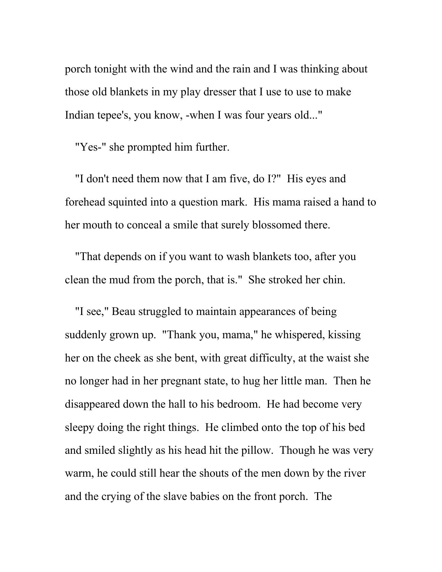porch tonight with the wind and the rain and I was thinking about those old blankets in my play dresser that I use to use to make Indian tepee's, you know, -when I was four years old..."

"Yes-" she prompted him further.

"I don't need them now that I am five, do I?" His eyes and forehead squinted into a question mark. His mama raised a hand to her mouth to conceal a smile that surely blossomed there.

"That depends on if you want to wash blankets too, after you clean the mud from the porch, that is." She stroked her chin.

"I see," Beau struggled to maintain appearances of being suddenly grown up. "Thank you, mama," he whispered, kissing her on the cheek as she bent, with great difficulty, at the waist she no longer had in her pregnant state, to hug her little man. Then he disappeared down the hall to his bedroom. He had become very sleepy doing the right things. He climbed onto the top of his bed and smiled slightly as his head hit the pillow. Though he was very warm, he could still hear the shouts of the men down by the river and the crying of the slave babies on the front porch. The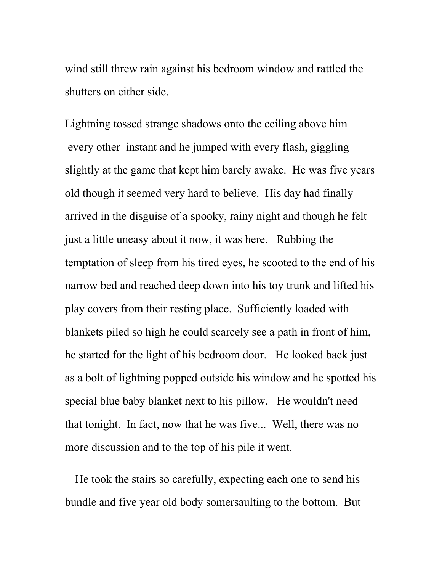wind still threw rain against his bedroom window and rattled the shutters on either side.

Lightning tossed strange shadows onto the ceiling above him every other instant and he jumped with every flash, giggling slightly at the game that kept him barely awake. He was five years old though it seemed very hard to believe. His day had finally arrived in the disguise of a spooky, rainy night and though he felt just a little uneasy about it now, it was here. Rubbing the temptation of sleep from his tired eyes, he scooted to the end of his narrow bed and reached deep down into his toy trunk and lifted his play covers from their resting place. Sufficiently loaded with blankets piled so high he could scarcely see a path in front of him, he started for the light of his bedroom door. He looked back just as a bolt of lightning popped outside his window and he spotted his special blue baby blanket next to his pillow. He wouldn't need that tonight. In fact, now that he was five... Well, there was no more discussion and to the top of his pile it went.

He took the stairs so carefully, expecting each one to send his bundle and five year old body somersaulting to the bottom. But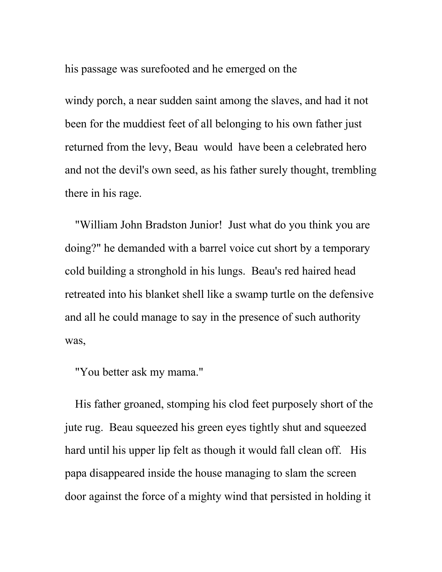his passage was surefooted and he emerged on the

windy porch, a near sudden saint among the slaves, and had it not been for the muddiest feet of all belonging to his own father just returned from the levy, Beau would have been a celebrated hero and not the devil's own seed, as his father surely thought, trembling there in his rage.

"William John Bradston Junior! Just what do you think you are doing?" he demanded with a barrel voice cut short by a temporary cold building a stronghold in his lungs. Beau's red haired head retreated into his blanket shell like a swamp turtle on the defensive and all he could manage to say in the presence of such authority was,

"You better ask my mama."

His father groaned, stomping his clod feet purposely short of the jute rug. Beau squeezed his green eyes tightly shut and squeezed hard until his upper lip felt as though it would fall clean off. His papa disappeared inside the house managing to slam the screen door against the force of a mighty wind that persisted in holding it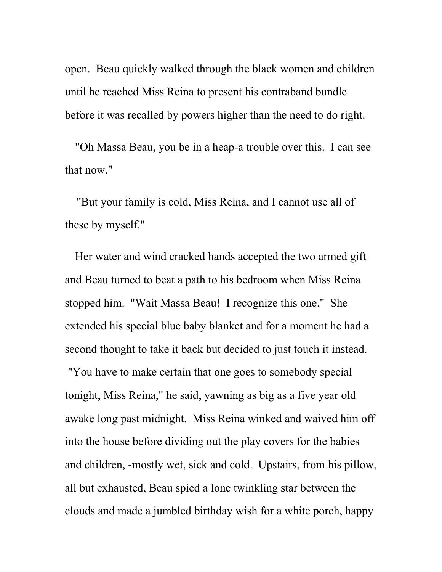open. Beau quickly walked through the black women and children until he reached Miss Reina to present his contraband bundle before it was recalled by powers higher than the need to do right.

"Oh Massa Beau, you be in a heap-a trouble over this. I can see that now."

 "But your family is cold, Miss Reina, and I cannot use all of these by myself."

Her water and wind cracked hands accepted the two armed gift and Beau turned to beat a path to his bedroom when Miss Reina stopped him. "Wait Massa Beau! I recognize this one." She extended his special blue baby blanket and for a moment he had a second thought to take it back but decided to just touch it instead. "You have to make certain that one goes to somebody special tonight, Miss Reina," he said, yawning as big as a five year old awake long past midnight. Miss Reina winked and waived him off into the house before dividing out the play covers for the babies and children, -mostly wet, sick and cold. Upstairs, from his pillow, all but exhausted, Beau spied a lone twinkling star between the clouds and made a jumbled birthday wish for a white porch, happy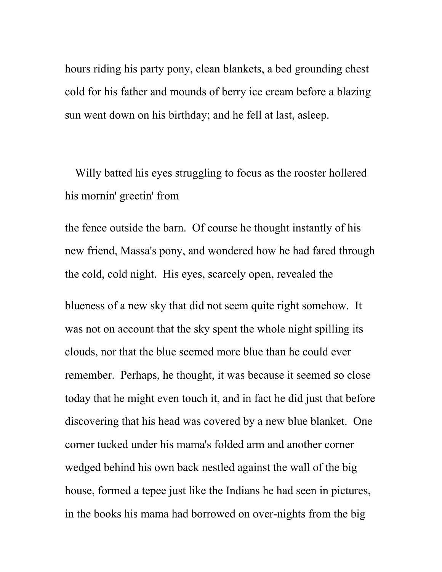hours riding his party pony, clean blankets, a bed grounding chest cold for his father and mounds of berry ice cream before a blazing sun went down on his birthday; and he fell at last, asleep.

Willy batted his eyes struggling to focus as the rooster hollered his mornin' greetin' from

the fence outside the barn. Of course he thought instantly of his new friend, Massa's pony, and wondered how he had fared through the cold, cold night. His eyes, scarcely open, revealed the

blueness of a new sky that did not seem quite right somehow. It was not on account that the sky spent the whole night spilling its clouds, nor that the blue seemed more blue than he could ever remember. Perhaps, he thought, it was because it seemed so close today that he might even touch it, and in fact he did just that before discovering that his head was covered by a new blue blanket. One corner tucked under his mama's folded arm and another corner wedged behind his own back nestled against the wall of the big house, formed a tepee just like the Indians he had seen in pictures, in the books his mama had borrowed on over-nights from the big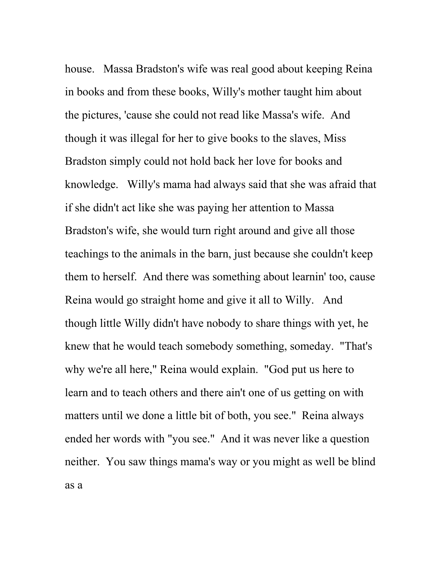house. Massa Bradston's wife was real good about keeping Reina in books and from these books, Willy's mother taught him about the pictures, 'cause she could not read like Massa's wife. And though it was illegal for her to give books to the slaves, Miss Bradston simply could not hold back her love for books and knowledge. Willy's mama had always said that she was afraid that if she didn't act like she was paying her attention to Massa Bradston's wife, she would turn right around and give all those teachings to the animals in the barn, just because she couldn't keep them to herself. And there was something about learnin' too, cause Reina would go straight home and give it all to Willy. And though little Willy didn't have nobody to share things with yet, he knew that he would teach somebody something, someday. "That's why we're all here," Reina would explain. "God put us here to learn and to teach others and there ain't one of us getting on with matters until we done a little bit of both, you see." Reina always ended her words with "you see." And it was never like a question neither. You saw things mama's way or you might as well be blind as a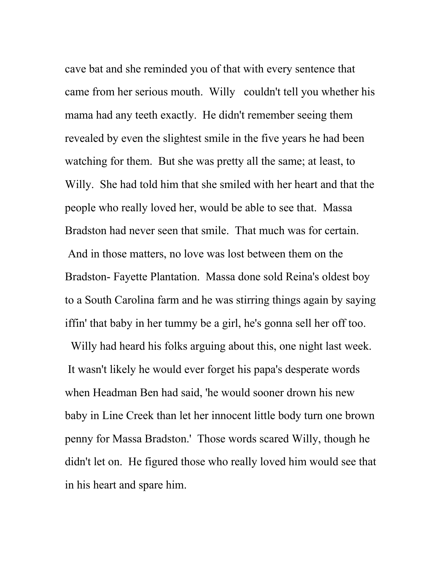cave bat and she reminded you of that with every sentence that came from her serious mouth. Willy couldn't tell you whether his mama had any teeth exactly. He didn't remember seeing them revealed by even the slightest smile in the five years he had been watching for them. But she was pretty all the same; at least, to Willy. She had told him that she smiled with her heart and that the people who really loved her, would be able to see that. Massa Bradston had never seen that smile. That much was for certain. And in those matters, no love was lost between them on the Bradston- Fayette Plantation. Massa done sold Reina's oldest boy to a South Carolina farm and he was stirring things again by saying iffin' that baby in her tummy be a girl, he's gonna sell her off too.

 Willy had heard his folks arguing about this, one night last week. It wasn't likely he would ever forget his papa's desperate words when Headman Ben had said, 'he would sooner drown his new baby in Line Creek than let her innocent little body turn one brown penny for Massa Bradston.' Those words scared Willy, though he didn't let on. He figured those who really loved him would see that in his heart and spare him.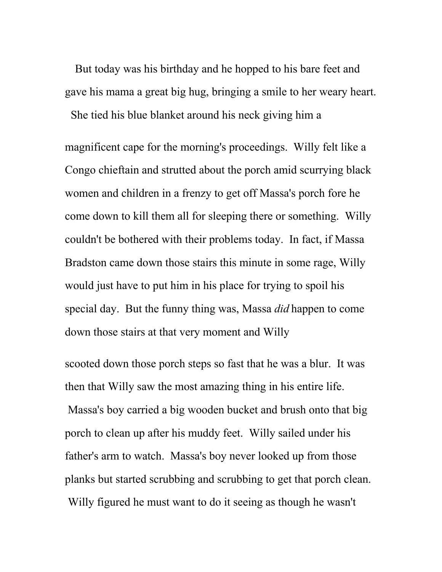But today was his birthday and he hopped to his bare feet and gave his mama a great big hug, bringing a smile to her weary heart. She tied his blue blanket around his neck giving him a

magnificent cape for the morning's proceedings. Willy felt like a Congo chieftain and strutted about the porch amid scurrying black women and children in a frenzy to get off Massa's porch fore he come down to kill them all for sleeping there or something. Willy couldn't be bothered with their problems today. In fact, if Massa Bradston came down those stairs this minute in some rage, Willy would just have to put him in his place for trying to spoil his special day. But the funny thing was, Massa *did* happen to come down those stairs at that very moment and Willy

scooted down those porch steps so fast that he was a blur. It was then that Willy saw the most amazing thing in his entire life. Massa's boy carried a big wooden bucket and brush onto that big porch to clean up after his muddy feet. Willy sailed under his father's arm to watch. Massa's boy never looked up from those planks but started scrubbing and scrubbing to get that porch clean. Willy figured he must want to do it seeing as though he wasn't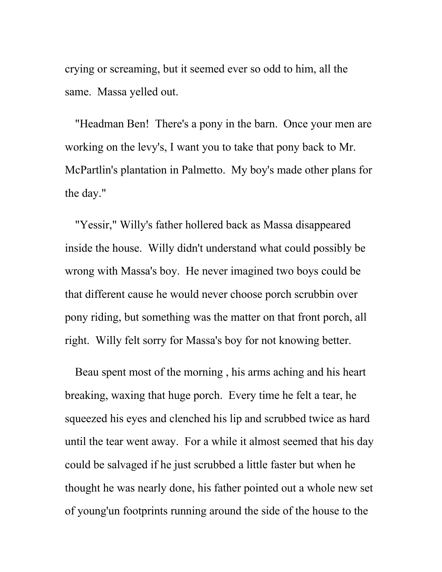crying or screaming, but it seemed ever so odd to him, all the same. Massa yelled out.

"Headman Ben! There's a pony in the barn. Once your men are working on the levy's, I want you to take that pony back to Mr. McPartlin's plantation in Palmetto. My boy's made other plans for the day."

"Yessir," Willy's father hollered back as Massa disappeared inside the house. Willy didn't understand what could possibly be wrong with Massa's boy. He never imagined two boys could be that different cause he would never choose porch scrubbin over pony riding, but something was the matter on that front porch, all right. Willy felt sorry for Massa's boy for not knowing better.

Beau spent most of the morning , his arms aching and his heart breaking, waxing that huge porch. Every time he felt a tear, he squeezed his eyes and clenched his lip and scrubbed twice as hard until the tear went away. For a while it almost seemed that his day could be salvaged if he just scrubbed a little faster but when he thought he was nearly done, his father pointed out a whole new set of young'un footprints running around the side of the house to the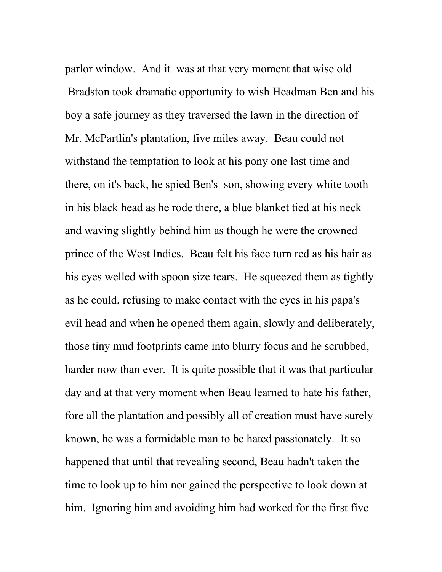parlor window. And it was at that very moment that wise old Bradston took dramatic opportunity to wish Headman Ben and his boy a safe journey as they traversed the lawn in the direction of Mr. McPartlin's plantation, five miles away. Beau could not withstand the temptation to look at his pony one last time and there, on it's back, he spied Ben's son, showing every white tooth in his black head as he rode there, a blue blanket tied at his neck and waving slightly behind him as though he were the crowned prince of the West Indies. Beau felt his face turn red as his hair as his eyes welled with spoon size tears. He squeezed them as tightly as he could, refusing to make contact with the eyes in his papa's evil head and when he opened them again, slowly and deliberately, those tiny mud footprints came into blurry focus and he scrubbed, harder now than ever. It is quite possible that it was that particular day and at that very moment when Beau learned to hate his father, fore all the plantation and possibly all of creation must have surely known, he was a formidable man to be hated passionately. It so happened that until that revealing second, Beau hadn't taken the time to look up to him nor gained the perspective to look down at him. Ignoring him and avoiding him had worked for the first five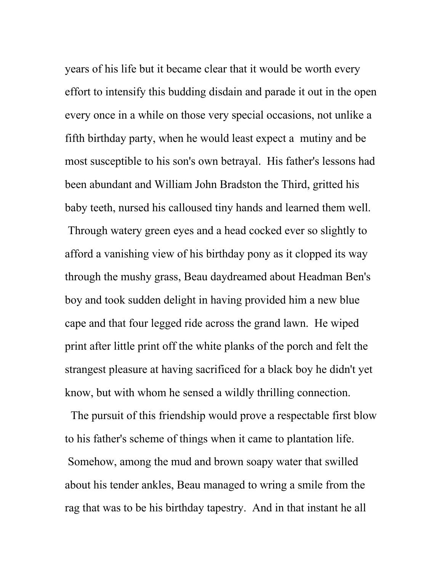years of his life but it became clear that it would be worth every effort to intensify this budding disdain and parade it out in the open every once in a while on those very special occasions, not unlike a fifth birthday party, when he would least expect a mutiny and be most susceptible to his son's own betrayal. His father's lessons had been abundant and William John Bradston the Third, gritted his baby teeth, nursed his calloused tiny hands and learned them well. Through watery green eyes and a head cocked ever so slightly to afford a vanishing view of his birthday pony as it clopped its way through the mushy grass, Beau daydreamed about Headman Ben's boy and took sudden delight in having provided him a new blue cape and that four legged ride across the grand lawn. He wiped print after little print off the white planks of the porch and felt the strangest pleasure at having sacrificed for a black boy he didn't yet know, but with whom he sensed a wildly thrilling connection.

 The pursuit of this friendship would prove a respectable first blow to his father's scheme of things when it came to plantation life. Somehow, among the mud and brown soapy water that swilled about his tender ankles, Beau managed to wring a smile from the rag that was to be his birthday tapestry. And in that instant he all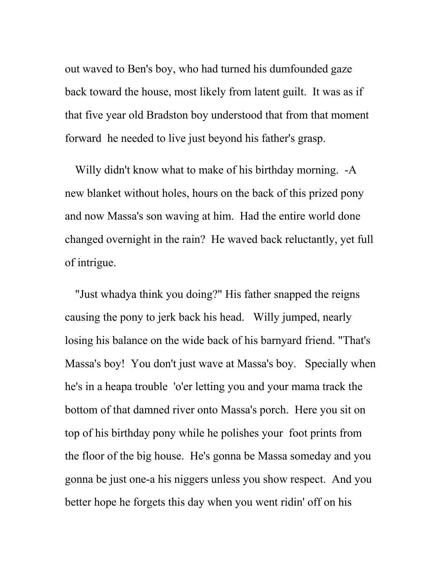out waved to Ben's boy, who had turned his dumfounded gaze back toward the house, most likely from latent guilt. It was as if that five year old Bradston boy understood that from that moment forward he needed to live just beyond his father's grasp.

Willy didn't know what to make of his birthday morning. -A new blanket without holes, hours on the back of this prized pony and now Massa's son waving at him. Had the entire world done changed overnight in the rain? He waved back reluctantly, yet full of intrigue.

"Just whadya think you doing?" His father snapped the reigns causing the pony to jerk back his head. Willy jumped, nearly losing his balance on the wide back of his barnyard friend. "That's Massa's boy! You don't just wave at Massa's boy. Specially when he's in a heapa trouble 'o'er letting you and your mama track the bottom of that damned river onto Massa's porch. Here you sit on top of his birthday pony while he polishes your foot prints from the floor of the big house. He's gonna be Massa someday and you gonna be just one-a his niggers unless you show respect. And you better hope he forgets this day when you went ridin' off on his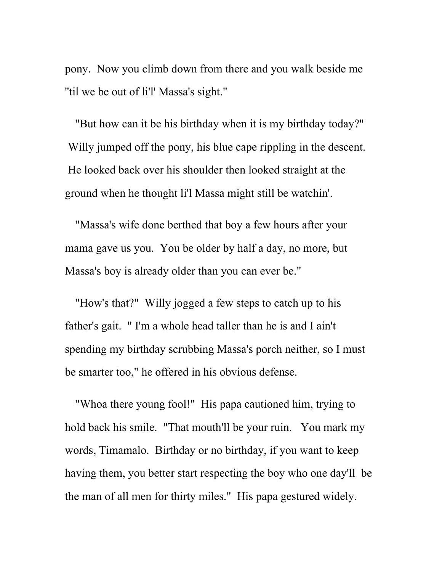pony. Now you climb down from there and you walk beside me ''til we be out of li'l' Massa's sight."

"But how can it be his birthday when it is my birthday today?" Willy jumped off the pony, his blue cape rippling in the descent. He looked back over his shoulder then looked straight at the ground when he thought li'l Massa might still be watchin'.

"Massa's wife done berthed that boy a few hours after your mama gave us you. You be older by half a day, no more, but Massa's boy is already older than you can ever be."

"How's that?" Willy jogged a few steps to catch up to his father's gait. " I'm a whole head taller than he is and I ain't spending my birthday scrubbing Massa's porch neither, so I must be smarter too," he offered in his obvious defense.

"Whoa there young fool!" His papa cautioned him, trying to hold back his smile. "That mouth'll be your ruin. You mark my words, Timamalo. Birthday or no birthday, if you want to keep having them, you better start respecting the boy who one day'll be the man of all men for thirty miles." His papa gestured widely.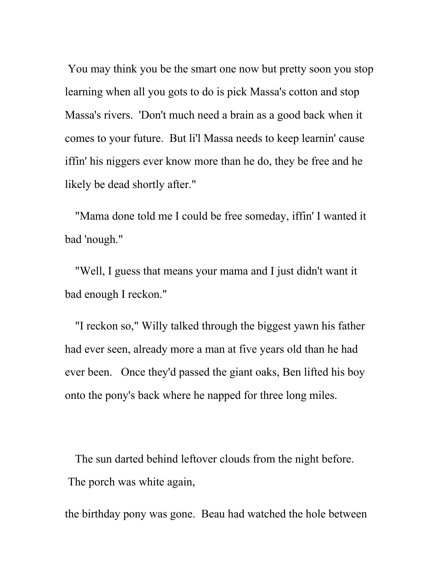You may think you be the smart one now but pretty soon you stop learning when all you gots to do is pick Massa's cotton and stop Massa's rivers. 'Don't much need a brain as a good back when it comes to your future. But li'l Massa needs to keep learnin' cause iffin' his niggers ever know more than he do, they be free and he likely be dead shortly after."

"Mama done told me I could be free someday, iffin' I wanted it bad 'nough."

"Well, I guess that means your mama and I just didn't want it bad enough I reckon."

"I reckon so," Willy talked through the biggest yawn his father had ever seen, already more a man at five years old than he had ever been. Once they'd passed the giant oaks, Ben lifted his boy onto the pony's back where he napped for three long miles.

The sun darted behind leftover clouds from the night before. The porch was white again,

the birthday pony was gone. Beau had watched the hole between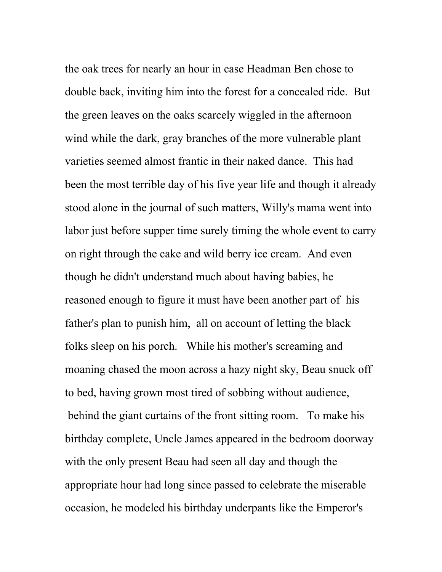the oak trees for nearly an hour in case Headman Ben chose to double back, inviting him into the forest for a concealed ride. But the green leaves on the oaks scarcely wiggled in the afternoon wind while the dark, gray branches of the more vulnerable plant varieties seemed almost frantic in their naked dance. This had been the most terrible day of his five year life and though it already stood alone in the journal of such matters, Willy's mama went into labor just before supper time surely timing the whole event to carry on right through the cake and wild berry ice cream. And even though he didn't understand much about having babies, he reasoned enough to figure it must have been another part of his father's plan to punish him, all on account of letting the black folks sleep on his porch. While his mother's screaming and moaning chased the moon across a hazy night sky, Beau snuck off to bed, having grown most tired of sobbing without audience, behind the giant curtains of the front sitting room. To make his birthday complete, Uncle James appeared in the bedroom doorway with the only present Beau had seen all day and though the appropriate hour had long since passed to celebrate the miserable occasion, he modeled his birthday underpants like the Emperor's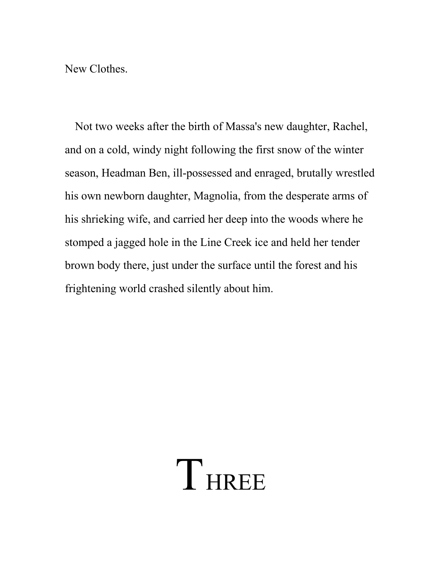New Clothes.

Not two weeks after the birth of Massa's new daughter, Rachel, and on a cold, windy night following the first snow of the winter season, Headman Ben, ill-possessed and enraged, brutally wrestled his own newborn daughter, Magnolia, from the desperate arms of his shrieking wife, and carried her deep into the woods where he stomped a jagged hole in the Line Creek ice and held her tender brown body there, just under the surface until the forest and his frightening world crashed silently about him.

## THREE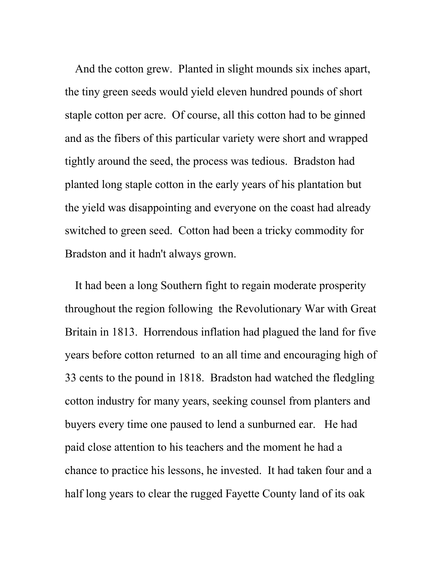And the cotton grew. Planted in slight mounds six inches apart, the tiny green seeds would yield eleven hundred pounds of short staple cotton per acre. Of course, all this cotton had to be ginned and as the fibers of this particular variety were short and wrapped tightly around the seed, the process was tedious. Bradston had planted long staple cotton in the early years of his plantation but the yield was disappointing and everyone on the coast had already switched to green seed. Cotton had been a tricky commodity for Bradston and it hadn't always grown.

It had been a long Southern fight to regain moderate prosperity throughout the region following the Revolutionary War with Great Britain in 1813. Horrendous inflation had plagued the land for five years before cotton returned to an all time and encouraging high of 33 cents to the pound in 1818. Bradston had watched the fledgling cotton industry for many years, seeking counsel from planters and buyers every time one paused to lend a sunburned ear. He had paid close attention to his teachers and the moment he had a chance to practice his lessons, he invested. It had taken four and a half long years to clear the rugged Fayette County land of its oak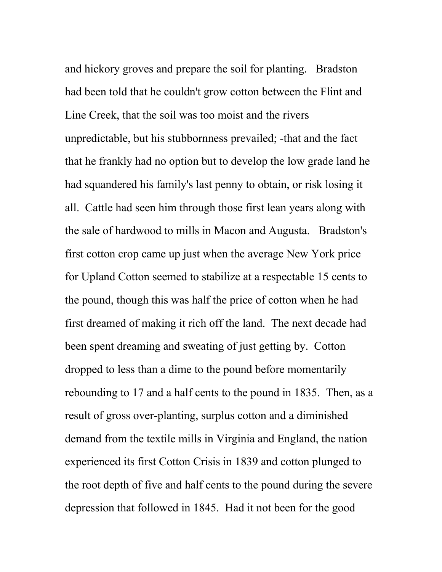and hickory groves and prepare the soil for planting. Bradston had been told that he couldn't grow cotton between the Flint and Line Creek, that the soil was too moist and the rivers unpredictable, but his stubbornness prevailed; -that and the fact that he frankly had no option but to develop the low grade land he had squandered his family's last penny to obtain, or risk losing it all. Cattle had seen him through those first lean years along with the sale of hardwood to mills in Macon and Augusta. Bradston's first cotton crop came up just when the average New York price for Upland Cotton seemed to stabilize at a respectable 15 cents to the pound, though this was half the price of cotton when he had first dreamed of making it rich off the land. The next decade had been spent dreaming and sweating of just getting by. Cotton dropped to less than a dime to the pound before momentarily rebounding to 17 and a half cents to the pound in 1835. Then, as a result of gross over-planting, surplus cotton and a diminished demand from the textile mills in Virginia and England, the nation experienced its first Cotton Crisis in 1839 and cotton plunged to the root depth of five and half cents to the pound during the severe depression that followed in 1845. Had it not been for the good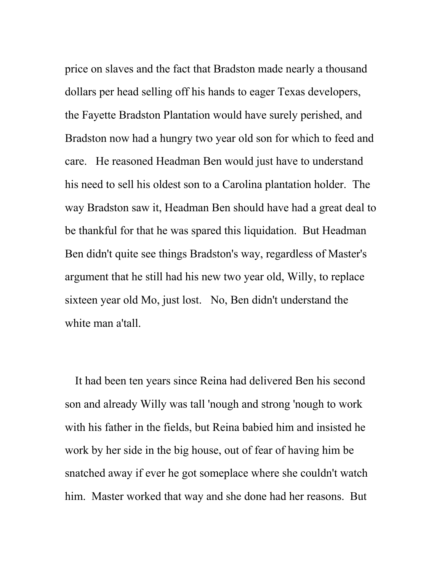price on slaves and the fact that Bradston made nearly a thousand dollars per head selling off his hands to eager Texas developers, the Fayette Bradston Plantation would have surely perished, and Bradston now had a hungry two year old son for which to feed and care. He reasoned Headman Ben would just have to understand his need to sell his oldest son to a Carolina plantation holder. The way Bradston saw it, Headman Ben should have had a great deal to be thankful for that he was spared this liquidation. But Headman Ben didn't quite see things Bradston's way, regardless of Master's argument that he still had his new two year old, Willy, to replace sixteen year old Mo, just lost. No, Ben didn't understand the white man a'tall.

It had been ten years since Reina had delivered Ben his second son and already Willy was tall 'nough and strong 'nough to work with his father in the fields, but Reina babied him and insisted he work by her side in the big house, out of fear of having him be snatched away if ever he got someplace where she couldn't watch him. Master worked that way and she done had her reasons. But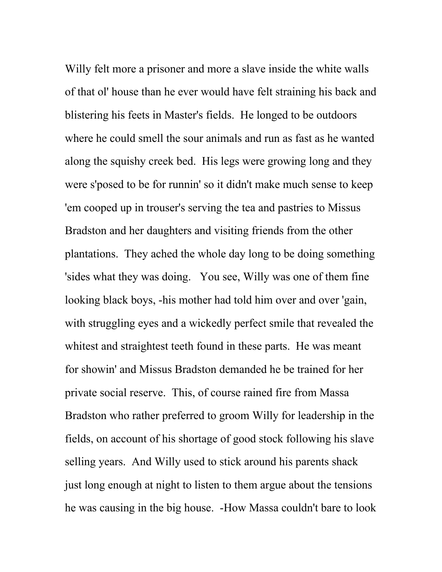Willy felt more a prisoner and more a slave inside the white walls of that ol' house than he ever would have felt straining his back and blistering his feets in Master's fields. He longed to be outdoors where he could smell the sour animals and run as fast as he wanted along the squishy creek bed. His legs were growing long and they were s'posed to be for runnin' so it didn't make much sense to keep 'em cooped up in trouser's serving the tea and pastries to Missus Bradston and her daughters and visiting friends from the other plantations. They ached the whole day long to be doing something 'sides what they was doing. You see, Willy was one of them fine looking black boys, -his mother had told him over and over 'gain, with struggling eyes and a wickedly perfect smile that revealed the whitest and straightest teeth found in these parts. He was meant for showin' and Missus Bradston demanded he be trained for her private social reserve. This, of course rained fire from Massa Bradston who rather preferred to groom Willy for leadership in the fields, on account of his shortage of good stock following his slave selling years. And Willy used to stick around his parents shack just long enough at night to listen to them argue about the tensions he was causing in the big house. -How Massa couldn't bare to look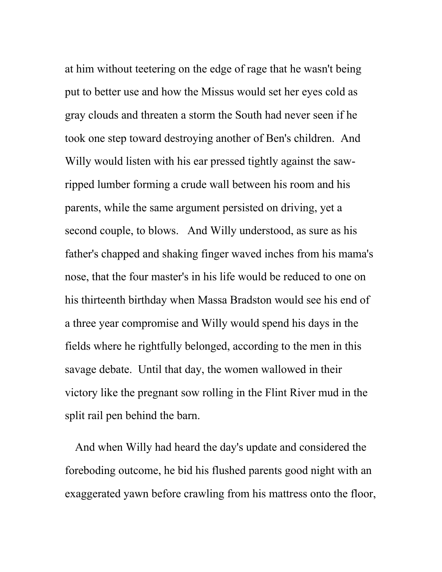at him without teetering on the edge of rage that he wasn't being put to better use and how the Missus would set her eyes cold as gray clouds and threaten a storm the South had never seen if he took one step toward destroying another of Ben's children. And Willy would listen with his ear pressed tightly against the sawripped lumber forming a crude wall between his room and his parents, while the same argument persisted on driving, yet a second couple, to blows. And Willy understood, as sure as his father's chapped and shaking finger waved inches from his mama's nose, that the four master's in his life would be reduced to one on his thirteenth birthday when Massa Bradston would see his end of a three year compromise and Willy would spend his days in the fields where he rightfully belonged, according to the men in this savage debate. Until that day, the women wallowed in their victory like the pregnant sow rolling in the Flint River mud in the split rail pen behind the barn.

And when Willy had heard the day's update and considered the foreboding outcome, he bid his flushed parents good night with an exaggerated yawn before crawling from his mattress onto the floor,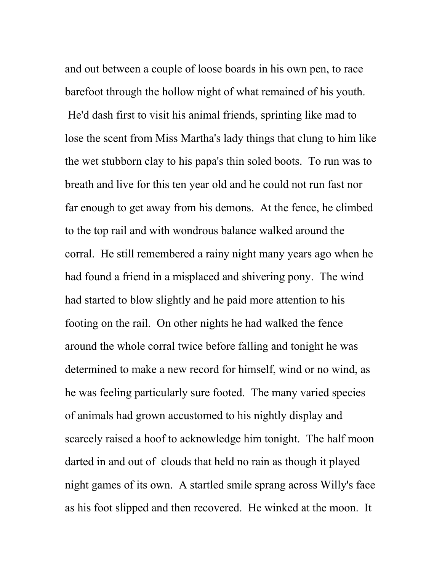and out between a couple of loose boards in his own pen, to race barefoot through the hollow night of what remained of his youth. He'd dash first to visit his animal friends, sprinting like mad to lose the scent from Miss Martha's lady things that clung to him like the wet stubborn clay to his papa's thin soled boots. To run was to breath and live for this ten year old and he could not run fast nor far enough to get away from his demons. At the fence, he climbed to the top rail and with wondrous balance walked around the corral. He still remembered a rainy night many years ago when he had found a friend in a misplaced and shivering pony. The wind had started to blow slightly and he paid more attention to his footing on the rail. On other nights he had walked the fence around the whole corral twice before falling and tonight he was determined to make a new record for himself, wind or no wind, as he was feeling particularly sure footed. The many varied species of animals had grown accustomed to his nightly display and scarcely raised a hoof to acknowledge him tonight. The half moon darted in and out of clouds that held no rain as though it played night games of its own. A startled smile sprang across Willy's face as his foot slipped and then recovered. He winked at the moon. It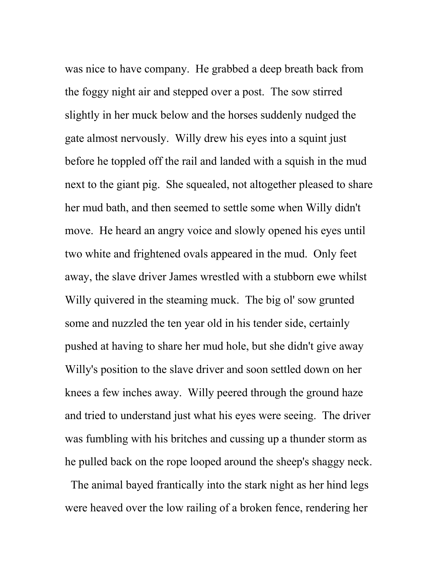was nice to have company. He grabbed a deep breath back from the foggy night air and stepped over a post. The sow stirred slightly in her muck below and the horses suddenly nudged the gate almost nervously. Willy drew his eyes into a squint just before he toppled off the rail and landed with a squish in the mud next to the giant pig. She squealed, not altogether pleased to share her mud bath, and then seemed to settle some when Willy didn't move. He heard an angry voice and slowly opened his eyes until two white and frightened ovals appeared in the mud. Only feet away, the slave driver James wrestled with a stubborn ewe whilst Willy quivered in the steaming muck. The big ol' sow grunted some and nuzzled the ten year old in his tender side, certainly pushed at having to share her mud hole, but she didn't give away Willy's position to the slave driver and soon settled down on her knees a few inches away. Willy peered through the ground haze and tried to understand just what his eyes were seeing. The driver was fumbling with his britches and cussing up a thunder storm as he pulled back on the rope looped around the sheep's shaggy neck.

 The animal bayed frantically into the stark night as her hind legs were heaved over the low railing of a broken fence, rendering her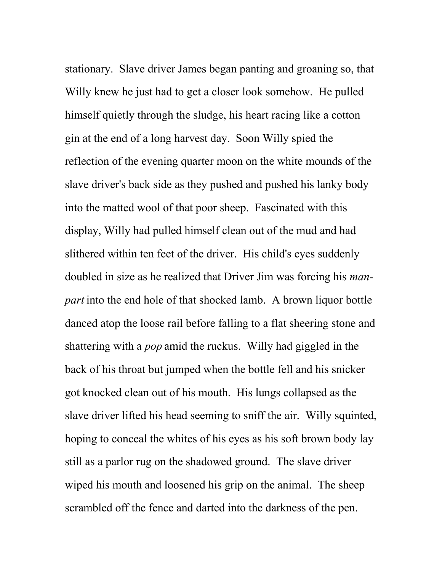stationary. Slave driver James began panting and groaning so, that Willy knew he just had to get a closer look somehow. He pulled himself quietly through the sludge, his heart racing like a cotton gin at the end of a long harvest day. Soon Willy spied the reflection of the evening quarter moon on the white mounds of the slave driver's back side as they pushed and pushed his lanky body into the matted wool of that poor sheep. Fascinated with this display, Willy had pulled himself clean out of the mud and had slithered within ten feet of the driver. His child's eyes suddenly doubled in size as he realized that Driver Jim was forcing his *manpart* into the end hole of that shocked lamb. A brown liquor bottle danced atop the loose rail before falling to a flat sheering stone and shattering with a *pop* amid the ruckus. Willy had giggled in the back of his throat but jumped when the bottle fell and his snicker got knocked clean out of his mouth. His lungs collapsed as the slave driver lifted his head seeming to sniff the air. Willy squinted, hoping to conceal the whites of his eyes as his soft brown body lay still as a parlor rug on the shadowed ground. The slave driver wiped his mouth and loosened his grip on the animal. The sheep scrambled off the fence and darted into the darkness of the pen.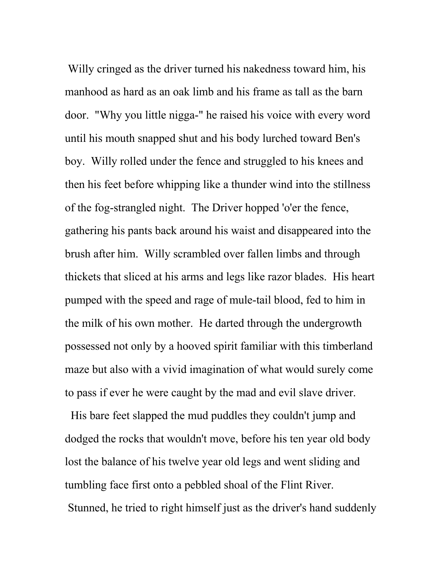Willy cringed as the driver turned his nakedness toward him, his manhood as hard as an oak limb and his frame as tall as the barn door. "Why you little nigga-" he raised his voice with every word until his mouth snapped shut and his body lurched toward Ben's boy. Willy rolled under the fence and struggled to his knees and then his feet before whipping like a thunder wind into the stillness of the fog-strangled night. The Driver hopped 'o'er the fence, gathering his pants back around his waist and disappeared into the brush after him. Willy scrambled over fallen limbs and through thickets that sliced at his arms and legs like razor blades. His heart pumped with the speed and rage of mule-tail blood, fed to him in the milk of his own mother. He darted through the undergrowth possessed not only by a hooved spirit familiar with this timberland maze but also with a vivid imagination of what would surely come to pass if ever he were caught by the mad and evil slave driver.

 His bare feet slapped the mud puddles they couldn't jump and dodged the rocks that wouldn't move, before his ten year old body lost the balance of his twelve year old legs and went sliding and tumbling face first onto a pebbled shoal of the Flint River. Stunned, he tried to right himself just as the driver's hand suddenly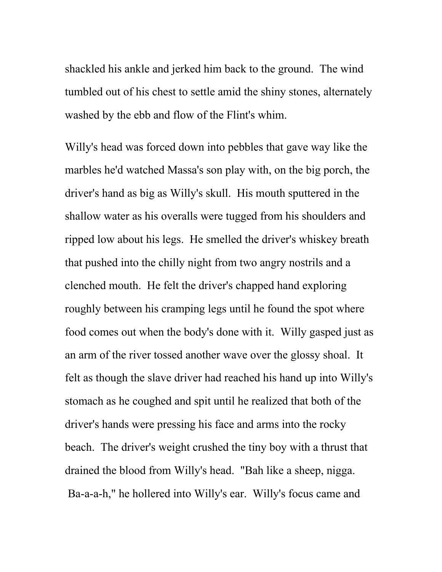shackled his ankle and jerked him back to the ground. The wind tumbled out of his chest to settle amid the shiny stones, alternately washed by the ebb and flow of the Flint's whim.

Willy's head was forced down into pebbles that gave way like the marbles he'd watched Massa's son play with, on the big porch, the driver's hand as big as Willy's skull. His mouth sputtered in the shallow water as his overalls were tugged from his shoulders and ripped low about his legs. He smelled the driver's whiskey breath that pushed into the chilly night from two angry nostrils and a clenched mouth. He felt the driver's chapped hand exploring roughly between his cramping legs until he found the spot where food comes out when the body's done with it. Willy gasped just as an arm of the river tossed another wave over the glossy shoal. It felt as though the slave driver had reached his hand up into Willy's stomach as he coughed and spit until he realized that both of the driver's hands were pressing his face and arms into the rocky beach. The driver's weight crushed the tiny boy with a thrust that drained the blood from Willy's head. "Bah like a sheep, nigga. Ba-a-a-h," he hollered into Willy's ear. Willy's focus came and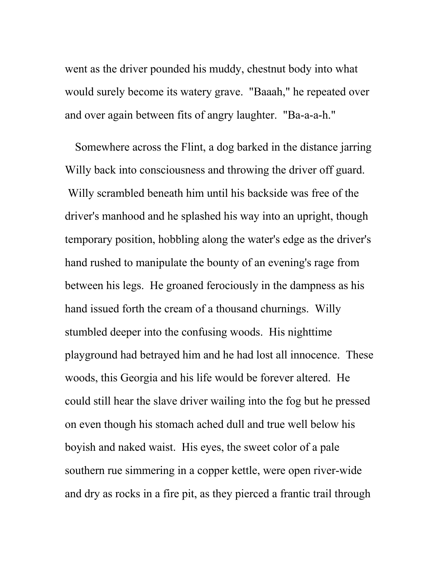went as the driver pounded his muddy, chestnut body into what would surely become its watery grave. "Baaah," he repeated over and over again between fits of angry laughter. "Ba-a-a-h."

Somewhere across the Flint, a dog barked in the distance jarring Willy back into consciousness and throwing the driver off guard. Willy scrambled beneath him until his backside was free of the driver's manhood and he splashed his way into an upright, though temporary position, hobbling along the water's edge as the driver's hand rushed to manipulate the bounty of an evening's rage from between his legs. He groaned ferociously in the dampness as his hand issued forth the cream of a thousand churnings. Willy stumbled deeper into the confusing woods. His nighttime playground had betrayed him and he had lost all innocence. These woods, this Georgia and his life would be forever altered. He could still hear the slave driver wailing into the fog but he pressed on even though his stomach ached dull and true well below his boyish and naked waist. His eyes, the sweet color of a pale southern rue simmering in a copper kettle, were open river-wide and dry as rocks in a fire pit, as they pierced a frantic trail through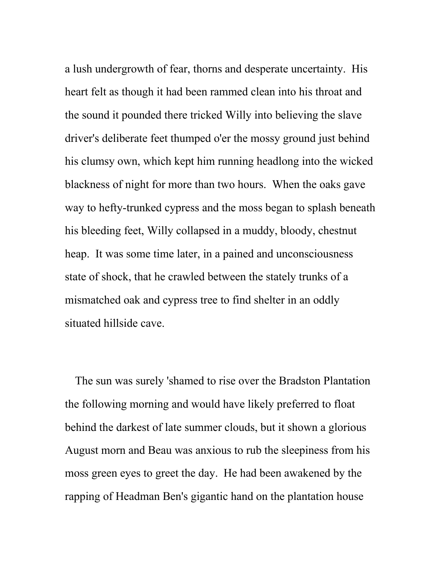a lush undergrowth of fear, thorns and desperate uncertainty. His heart felt as though it had been rammed clean into his throat and the sound it pounded there tricked Willy into believing the slave driver's deliberate feet thumped o'er the mossy ground just behind his clumsy own, which kept him running headlong into the wicked blackness of night for more than two hours. When the oaks gave way to hefty-trunked cypress and the moss began to splash beneath his bleeding feet, Willy collapsed in a muddy, bloody, chestnut heap. It was some time later, in a pained and unconsciousness state of shock, that he crawled between the stately trunks of a mismatched oak and cypress tree to find shelter in an oddly situated hillside cave.

The sun was surely 'shamed to rise over the Bradston Plantation the following morning and would have likely preferred to float behind the darkest of late summer clouds, but it shown a glorious August morn and Beau was anxious to rub the sleepiness from his moss green eyes to greet the day. He had been awakened by the rapping of Headman Ben's gigantic hand on the plantation house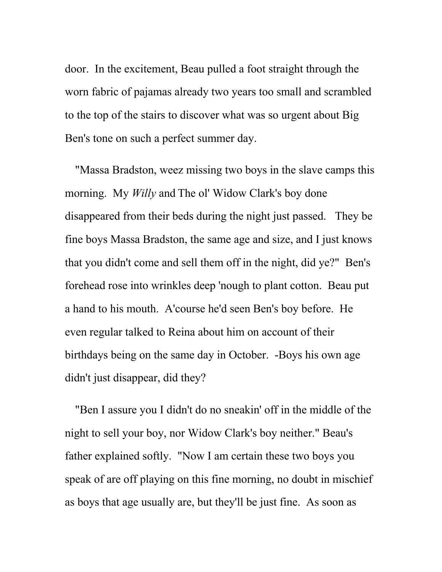door. In the excitement, Beau pulled a foot straight through the worn fabric of pajamas already two years too small and scrambled to the top of the stairs to discover what was so urgent about Big Ben's tone on such a perfect summer day.

"Massa Bradston, weez missing two boys in the slave camps this morning. My *Willy* and The ol' Widow Clark's boy done disappeared from their beds during the night just passed. They be fine boys Massa Bradston, the same age and size, and I just knows that you didn't come and sell them off in the night, did ye?" Ben's forehead rose into wrinkles deep 'nough to plant cotton. Beau put a hand to his mouth. A'course he'd seen Ben's boy before. He even regular talked to Reina about him on account of their birthdays being on the same day in October. -Boys his own age didn't just disappear, did they?

"Ben I assure you I didn't do no sneakin' off in the middle of the night to sell your boy, nor Widow Clark's boy neither." Beau's father explained softly. "Now I am certain these two boys you speak of are off playing on this fine morning, no doubt in mischief as boys that age usually are, but they'll be just fine. As soon as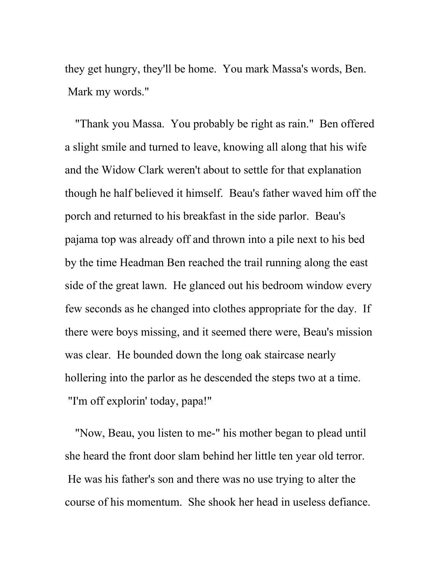they get hungry, they'll be home. You mark Massa's words, Ben. Mark my words."

"Thank you Massa. You probably be right as rain." Ben offered a slight smile and turned to leave, knowing all along that his wife and the Widow Clark weren't about to settle for that explanation though he half believed it himself. Beau's father waved him off the porch and returned to his breakfast in the side parlor. Beau's pajama top was already off and thrown into a pile next to his bed by the time Headman Ben reached the trail running along the east side of the great lawn. He glanced out his bedroom window every few seconds as he changed into clothes appropriate for the day. If there were boys missing, and it seemed there were, Beau's mission was clear. He bounded down the long oak staircase nearly hollering into the parlor as he descended the steps two at a time. "I'm off explorin' today, papa!"

"Now, Beau, you listen to me-" his mother began to plead until she heard the front door slam behind her little ten year old terror. He was his father's son and there was no use trying to alter the course of his momentum. She shook her head in useless defiance.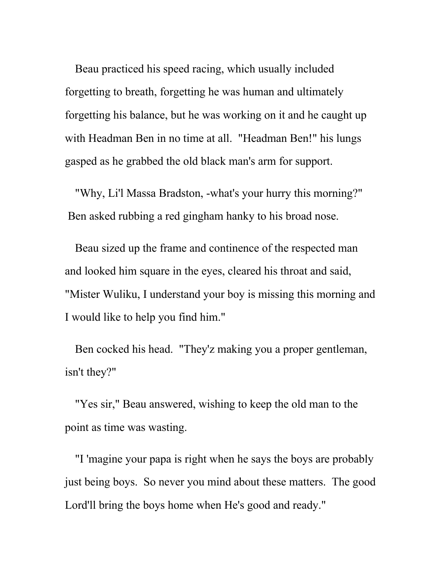Beau practiced his speed racing, which usually included forgetting to breath, forgetting he was human and ultimately forgetting his balance, but he was working on it and he caught up with Headman Ben in no time at all. "Headman Ben!" his lungs gasped as he grabbed the old black man's arm for support.

"Why, Li'l Massa Bradston, -what's your hurry this morning?" Ben asked rubbing a red gingham hanky to his broad nose.

Beau sized up the frame and continence of the respected man and looked him square in the eyes, cleared his throat and said, "Mister Wuliku, I understand your boy is missing this morning and I would like to help you find him."

Ben cocked his head. "They'z making you a proper gentleman, isn't they?"

"Yes sir," Beau answered, wishing to keep the old man to the point as time was wasting.

"I 'magine your papa is right when he says the boys are probably just being boys. So never you mind about these matters. The good Lord'll bring the boys home when He's good and ready."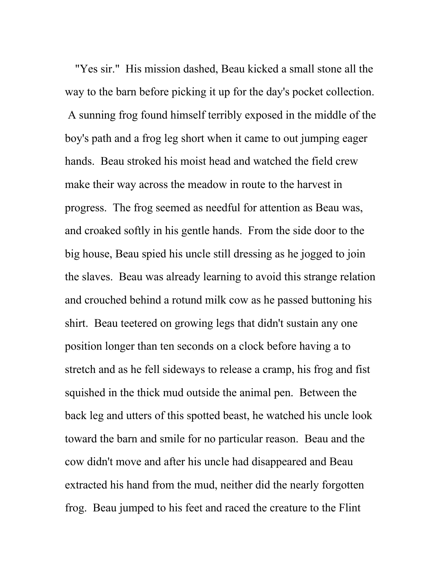"Yes sir." His mission dashed, Beau kicked a small stone all the way to the barn before picking it up for the day's pocket collection. A sunning frog found himself terribly exposed in the middle of the boy's path and a frog leg short when it came to out jumping eager hands. Beau stroked his moist head and watched the field crew make their way across the meadow in route to the harvest in progress. The frog seemed as needful for attention as Beau was, and croaked softly in his gentle hands. From the side door to the big house, Beau spied his uncle still dressing as he jogged to join the slaves. Beau was already learning to avoid this strange relation and crouched behind a rotund milk cow as he passed buttoning his shirt. Beau teetered on growing legs that didn't sustain any one position longer than ten seconds on a clock before having a to stretch and as he fell sideways to release a cramp, his frog and fist squished in the thick mud outside the animal pen. Between the back leg and utters of this spotted beast, he watched his uncle look toward the barn and smile for no particular reason. Beau and the cow didn't move and after his uncle had disappeared and Beau extracted his hand from the mud, neither did the nearly forgotten frog. Beau jumped to his feet and raced the creature to the Flint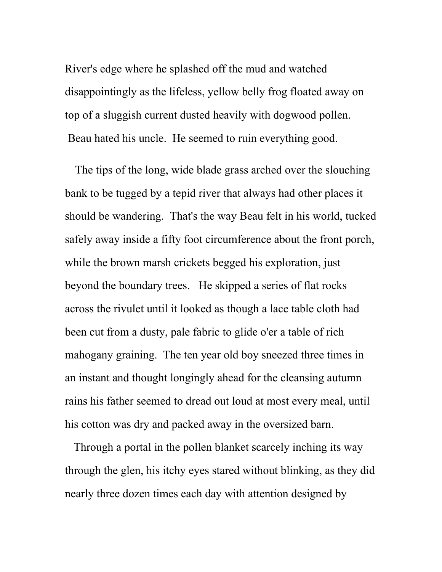River's edge where he splashed off the mud and watched disappointingly as the lifeless, yellow belly frog floated away on top of a sluggish current dusted heavily with dogwood pollen. Beau hated his uncle. He seemed to ruin everything good.

The tips of the long, wide blade grass arched over the slouching bank to be tugged by a tepid river that always had other places it should be wandering. That's the way Beau felt in his world, tucked safely away inside a fifty foot circumference about the front porch, while the brown marsh crickets begged his exploration, just beyond the boundary trees. He skipped a series of flat rocks across the rivulet until it looked as though a lace table cloth had been cut from a dusty, pale fabric to glide o'er a table of rich mahogany graining. The ten year old boy sneezed three times in an instant and thought longingly ahead for the cleansing autumn rains his father seemed to dread out loud at most every meal, until his cotton was dry and packed away in the oversized barn.

 Through a portal in the pollen blanket scarcely inching its way through the glen, his itchy eyes stared without blinking, as they did nearly three dozen times each day with attention designed by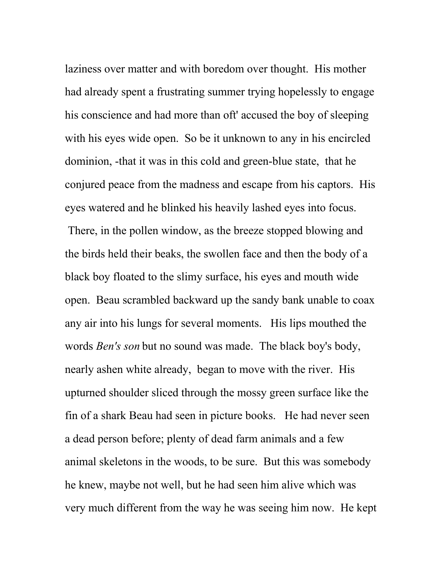laziness over matter and with boredom over thought. His mother had already spent a frustrating summer trying hopelessly to engage his conscience and had more than oft' accused the boy of sleeping with his eyes wide open. So be it unknown to any in his encircled dominion, -that it was in this cold and green-blue state, that he conjured peace from the madness and escape from his captors. His eyes watered and he blinked his heavily lashed eyes into focus. There, in the pollen window, as the breeze stopped blowing and the birds held their beaks, the swollen face and then the body of a black boy floated to the slimy surface, his eyes and mouth wide open. Beau scrambled backward up the sandy bank unable to coax any air into his lungs for several moments. His lips mouthed the words *Ben's son* but no sound was made. The black boy's body, nearly ashen white already, began to move with the river. His upturned shoulder sliced through the mossy green surface like the fin of a shark Beau had seen in picture books. He had never seen a dead person before; plenty of dead farm animals and a few animal skeletons in the woods, to be sure. But this was somebody he knew, maybe not well, but he had seen him alive which was very much different from the way he was seeing him now. He kept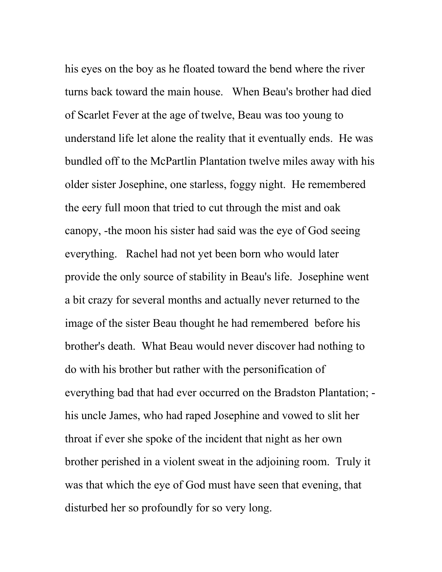his eyes on the boy as he floated toward the bend where the river turns back toward the main house. When Beau's brother had died of Scarlet Fever at the age of twelve, Beau was too young to understand life let alone the reality that it eventually ends. He was bundled off to the McPartlin Plantation twelve miles away with his older sister Josephine, one starless, foggy night. He remembered the eery full moon that tried to cut through the mist and oak canopy, -the moon his sister had said was the eye of God seeing everything. Rachel had not yet been born who would later provide the only source of stability in Beau's life. Josephine went a bit crazy for several months and actually never returned to the image of the sister Beau thought he had remembered before his brother's death. What Beau would never discover had nothing to do with his brother but rather with the personification of everything bad that had ever occurred on the Bradston Plantation; his uncle James, who had raped Josephine and vowed to slit her throat if ever she spoke of the incident that night as her own brother perished in a violent sweat in the adjoining room. Truly it was that which the eye of God must have seen that evening, that disturbed her so profoundly for so very long.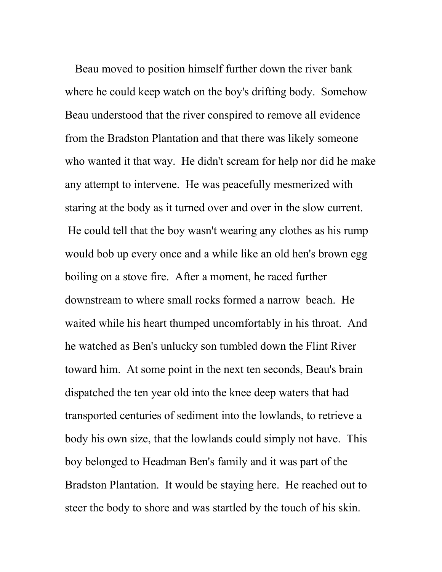Beau moved to position himself further down the river bank where he could keep watch on the boy's drifting body. Somehow Beau understood that the river conspired to remove all evidence from the Bradston Plantation and that there was likely someone who wanted it that way. He didn't scream for help nor did he make any attempt to intervene. He was peacefully mesmerized with staring at the body as it turned over and over in the slow current. He could tell that the boy wasn't wearing any clothes as his rump would bob up every once and a while like an old hen's brown egg boiling on a stove fire. After a moment, he raced further downstream to where small rocks formed a narrow beach. He waited while his heart thumped uncomfortably in his throat. And he watched as Ben's unlucky son tumbled down the Flint River toward him. At some point in the next ten seconds, Beau's brain dispatched the ten year old into the knee deep waters that had transported centuries of sediment into the lowlands, to retrieve a body his own size, that the lowlands could simply not have. This boy belonged to Headman Ben's family and it was part of the Bradston Plantation. It would be staying here. He reached out to steer the body to shore and was startled by the touch of his skin.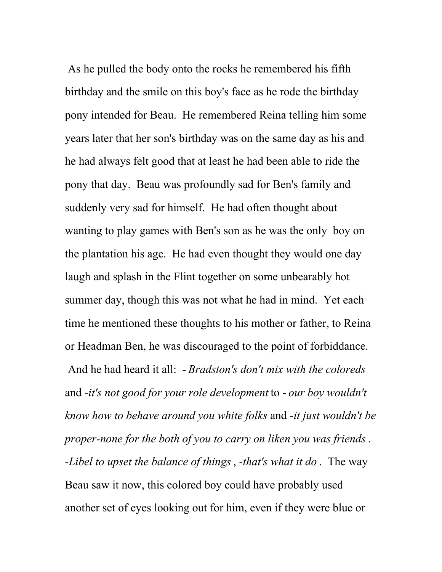As he pulled the body onto the rocks he remembered his fifth birthday and the smile on this boy's face as he rode the birthday pony intended for Beau. He remembered Reina telling him some years later that her son's birthday was on the same day as his and he had always felt good that at least he had been able to ride the pony that day. Beau was profoundly sad for Ben's family and suddenly very sad for himself. He had often thought about wanting to play games with Ben's son as he was the only boy on the plantation his age. He had even thought they would one day laugh and splash in the Flint together on some unbearably hot summer day, though this was not what he had in mind. Yet each time he mentioned these thoughts to his mother or father, to Reina or Headman Ben, he was discouraged to the point of forbiddance. And he had heard it all: - *Bradston's don't mix with the coloreds* and *-it's not good for your role development* to - *our boy wouldn't know how to behave around you white folks* and *-it just wouldn't be proper-none for the both of you to carry on liken you was friends*. *-Libel to upset the balance of things*, *-that's what it do* . The way Beau saw it now, this colored boy could have probably used another set of eyes looking out for him, even if they were blue or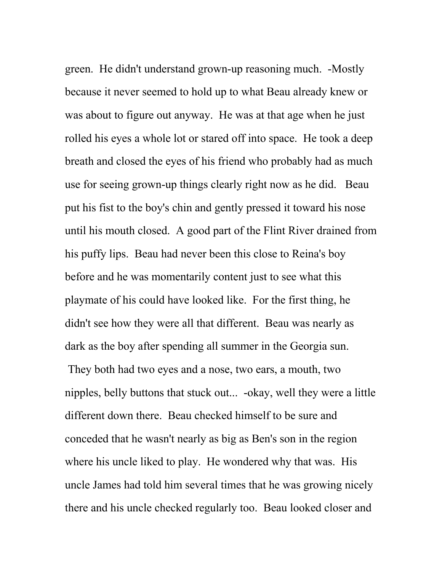green. He didn't understand grown-up reasoning much. -Mostly because it never seemed to hold up to what Beau already knew or was about to figure out anyway. He was at that age when he just rolled his eyes a whole lot or stared off into space. He took a deep breath and closed the eyes of his friend who probably had as much use for seeing grown-up things clearly right now as he did. Beau put his fist to the boy's chin and gently pressed it toward his nose until his mouth closed. A good part of the Flint River drained from his puffy lips. Beau had never been this close to Reina's boy before and he was momentarily content just to see what this playmate of his could have looked like. For the first thing, he didn't see how they were all that different. Beau was nearly as dark as the boy after spending all summer in the Georgia sun. They both had two eyes and a nose, two ears, a mouth, two nipples, belly buttons that stuck out... -okay, well they were a little different down there. Beau checked himself to be sure and conceded that he wasn't nearly as big as Ben's son in the region where his uncle liked to play. He wondered why that was. His uncle James had told him several times that he was growing nicely there and his uncle checked regularly too. Beau looked closer and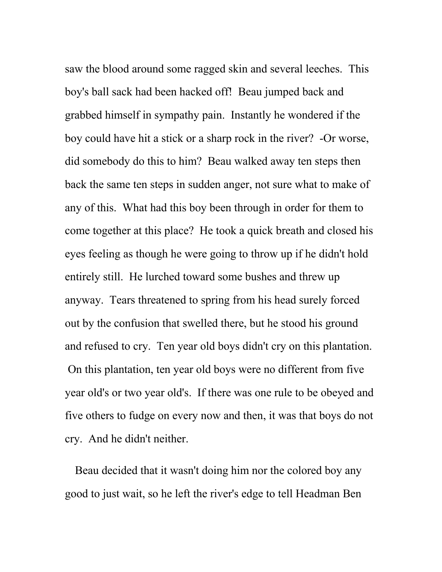saw the blood around some ragged skin and several leeches. This boy's ball sack had been hacked off! Beau jumped back and grabbed himself in sympathy pain. Instantly he wondered if the boy could have hit a stick or a sharp rock in the river? -Or worse, did somebody do this to him? Beau walked away ten steps then back the same ten steps in sudden anger, not sure what to make of any of this. What had this boy been through in order for them to come together at this place? He took a quick breath and closed his eyes feeling as though he were going to throw up if he didn't hold entirely still. He lurched toward some bushes and threw up anyway. Tears threatened to spring from his head surely forced out by the confusion that swelled there, but he stood his ground and refused to cry. Ten year old boys didn't cry on this plantation. On this plantation, ten year old boys were no different from five year old's or two year old's. If there was one rule to be obeyed and five others to fudge on every now and then, it was that boys do not cry. And he didn't neither.

Beau decided that it wasn't doing him nor the colored boy any good to just wait, so he left the river's edge to tell Headman Ben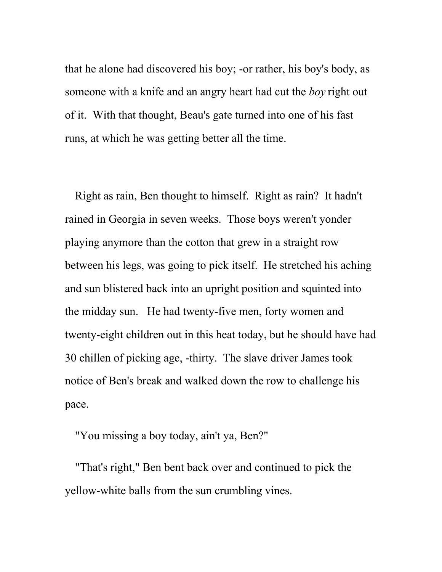that he alone had discovered his boy; -or rather, his boy's body, as someone with a knife and an angry heart had cut the *boy* right out of it. With that thought, Beau's gate turned into one of his fast runs, at which he was getting better all the time.

Right as rain, Ben thought to himself. Right as rain? It hadn't rained in Georgia in seven weeks. Those boys weren't yonder playing anymore than the cotton that grew in a straight row between his legs, was going to pick itself. He stretched his aching and sun blistered back into an upright position and squinted into the midday sun. He had twenty-five men, forty women and twenty-eight children out in this heat today, but he should have had 30 chillen of picking age, -thirty. The slave driver James took notice of Ben's break and walked down the row to challenge his pace.

"You missing a boy today, ain't ya, Ben?"

"That's right," Ben bent back over and continued to pick the yellow-white balls from the sun crumbling vines.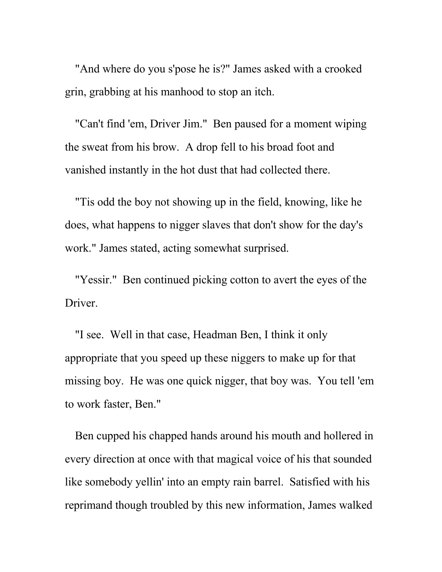"And where do you s'pose he is?" James asked with a crooked grin, grabbing at his manhood to stop an itch.

"Can't find 'em, Driver Jim." Ben paused for a moment wiping the sweat from his brow. A drop fell to his broad foot and vanished instantly in the hot dust that had collected there.

"Tis odd the boy not showing up in the field, knowing, like he does, what happens to nigger slaves that don't show for the day's work." James stated, acting somewhat surprised.

"Yessir." Ben continued picking cotton to avert the eyes of the Driver.

"I see. Well in that case, Headman Ben, I think it only appropriate that you speed up these niggers to make up for that missing boy. He was one quick nigger, that boy was. You tell 'em to work faster, Ben."

Ben cupped his chapped hands around his mouth and hollered in every direction at once with that magical voice of his that sounded like somebody yellin' into an empty rain barrel. Satisfied with his reprimand though troubled by this new information, James walked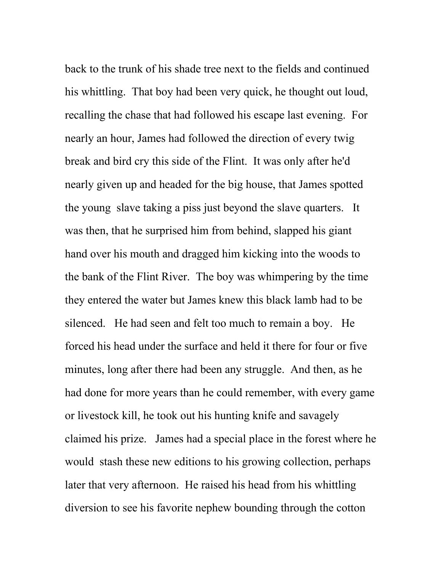back to the trunk of his shade tree next to the fields and continued his whittling. That boy had been very quick, he thought out loud, recalling the chase that had followed his escape last evening. For nearly an hour, James had followed the direction of every twig break and bird cry this side of the Flint. It was only after he'd nearly given up and headed for the big house, that James spotted the young slave taking a piss just beyond the slave quarters. It was then, that he surprised him from behind, slapped his giant hand over his mouth and dragged him kicking into the woods to the bank of the Flint River. The boy was whimpering by the time they entered the water but James knew this black lamb had to be silenced. He had seen and felt too much to remain a boy. He forced his head under the surface and held it there for four or five minutes, long after there had been any struggle. And then, as he had done for more years than he could remember, with every game or livestock kill, he took out his hunting knife and savagely claimed his prize. James had a special place in the forest where he would stash these new editions to his growing collection, perhaps later that very afternoon. He raised his head from his whittling diversion to see his favorite nephew bounding through the cotton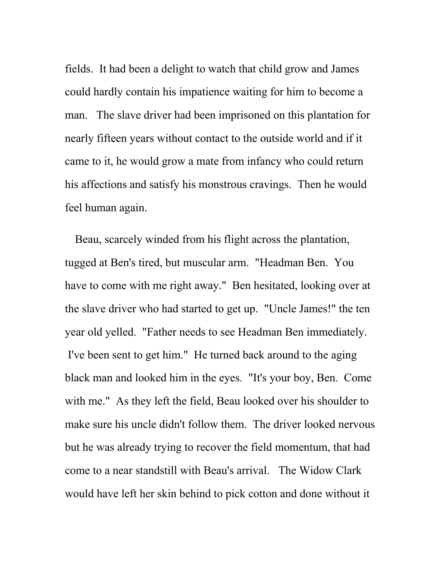fields. It had been a delight to watch that child grow and James could hardly contain his impatience waiting for him to become a man. The slave driver had been imprisoned on this plantation for nearly fifteen years without contact to the outside world and if it came to it, he would grow a mate from infancy who could return his affections and satisfy his monstrous cravings. Then he would feel human again.

Beau, scarcely winded from his flight across the plantation, tugged at Ben's tired, but muscular arm. "Headman Ben. You have to come with me right away." Ben hesitated, looking over at the slave driver who had started to get up. "Uncle James!" the ten year old yelled. "Father needs to see Headman Ben immediately. I've been sent to get him." He turned back around to the aging black man and looked him in the eyes. "It's your boy, Ben. Come with me." As they left the field, Beau looked over his shoulder to make sure his uncle didn't follow them. The driver looked nervous but he was already trying to recover the field momentum, that had come to a near standstill with Beau's arrival. The Widow Clark would have left her skin behind to pick cotton and done without it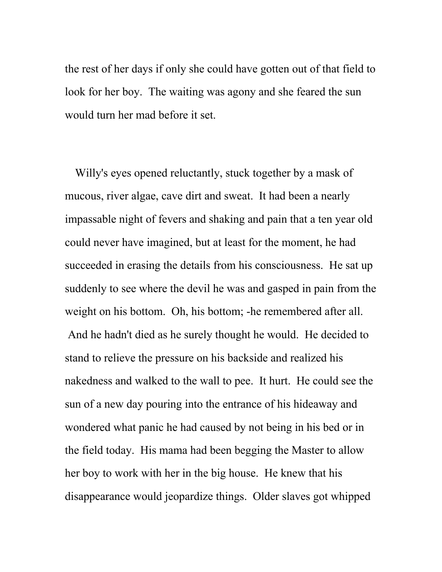the rest of her days if only she could have gotten out of that field to look for her boy. The waiting was agony and she feared the sun would turn her mad before it set.

Willy's eyes opened reluctantly, stuck together by a mask of mucous, river algae, cave dirt and sweat. It had been a nearly impassable night of fevers and shaking and pain that a ten year old could never have imagined, but at least for the moment, he had succeeded in erasing the details from his consciousness. He sat up suddenly to see where the devil he was and gasped in pain from the weight on his bottom. Oh, his bottom; -he remembered after all. And he hadn't died as he surely thought he would. He decided to stand to relieve the pressure on his backside and realized his nakedness and walked to the wall to pee. It hurt. He could see the sun of a new day pouring into the entrance of his hideaway and wondered what panic he had caused by not being in his bed or in the field today. His mama had been begging the Master to allow her boy to work with her in the big house. He knew that his disappearance would jeopardize things. Older slaves got whipped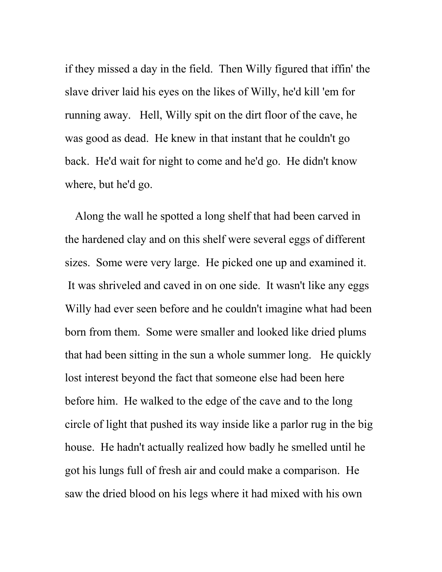if they missed a day in the field. Then Willy figured that iffin' the slave driver laid his eyes on the likes of Willy, he'd kill 'em for running away. Hell, Willy spit on the dirt floor of the cave, he was good as dead. He knew in that instant that he couldn't go back. He'd wait for night to come and he'd go. He didn't know where, but he'd go.

Along the wall he spotted a long shelf that had been carved in the hardened clay and on this shelf were several eggs of different sizes. Some were very large. He picked one up and examined it. It was shriveled and caved in on one side. It wasn't like any eggs Willy had ever seen before and he couldn't imagine what had been born from them. Some were smaller and looked like dried plums that had been sitting in the sun a whole summer long. He quickly lost interest beyond the fact that someone else had been here before him. He walked to the edge of the cave and to the long circle of light that pushed its way inside like a parlor rug in the big house. He hadn't actually realized how badly he smelled until he got his lungs full of fresh air and could make a comparison. He saw the dried blood on his legs where it had mixed with his own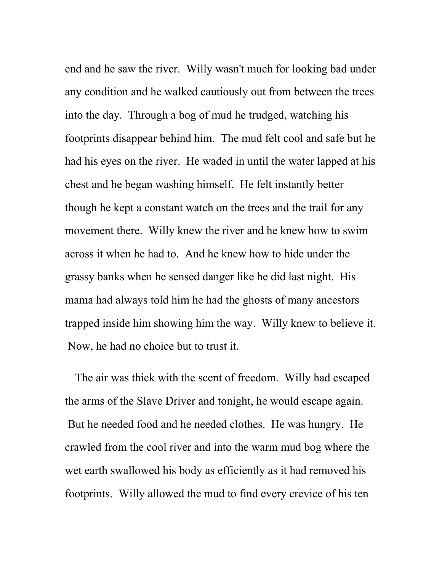end and he saw the river. Willy wasn't much for looking bad under any condition and he walked cautiously out from between the trees into the day. Through a bog of mud he trudged, watching his footprints disappear behind him. The mud felt cool and safe but he had his eyes on the river. He waded in until the water lapped at his chest and he began washing himself. He felt instantly better though he kept a constant watch on the trees and the trail for any movement there. Willy knew the river and he knew how to swim across it when he had to. And he knew how to hide under the grassy banks when he sensed danger like he did last night. His mama had always told him he had the ghosts of many ancestors trapped inside him showing him the way. Willy knew to believe it. Now, he had no choice but to trust it.

The air was thick with the scent of freedom. Willy had escaped the arms of the Slave Driver and tonight, he would escape again. But he needed food and he needed clothes. He was hungry. He crawled from the cool river and into the warm mud bog where the wet earth swallowed his body as efficiently as it had removed his footprints. Willy allowed the mud to find every crevice of his ten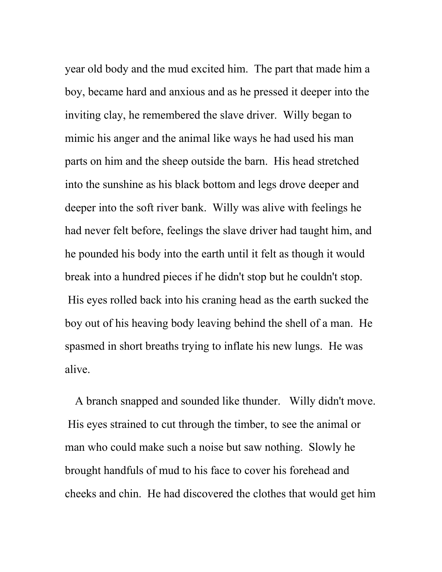year old body and the mud excited him. The part that made him a boy, became hard and anxious and as he pressed it deeper into the inviting clay, he remembered the slave driver. Willy began to mimic his anger and the animal like ways he had used his man parts on him and the sheep outside the barn. His head stretched into the sunshine as his black bottom and legs drove deeper and deeper into the soft river bank. Willy was alive with feelings he had never felt before, feelings the slave driver had taught him, and he pounded his body into the earth until it felt as though it would break into a hundred pieces if he didn't stop but he couldn't stop. His eyes rolled back into his craning head as the earth sucked the boy out of his heaving body leaving behind the shell of a man. He spasmed in short breaths trying to inflate his new lungs. He was alive.

A branch snapped and sounded like thunder. Willy didn't move. His eyes strained to cut through the timber, to see the animal or man who could make such a noise but saw nothing. Slowly he brought handfuls of mud to his face to cover his forehead and cheeks and chin. He had discovered the clothes that would get him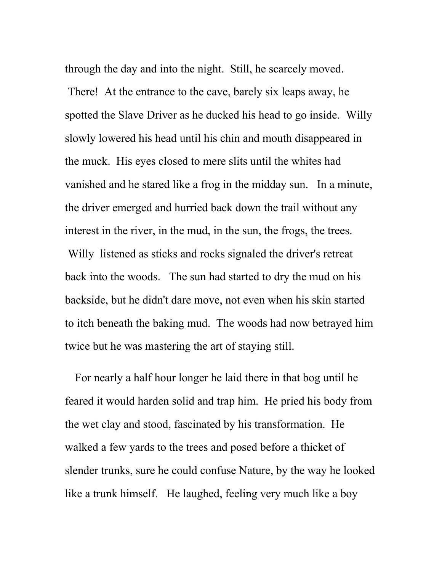through the day and into the night. Still, he scarcely moved. There! At the entrance to the cave, barely six leaps away, he spotted the Slave Driver as he ducked his head to go inside. Willy slowly lowered his head until his chin and mouth disappeared in the muck. His eyes closed to mere slits until the whites had vanished and he stared like a frog in the midday sun. In a minute, the driver emerged and hurried back down the trail without any interest in the river, in the mud, in the sun, the frogs, the trees. Willy listened as sticks and rocks signaled the driver's retreat back into the woods. The sun had started to dry the mud on his backside, but he didn't dare move, not even when his skin started to itch beneath the baking mud. The woods had now betrayed him twice but he was mastering the art of staying still.

For nearly a half hour longer he laid there in that bog until he feared it would harden solid and trap him. He pried his body from the wet clay and stood, fascinated by his transformation. He walked a few yards to the trees and posed before a thicket of slender trunks, sure he could confuse Nature, by the way he looked like a trunk himself. He laughed, feeling very much like a boy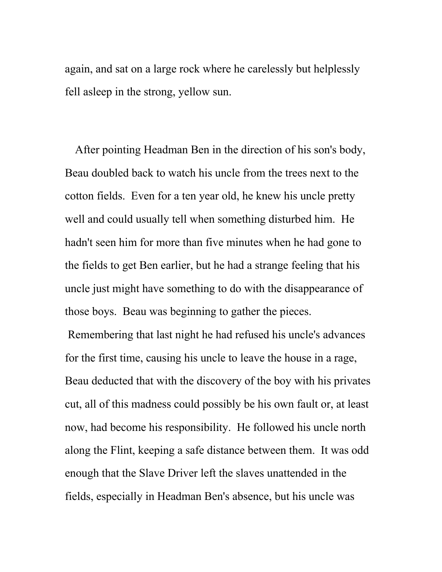again, and sat on a large rock where he carelessly but helplessly fell asleep in the strong, yellow sun.

After pointing Headman Ben in the direction of his son's body, Beau doubled back to watch his uncle from the trees next to the cotton fields. Even for a ten year old, he knew his uncle pretty well and could usually tell when something disturbed him. He hadn't seen him for more than five minutes when he had gone to the fields to get Ben earlier, but he had a strange feeling that his uncle just might have something to do with the disappearance of those boys. Beau was beginning to gather the pieces.

Remembering that last night he had refused his uncle's advances for the first time, causing his uncle to leave the house in a rage, Beau deducted that with the discovery of the boy with his privates cut, all of this madness could possibly be his own fault or, at least now, had become his responsibility. He followed his uncle north along the Flint, keeping a safe distance between them. It was odd enough that the Slave Driver left the slaves unattended in the fields, especially in Headman Ben's absence, but his uncle was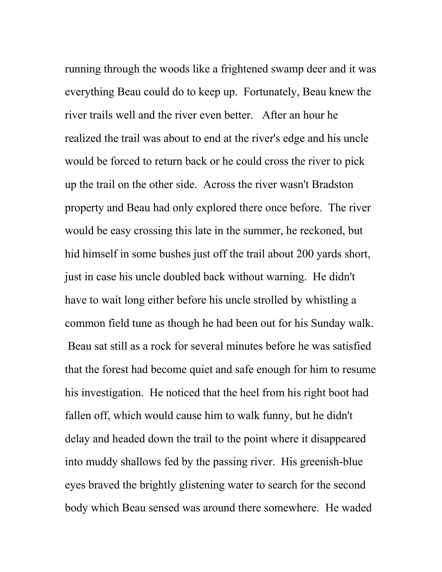running through the woods like a frightened swamp deer and it was everything Beau could do to keep up. Fortunately, Beau knew the river trails well and the river even better. After an hour he realized the trail was about to end at the river's edge and his uncle would be forced to return back or he could cross the river to pick up the trail on the other side. Across the river wasn't Bradston property and Beau had only explored there once before. The river would be easy crossing this late in the summer, he reckoned, but hid himself in some bushes just off the trail about 200 yards short, just in case his uncle doubled back without warning. He didn't have to wait long either before his uncle strolled by whistling a common field tune as though he had been out for his Sunday walk. Beau sat still as a rock for several minutes before he was satisfied that the forest had become quiet and safe enough for him to resume his investigation. He noticed that the heel from his right boot had fallen off, which would cause him to walk funny, but he didn't delay and headed down the trail to the point where it disappeared into muddy shallows fed by the passing river. His greenish-blue eyes braved the brightly glistening water to search for the second body which Beau sensed was around there somewhere. He waded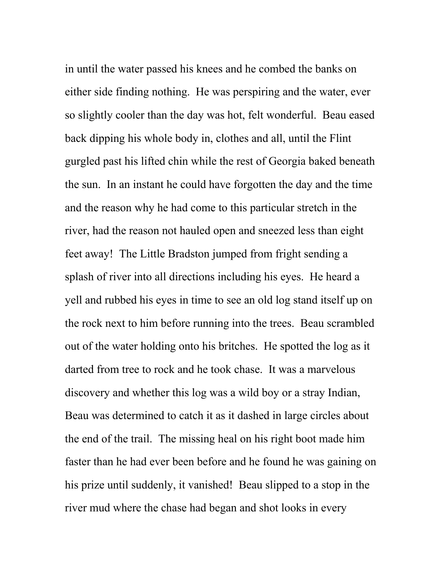in until the water passed his knees and he combed the banks on either side finding nothing. He was perspiring and the water, ever so slightly cooler than the day was hot, felt wonderful. Beau eased back dipping his whole body in, clothes and all, until the Flint gurgled past his lifted chin while the rest of Georgia baked beneath the sun. In an instant he could have forgotten the day and the time and the reason why he had come to this particular stretch in the river, had the reason not hauled open and sneezed less than eight feet away! The Little Bradston jumped from fright sending a splash of river into all directions including his eyes. He heard a yell and rubbed his eyes in time to see an old log stand itself up on the rock next to him before running into the trees. Beau scrambled out of the water holding onto his britches. He spotted the log as it darted from tree to rock and he took chase. It was a marvelous discovery and whether this log was a wild boy or a stray Indian, Beau was determined to catch it as it dashed in large circles about the end of the trail. The missing heal on his right boot made him faster than he had ever been before and he found he was gaining on his prize until suddenly, it vanished! Beau slipped to a stop in the river mud where the chase had began and shot looks in every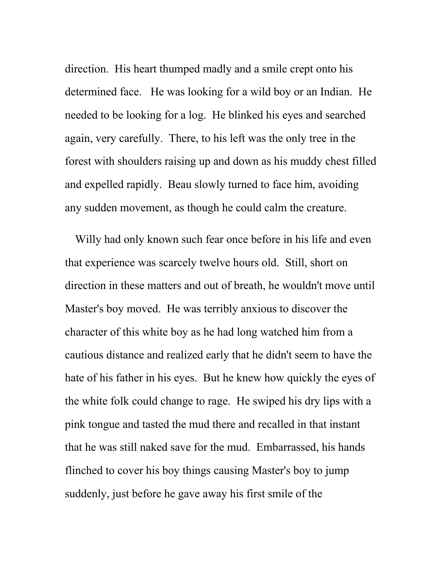direction. His heart thumped madly and a smile crept onto his determined face. He was looking for a wild boy or an Indian. He needed to be looking for a log. He blinked his eyes and searched again, very carefully. There, to his left was the only tree in the forest with shoulders raising up and down as his muddy chest filled and expelled rapidly. Beau slowly turned to face him, avoiding any sudden movement, as though he could calm the creature.

Willy had only known such fear once before in his life and even that experience was scarcely twelve hours old. Still, short on direction in these matters and out of breath, he wouldn't move until Master's boy moved. He was terribly anxious to discover the character of this white boy as he had long watched him from a cautious distance and realized early that he didn't seem to have the hate of his father in his eyes. But he knew how quickly the eyes of the white folk could change to rage. He swiped his dry lips with a pink tongue and tasted the mud there and recalled in that instant that he was still naked save for the mud. Embarrassed, his hands flinched to cover his boy things causing Master's boy to jump suddenly, just before he gave away his first smile of the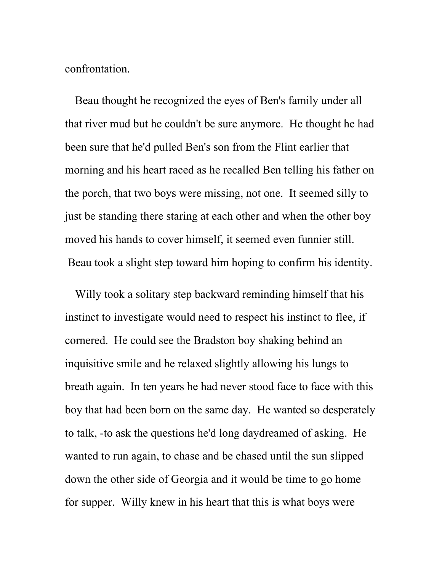confrontation.

Beau thought he recognized the eyes of Ben's family under all that river mud but he couldn't be sure anymore. He thought he had been sure that he'd pulled Ben's son from the Flint earlier that morning and his heart raced as he recalled Ben telling his father on the porch, that two boys were missing, not one. It seemed silly to just be standing there staring at each other and when the other boy moved his hands to cover himself, it seemed even funnier still. Beau took a slight step toward him hoping to confirm his identity.

Willy took a solitary step backward reminding himself that his instinct to investigate would need to respect his instinct to flee, if cornered. He could see the Bradston boy shaking behind an inquisitive smile and he relaxed slightly allowing his lungs to breath again. In ten years he had never stood face to face with this boy that had been born on the same day. He wanted so desperately to talk, -to ask the questions he'd long daydreamed of asking. He wanted to run again, to chase and be chased until the sun slipped down the other side of Georgia and it would be time to go home for supper. Willy knew in his heart that this is what boys were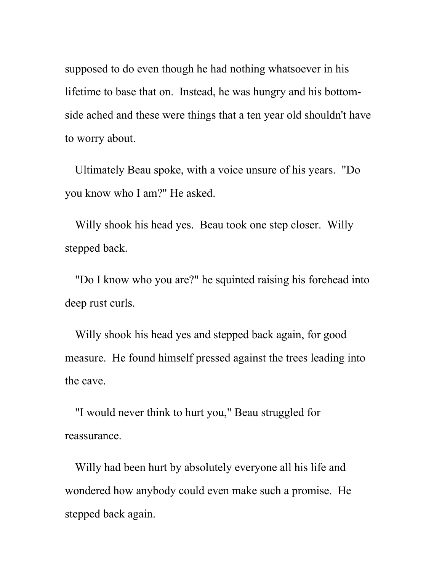supposed to do even though he had nothing whatsoever in his lifetime to base that on. Instead, he was hungry and his bottomside ached and these were things that a ten year old shouldn't have to worry about.

Ultimately Beau spoke, with a voice unsure of his years. "Do you know who I am?" He asked.

Willy shook his head yes. Beau took one step closer. Willy stepped back.

"Do I know who you are?" he squinted raising his forehead into deep rust curls.

Willy shook his head yes and stepped back again, for good measure. He found himself pressed against the trees leading into the cave.

"I would never think to hurt you," Beau struggled for reassurance.

Willy had been hurt by absolutely everyone all his life and wondered how anybody could even make such a promise. He stepped back again.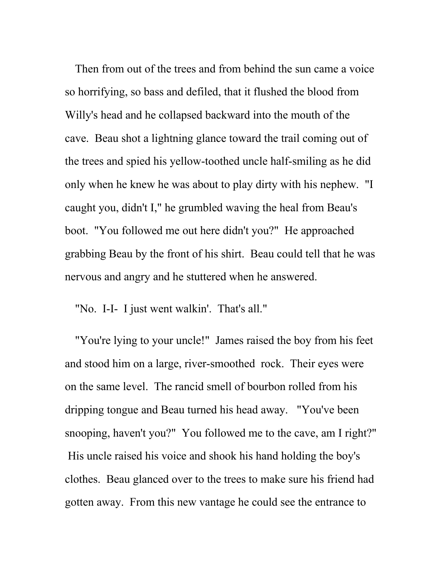Then from out of the trees and from behind the sun came a voice so horrifying, so bass and defiled, that it flushed the blood from Willy's head and he collapsed backward into the mouth of the cave. Beau shot a lightning glance toward the trail coming out of the trees and spied his yellow-toothed uncle half-smiling as he did only when he knew he was about to play dirty with his nephew. "I caught you, didn't I," he grumbled waving the heal from Beau's boot. "You followed me out here didn't you?" He approached grabbing Beau by the front of his shirt. Beau could tell that he was nervous and angry and he stuttered when he answered.

"No. I-I- I just went walkin'. That's all."

"You're lying to your uncle!" James raised the boy from his feet and stood him on a large, river-smoothed rock. Their eyes were on the same level. The rancid smell of bourbon rolled from his dripping tongue and Beau turned his head away. "You've been snooping, haven't you?" You followed me to the cave, am I right?" His uncle raised his voice and shook his hand holding the boy's clothes. Beau glanced over to the trees to make sure his friend had gotten away. From this new vantage he could see the entrance to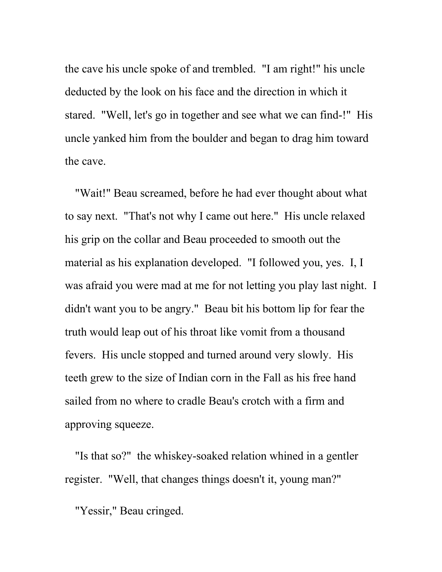the cave his uncle spoke of and trembled. "I am right!" his uncle deducted by the look on his face and the direction in which it stared. "Well, let's go in together and see what we can find-!" His uncle yanked him from the boulder and began to drag him toward the cave.

"Wait!" Beau screamed, before he had ever thought about what to say next. "That's not why I came out here." His uncle relaxed his grip on the collar and Beau proceeded to smooth out the material as his explanation developed. "I followed you, yes. I, I was afraid you were mad at me for not letting you play last night. I didn't want you to be angry." Beau bit his bottom lip for fear the truth would leap out of his throat like vomit from a thousand fevers. His uncle stopped and turned around very slowly. His teeth grew to the size of Indian corn in the Fall as his free hand sailed from no where to cradle Beau's crotch with a firm and approving squeeze.

"Is that so?" the whiskey-soaked relation whined in a gentler register. "Well, that changes things doesn't it, young man?"

"Yessir," Beau cringed.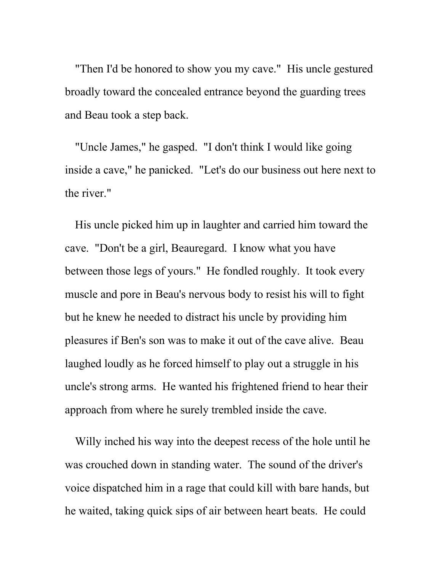"Then I'd be honored to show you my cave." His uncle gestured broadly toward the concealed entrance beyond the guarding trees and Beau took a step back.

"Uncle James," he gasped. "I don't think I would like going inside a cave," he panicked. "Let's do our business out here next to the river."

His uncle picked him up in laughter and carried him toward the cave. "Don't be a girl, Beauregard. I know what you have between those legs of yours." He fondled roughly. It took every muscle and pore in Beau's nervous body to resist his will to fight but he knew he needed to distract his uncle by providing him pleasures if Ben's son was to make it out of the cave alive. Beau laughed loudly as he forced himself to play out a struggle in his uncle's strong arms. He wanted his frightened friend to hear their approach from where he surely trembled inside the cave.

Willy inched his way into the deepest recess of the hole until he was crouched down in standing water. The sound of the driver's voice dispatched him in a rage that could kill with bare hands, but he waited, taking quick sips of air between heart beats. He could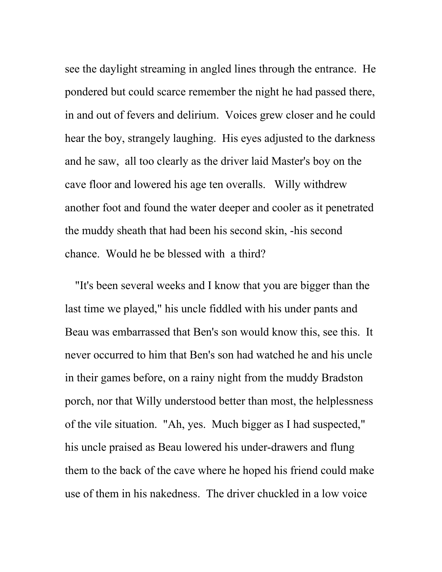see the daylight streaming in angled lines through the entrance. He pondered but could scarce remember the night he had passed there, in and out of fevers and delirium. Voices grew closer and he could hear the boy, strangely laughing. His eyes adjusted to the darkness and he saw, all too clearly as the driver laid Master's boy on the cave floor and lowered his age ten overalls. Willy withdrew another foot and found the water deeper and cooler as it penetrated the muddy sheath that had been his second skin, -his second chance. Would he be blessed with a third?

"It's been several weeks and I know that you are bigger than the last time we played," his uncle fiddled with his under pants and Beau was embarrassed that Ben's son would know this, see this. It never occurred to him that Ben's son had watched he and his uncle in their games before, on a rainy night from the muddy Bradston porch, nor that Willy understood better than most, the helplessness of the vile situation. "Ah, yes. Much bigger as I had suspected," his uncle praised as Beau lowered his under-drawers and flung them to the back of the cave where he hoped his friend could make use of them in his nakedness. The driver chuckled in a low voice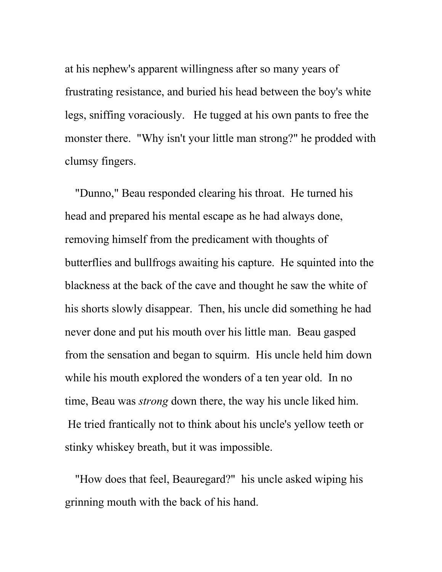at his nephew's apparent willingness after so many years of frustrating resistance, and buried his head between the boy's white legs, sniffing voraciously. He tugged at his own pants to free the monster there. "Why isn't your little man strong?" he prodded with clumsy fingers.

"Dunno," Beau responded clearing his throat. He turned his head and prepared his mental escape as he had always done, removing himself from the predicament with thoughts of butterflies and bullfrogs awaiting his capture. He squinted into the blackness at the back of the cave and thought he saw the white of his shorts slowly disappear. Then, his uncle did something he had never done and put his mouth over his little man. Beau gasped from the sensation and began to squirm. His uncle held him down while his mouth explored the wonders of a ten year old. In no time, Beau was *strong* down there, the way his uncle liked him. He tried frantically not to think about his uncle's yellow teeth or stinky whiskey breath, but it was impossible.

"How does that feel, Beauregard?" his uncle asked wiping his grinning mouth with the back of his hand.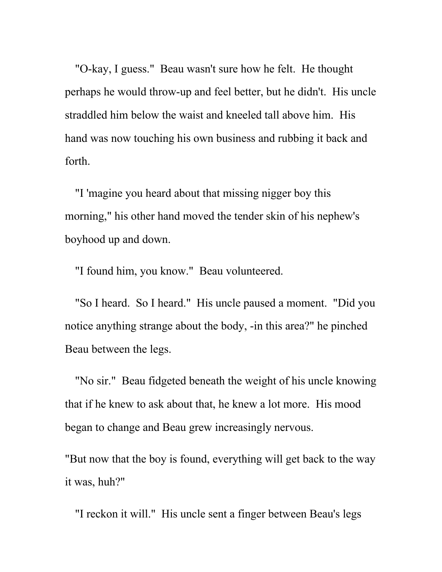"O-kay, I guess." Beau wasn't sure how he felt. He thought perhaps he would throw-up and feel better, but he didn't. His uncle straddled him below the waist and kneeled tall above him. His hand was now touching his own business and rubbing it back and forth.

"I 'magine you heard about that missing nigger boy this morning," his other hand moved the tender skin of his nephew's boyhood up and down.

"I found him, you know." Beau volunteered.

"So I heard. So I heard." His uncle paused a moment. "Did you notice anything strange about the body, -in this area?" he pinched Beau between the legs.

"No sir." Beau fidgeted beneath the weight of his uncle knowing that if he knew to ask about that, he knew a lot more. His mood began to change and Beau grew increasingly nervous.

"But now that the boy is found, everything will get back to the way it was, huh?"

"I reckon it will." His uncle sent a finger between Beau's legs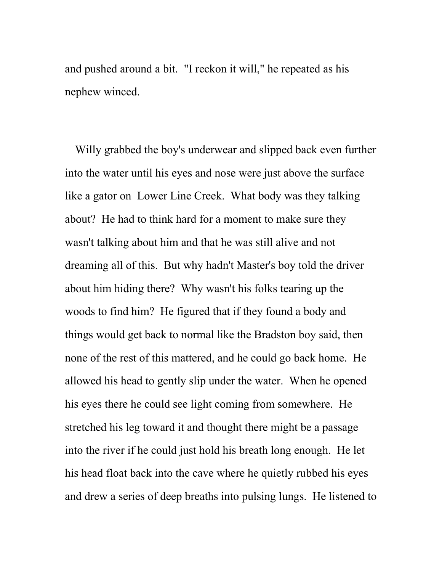and pushed around a bit. "I reckon it will," he repeated as his nephew winced.

Willy grabbed the boy's underwear and slipped back even further into the water until his eyes and nose were just above the surface like a gator on Lower Line Creek. What body was they talking about? He had to think hard for a moment to make sure they wasn't talking about him and that he was still alive and not dreaming all of this. But why hadn't Master's boy told the driver about him hiding there? Why wasn't his folks tearing up the woods to find him? He figured that if they found a body and things would get back to normal like the Bradston boy said, then none of the rest of this mattered, and he could go back home. He allowed his head to gently slip under the water. When he opened his eyes there he could see light coming from somewhere. He stretched his leg toward it and thought there might be a passage into the river if he could just hold his breath long enough. He let his head float back into the cave where he quietly rubbed his eyes and drew a series of deep breaths into pulsing lungs. He listened to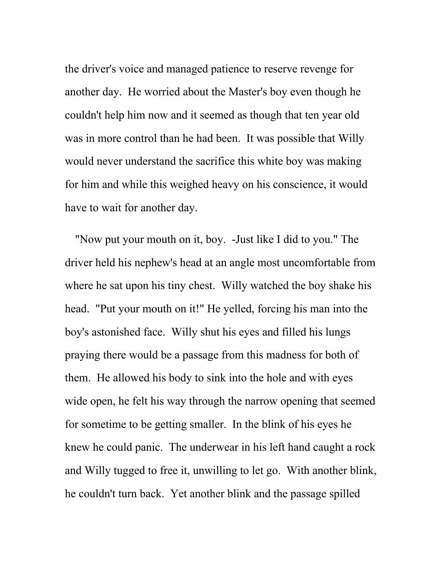the driver's voice and managed patience to reserve revenge for another day. He worried about the Master's boy even though he couldn't help him now and it seemed as though that ten year old was in more control than he had been. It was possible that Willy would never understand the sacrifice this white boy was making for him and while this weighed heavy on his conscience, it would have to wait for another day.

"Now put your mouth on it, boy. -Just like I did to you." The driver held his nephew's head at an angle most uncomfortable from where he sat upon his tiny chest. Willy watched the boy shake his head. "Put your mouth on it!" He yelled, forcing his man into the boy's astonished face. Willy shut his eyes and filled his lungs praying there would be a passage from this madness for both of them. He allowed his body to sink into the hole and with eyes wide open, he felt his way through the narrow opening that seemed for sometime to be getting smaller. In the blink of his eyes he knew he could panic. The underwear in his left hand caught a rock and Willy tugged to free it, unwilling to let go. With another blink, he couldn't turn back. Yet another blink and the passage spilled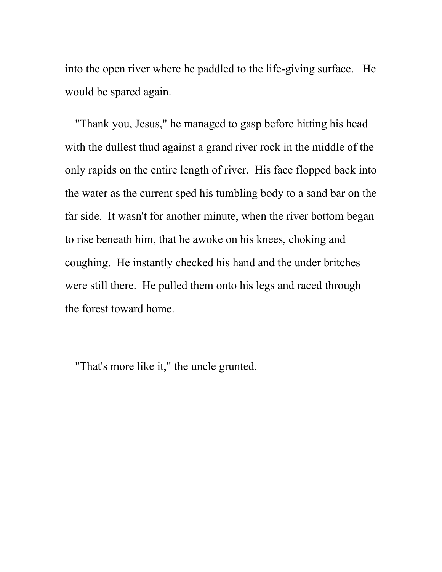into the open river where he paddled to the life-giving surface. He would be spared again.

"Thank you, Jesus," he managed to gasp before hitting his head with the dullest thud against a grand river rock in the middle of the only rapids on the entire length of river. His face flopped back into the water as the current sped his tumbling body to a sand bar on the far side. It wasn't for another minute, when the river bottom began to rise beneath him, that he awoke on his knees, choking and coughing. He instantly checked his hand and the under britches were still there. He pulled them onto his legs and raced through the forest toward home.

"That's more like it," the uncle grunted.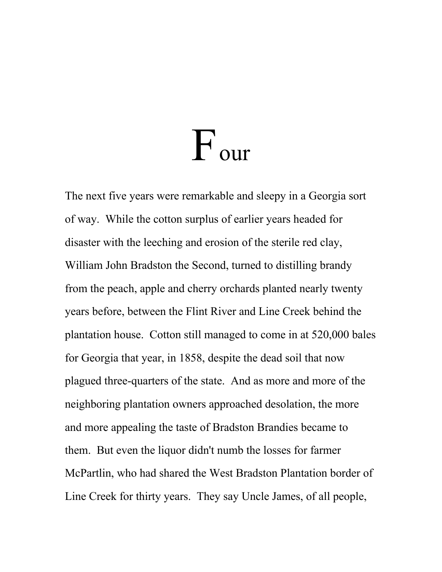## $F_{\text{our}}$

The next five years were remarkable and sleepy in a Georgia sort of way. While the cotton surplus of earlier years headed for disaster with the leeching and erosion of the sterile red clay, William John Bradston the Second, turned to distilling brandy from the peach, apple and cherry orchards planted nearly twenty years before, between the Flint River and Line Creek behind the plantation house. Cotton still managed to come in at 520,000 bales for Georgia that year, in 1858, despite the dead soil that now plagued three-quarters of the state. And as more and more of the neighboring plantation owners approached desolation, the more and more appealing the taste of Bradston Brandies became to them. But even the liquor didn't numb the losses for farmer McPartlin, who had shared the West Bradston Plantation border of Line Creek for thirty years. They say Uncle James, of all people,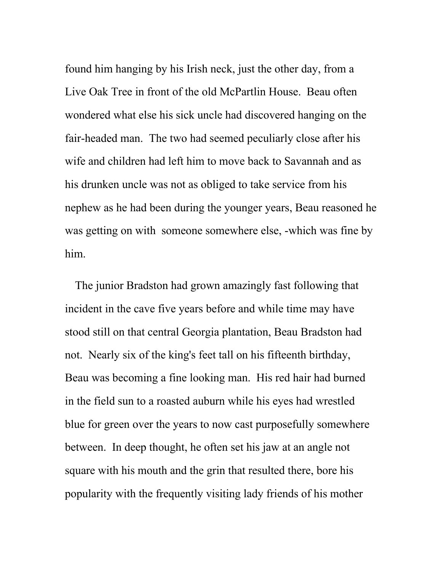found him hanging by his Irish neck, just the other day, from a Live Oak Tree in front of the old McPartlin House. Beau often wondered what else his sick uncle had discovered hanging on the fair-headed man. The two had seemed peculiarly close after his wife and children had left him to move back to Savannah and as his drunken uncle was not as obliged to take service from his nephew as he had been during the younger years, Beau reasoned he was getting on with someone somewhere else, -which was fine by him.

The junior Bradston had grown amazingly fast following that incident in the cave five years before and while time may have stood still on that central Georgia plantation, Beau Bradston had not. Nearly six of the king's feet tall on his fifteenth birthday, Beau was becoming a fine looking man. His red hair had burned in the field sun to a roasted auburn while his eyes had wrestled blue for green over the years to now cast purposefully somewhere between. In deep thought, he often set his jaw at an angle not square with his mouth and the grin that resulted there, bore his popularity with the frequently visiting lady friends of his mother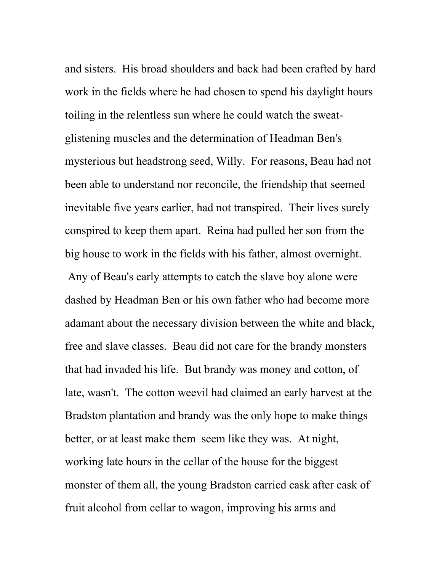and sisters. His broad shoulders and back had been crafted by hard work in the fields where he had chosen to spend his daylight hours toiling in the relentless sun where he could watch the sweatglistening muscles and the determination of Headman Ben's mysterious but headstrong seed, Willy. For reasons, Beau had not been able to understand nor reconcile, the friendship that seemed inevitable five years earlier, had not transpired. Their lives surely conspired to keep them apart. Reina had pulled her son from the big house to work in the fields with his father, almost overnight. Any of Beau's early attempts to catch the slave boy alone were dashed by Headman Ben or his own father who had become more adamant about the necessary division between the white and black, free and slave classes. Beau did not care for the brandy monsters that had invaded his life. But brandy was money and cotton, of late, wasn't. The cotton weevil had claimed an early harvest at the Bradston plantation and brandy was the only hope to make things better, or at least make them seem like they was. At night, working late hours in the cellar of the house for the biggest monster of them all, the young Bradston carried cask after cask of fruit alcohol from cellar to wagon, improving his arms and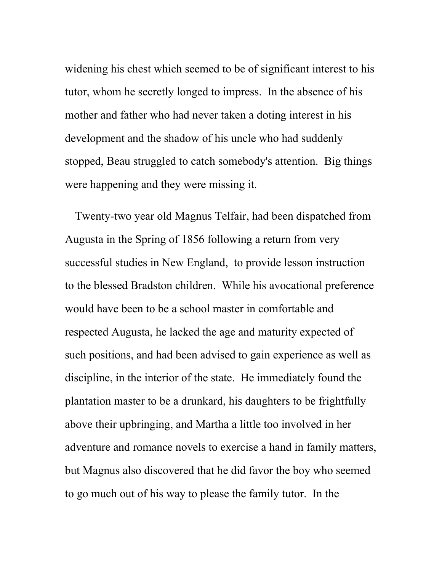widening his chest which seemed to be of significant interest to his tutor, whom he secretly longed to impress. In the absence of his mother and father who had never taken a doting interest in his development and the shadow of his uncle who had suddenly stopped, Beau struggled to catch somebody's attention. Big things were happening and they were missing it.

Twenty-two year old Magnus Telfair, had been dispatched from Augusta in the Spring of 1856 following a return from very successful studies in New England, to provide lesson instruction to the blessed Bradston children. While his avocational preference would have been to be a school master in comfortable and respected Augusta, he lacked the age and maturity expected of such positions, and had been advised to gain experience as well as discipline, in the interior of the state. He immediately found the plantation master to be a drunkard, his daughters to be frightfully above their upbringing, and Martha a little too involved in her adventure and romance novels to exercise a hand in family matters, but Magnus also discovered that he did favor the boy who seemed to go much out of his way to please the family tutor. In the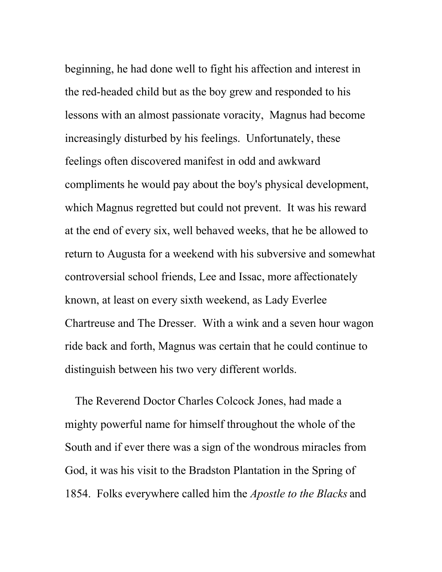beginning, he had done well to fight his affection and interest in the red-headed child but as the boy grew and responded to his lessons with an almost passionate voracity, Magnus had become increasingly disturbed by his feelings. Unfortunately, these feelings often discovered manifest in odd and awkward compliments he would pay about the boy's physical development, which Magnus regretted but could not prevent. It was his reward at the end of every six, well behaved weeks, that he be allowed to return to Augusta for a weekend with his subversive and somewhat controversial school friends, Lee and Issac, more affectionately known, at least on every sixth weekend, as Lady Everlee Chartreuse and The Dresser. With a wink and a seven hour wagon ride back and forth, Magnus was certain that he could continue to distinguish between his two very different worlds.

The Reverend Doctor Charles Colcock Jones, had made a mighty powerful name for himself throughout the whole of the South and if ever there was a sign of the wondrous miracles from God, it was his visit to the Bradston Plantation in the Spring of 1854. Folks everywhere called him the *Apostle to the Blacks* and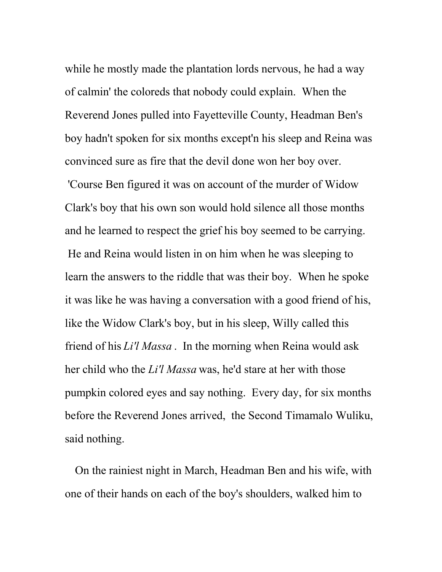while he mostly made the plantation lords nervous, he had a way of calmin' the coloreds that nobody could explain. When the Reverend Jones pulled into Fayetteville County, Headman Ben's boy hadn't spoken for six months except'n his sleep and Reina was convinced sure as fire that the devil done won her boy over.

'Course Ben figured it was on account of the murder of Widow Clark's boy that his own son would hold silence all those months and he learned to respect the grief his boy seemed to be carrying. He and Reina would listen in on him when he was sleeping to learn the answers to the riddle that was their boy. When he spoke it was like he was having a conversation with a good friend of his, like the Widow Clark's boy, but in his sleep, Willy called this friend of his *Li'l Massa* . In the morning when Reina would ask her child who the *Li'l Massa* was, he'd stare at her with those pumpkin colored eyes and say nothing. Every day, for six months before the Reverend Jones arrived, the Second Timamalo Wuliku, said nothing.

On the rainiest night in March, Headman Ben and his wife, with one of their hands on each of the boy's shoulders, walked him to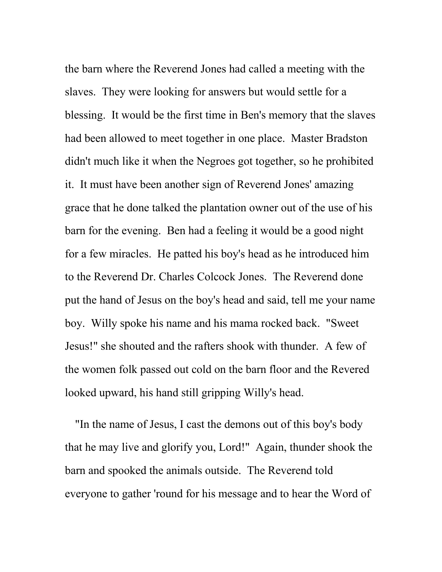the barn where the Reverend Jones had called a meeting with the slaves. They were looking for answers but would settle for a blessing. It would be the first time in Ben's memory that the slaves had been allowed to meet together in one place. Master Bradston didn't much like it when the Negroes got together, so he prohibited it. It must have been another sign of Reverend Jones' amazing grace that he done talked the plantation owner out of the use of his barn for the evening. Ben had a feeling it would be a good night for a few miracles. He patted his boy's head as he introduced him to the Reverend Dr. Charles Colcock Jones. The Reverend done put the hand of Jesus on the boy's head and said, tell me your name boy. Willy spoke his name and his mama rocked back. "Sweet Jesus!" she shouted and the rafters shook with thunder. A few of the women folk passed out cold on the barn floor and the Revered looked upward, his hand still gripping Willy's head.

"In the name of Jesus, I cast the demons out of this boy's body that he may live and glorify you, Lord!" Again, thunder shook the barn and spooked the animals outside. The Reverend told everyone to gather 'round for his message and to hear the Word of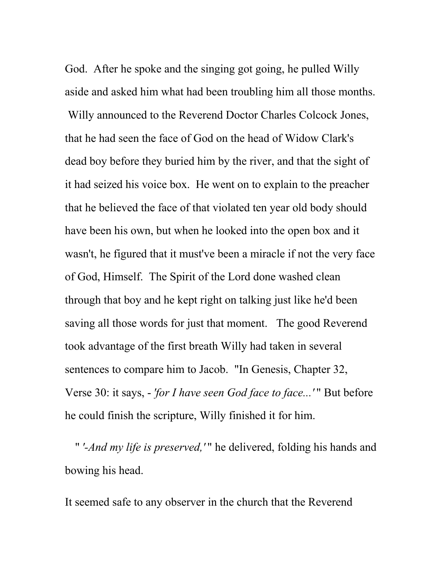God. After he spoke and the singing got going, he pulled Willy aside and asked him what had been troubling him all those months. Willy announced to the Reverend Doctor Charles Colcock Jones, that he had seen the face of God on the head of Widow Clark's dead boy before they buried him by the river, and that the sight of it had seized his voice box. He went on to explain to the preacher that he believed the face of that violated ten year old body should have been his own, but when he looked into the open box and it wasn't, he figured that it must've been a miracle if not the very face of God, Himself. The Spirit of the Lord done washed clean through that boy and he kept right on talking just like he'd been saving all those words for just that moment. The good Reverend took advantage of the first breath Willy had taken in several sentences to compare him to Jacob. "In Genesis, Chapter 32, Verse 30: it says, - *'for I have seen God face to face...'* " But before he could finish the scripture, Willy finished it for him.

" *'-And my life is preserved,'* " he delivered, folding his hands and bowing his head.

It seemed safe to any observer in the church that the Reverend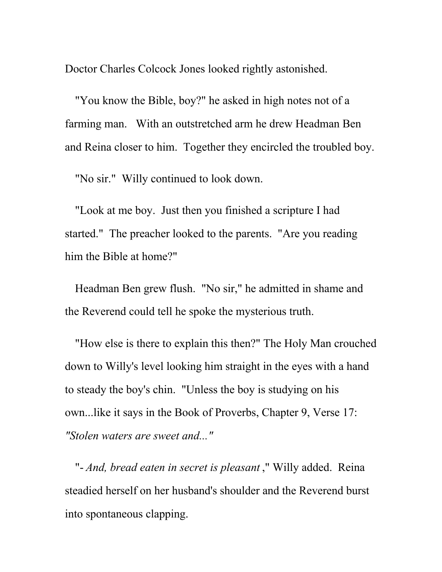Doctor Charles Colcock Jones looked rightly astonished.

"You know the Bible, boy?" he asked in high notes not of a farming man. With an outstretched arm he drew Headman Ben and Reina closer to him. Together they encircled the troubled boy.

"No sir." Willy continued to look down.

"Look at me boy. Just then you finished a scripture I had started." The preacher looked to the parents. "Are you reading him the Bible at home?"

Headman Ben grew flush. "No sir," he admitted in shame and the Reverend could tell he spoke the mysterious truth.

"How else is there to explain this then?" The Holy Man crouched down to Willy's level looking him straight in the eyes with a hand to steady the boy's chin. "Unless the boy is studying on his own...like it says in the Book of Proverbs, Chapter 9, Verse 17: *"Stolen waters are sweet and..."*

"- *And, bread eaten in secret is pleasant* ," Willy added. Reina steadied herself on her husband's shoulder and the Reverend burst into spontaneous clapping.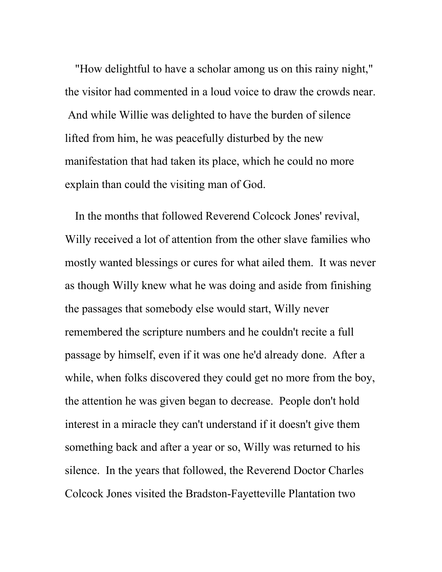"How delightful to have a scholar among us on this rainy night," the visitor had commented in a loud voice to draw the crowds near. And while Willie was delighted to have the burden of silence lifted from him, he was peacefully disturbed by the new manifestation that had taken its place, which he could no more explain than could the visiting man of God.

In the months that followed Reverend Colcock Jones' revival, Willy received a lot of attention from the other slave families who mostly wanted blessings or cures for what ailed them. It was never as though Willy knew what he was doing and aside from finishing the passages that somebody else would start, Willy never remembered the scripture numbers and he couldn't recite a full passage by himself, even if it was one he'd already done. After a while, when folks discovered they could get no more from the boy, the attention he was given began to decrease. People don't hold interest in a miracle they can't understand if it doesn't give them something back and after a year or so, Willy was returned to his silence. In the years that followed, the Reverend Doctor Charles Colcock Jones visited the Bradston-Fayetteville Plantation two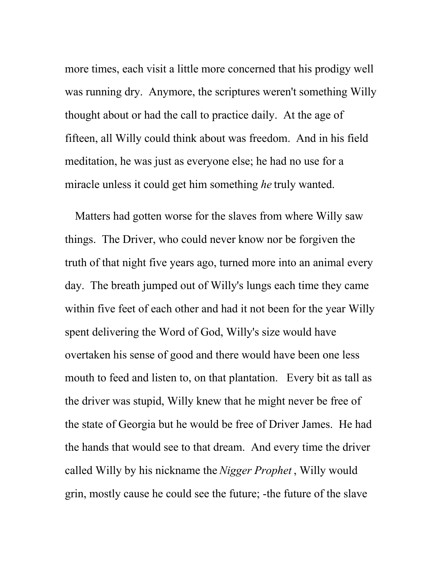more times, each visit a little more concerned that his prodigy well was running dry. Anymore, the scriptures weren't something Willy thought about or had the call to practice daily. At the age of fifteen, all Willy could think about was freedom. And in his field meditation, he was just as everyone else; he had no use for a miracle unless it could get him something *he* truly wanted.

Matters had gotten worse for the slaves from where Willy saw things. The Driver, who could never know nor be forgiven the truth of that night five years ago, turned more into an animal every day. The breath jumped out of Willy's lungs each time they came within five feet of each other and had it not been for the year Willy spent delivering the Word of God, Willy's size would have overtaken his sense of good and there would have been one less mouth to feed and listen to, on that plantation. Every bit as tall as the driver was stupid, Willy knew that he might never be free of the state of Georgia but he would be free of Driver James. He had the hands that would see to that dream. And every time the driver called Willy by his nickname the *Nigger Prophet* , Willy would grin, mostly cause he could see the future; -the future of the slave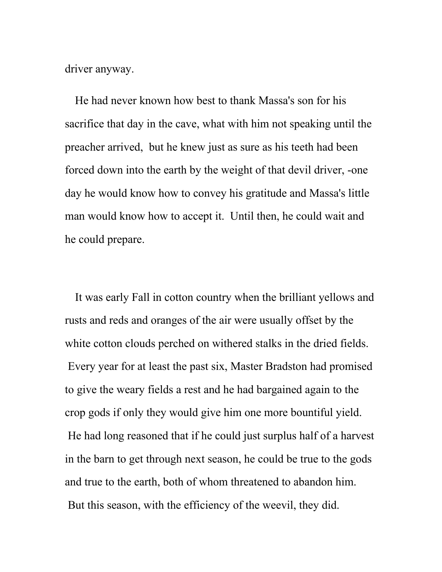driver anyway.

He had never known how best to thank Massa's son for his sacrifice that day in the cave, what with him not speaking until the preacher arrived, but he knew just as sure as his teeth had been forced down into the earth by the weight of that devil driver, -one day he would know how to convey his gratitude and Massa's little man would know how to accept it. Until then, he could wait and he could prepare.

It was early Fall in cotton country when the brilliant yellows and rusts and reds and oranges of the air were usually offset by the white cotton clouds perched on withered stalks in the dried fields. Every year for at least the past six, Master Bradston had promised to give the weary fields a rest and he had bargained again to the crop gods if only they would give him one more bountiful yield. He had long reasoned that if he could just surplus half of a harvest in the barn to get through next season, he could be true to the gods and true to the earth, both of whom threatened to abandon him. But this season, with the efficiency of the weevil, they did.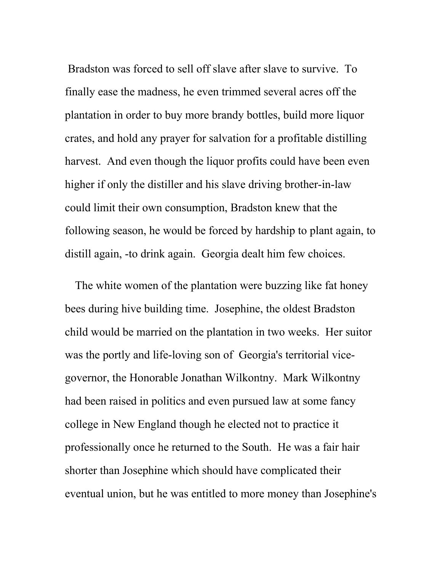Bradston was forced to sell off slave after slave to survive. To finally ease the madness, he even trimmed several acres off the plantation in order to buy more brandy bottles, build more liquor crates, and hold any prayer for salvation for a profitable distilling harvest. And even though the liquor profits could have been even higher if only the distiller and his slave driving brother-in-law could limit their own consumption, Bradston knew that the following season, he would be forced by hardship to plant again, to distill again, -to drink again. Georgia dealt him few choices.

The white women of the plantation were buzzing like fat honey bees during hive building time. Josephine, the oldest Bradston child would be married on the plantation in two weeks. Her suitor was the portly and life-loving son of Georgia's territorial vicegovernor, the Honorable Jonathan Wilkontny. Mark Wilkontny had been raised in politics and even pursued law at some fancy college in New England though he elected not to practice it professionally once he returned to the South. He was a fair hair shorter than Josephine which should have complicated their eventual union, but he was entitled to more money than Josephine's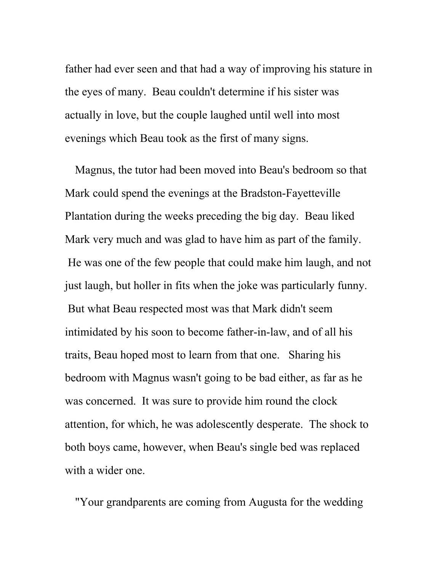father had ever seen and that had a way of improving his stature in the eyes of many. Beau couldn't determine if his sister was actually in love, but the couple laughed until well into most evenings which Beau took as the first of many signs.

Magnus, the tutor had been moved into Beau's bedroom so that Mark could spend the evenings at the Bradston-Fayetteville Plantation during the weeks preceding the big day. Beau liked Mark very much and was glad to have him as part of the family. He was one of the few people that could make him laugh, and not just laugh, but holler in fits when the joke was particularly funny. But what Beau respected most was that Mark didn't seem intimidated by his soon to become father-in-law, and of all his traits, Beau hoped most to learn from that one. Sharing his bedroom with Magnus wasn't going to be bad either, as far as he was concerned. It was sure to provide him round the clock attention, for which, he was adolescently desperate. The shock to both boys came, however, when Beau's single bed was replaced with a wider one.

"Your grandparents are coming from Augusta for the wedding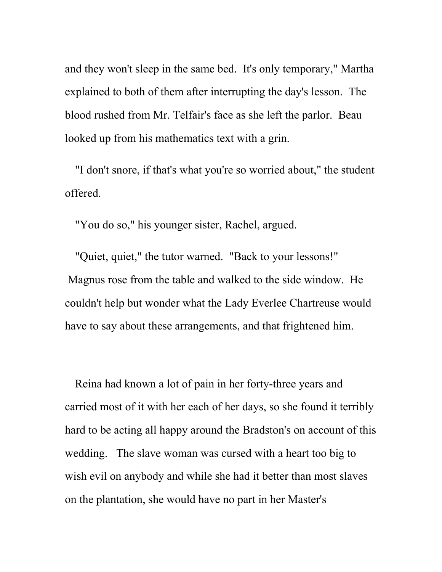and they won't sleep in the same bed. It's only temporary," Martha explained to both of them after interrupting the day's lesson. The blood rushed from Mr. Telfair's face as she left the parlor. Beau looked up from his mathematics text with a grin.

"I don't snore, if that's what you're so worried about," the student offered.

"You do so," his younger sister, Rachel, argued.

"Quiet, quiet," the tutor warned. "Back to your lessons!" Magnus rose from the table and walked to the side window. He couldn't help but wonder what the Lady Everlee Chartreuse would have to say about these arrangements, and that frightened him.

Reina had known a lot of pain in her forty-three years and carried most of it with her each of her days, so she found it terribly hard to be acting all happy around the Bradston's on account of this wedding. The slave woman was cursed with a heart too big to wish evil on anybody and while she had it better than most slaves on the plantation, she would have no part in her Master's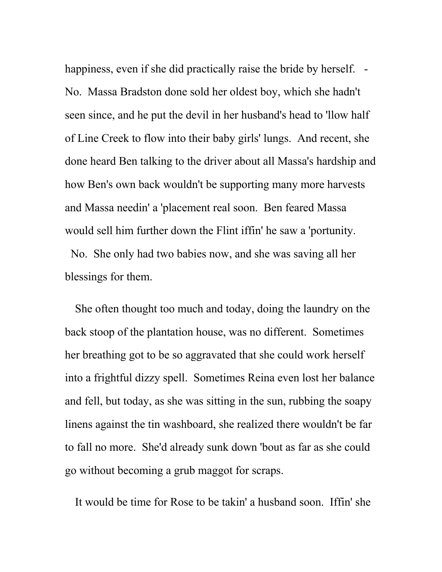happiness, even if she did practically raise the bride by herself. -No. Massa Bradston done sold her oldest boy, which she hadn't seen since, and he put the devil in her husband's head to 'llow half of Line Creek to flow into their baby girls' lungs. And recent, she done heard Ben talking to the driver about all Massa's hardship and how Ben's own back wouldn't be supporting many more harvests and Massa needin' a 'placement real soon. Ben feared Massa would sell him further down the Flint iffin' he saw a 'portunity.

 No. She only had two babies now, and she was saving all her blessings for them.

She often thought too much and today, doing the laundry on the back stoop of the plantation house, was no different. Sometimes her breathing got to be so aggravated that she could work herself into a frightful dizzy spell. Sometimes Reina even lost her balance and fell, but today, as she was sitting in the sun, rubbing the soapy linens against the tin washboard, she realized there wouldn't be far to fall no more. She'd already sunk down 'bout as far as she could go without becoming a grub maggot for scraps.

It would be time for Rose to be takin' a husband soon. Iffin' she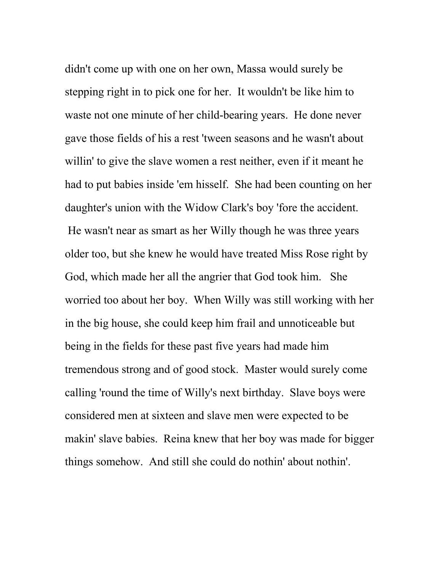didn't come up with one on her own, Massa would surely be stepping right in to pick one for her. It wouldn't be like him to waste not one minute of her child-bearing years. He done never gave those fields of his a rest 'tween seasons and he wasn't about willin' to give the slave women a rest neither, even if it meant he had to put babies inside 'em hisself. She had been counting on her daughter's union with the Widow Clark's boy 'fore the accident. He wasn't near as smart as her Willy though he was three years older too, but she knew he would have treated Miss Rose right by God, which made her all the angrier that God took him. She worried too about her boy. When Willy was still working with her in the big house, she could keep him frail and unnoticeable but being in the fields for these past five years had made him tremendous strong and of good stock. Master would surely come calling 'round the time of Willy's next birthday. Slave boys were considered men at sixteen and slave men were expected to be makin' slave babies. Reina knew that her boy was made for bigger things somehow. And still she could do nothin' about nothin'.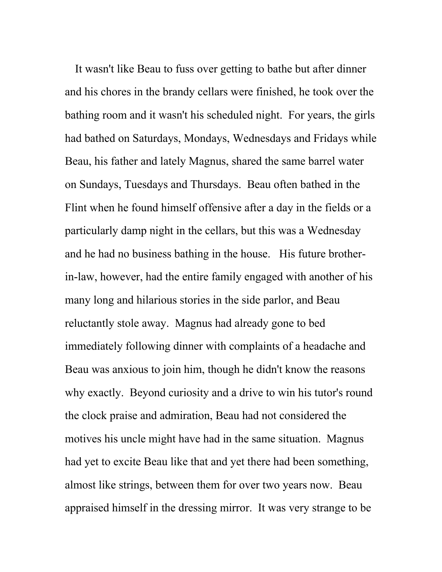It wasn't like Beau to fuss over getting to bathe but after dinner and his chores in the brandy cellars were finished, he took over the bathing room and it wasn't his scheduled night. For years, the girls had bathed on Saturdays, Mondays, Wednesdays and Fridays while Beau, his father and lately Magnus, shared the same barrel water on Sundays, Tuesdays and Thursdays. Beau often bathed in the Flint when he found himself offensive after a day in the fields or a particularly damp night in the cellars, but this was a Wednesday and he had no business bathing in the house. His future brotherin-law, however, had the entire family engaged with another of his many long and hilarious stories in the side parlor, and Beau reluctantly stole away. Magnus had already gone to bed immediately following dinner with complaints of a headache and Beau was anxious to join him, though he didn't know the reasons why exactly. Beyond curiosity and a drive to win his tutor's round the clock praise and admiration, Beau had not considered the motives his uncle might have had in the same situation. Magnus had yet to excite Beau like that and yet there had been something, almost like strings, between them for over two years now. Beau appraised himself in the dressing mirror. It was very strange to be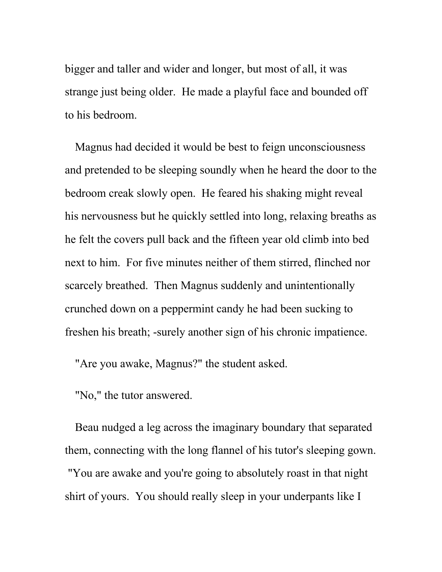bigger and taller and wider and longer, but most of all, it was strange just being older. He made a playful face and bounded off to his bedroom.

Magnus had decided it would be best to feign unconsciousness and pretended to be sleeping soundly when he heard the door to the bedroom creak slowly open. He feared his shaking might reveal his nervousness but he quickly settled into long, relaxing breaths as he felt the covers pull back and the fifteen year old climb into bed next to him. For five minutes neither of them stirred, flinched nor scarcely breathed. Then Magnus suddenly and unintentionally crunched down on a peppermint candy he had been sucking to freshen his breath; -surely another sign of his chronic impatience.

"Are you awake, Magnus?" the student asked.

"No," the tutor answered.

Beau nudged a leg across the imaginary boundary that separated them, connecting with the long flannel of his tutor's sleeping gown. "You are awake and you're going to absolutely roast in that night shirt of yours. You should really sleep in your underpants like I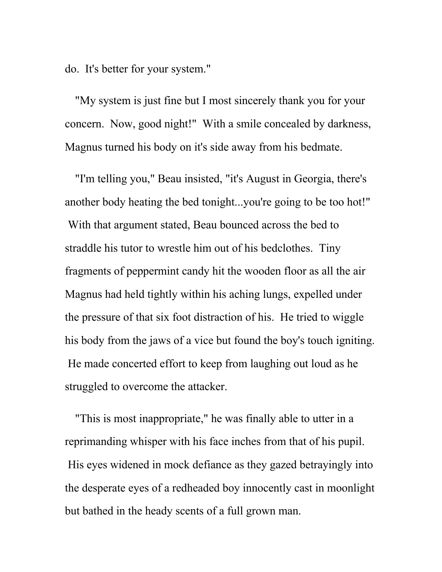do. It's better for your system."

"My system is just fine but I most sincerely thank you for your concern. Now, good night!" With a smile concealed by darkness, Magnus turned his body on it's side away from his bedmate.

"I'm telling you," Beau insisted, "it's August in Georgia, there's another body heating the bed tonight...you're going to be too hot!" With that argument stated, Beau bounced across the bed to straddle his tutor to wrestle him out of his bedclothes. Tiny fragments of peppermint candy hit the wooden floor as all the air Magnus had held tightly within his aching lungs, expelled under the pressure of that six foot distraction of his. He tried to wiggle his body from the jaws of a vice but found the boy's touch igniting. He made concerted effort to keep from laughing out loud as he struggled to overcome the attacker.

"This is most inappropriate," he was finally able to utter in a reprimanding whisper with his face inches from that of his pupil. His eyes widened in mock defiance as they gazed betrayingly into the desperate eyes of a redheaded boy innocently cast in moonlight but bathed in the heady scents of a full grown man.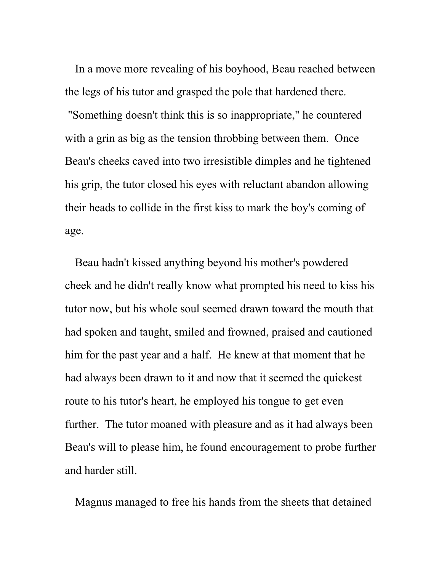In a move more revealing of his boyhood, Beau reached between the legs of his tutor and grasped the pole that hardened there. "Something doesn't think this is so inappropriate," he countered with a grin as big as the tension throbbing between them. Once Beau's cheeks caved into two irresistible dimples and he tightened his grip, the tutor closed his eyes with reluctant abandon allowing their heads to collide in the first kiss to mark the boy's coming of age.

Beau hadn't kissed anything beyond his mother's powdered cheek and he didn't really know what prompted his need to kiss his tutor now, but his whole soul seemed drawn toward the mouth that had spoken and taught, smiled and frowned, praised and cautioned him for the past year and a half. He knew at that moment that he had always been drawn to it and now that it seemed the quickest route to his tutor's heart, he employed his tongue to get even further. The tutor moaned with pleasure and as it had always been Beau's will to please him, he found encouragement to probe further and harder still.

Magnus managed to free his hands from the sheets that detained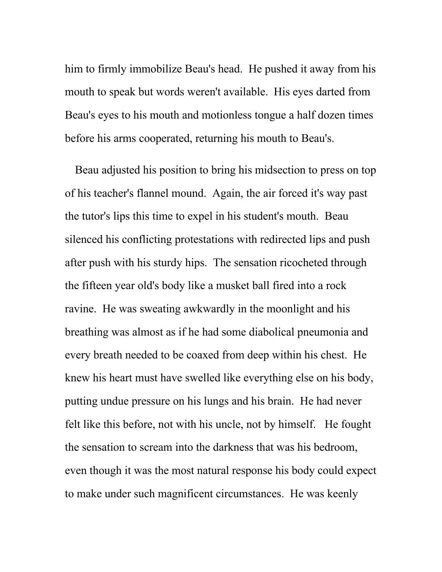him to firmly immobilize Beau's head. He pushed it away from his mouth to speak but words weren't available. His eyes darted from Beau's eyes to his mouth and motionless tongue a half dozen times before his arms cooperated, returning his mouth to Beau's.

Beau adjusted his position to bring his midsection to press on top of his teacher's flannel mound. Again, the air forced it's way past the tutor's lips this time to expel in his student's mouth. Beau silenced his conflicting protestations with redirected lips and push after push with his sturdy hips. The sensation ricocheted through the fifteen year old's body like a musket ball fired into a rock ravine. He was sweating awkwardly in the moonlight and his breathing was almost as if he had some diabolical pneumonia and every breath needed to be coaxed from deep within his chest. He knew his heart must have swelled like everything else on his body, putting undue pressure on his lungs and his brain. He had never felt like this before, not with his uncle, not by himself. He fought the sensation to scream into the darkness that was his bedroom, even though it was the most natural response his body could expect to make under such magnificent circumstances. He was keenly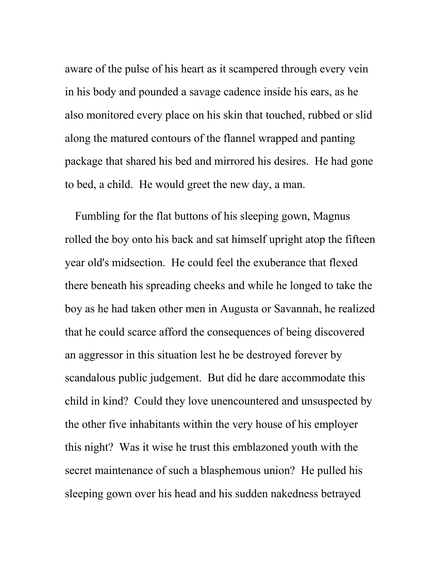aware of the pulse of his heart as it scampered through every vein in his body and pounded a savage cadence inside his ears, as he also monitored every place on his skin that touched, rubbed or slid along the matured contours of the flannel wrapped and panting package that shared his bed and mirrored his desires. He had gone to bed, a child. He would greet the new day, a man.

Fumbling for the flat buttons of his sleeping gown, Magnus rolled the boy onto his back and sat himself upright atop the fifteen year old's midsection. He could feel the exuberance that flexed there beneath his spreading cheeks and while he longed to take the boy as he had taken other men in Augusta or Savannah, he realized that he could scarce afford the consequences of being discovered an aggressor in this situation lest he be destroyed forever by scandalous public judgement. But did he dare accommodate this child in kind? Could they love unencountered and unsuspected by the other five inhabitants within the very house of his employer this night? Was it wise he trust this emblazoned youth with the secret maintenance of such a blasphemous union? He pulled his sleeping gown over his head and his sudden nakedness betrayed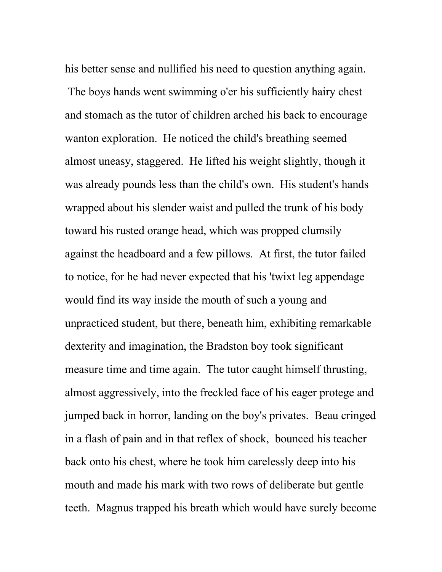his better sense and nullified his need to question anything again. The boys hands went swimming o'er his sufficiently hairy chest and stomach as the tutor of children arched his back to encourage wanton exploration. He noticed the child's breathing seemed almost uneasy, staggered. He lifted his weight slightly, though it was already pounds less than the child's own. His student's hands wrapped about his slender waist and pulled the trunk of his body toward his rusted orange head, which was propped clumsily against the headboard and a few pillows. At first, the tutor failed to notice, for he had never expected that his 'twixt leg appendage would find its way inside the mouth of such a young and unpracticed student, but there, beneath him, exhibiting remarkable dexterity and imagination, the Bradston boy took significant measure time and time again. The tutor caught himself thrusting, almost aggressively, into the freckled face of his eager protege and jumped back in horror, landing on the boy's privates. Beau cringed in a flash of pain and in that reflex of shock, bounced his teacher back onto his chest, where he took him carelessly deep into his mouth and made his mark with two rows of deliberate but gentle teeth. Magnus trapped his breath which would have surely become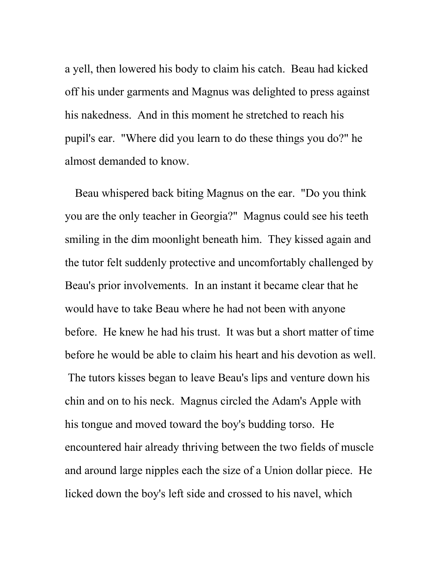a yell, then lowered his body to claim his catch. Beau had kicked off his under garments and Magnus was delighted to press against his nakedness. And in this moment he stretched to reach his pupil's ear. "Where did you learn to do these things you do?" he almost demanded to know.

Beau whispered back biting Magnus on the ear. "Do you think you are the only teacher in Georgia?" Magnus could see his teeth smiling in the dim moonlight beneath him. They kissed again and the tutor felt suddenly protective and uncomfortably challenged by Beau's prior involvements. In an instant it became clear that he would have to take Beau where he had not been with anyone before. He knew he had his trust. It was but a short matter of time before he would be able to claim his heart and his devotion as well. The tutors kisses began to leave Beau's lips and venture down his chin and on to his neck. Magnus circled the Adam's Apple with his tongue and moved toward the boy's budding torso. He encountered hair already thriving between the two fields of muscle and around large nipples each the size of a Union dollar piece. He licked down the boy's left side and crossed to his navel, which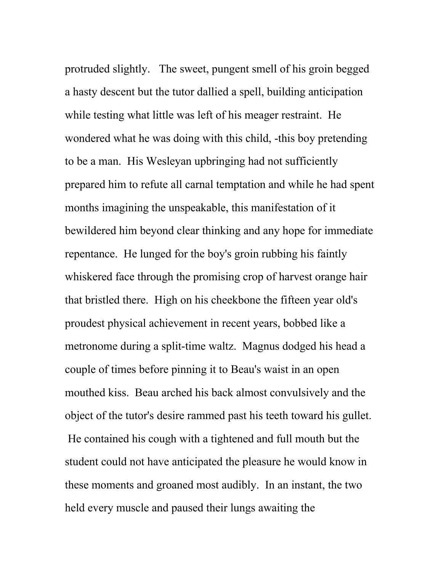protruded slightly. The sweet, pungent smell of his groin begged a hasty descent but the tutor dallied a spell, building anticipation while testing what little was left of his meager restraint. He wondered what he was doing with this child, -this boy pretending to be a man. His Wesleyan upbringing had not sufficiently prepared him to refute all carnal temptation and while he had spent months imagining the unspeakable, this manifestation of it bewildered him beyond clear thinking and any hope for immediate repentance. He lunged for the boy's groin rubbing his faintly whiskered face through the promising crop of harvest orange hair that bristled there. High on his cheekbone the fifteen year old's proudest physical achievement in recent years, bobbed like a metronome during a split-time waltz. Magnus dodged his head a couple of times before pinning it to Beau's waist in an open mouthed kiss. Beau arched his back almost convulsively and the object of the tutor's desire rammed past his teeth toward his gullet. He contained his cough with a tightened and full mouth but the student could not have anticipated the pleasure he would know in these moments and groaned most audibly. In an instant, the two held every muscle and paused their lungs awaiting the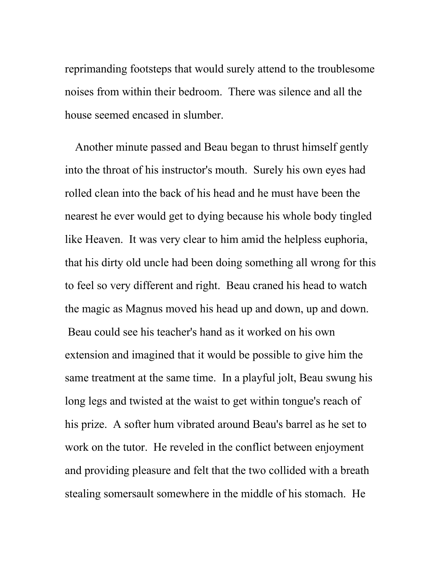reprimanding footsteps that would surely attend to the troublesome noises from within their bedroom. There was silence and all the house seemed encased in slumber.

Another minute passed and Beau began to thrust himself gently into the throat of his instructor's mouth. Surely his own eyes had rolled clean into the back of his head and he must have been the nearest he ever would get to dying because his whole body tingled like Heaven. It was very clear to him amid the helpless euphoria, that his dirty old uncle had been doing something all wrong for this to feel so very different and right. Beau craned his head to watch the magic as Magnus moved his head up and down, up and down. Beau could see his teacher's hand as it worked on his own extension and imagined that it would be possible to give him the same treatment at the same time. In a playful jolt, Beau swung his long legs and twisted at the waist to get within tongue's reach of his prize. A softer hum vibrated around Beau's barrel as he set to work on the tutor. He reveled in the conflict between enjoyment and providing pleasure and felt that the two collided with a breath stealing somersault somewhere in the middle of his stomach. He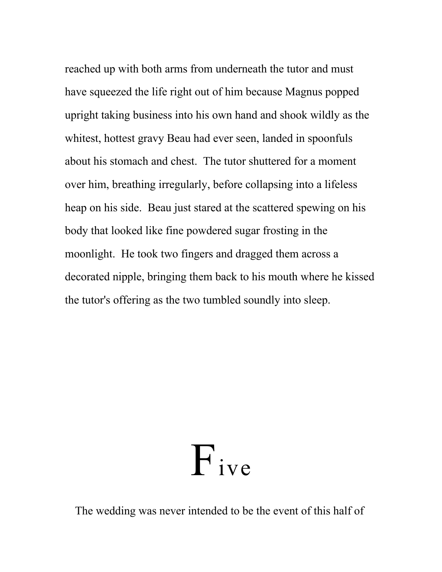reached up with both arms from underneath the tutor and must have squeezed the life right out of him because Magnus popped upright taking business into his own hand and shook wildly as the whitest, hottest gravy Beau had ever seen, landed in spoonfuls about his stomach and chest. The tutor shuttered for a moment over him, breathing irregularly, before collapsing into a lifeless heap on his side. Beau just stared at the scattered spewing on his body that looked like fine powdered sugar frosting in the moonlight. He took two fingers and dragged them across a decorated nipple, bringing them back to his mouth where he kissed the tutor's offering as the two tumbled soundly into sleep.



The wedding was never intended to be the event of this half of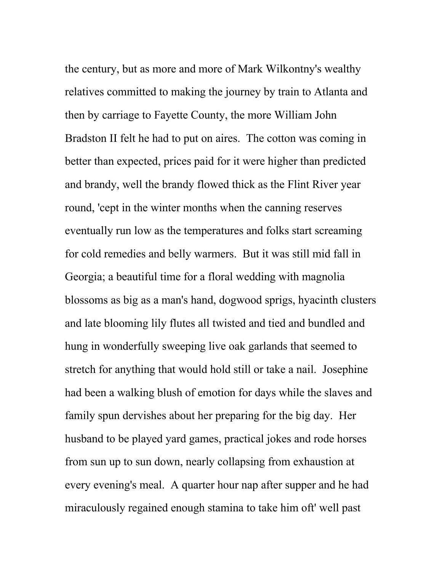the century, but as more and more of Mark Wilkontny's wealthy relatives committed to making the journey by train to Atlanta and then by carriage to Fayette County, the more William John Bradston II felt he had to put on aires. The cotton was coming in better than expected, prices paid for it were higher than predicted and brandy, well the brandy flowed thick as the Flint River year round, 'cept in the winter months when the canning reserves eventually run low as the temperatures and folks start screaming for cold remedies and belly warmers. But it was still mid fall in Georgia; a beautiful time for a floral wedding with magnolia blossoms as big as a man's hand, dogwood sprigs, hyacinth clusters and late blooming lily flutes all twisted and tied and bundled and hung in wonderfully sweeping live oak garlands that seemed to stretch for anything that would hold still or take a nail. Josephine had been a walking blush of emotion for days while the slaves and family spun dervishes about her preparing for the big day. Her husband to be played yard games, practical jokes and rode horses from sun up to sun down, nearly collapsing from exhaustion at every evening's meal. A quarter hour nap after supper and he had miraculously regained enough stamina to take him oft' well past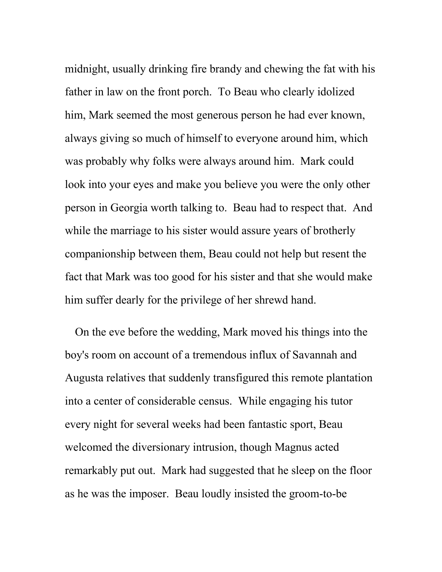midnight, usually drinking fire brandy and chewing the fat with his father in law on the front porch. To Beau who clearly idolized him, Mark seemed the most generous person he had ever known, always giving so much of himself to everyone around him, which was probably why folks were always around him. Mark could look into your eyes and make you believe you were the only other person in Georgia worth talking to. Beau had to respect that. And while the marriage to his sister would assure years of brotherly companionship between them, Beau could not help but resent the fact that Mark was too good for his sister and that she would make him suffer dearly for the privilege of her shrewd hand.

On the eve before the wedding, Mark moved his things into the boy's room on account of a tremendous influx of Savannah and Augusta relatives that suddenly transfigured this remote plantation into a center of considerable census. While engaging his tutor every night for several weeks had been fantastic sport, Beau welcomed the diversionary intrusion, though Magnus acted remarkably put out. Mark had suggested that he sleep on the floor as he was the imposer. Beau loudly insisted the groom-to-be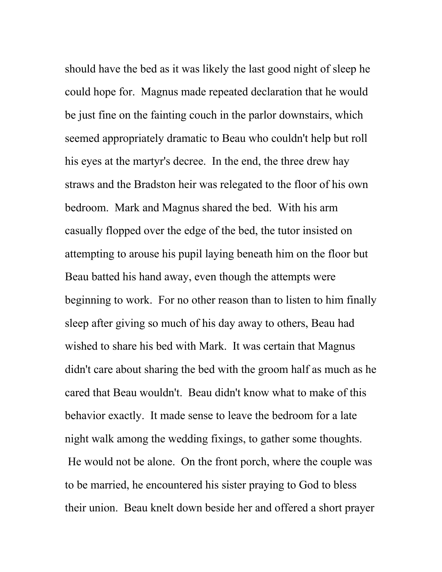should have the bed as it was likely the last good night of sleep he could hope for. Magnus made repeated declaration that he would be just fine on the fainting couch in the parlor downstairs, which seemed appropriately dramatic to Beau who couldn't help but roll his eyes at the martyr's decree. In the end, the three drew hay straws and the Bradston heir was relegated to the floor of his own bedroom. Mark and Magnus shared the bed. With his arm casually flopped over the edge of the bed, the tutor insisted on attempting to arouse his pupil laying beneath him on the floor but Beau batted his hand away, even though the attempts were beginning to work. For no other reason than to listen to him finally sleep after giving so much of his day away to others, Beau had wished to share his bed with Mark. It was certain that Magnus didn't care about sharing the bed with the groom half as much as he cared that Beau wouldn't. Beau didn't know what to make of this behavior exactly. It made sense to leave the bedroom for a late night walk among the wedding fixings, to gather some thoughts. He would not be alone. On the front porch, where the couple was to be married, he encountered his sister praying to God to bless their union. Beau knelt down beside her and offered a short prayer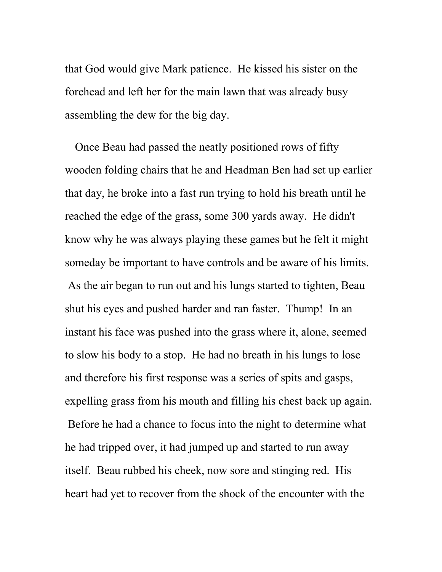that God would give Mark patience. He kissed his sister on the forehead and left her for the main lawn that was already busy assembling the dew for the big day.

Once Beau had passed the neatly positioned rows of fifty wooden folding chairs that he and Headman Ben had set up earlier that day, he broke into a fast run trying to hold his breath until he reached the edge of the grass, some 300 yards away. He didn't know why he was always playing these games but he felt it might someday be important to have controls and be aware of his limits. As the air began to run out and his lungs started to tighten, Beau shut his eyes and pushed harder and ran faster. Thump! In an instant his face was pushed into the grass where it, alone, seemed to slow his body to a stop. He had no breath in his lungs to lose and therefore his first response was a series of spits and gasps, expelling grass from his mouth and filling his chest back up again. Before he had a chance to focus into the night to determine what he had tripped over, it had jumped up and started to run away itself. Beau rubbed his cheek, now sore and stinging red. His heart had yet to recover from the shock of the encounter with the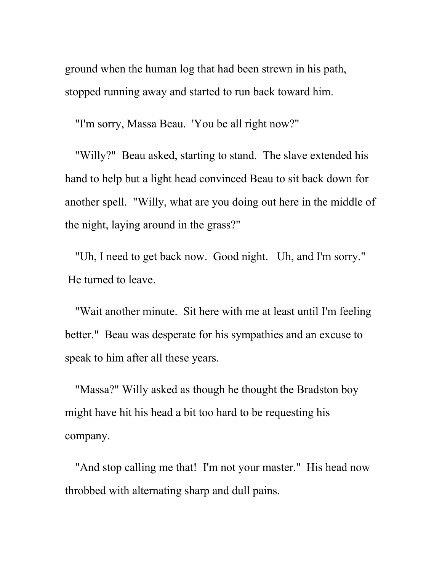ground when the human log that had been strewn in his path, stopped running away and started to run back toward him.

"I'm sorry, Massa Beau. 'You be all right now?"

"Willy?" Beau asked, starting to stand. The slave extended his hand to help but a light head convinced Beau to sit back down for another spell. "Willy, what are you doing out here in the middle of the night, laying around in the grass?"

"Uh, I need to get back now. Good night. Uh, and I'm sorry." He turned to leave.

"Wait another minute. Sit here with me at least until I'm feeling better." Beau was desperate for his sympathies and an excuse to speak to him after all these years.

"Massa?" Willy asked as though he thought the Bradston boy might have hit his head a bit too hard to be requesting his company.

"And stop calling me that! I'm not your master." His head now throbbed with alternating sharp and dull pains.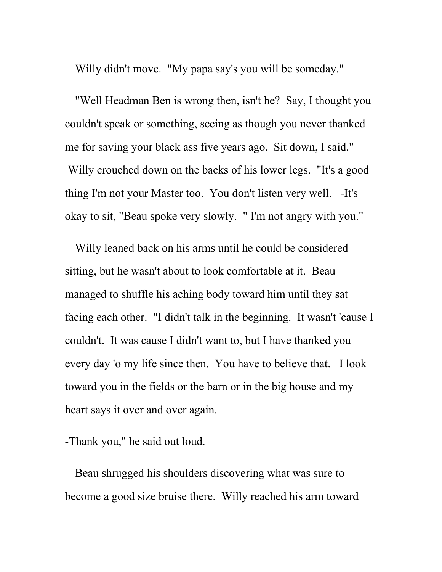Willy didn't move. "My papa say's you will be someday."

"Well Headman Ben is wrong then, isn't he? Say, I thought you couldn't speak or something, seeing as though you never thanked me for saving your black ass five years ago. Sit down, I said." Willy crouched down on the backs of his lower legs. "It's a good thing I'm not your Master too. You don't listen very well. -It's okay to sit, "Beau spoke very slowly. " I'm not angry with you."

Willy leaned back on his arms until he could be considered sitting, but he wasn't about to look comfortable at it. Beau managed to shuffle his aching body toward him until they sat facing each other. "I didn't talk in the beginning. It wasn't 'cause I couldn't. It was cause I didn't want to, but I have thanked you every day 'o my life since then. You have to believe that. I look toward you in the fields or the barn or in the big house and my heart says it over and over again.

-Thank you," he said out loud.

Beau shrugged his shoulders discovering what was sure to become a good size bruise there. Willy reached his arm toward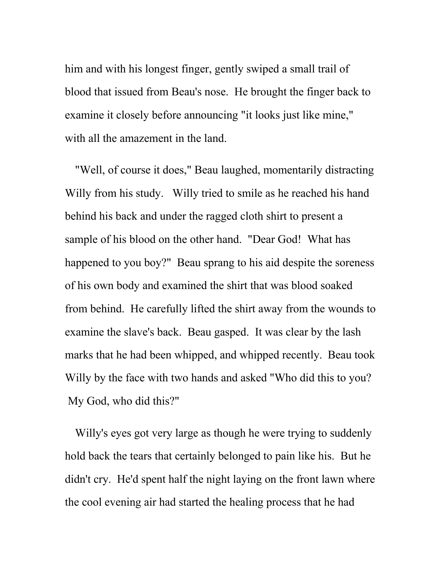him and with his longest finger, gently swiped a small trail of blood that issued from Beau's nose. He brought the finger back to examine it closely before announcing "it looks just like mine," with all the amazement in the land.

"Well, of course it does," Beau laughed, momentarily distracting Willy from his study. Willy tried to smile as he reached his hand behind his back and under the ragged cloth shirt to present a sample of his blood on the other hand. "Dear God! What has happened to you boy?" Beau sprang to his aid despite the soreness of his own body and examined the shirt that was blood soaked from behind. He carefully lifted the shirt away from the wounds to examine the slave's back. Beau gasped. It was clear by the lash marks that he had been whipped, and whipped recently. Beau took Willy by the face with two hands and asked "Who did this to you? My God, who did this?"

Willy's eyes got very large as though he were trying to suddenly hold back the tears that certainly belonged to pain like his. But he didn't cry. He'd spent half the night laying on the front lawn where the cool evening air had started the healing process that he had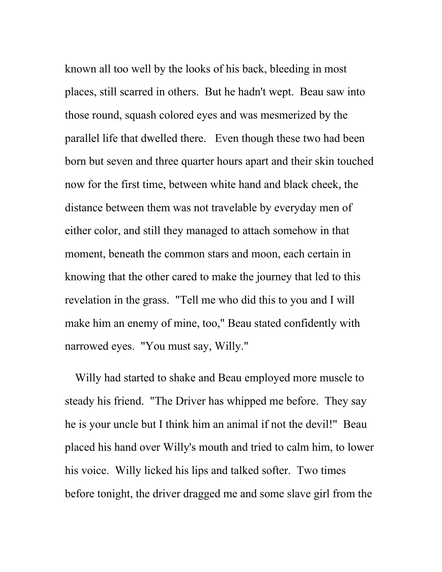known all too well by the looks of his back, bleeding in most places, still scarred in others. But he hadn't wept. Beau saw into those round, squash colored eyes and was mesmerized by the parallel life that dwelled there. Even though these two had been born but seven and three quarter hours apart and their skin touched now for the first time, between white hand and black cheek, the distance between them was not travelable by everyday men of either color, and still they managed to attach somehow in that moment, beneath the common stars and moon, each certain in knowing that the other cared to make the journey that led to this revelation in the grass. "Tell me who did this to you and I will make him an enemy of mine, too," Beau stated confidently with narrowed eyes. "You must say, Willy."

Willy had started to shake and Beau employed more muscle to steady his friend. "The Driver has whipped me before. They say he is your uncle but I think him an animal if not the devil!" Beau placed his hand over Willy's mouth and tried to calm him, to lower his voice. Willy licked his lips and talked softer. Two times before tonight, the driver dragged me and some slave girl from the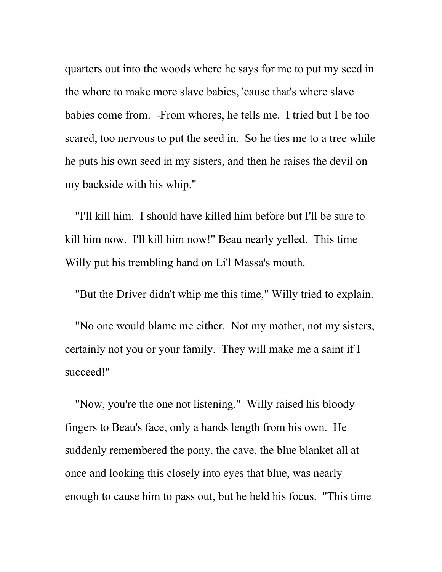quarters out into the woods where he says for me to put my seed in the whore to make more slave babies, 'cause that's where slave babies come from. -From whores, he tells me. I tried but I be too scared, too nervous to put the seed in. So he ties me to a tree while he puts his own seed in my sisters, and then he raises the devil on my backside with his whip."

"I'll kill him. I should have killed him before but I'll be sure to kill him now. I'll kill him now!" Beau nearly yelled. This time Willy put his trembling hand on Li'l Massa's mouth.

"But the Driver didn't whip me this time," Willy tried to explain.

"No one would blame me either. Not my mother, not my sisters, certainly not you or your family. They will make me a saint if I succeed!"

"Now, you're the one not listening." Willy raised his bloody fingers to Beau's face, only a hands length from his own. He suddenly remembered the pony, the cave, the blue blanket all at once and looking this closely into eyes that blue, was nearly enough to cause him to pass out, but he held his focus. "This time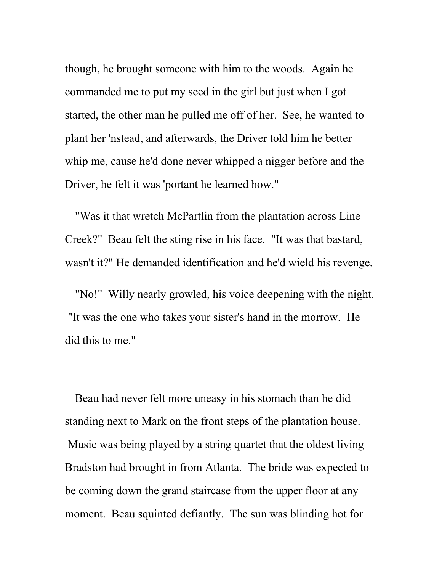though, he brought someone with him to the woods. Again he commanded me to put my seed in the girl but just when I got started, the other man he pulled me off of her. See, he wanted to plant her 'nstead, and afterwards, the Driver told him he better whip me, cause he'd done never whipped a nigger before and the Driver, he felt it was 'portant he learned how."

"Was it that wretch McPartlin from the plantation across Line Creek?" Beau felt the sting rise in his face. "It was that bastard, wasn't it?" He demanded identification and he'd wield his revenge.

"No!" Willy nearly growled, his voice deepening with the night. "It was the one who takes your sister's hand in the morrow. He did this to me."

Beau had never felt more uneasy in his stomach than he did standing next to Mark on the front steps of the plantation house. Music was being played by a string quartet that the oldest living Bradston had brought in from Atlanta. The bride was expected to be coming down the grand staircase from the upper floor at any moment. Beau squinted defiantly. The sun was blinding hot for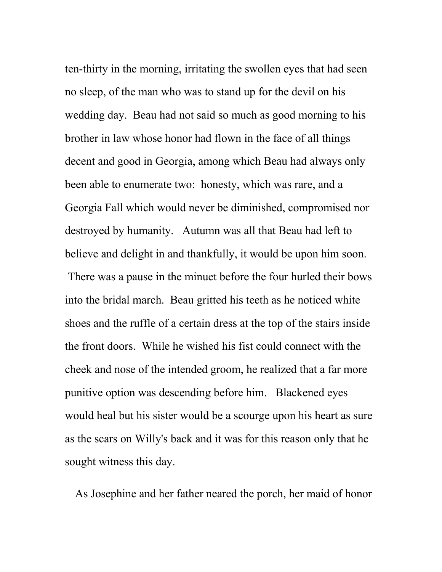ten-thirty in the morning, irritating the swollen eyes that had seen no sleep, of the man who was to stand up for the devil on his wedding day. Beau had not said so much as good morning to his brother in law whose honor had flown in the face of all things decent and good in Georgia, among which Beau had always only been able to enumerate two: honesty, which was rare, and a Georgia Fall which would never be diminished, compromised nor destroyed by humanity. Autumn was all that Beau had left to believe and delight in and thankfully, it would be upon him soon. There was a pause in the minuet before the four hurled their bows into the bridal march. Beau gritted his teeth as he noticed white shoes and the ruffle of a certain dress at the top of the stairs inside the front doors. While he wished his fist could connect with the cheek and nose of the intended groom, he realized that a far more punitive option was descending before him. Blackened eyes would heal but his sister would be a scourge upon his heart as sure as the scars on Willy's back and it was for this reason only that he sought witness this day.

As Josephine and her father neared the porch, her maid of honor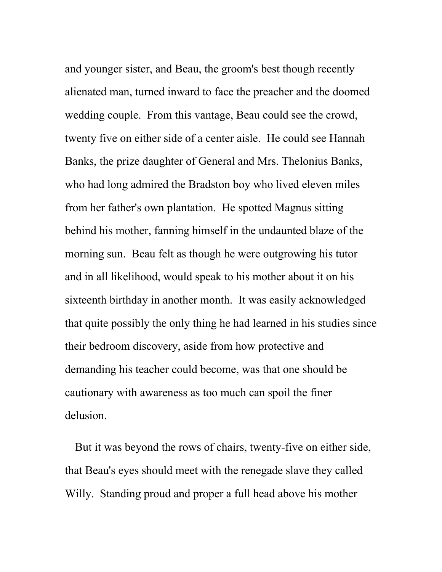and younger sister, and Beau, the groom's best though recently alienated man, turned inward to face the preacher and the doomed wedding couple. From this vantage, Beau could see the crowd, twenty five on either side of a center aisle. He could see Hannah Banks, the prize daughter of General and Mrs. Thelonius Banks, who had long admired the Bradston boy who lived eleven miles from her father's own plantation. He spotted Magnus sitting behind his mother, fanning himself in the undaunted blaze of the morning sun. Beau felt as though he were outgrowing his tutor and in all likelihood, would speak to his mother about it on his sixteenth birthday in another month. It was easily acknowledged that quite possibly the only thing he had learned in his studies since their bedroom discovery, aside from how protective and demanding his teacher could become, was that one should be cautionary with awareness as too much can spoil the finer delusion.

But it was beyond the rows of chairs, twenty-five on either side, that Beau's eyes should meet with the renegade slave they called Willy. Standing proud and proper a full head above his mother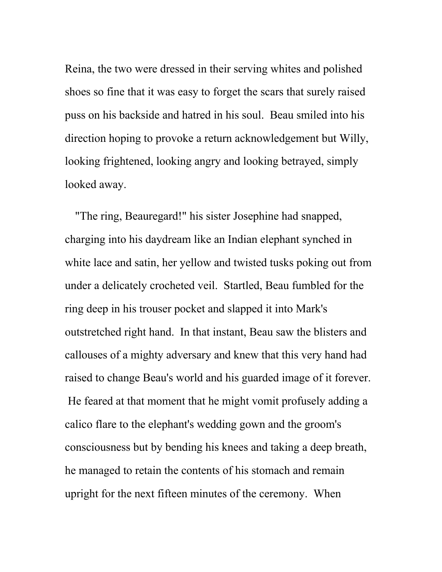Reina, the two were dressed in their serving whites and polished shoes so fine that it was easy to forget the scars that surely raised puss on his backside and hatred in his soul. Beau smiled into his direction hoping to provoke a return acknowledgement but Willy, looking frightened, looking angry and looking betrayed, simply looked away.

"The ring, Beauregard!" his sister Josephine had snapped, charging into his daydream like an Indian elephant synched in white lace and satin, her yellow and twisted tusks poking out from under a delicately crocheted veil. Startled, Beau fumbled for the ring deep in his trouser pocket and slapped it into Mark's outstretched right hand. In that instant, Beau saw the blisters and callouses of a mighty adversary and knew that this very hand had raised to change Beau's world and his guarded image of it forever. He feared at that moment that he might vomit profusely adding a calico flare to the elephant's wedding gown and the groom's consciousness but by bending his knees and taking a deep breath, he managed to retain the contents of his stomach and remain upright for the next fifteen minutes of the ceremony. When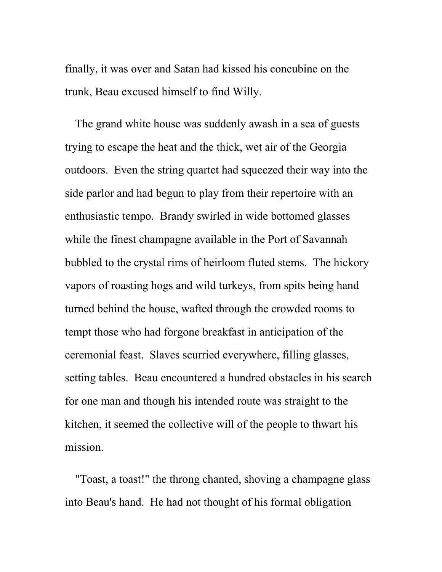finally, it was over and Satan had kissed his concubine on the trunk, Beau excused himself to find Willy.

The grand white house was suddenly awash in a sea of guests trying to escape the heat and the thick, wet air of the Georgia outdoors. Even the string quartet had squeezed their way into the side parlor and had begun to play from their repertoire with an enthusiastic tempo. Brandy swirled in wide bottomed glasses while the finest champagne available in the Port of Savannah bubbled to the crystal rims of heirloom fluted stems. The hickory vapors of roasting hogs and wild turkeys, from spits being hand turned behind the house, wafted through the crowded rooms to tempt those who had forgone breakfast in anticipation of the ceremonial feast. Slaves scurried everywhere, filling glasses, setting tables. Beau encountered a hundred obstacles in his search for one man and though his intended route was straight to the kitchen, it seemed the collective will of the people to thwart his mission.

"Toast, a toast!" the throng chanted, shoving a champagne glass into Beau's hand. He had not thought of his formal obligation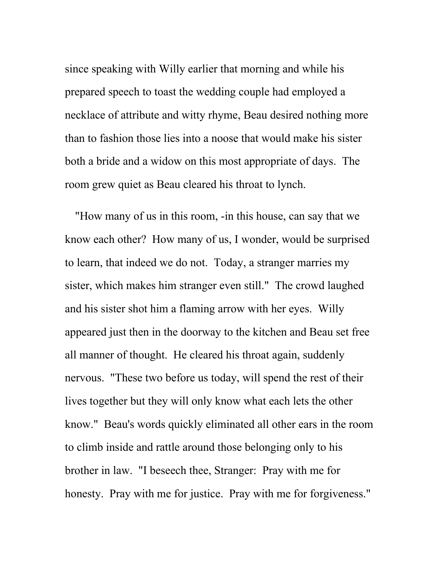since speaking with Willy earlier that morning and while his prepared speech to toast the wedding couple had employed a necklace of attribute and witty rhyme, Beau desired nothing more than to fashion those lies into a noose that would make his sister both a bride and a widow on this most appropriate of days. The room grew quiet as Beau cleared his throat to lynch.

"How many of us in this room, -in this house, can say that we know each other? How many of us, I wonder, would be surprised to learn, that indeed we do not. Today, a stranger marries my sister, which makes him stranger even still." The crowd laughed and his sister shot him a flaming arrow with her eyes. Willy appeared just then in the doorway to the kitchen and Beau set free all manner of thought. He cleared his throat again, suddenly nervous. "These two before us today, will spend the rest of their lives together but they will only know what each lets the other know." Beau's words quickly eliminated all other ears in the room to climb inside and rattle around those belonging only to his brother in law. "I beseech thee, Stranger: Pray with me for honesty. Pray with me for justice. Pray with me for forgiveness."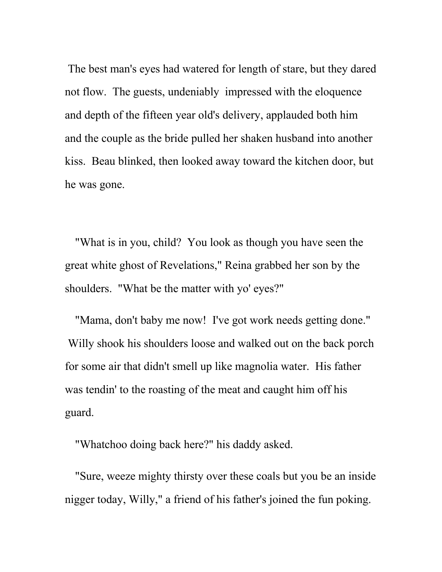The best man's eyes had watered for length of stare, but they dared not flow. The guests, undeniably impressed with the eloquence and depth of the fifteen year old's delivery, applauded both him and the couple as the bride pulled her shaken husband into another kiss. Beau blinked, then looked away toward the kitchen door, but he was gone.

"What is in you, child? You look as though you have seen the great white ghost of Revelations," Reina grabbed her son by the shoulders. "What be the matter with yo' eyes?"

"Mama, don't baby me now! I've got work needs getting done." Willy shook his shoulders loose and walked out on the back porch for some air that didn't smell up like magnolia water. His father was tendin' to the roasting of the meat and caught him off his guard.

"Whatchoo doing back here?" his daddy asked.

"Sure, weeze mighty thirsty over these coals but you be an inside nigger today, Willy," a friend of his father's joined the fun poking.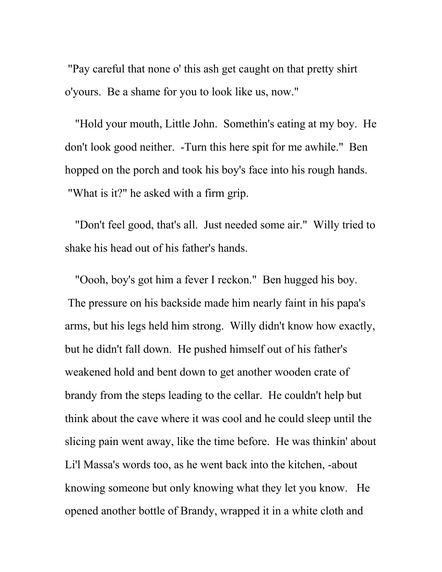"Pay careful that none o' this ash get caught on that pretty shirt o'yours. Be a shame for you to look like us, now."

"Hold your mouth, Little John. Somethin's eating at my boy. He don't look good neither. -Turn this here spit for me awhile." Ben hopped on the porch and took his boy's face into his rough hands. "What is it?" he asked with a firm grip.

"Don't feel good, that's all. Just needed some air." Willy tried to shake his head out of his father's hands.

"Oooh, boy's got him a fever I reckon." Ben hugged his boy. The pressure on his backside made him nearly faint in his papa's arms, but his legs held him strong. Willy didn't know how exactly, but he didn't fall down. He pushed himself out of his father's weakened hold and bent down to get another wooden crate of brandy from the steps leading to the cellar. He couldn't help but think about the cave where it was cool and he could sleep until the slicing pain went away, like the time before. He was thinkin' about Li'l Massa's words too, as he went back into the kitchen, -about knowing someone but only knowing what they let you know. He opened another bottle of Brandy, wrapped it in a white cloth and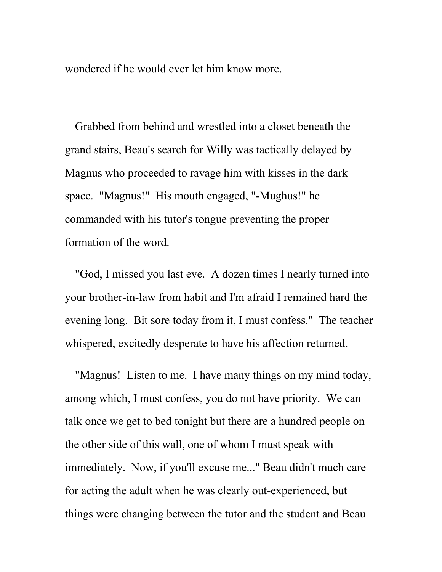wondered if he would ever let him know more.

Grabbed from behind and wrestled into a closet beneath the grand stairs, Beau's search for Willy was tactically delayed by Magnus who proceeded to ravage him with kisses in the dark space. "Magnus!" His mouth engaged, "-Mughus!" he commanded with his tutor's tongue preventing the proper formation of the word.

"God, I missed you last eve. A dozen times I nearly turned into your brother-in-law from habit and I'm afraid I remained hard the evening long. Bit sore today from it, I must confess." The teacher whispered, excitedly desperate to have his affection returned.

"Magnus! Listen to me. I have many things on my mind today, among which, I must confess, you do not have priority. We can talk once we get to bed tonight but there are a hundred people on the other side of this wall, one of whom I must speak with immediately. Now, if you'll excuse me..." Beau didn't much care for acting the adult when he was clearly out-experienced, but things were changing between the tutor and the student and Beau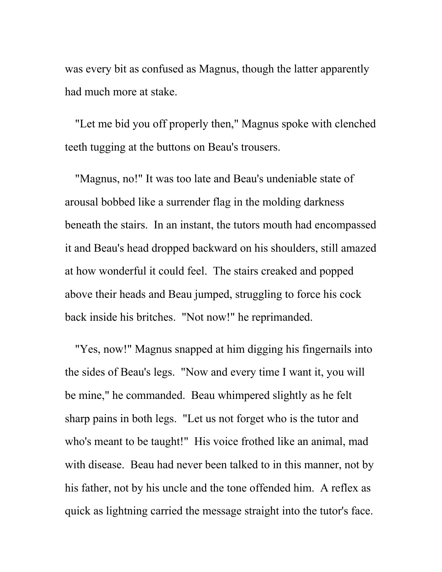was every bit as confused as Magnus, though the latter apparently had much more at stake.

"Let me bid you off properly then," Magnus spoke with clenched teeth tugging at the buttons on Beau's trousers.

"Magnus, no!" It was too late and Beau's undeniable state of arousal bobbed like a surrender flag in the molding darkness beneath the stairs. In an instant, the tutors mouth had encompassed it and Beau's head dropped backward on his shoulders, still amazed at how wonderful it could feel. The stairs creaked and popped above their heads and Beau jumped, struggling to force his cock back inside his britches. "Not now!" he reprimanded.

"Yes, now!" Magnus snapped at him digging his fingernails into the sides of Beau's legs. "Now and every time I want it, you will be mine," he commanded. Beau whimpered slightly as he felt sharp pains in both legs. "Let us not forget who is the tutor and who's meant to be taught!" His voice frothed like an animal, mad with disease. Beau had never been talked to in this manner, not by his father, not by his uncle and the tone offended him. A reflex as quick as lightning carried the message straight into the tutor's face.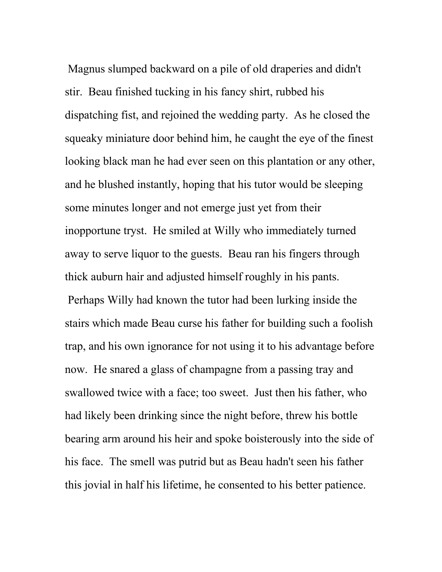Magnus slumped backward on a pile of old draperies and didn't stir. Beau finished tucking in his fancy shirt, rubbed his dispatching fist, and rejoined the wedding party. As he closed the squeaky miniature door behind him, he caught the eye of the finest looking black man he had ever seen on this plantation or any other, and he blushed instantly, hoping that his tutor would be sleeping some minutes longer and not emerge just yet from their inopportune tryst. He smiled at Willy who immediately turned away to serve liquor to the guests. Beau ran his fingers through thick auburn hair and adjusted himself roughly in his pants. Perhaps Willy had known the tutor had been lurking inside the stairs which made Beau curse his father for building such a foolish trap, and his own ignorance for not using it to his advantage before now. He snared a glass of champagne from a passing tray and swallowed twice with a face; too sweet. Just then his father, who had likely been drinking since the night before, threw his bottle bearing arm around his heir and spoke boisterously into the side of his face. The smell was putrid but as Beau hadn't seen his father this jovial in half his lifetime, he consented to his better patience.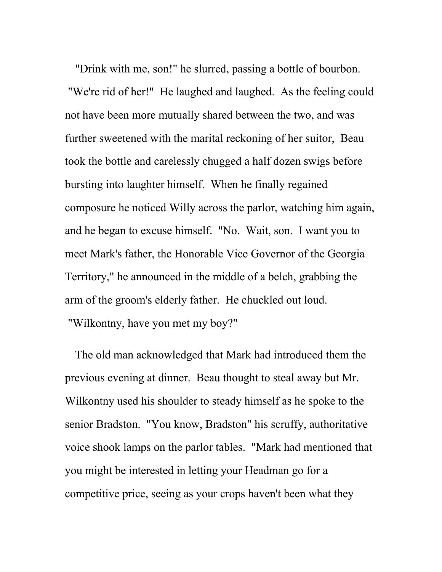"Drink with me, son!" he slurred, passing a bottle of bourbon. "We're rid of her!" He laughed and laughed. As the feeling could not have been more mutually shared between the two, and was further sweetened with the marital reckoning of her suitor, Beau took the bottle and carelessly chugged a half dozen swigs before bursting into laughter himself. When he finally regained composure he noticed Willy across the parlor, watching him again, and he began to excuse himself. "No. Wait, son. I want you to meet Mark's father, the Honorable Vice Governor of the Georgia Territory," he announced in the middle of a belch, grabbing the arm of the groom's elderly father. He chuckled out loud. "Wilkontny, have you met my boy?"

The old man acknowledged that Mark had introduced them the previous evening at dinner. Beau thought to steal away but Mr. Wilkontny used his shoulder to steady himself as he spoke to the senior Bradston. "You know, Bradston" his scruffy, authoritative voice shook lamps on the parlor tables. "Mark had mentioned that you might be interested in letting your Headman go for a competitive price, seeing as your crops haven't been what they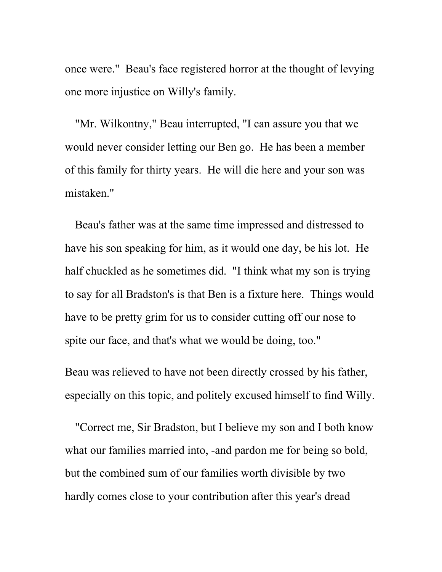once were." Beau's face registered horror at the thought of levying one more injustice on Willy's family.

"Mr. Wilkontny," Beau interrupted, "I can assure you that we would never consider letting our Ben go. He has been a member of this family for thirty years. He will die here and your son was mistaken."

Beau's father was at the same time impressed and distressed to have his son speaking for him, as it would one day, be his lot. He half chuckled as he sometimes did. "I think what my son is trying to say for all Bradston's is that Ben is a fixture here. Things would have to be pretty grim for us to consider cutting off our nose to spite our face, and that's what we would be doing, too."

Beau was relieved to have not been directly crossed by his father, especially on this topic, and politely excused himself to find Willy.

"Correct me, Sir Bradston, but I believe my son and I both know what our families married into, -and pardon me for being so bold, but the combined sum of our families worth divisible by two hardly comes close to your contribution after this year's dread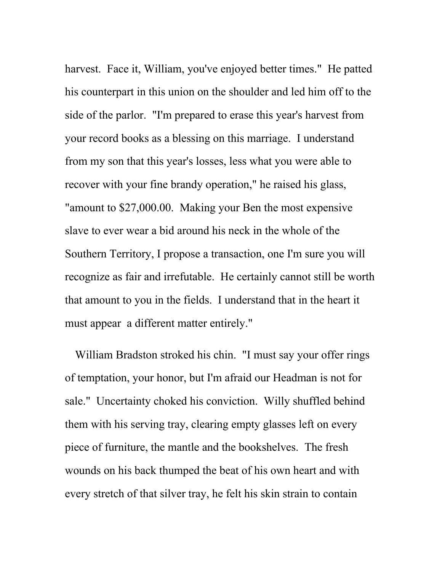harvest. Face it, William, you've enjoyed better times." He patted his counterpart in this union on the shoulder and led him off to the side of the parlor. "I'm prepared to erase this year's harvest from your record books as a blessing on this marriage. I understand from my son that this year's losses, less what you were able to recover with your fine brandy operation," he raised his glass, "amount to \$27,000.00. Making your Ben the most expensive slave to ever wear a bid around his neck in the whole of the Southern Territory, I propose a transaction, one I'm sure you will recognize as fair and irrefutable. He certainly cannot still be worth that amount to you in the fields. I understand that in the heart it must appear a different matter entirely."

William Bradston stroked his chin. "I must say your offer rings of temptation, your honor, but I'm afraid our Headman is not for sale." Uncertainty choked his conviction. Willy shuffled behind them with his serving tray, clearing empty glasses left on every piece of furniture, the mantle and the bookshelves. The fresh wounds on his back thumped the beat of his own heart and with every stretch of that silver tray, he felt his skin strain to contain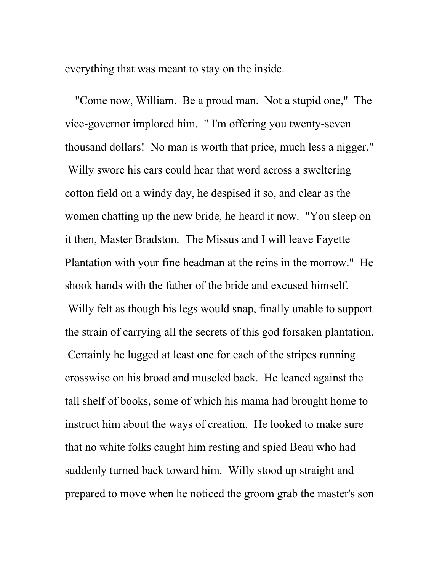everything that was meant to stay on the inside.

"Come now, William. Be a proud man. Not a stupid one," The vice-governor implored him. " I'm offering you twenty-seven thousand dollars! No man is worth that price, much less a nigger." Willy swore his ears could hear that word across a sweltering cotton field on a windy day, he despised it so, and clear as the women chatting up the new bride, he heard it now. "You sleep on it then, Master Bradston. The Missus and I will leave Fayette Plantation with your fine headman at the reins in the morrow." He shook hands with the father of the bride and excused himself. Willy felt as though his legs would snap, finally unable to support the strain of carrying all the secrets of this god forsaken plantation. Certainly he lugged at least one for each of the stripes running crosswise on his broad and muscled back. He leaned against the tall shelf of books, some of which his mama had brought home to instruct him about the ways of creation. He looked to make sure that no white folks caught him resting and spied Beau who had suddenly turned back toward him. Willy stood up straight and prepared to move when he noticed the groom grab the master's son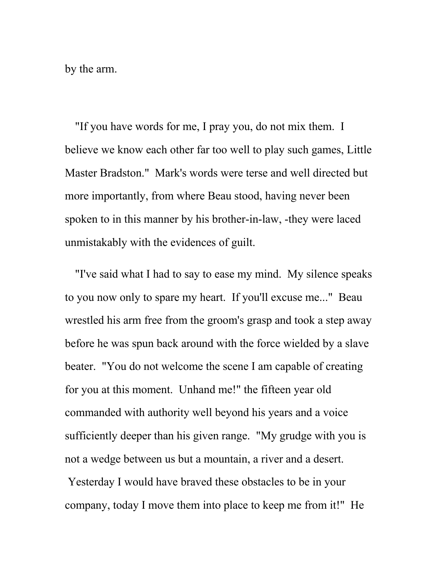by the arm.

"If you have words for me, I pray you, do not mix them. I believe we know each other far too well to play such games, Little Master Bradston." Mark's words were terse and well directed but more importantly, from where Beau stood, having never been spoken to in this manner by his brother-in-law, -they were laced unmistakably with the evidences of guilt.

"I've said what I had to say to ease my mind. My silence speaks to you now only to spare my heart. If you'll excuse me..." Beau wrestled his arm free from the groom's grasp and took a step away before he was spun back around with the force wielded by a slave beater. "You do not welcome the scene I am capable of creating for you at this moment. Unhand me!" the fifteen year old commanded with authority well beyond his years and a voice sufficiently deeper than his given range. "My grudge with you is not a wedge between us but a mountain, a river and a desert. Yesterday I would have braved these obstacles to be in your

company, today I move them into place to keep me from it!" He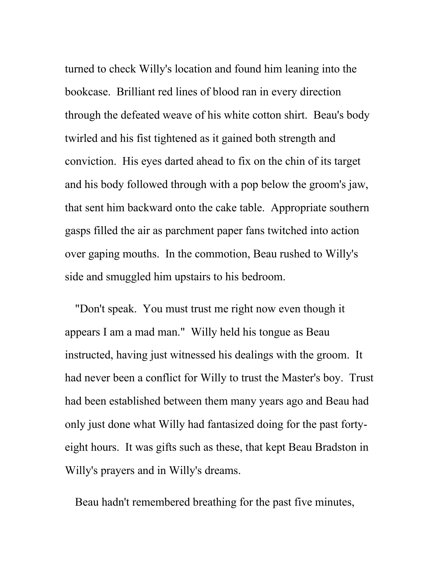turned to check Willy's location and found him leaning into the bookcase. Brilliant red lines of blood ran in every direction through the defeated weave of his white cotton shirt. Beau's body twirled and his fist tightened as it gained both strength and conviction. His eyes darted ahead to fix on the chin of its target and his body followed through with a pop below the groom's jaw, that sent him backward onto the cake table. Appropriate southern gasps filled the air as parchment paper fans twitched into action over gaping mouths. In the commotion, Beau rushed to Willy's side and smuggled him upstairs to his bedroom.

"Don't speak. You must trust me right now even though it appears I am a mad man." Willy held his tongue as Beau instructed, having just witnessed his dealings with the groom. It had never been a conflict for Willy to trust the Master's boy. Trust had been established between them many years ago and Beau had only just done what Willy had fantasized doing for the past fortyeight hours. It was gifts such as these, that kept Beau Bradston in Willy's prayers and in Willy's dreams.

Beau hadn't remembered breathing for the past five minutes,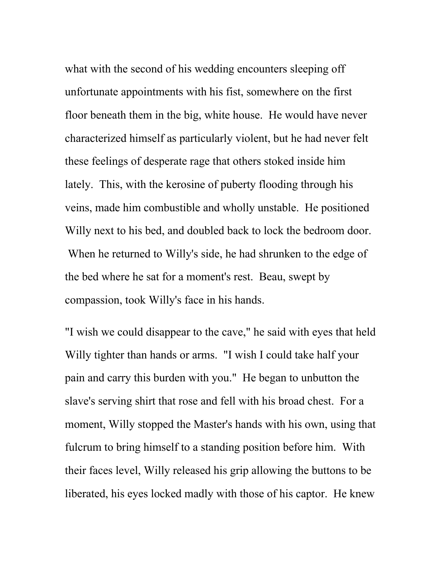what with the second of his wedding encounters sleeping off unfortunate appointments with his fist, somewhere on the first floor beneath them in the big, white house. He would have never characterized himself as particularly violent, but he had never felt these feelings of desperate rage that others stoked inside him lately. This, with the kerosine of puberty flooding through his veins, made him combustible and wholly unstable. He positioned Willy next to his bed, and doubled back to lock the bedroom door. When he returned to Willy's side, he had shrunken to the edge of the bed where he sat for a moment's rest. Beau, swept by compassion, took Willy's face in his hands.

"I wish we could disappear to the cave," he said with eyes that held Willy tighter than hands or arms. "I wish I could take half your pain and carry this burden with you." He began to unbutton the slave's serving shirt that rose and fell with his broad chest. For a moment, Willy stopped the Master's hands with his own, using that fulcrum to bring himself to a standing position before him. With their faces level, Willy released his grip allowing the buttons to be liberated, his eyes locked madly with those of his captor. He knew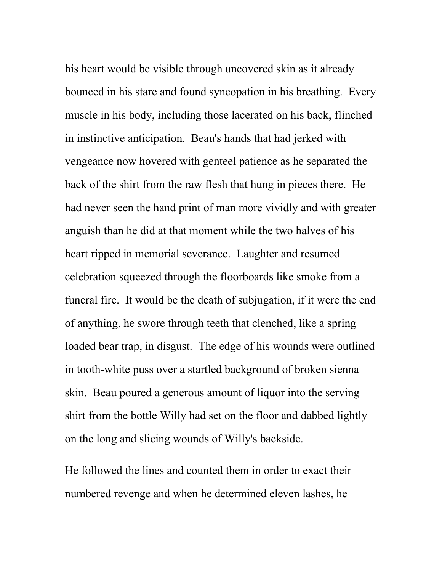his heart would be visible through uncovered skin as it already bounced in his stare and found syncopation in his breathing. Every muscle in his body, including those lacerated on his back, flinched in instinctive anticipation. Beau's hands that had jerked with vengeance now hovered with genteel patience as he separated the back of the shirt from the raw flesh that hung in pieces there. He had never seen the hand print of man more vividly and with greater anguish than he did at that moment while the two halves of his heart ripped in memorial severance. Laughter and resumed celebration squeezed through the floorboards like smoke from a funeral fire. It would be the death of subjugation, if it were the end of anything, he swore through teeth that clenched, like a spring loaded bear trap, in disgust. The edge of his wounds were outlined in tooth-white puss over a startled background of broken sienna skin. Beau poured a generous amount of liquor into the serving shirt from the bottle Willy had set on the floor and dabbed lightly on the long and slicing wounds of Willy's backside.

He followed the lines and counted them in order to exact their numbered revenge and when he determined eleven lashes, he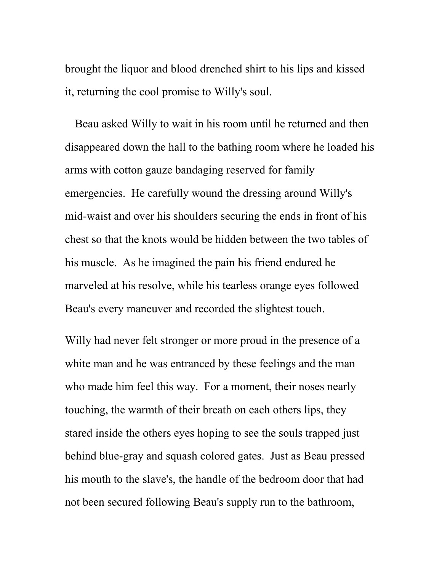brought the liquor and blood drenched shirt to his lips and kissed it, returning the cool promise to Willy's soul.

Beau asked Willy to wait in his room until he returned and then disappeared down the hall to the bathing room where he loaded his arms with cotton gauze bandaging reserved for family emergencies. He carefully wound the dressing around Willy's mid-waist and over his shoulders securing the ends in front of his chest so that the knots would be hidden between the two tables of his muscle. As he imagined the pain his friend endured he marveled at his resolve, while his tearless orange eyes followed Beau's every maneuver and recorded the slightest touch.

Willy had never felt stronger or more proud in the presence of a white man and he was entranced by these feelings and the man who made him feel this way. For a moment, their noses nearly touching, the warmth of their breath on each others lips, they stared inside the others eyes hoping to see the souls trapped just behind blue-gray and squash colored gates. Just as Beau pressed his mouth to the slave's, the handle of the bedroom door that had not been secured following Beau's supply run to the bathroom,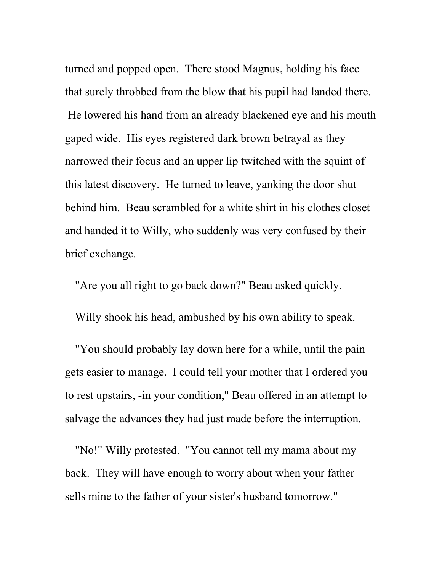turned and popped open. There stood Magnus, holding his face that surely throbbed from the blow that his pupil had landed there. He lowered his hand from an already blackened eye and his mouth gaped wide. His eyes registered dark brown betrayal as they narrowed their focus and an upper lip twitched with the squint of this latest discovery. He turned to leave, yanking the door shut behind him. Beau scrambled for a white shirt in his clothes closet and handed it to Willy, who suddenly was very confused by their brief exchange.

"Are you all right to go back down?" Beau asked quickly.

Willy shook his head, ambushed by his own ability to speak.

"You should probably lay down here for a while, until the pain gets easier to manage. I could tell your mother that I ordered you to rest upstairs, -in your condition," Beau offered in an attempt to salvage the advances they had just made before the interruption.

"No!" Willy protested. "You cannot tell my mama about my back. They will have enough to worry about when your father sells mine to the father of your sister's husband tomorrow."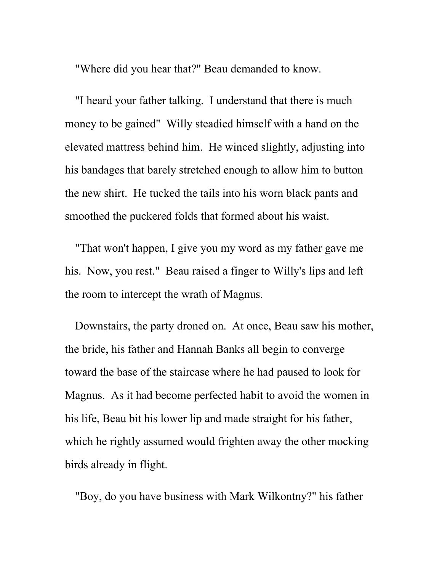"Where did you hear that?" Beau demanded to know.

"I heard your father talking. I understand that there is much money to be gained" Willy steadied himself with a hand on the elevated mattress behind him. He winced slightly, adjusting into his bandages that barely stretched enough to allow him to button the new shirt. He tucked the tails into his worn black pants and smoothed the puckered folds that formed about his waist.

"That won't happen, I give you my word as my father gave me his. Now, you rest." Beau raised a finger to Willy's lips and left the room to intercept the wrath of Magnus.

Downstairs, the party droned on. At once, Beau saw his mother, the bride, his father and Hannah Banks all begin to converge toward the base of the staircase where he had paused to look for Magnus. As it had become perfected habit to avoid the women in his life, Beau bit his lower lip and made straight for his father, which he rightly assumed would frighten away the other mocking birds already in flight.

"Boy, do you have business with Mark Wilkontny?" his father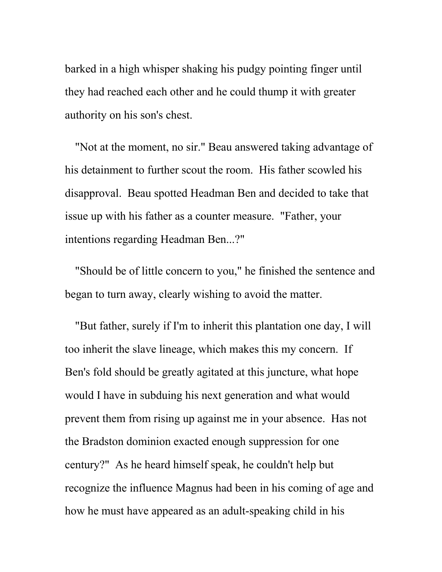barked in a high whisper shaking his pudgy pointing finger until they had reached each other and he could thump it with greater authority on his son's chest.

"Not at the moment, no sir." Beau answered taking advantage of his detainment to further scout the room. His father scowled his disapproval. Beau spotted Headman Ben and decided to take that issue up with his father as a counter measure. "Father, your intentions regarding Headman Ben...?"

"Should be of little concern to you," he finished the sentence and began to turn away, clearly wishing to avoid the matter.

"But father, surely if I'm to inherit this plantation one day, I will too inherit the slave lineage, which makes this my concern. If Ben's fold should be greatly agitated at this juncture, what hope would I have in subduing his next generation and what would prevent them from rising up against me in your absence. Has not the Bradston dominion exacted enough suppression for one century?" As he heard himself speak, he couldn't help but recognize the influence Magnus had been in his coming of age and how he must have appeared as an adult-speaking child in his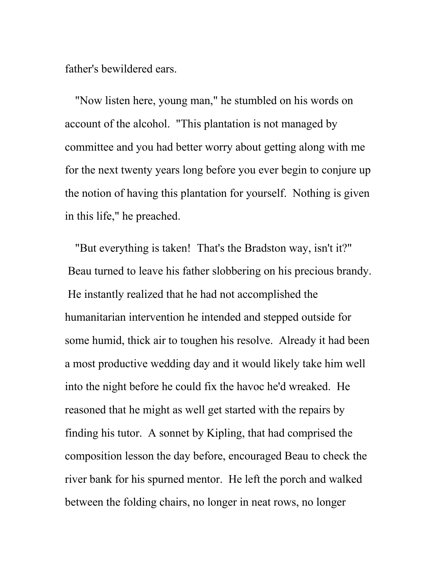father's bewildered ears.

"Now listen here, young man," he stumbled on his words on account of the alcohol. "This plantation is not managed by committee and you had better worry about getting along with me for the next twenty years long before you ever begin to conjure up the notion of having this plantation for yourself. Nothing is given in this life," he preached.

"But everything is taken! That's the Bradston way, isn't it?" Beau turned to leave his father slobbering on his precious brandy. He instantly realized that he had not accomplished the humanitarian intervention he intended and stepped outside for some humid, thick air to toughen his resolve. Already it had been a most productive wedding day and it would likely take him well into the night before he could fix the havoc he'd wreaked. He reasoned that he might as well get started with the repairs by finding his tutor. A sonnet by Kipling, that had comprised the composition lesson the day before, encouraged Beau to check the river bank for his spurned mentor. He left the porch and walked between the folding chairs, no longer in neat rows, no longer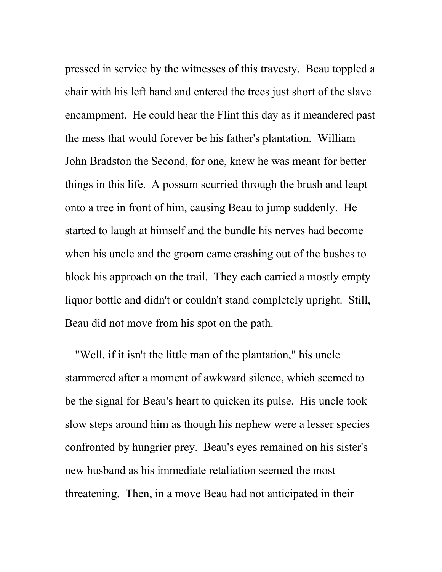pressed in service by the witnesses of this travesty. Beau toppled a chair with his left hand and entered the trees just short of the slave encampment. He could hear the Flint this day as it meandered past the mess that would forever be his father's plantation. William John Bradston the Second, for one, knew he was meant for better things in this life. A possum scurried through the brush and leapt onto a tree in front of him, causing Beau to jump suddenly. He started to laugh at himself and the bundle his nerves had become when his uncle and the groom came crashing out of the bushes to block his approach on the trail. They each carried a mostly empty liquor bottle and didn't or couldn't stand completely upright. Still, Beau did not move from his spot on the path.

"Well, if it isn't the little man of the plantation," his uncle stammered after a moment of awkward silence, which seemed to be the signal for Beau's heart to quicken its pulse. His uncle took slow steps around him as though his nephew were a lesser species confronted by hungrier prey. Beau's eyes remained on his sister's new husband as his immediate retaliation seemed the most threatening. Then, in a move Beau had not anticipated in their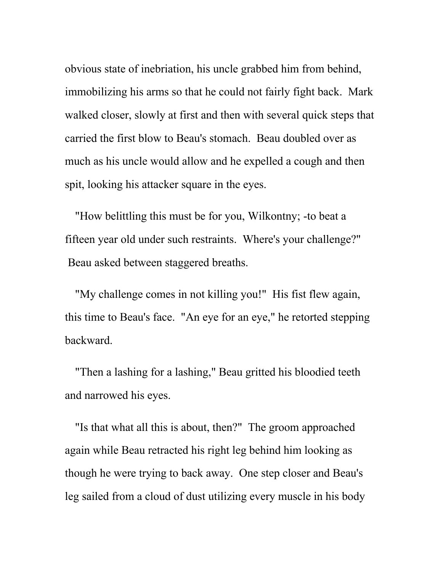obvious state of inebriation, his uncle grabbed him from behind, immobilizing his arms so that he could not fairly fight back. Mark walked closer, slowly at first and then with several quick steps that carried the first blow to Beau's stomach. Beau doubled over as much as his uncle would allow and he expelled a cough and then spit, looking his attacker square in the eyes.

"How belittling this must be for you, Wilkontny; -to beat a fifteen year old under such restraints. Where's your challenge?" Beau asked between staggered breaths.

"My challenge comes in not killing you!" His fist flew again, this time to Beau's face. "An eye for an eye," he retorted stepping backward.

"Then a lashing for a lashing," Beau gritted his bloodied teeth and narrowed his eyes.

"Is that what all this is about, then?" The groom approached again while Beau retracted his right leg behind him looking as though he were trying to back away. One step closer and Beau's leg sailed from a cloud of dust utilizing every muscle in his body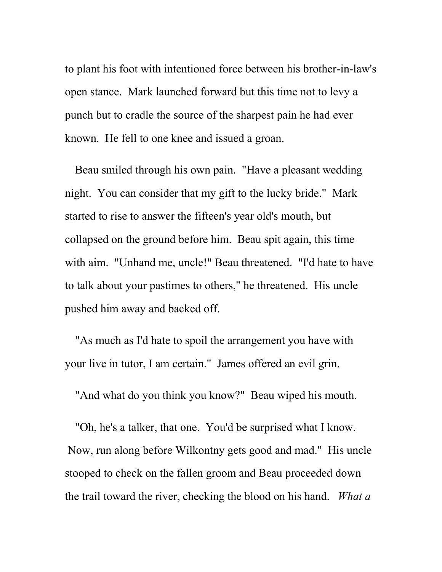to plant his foot with intentioned force between his brother-in-law's open stance. Mark launched forward but this time not to levy a punch but to cradle the source of the sharpest pain he had ever known. He fell to one knee and issued a groan.

Beau smiled through his own pain. "Have a pleasant wedding night. You can consider that my gift to the lucky bride." Mark started to rise to answer the fifteen's year old's mouth, but collapsed on the ground before him. Beau spit again, this time with aim. "Unhand me, uncle!" Beau threatened. "I'd hate to have to talk about your pastimes to others," he threatened. His uncle pushed him away and backed off.

"As much as I'd hate to spoil the arrangement you have with your live in tutor, I am certain." James offered an evil grin.

"And what do you think you know?" Beau wiped his mouth.

"Oh, he's a talker, that one. You'd be surprised what I know. Now, run along before Wilkontny gets good and mad." His uncle stooped to check on the fallen groom and Beau proceeded down the trail toward the river, checking the blood on his hand. *What a*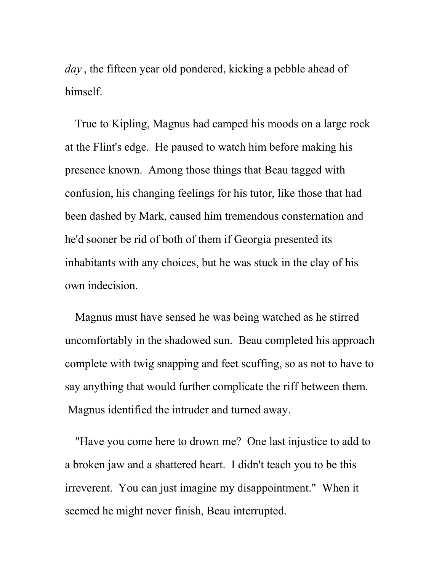*day* , the fifteen year old pondered, kicking a pebble ahead of himself.

True to Kipling, Magnus had camped his moods on a large rock at the Flint's edge. He paused to watch him before making his presence known. Among those things that Beau tagged with confusion, his changing feelings for his tutor, like those that had been dashed by Mark, caused him tremendous consternation and he'd sooner be rid of both of them if Georgia presented its inhabitants with any choices, but he was stuck in the clay of his own indecision.

Magnus must have sensed he was being watched as he stirred uncomfortably in the shadowed sun. Beau completed his approach complete with twig snapping and feet scuffing, so as not to have to say anything that would further complicate the riff between them. Magnus identified the intruder and turned away.

"Have you come here to drown me? One last injustice to add to a broken jaw and a shattered heart. I didn't teach you to be this irreverent. You can just imagine my disappointment." When it seemed he might never finish, Beau interrupted.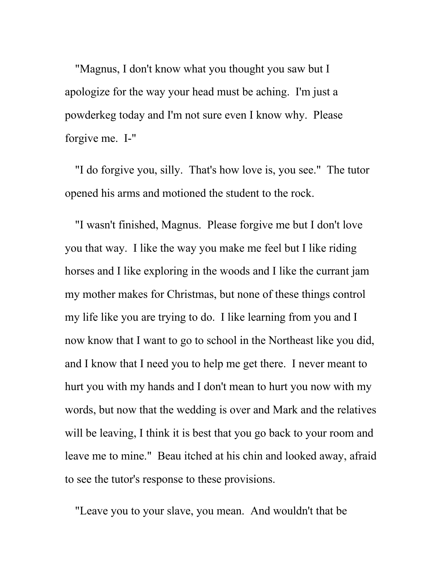"Magnus, I don't know what you thought you saw but I apologize for the way your head must be aching. I'm just a powderkeg today and I'm not sure even I know why. Please forgive me. I-"

"I do forgive you, silly. That's how love is, you see." The tutor opened his arms and motioned the student to the rock.

"I wasn't finished, Magnus. Please forgive me but I don't love you that way. I like the way you make me feel but I like riding horses and I like exploring in the woods and I like the currant jam my mother makes for Christmas, but none of these things control my life like you are trying to do. I like learning from you and I now know that I want to go to school in the Northeast like you did, and I know that I need you to help me get there. I never meant to hurt you with my hands and I don't mean to hurt you now with my words, but now that the wedding is over and Mark and the relatives will be leaving, I think it is best that you go back to your room and leave me to mine." Beau itched at his chin and looked away, afraid to see the tutor's response to these provisions.

"Leave you to your slave, you mean. And wouldn't that be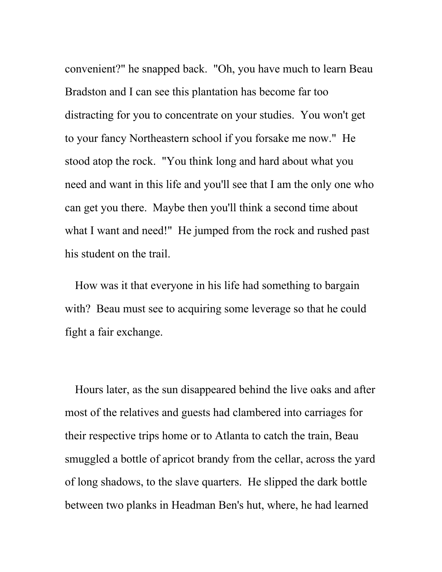convenient?" he snapped back. "Oh, you have much to learn Beau Bradston and I can see this plantation has become far too distracting for you to concentrate on your studies. You won't get to your fancy Northeastern school if you forsake me now." He stood atop the rock. "You think long and hard about what you need and want in this life and you'll see that I am the only one who can get you there. Maybe then you'll think a second time about what I want and need!" He jumped from the rock and rushed past his student on the trail.

How was it that everyone in his life had something to bargain with? Beau must see to acquiring some leverage so that he could fight a fair exchange.

Hours later, as the sun disappeared behind the live oaks and after most of the relatives and guests had clambered into carriages for their respective trips home or to Atlanta to catch the train, Beau smuggled a bottle of apricot brandy from the cellar, across the yard of long shadows, to the slave quarters. He slipped the dark bottle between two planks in Headman Ben's hut, where, he had learned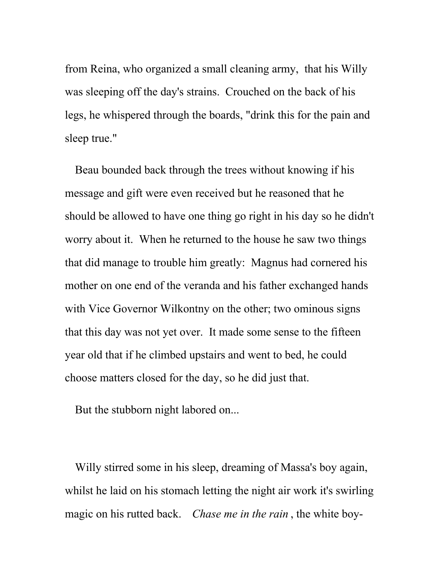from Reina, who organized a small cleaning army, that his Willy was sleeping off the day's strains. Crouched on the back of his legs, he whispered through the boards, "drink this for the pain and sleep true."

Beau bounded back through the trees without knowing if his message and gift were even received but he reasoned that he should be allowed to have one thing go right in his day so he didn't worry about it. When he returned to the house he saw two things that did manage to trouble him greatly: Magnus had cornered his mother on one end of the veranda and his father exchanged hands with Vice Governor Wilkontny on the other; two ominous signs that this day was not yet over. It made some sense to the fifteen year old that if he climbed upstairs and went to bed, he could choose matters closed for the day, so he did just that.

But the stubborn night labored on...

Willy stirred some in his sleep, dreaming of Massa's boy again, whilst he laid on his stomach letting the night air work it's swirling magic on his rutted back. *Chase me in the rain* , the white boy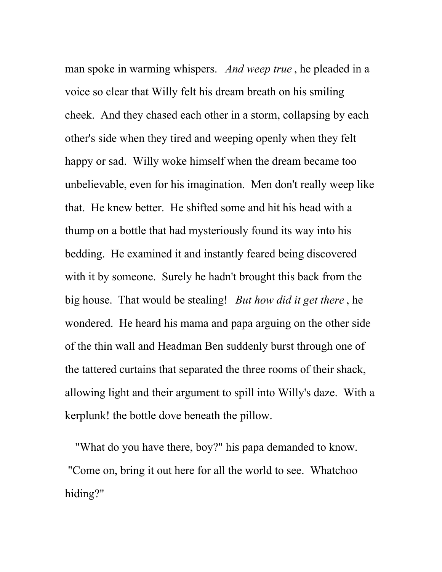man spoke in warming whispers. *And weep true* , he pleaded in a voice so clear that Willy felt his dream breath on his smiling cheek. And they chased each other in a storm, collapsing by each other's side when they tired and weeping openly when they felt happy or sad. Willy woke himself when the dream became too unbelievable, even for his imagination. Men don't really weep like that. He knew better. He shifted some and hit his head with a thump on a bottle that had mysteriously found its way into his bedding. He examined it and instantly feared being discovered with it by someone. Surely he hadn't brought this back from the big house. That would be stealing! *But how did it get there* , he wondered. He heard his mama and papa arguing on the other side of the thin wall and Headman Ben suddenly burst through one of the tattered curtains that separated the three rooms of their shack, allowing light and their argument to spill into Willy's daze. With a kerplunk! the bottle dove beneath the pillow.

"What do you have there, boy?" his papa demanded to know. "Come on, bring it out here for all the world to see. Whatchoo hiding?"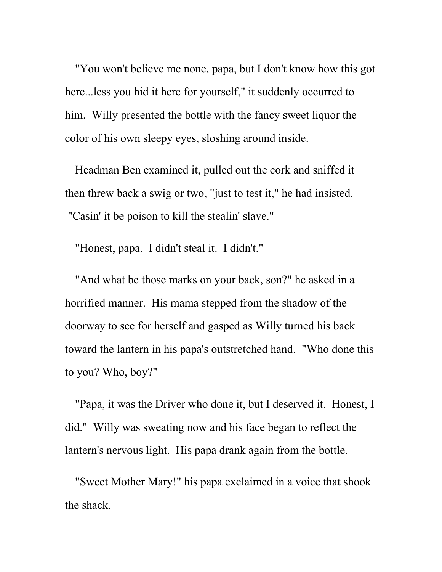"You won't believe me none, papa, but I don't know how this got here...less you hid it here for yourself," it suddenly occurred to him. Willy presented the bottle with the fancy sweet liquor the color of his own sleepy eyes, sloshing around inside.

Headman Ben examined it, pulled out the cork and sniffed it then threw back a swig or two, "just to test it," he had insisted. "Casin' it be poison to kill the stealin' slave."

"Honest, papa. I didn't steal it. I didn't."

"And what be those marks on your back, son?" he asked in a horrified manner. His mama stepped from the shadow of the doorway to see for herself and gasped as Willy turned his back toward the lantern in his papa's outstretched hand. "Who done this to you? Who, boy?"

"Papa, it was the Driver who done it, but I deserved it. Honest, I did." Willy was sweating now and his face began to reflect the lantern's nervous light. His papa drank again from the bottle.

"Sweet Mother Mary!" his papa exclaimed in a voice that shook the shack.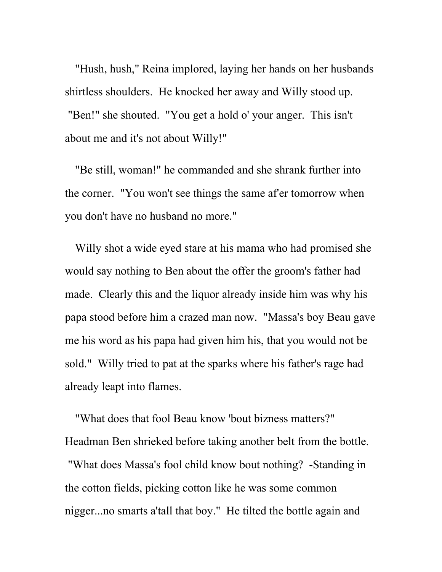"Hush, hush," Reina implored, laying her hands on her husbands shirtless shoulders. He knocked her away and Willy stood up. "Ben!" she shouted. "You get a hold o' your anger. This isn't about me and it's not about Willy!"

"Be still, woman!" he commanded and she shrank further into the corner. "You won't see things the same af'er tomorrow when you don't have no husband no more."

Willy shot a wide eyed stare at his mama who had promised she would say nothing to Ben about the offer the groom's father had made. Clearly this and the liquor already inside him was why his papa stood before him a crazed man now. "Massa's boy Beau gave me his word as his papa had given him his, that you would not be sold." Willy tried to pat at the sparks where his father's rage had already leapt into flames.

"What does that fool Beau know 'bout bizness matters?" Headman Ben shrieked before taking another belt from the bottle. "What does Massa's fool child know bout nothing? -Standing in the cotton fields, picking cotton like he was some common nigger...no smarts a'tall that boy." He tilted the bottle again and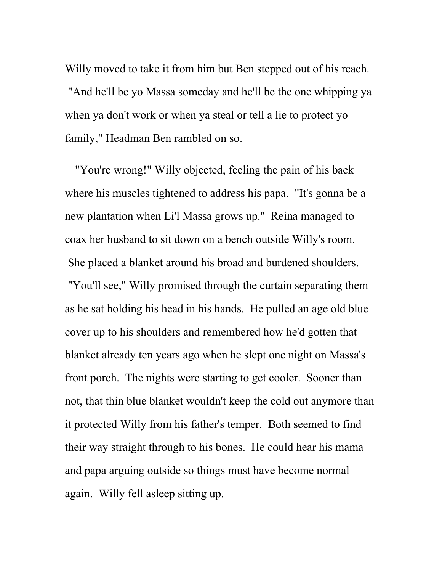Willy moved to take it from him but Ben stepped out of his reach. "And he'll be yo Massa someday and he'll be the one whipping ya when ya don't work or when ya steal or tell a lie to protect yo family," Headman Ben rambled on so.

"You're wrong!" Willy objected, feeling the pain of his back where his muscles tightened to address his papa. "It's gonna be a new plantation when Li'l Massa grows up." Reina managed to coax her husband to sit down on a bench outside Willy's room. She placed a blanket around his broad and burdened shoulders. "You'll see," Willy promised through the curtain separating them as he sat holding his head in his hands. He pulled an age old blue cover up to his shoulders and remembered how he'd gotten that blanket already ten years ago when he slept one night on Massa's front porch. The nights were starting to get cooler. Sooner than not, that thin blue blanket wouldn't keep the cold out anymore than it protected Willy from his father's temper. Both seemed to find their way straight through to his bones. He could hear his mama and papa arguing outside so things must have become normal again. Willy fell asleep sitting up.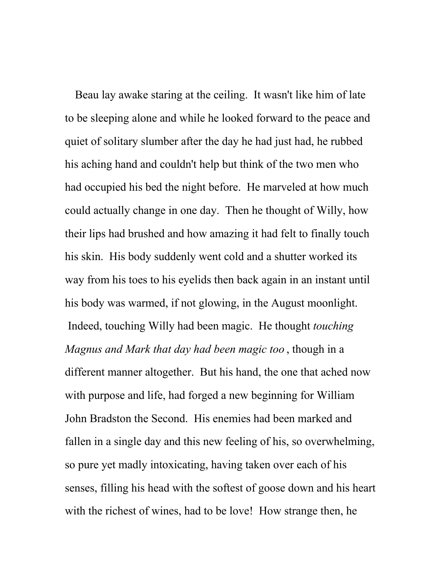Beau lay awake staring at the ceiling. It wasn't like him of late to be sleeping alone and while he looked forward to the peace and quiet of solitary slumber after the day he had just had, he rubbed his aching hand and couldn't help but think of the two men who had occupied his bed the night before. He marveled at how much could actually change in one day. Then he thought of Willy, how their lips had brushed and how amazing it had felt to finally touch his skin. His body suddenly went cold and a shutter worked its way from his toes to his eyelids then back again in an instant until his body was warmed, if not glowing, in the August moonlight. Indeed, touching Willy had been magic. He thought *touching Magnus and Mark that day had been magic too* , though in a different manner altogether. But his hand, the one that ached now with purpose and life, had forged a new beginning for William John Bradston the Second. His enemies had been marked and fallen in a single day and this new feeling of his, so overwhelming, so pure yet madly intoxicating, having taken over each of his senses, filling his head with the softest of goose down and his heart with the richest of wines, had to be love! How strange then, he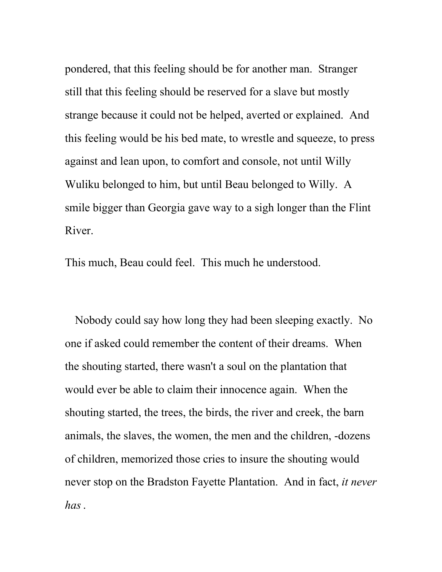pondered, that this feeling should be for another man. Stranger still that this feeling should be reserved for a slave but mostly strange because it could not be helped, averted or explained. And this feeling would be his bed mate, to wrestle and squeeze, to press against and lean upon, to comfort and console, not until Willy Wuliku belonged to him, but until Beau belonged to Willy. A smile bigger than Georgia gave way to a sigh longer than the Flint River.

This much, Beau could feel. This much he understood.

Nobody could say how long they had been sleeping exactly. No one if asked could remember the content of their dreams. When the shouting started, there wasn't a soul on the plantation that would ever be able to claim their innocence again. When the shouting started, the trees, the birds, the river and creek, the barn animals, the slaves, the women, the men and the children, -dozens of children, memorized those cries to insure the shouting would never stop on the Bradston Fayette Plantation. And in fact, *it never has*.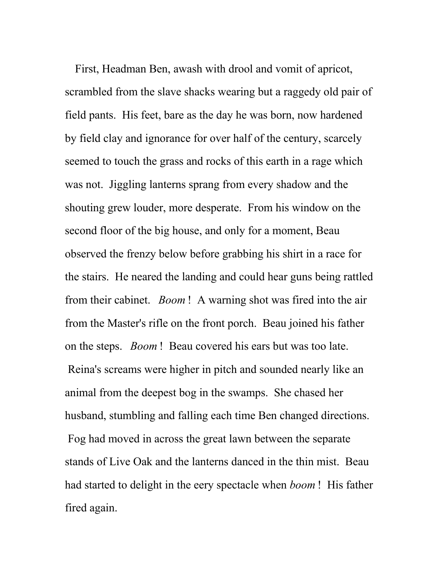First, Headman Ben, awash with drool and vomit of apricot, scrambled from the slave shacks wearing but a raggedy old pair of field pants. His feet, bare as the day he was born, now hardened by field clay and ignorance for over half of the century, scarcely seemed to touch the grass and rocks of this earth in a rage which was not. Jiggling lanterns sprang from every shadow and the shouting grew louder, more desperate. From his window on the second floor of the big house, and only for a moment, Beau observed the frenzy below before grabbing his shirt in a race for the stairs. He neared the landing and could hear guns being rattled from their cabinet. *Boom* ! A warning shot was fired into the air from the Master's rifle on the front porch. Beau joined his father on the steps. *Boom* ! Beau covered his ears but was too late. Reina's screams were higher in pitch and sounded nearly like an animal from the deepest bog in the swamps. She chased her husband, stumbling and falling each time Ben changed directions. Fog had moved in across the great lawn between the separate stands of Live Oak and the lanterns danced in the thin mist. Beau had started to delight in the eery spectacle when *boom* ! His father fired again.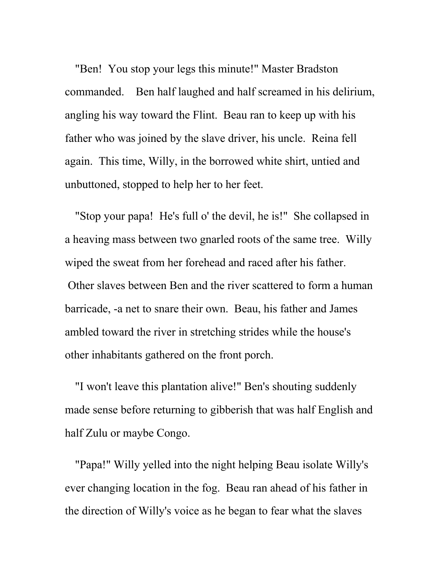"Ben! You stop your legs this minute!" Master Bradston commanded. Ben half laughed and half screamed in his delirium, angling his way toward the Flint. Beau ran to keep up with his father who was joined by the slave driver, his uncle. Reina fell again. This time, Willy, in the borrowed white shirt, untied and unbuttoned, stopped to help her to her feet.

"Stop your papa! He's full o' the devil, he is!" She collapsed in a heaving mass between two gnarled roots of the same tree. Willy wiped the sweat from her forehead and raced after his father. Other slaves between Ben and the river scattered to form a human barricade, -a net to snare their own. Beau, his father and James ambled toward the river in stretching strides while the house's other inhabitants gathered on the front porch.

"I won't leave this plantation alive!" Ben's shouting suddenly made sense before returning to gibberish that was half English and half Zulu or maybe Congo.

"Papa!" Willy yelled into the night helping Beau isolate Willy's ever changing location in the fog. Beau ran ahead of his father in the direction of Willy's voice as he began to fear what the slaves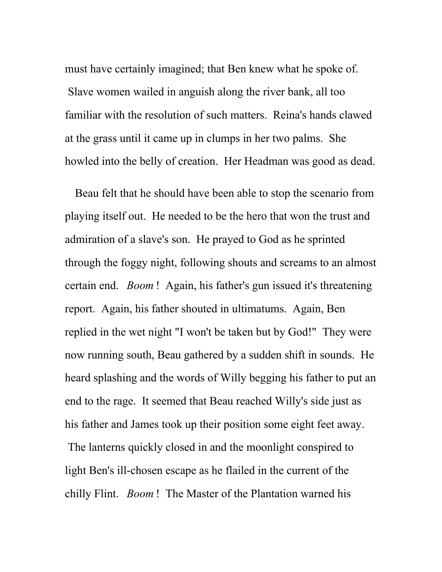must have certainly imagined; that Ben knew what he spoke of. Slave women wailed in anguish along the river bank, all too familiar with the resolution of such matters. Reina's hands clawed at the grass until it came up in clumps in her two palms. She howled into the belly of creation. Her Headman was good as dead.

Beau felt that he should have been able to stop the scenario from playing itself out. He needed to be the hero that won the trust and admiration of a slave's son. He prayed to God as he sprinted through the foggy night, following shouts and screams to an almost certain end. *Boom* ! Again, his father's gun issued it's threatening report. Again, his father shouted in ultimatums. Again, Ben replied in the wet night "I won't be taken but by God!" They were now running south, Beau gathered by a sudden shift in sounds. He heard splashing and the words of Willy begging his father to put an end to the rage. It seemed that Beau reached Willy's side just as his father and James took up their position some eight feet away. The lanterns quickly closed in and the moonlight conspired to light Ben's ill-chosen escape as he flailed in the current of the

chilly Flint. *Boom* ! The Master of the Plantation warned his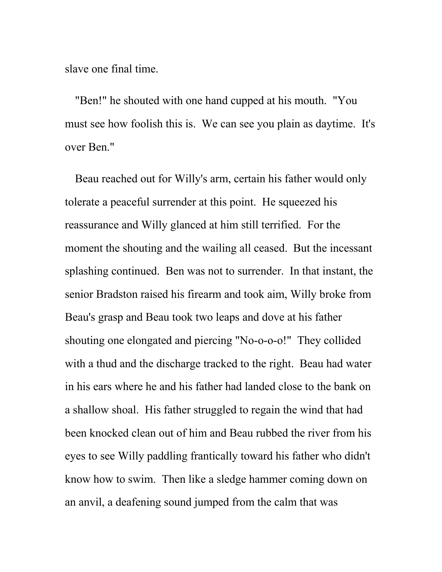slave one final time.

"Ben!" he shouted with one hand cupped at his mouth. "You must see how foolish this is. We can see you plain as daytime. It's over Ben."

Beau reached out for Willy's arm, certain his father would only tolerate a peaceful surrender at this point. He squeezed his reassurance and Willy glanced at him still terrified. For the moment the shouting and the wailing all ceased. But the incessant splashing continued. Ben was not to surrender. In that instant, the senior Bradston raised his firearm and took aim, Willy broke from Beau's grasp and Beau took two leaps and dove at his father shouting one elongated and piercing "No-o-o-o!" They collided with a thud and the discharge tracked to the right. Beau had water in his ears where he and his father had landed close to the bank on a shallow shoal. His father struggled to regain the wind that had been knocked clean out of him and Beau rubbed the river from his eyes to see Willy paddling frantically toward his father who didn't know how to swim. Then like a sledge hammer coming down on an anvil, a deafening sound jumped from the calm that was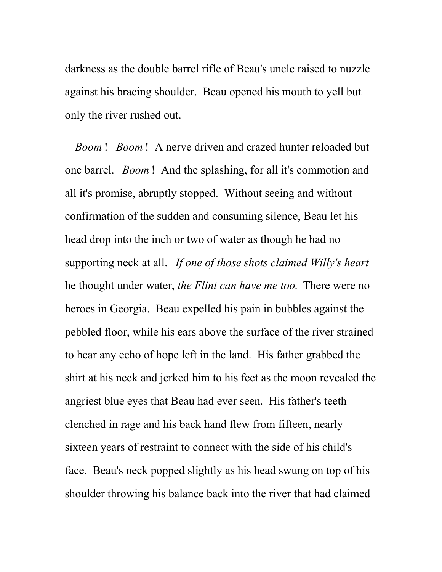darkness as the double barrel rifle of Beau's uncle raised to nuzzle against his bracing shoulder. Beau opened his mouth to yell but only the river rushed out.

*Boom* ! *Boom* ! A nerve driven and crazed hunter reloaded but one barrel. *Boom* ! And the splashing, for all it's commotion and all it's promise, abruptly stopped. Without seeing and without confirmation of the sudden and consuming silence, Beau let his head drop into the inch or two of water as though he had no supporting neck at all. *If one of those shots claimed Willy's heart* he thought under water, *the Flint can have me too.* There were no heroes in Georgia. Beau expelled his pain in bubbles against the pebbled floor, while his ears above the surface of the river strained to hear any echo of hope left in the land. His father grabbed the shirt at his neck and jerked him to his feet as the moon revealed the angriest blue eyes that Beau had ever seen. His father's teeth clenched in rage and his back hand flew from fifteen, nearly sixteen years of restraint to connect with the side of his child's face. Beau's neck popped slightly as his head swung on top of his shoulder throwing his balance back into the river that had claimed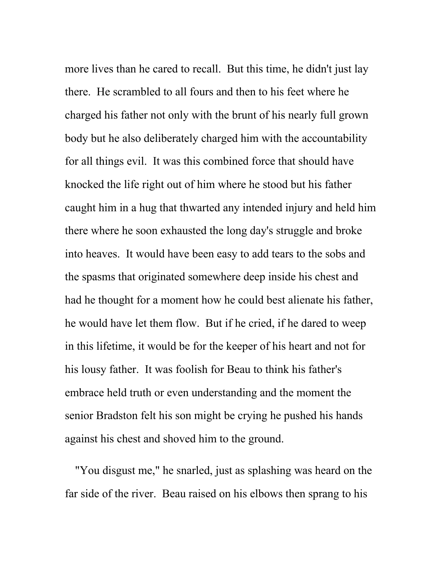more lives than he cared to recall. But this time, he didn't just lay there. He scrambled to all fours and then to his feet where he charged his father not only with the brunt of his nearly full grown body but he also deliberately charged him with the accountability for all things evil. It was this combined force that should have knocked the life right out of him where he stood but his father caught him in a hug that thwarted any intended injury and held him there where he soon exhausted the long day's struggle and broke into heaves. It would have been easy to add tears to the sobs and the spasms that originated somewhere deep inside his chest and had he thought for a moment how he could best alienate his father, he would have let them flow. But if he cried, if he dared to weep in this lifetime, it would be for the keeper of his heart and not for his lousy father. It was foolish for Beau to think his father's embrace held truth or even understanding and the moment the senior Bradston felt his son might be crying he pushed his hands against his chest and shoved him to the ground.

"You disgust me," he snarled, just as splashing was heard on the far side of the river. Beau raised on his elbows then sprang to his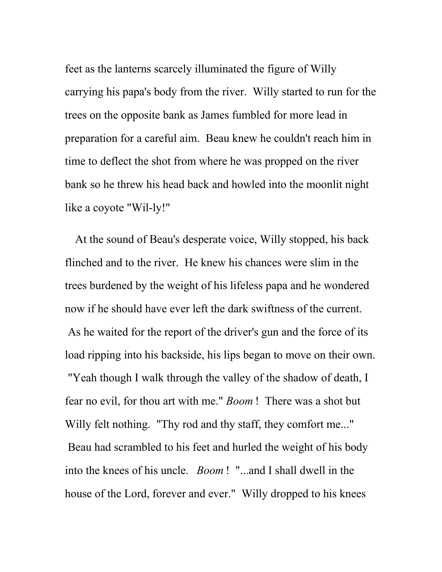feet as the lanterns scarcely illuminated the figure of Willy carrying his papa's body from the river. Willy started to run for the trees on the opposite bank as James fumbled for more lead in preparation for a careful aim. Beau knew he couldn't reach him in time to deflect the shot from where he was propped on the river bank so he threw his head back and howled into the moonlit night like a coyote "Wil-ly!"

At the sound of Beau's desperate voice, Willy stopped, his back flinched and to the river. He knew his chances were slim in the trees burdened by the weight of his lifeless papa and he wondered now if he should have ever left the dark swiftness of the current. As he waited for the report of the driver's gun and the force of its load ripping into his backside, his lips began to move on their own. "Yeah though I walk through the valley of the shadow of death, I fear no evil, for thou art with me." *Boom* ! There was a shot but Willy felt nothing. "Thy rod and thy staff, they comfort me..." Beau had scrambled to his feet and hurled the weight of his body into the knees of his uncle. *Boom* ! "...and I shall dwell in the house of the Lord, forever and ever." Willy dropped to his knees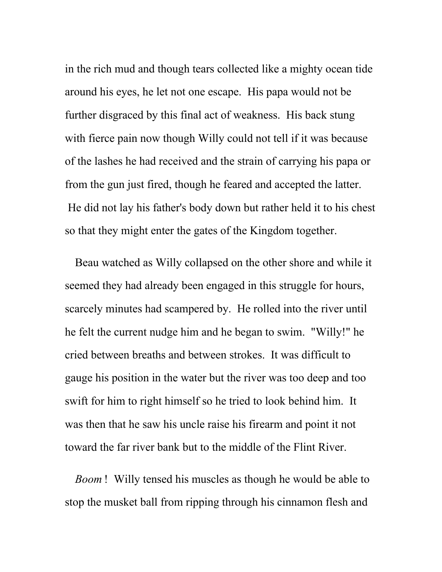in the rich mud and though tears collected like a mighty ocean tide around his eyes, he let not one escape. His papa would not be further disgraced by this final act of weakness. His back stung with fierce pain now though Willy could not tell if it was because of the lashes he had received and the strain of carrying his papa or from the gun just fired, though he feared and accepted the latter. He did not lay his father's body down but rather held it to his chest so that they might enter the gates of the Kingdom together.

Beau watched as Willy collapsed on the other shore and while it seemed they had already been engaged in this struggle for hours, scarcely minutes had scampered by. He rolled into the river until he felt the current nudge him and he began to swim. "Willy!" he cried between breaths and between strokes. It was difficult to gauge his position in the water but the river was too deep and too swift for him to right himself so he tried to look behind him. It was then that he saw his uncle raise his firearm and point it not toward the far river bank but to the middle of the Flint River.

*Boom* ! Willy tensed his muscles as though he would be able to stop the musket ball from ripping through his cinnamon flesh and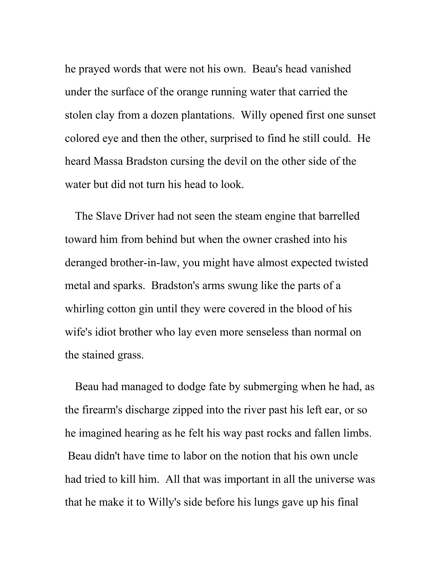he prayed words that were not his own. Beau's head vanished under the surface of the orange running water that carried the stolen clay from a dozen plantations. Willy opened first one sunset colored eye and then the other, surprised to find he still could. He heard Massa Bradston cursing the devil on the other side of the water but did not turn his head to look.

The Slave Driver had not seen the steam engine that barrelled toward him from behind but when the owner crashed into his deranged brother-in-law, you might have almost expected twisted metal and sparks. Bradston's arms swung like the parts of a whirling cotton gin until they were covered in the blood of his wife's idiot brother who lay even more senseless than normal on the stained grass.

Beau had managed to dodge fate by submerging when he had, as the firearm's discharge zipped into the river past his left ear, or so he imagined hearing as he felt his way past rocks and fallen limbs. Beau didn't have time to labor on the notion that his own uncle had tried to kill him. All that was important in all the universe was that he make it to Willy's side before his lungs gave up his final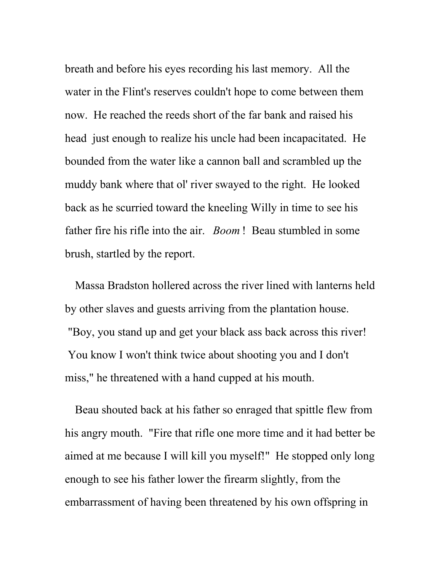breath and before his eyes recording his last memory. All the water in the Flint's reserves couldn't hope to come between them now. He reached the reeds short of the far bank and raised his head just enough to realize his uncle had been incapacitated. He bounded from the water like a cannon ball and scrambled up the muddy bank where that ol' river swayed to the right. He looked back as he scurried toward the kneeling Willy in time to see his father fire his rifle into the air. *Boom* ! Beau stumbled in some brush, startled by the report.

Massa Bradston hollered across the river lined with lanterns held by other slaves and guests arriving from the plantation house. "Boy, you stand up and get your black ass back across this river! You know I won't think twice about shooting you and I don't miss," he threatened with a hand cupped at his mouth.

Beau shouted back at his father so enraged that spittle flew from his angry mouth. "Fire that rifle one more time and it had better be aimed at me because I will kill you myself!" He stopped only long enough to see his father lower the firearm slightly, from the embarrassment of having been threatened by his own offspring in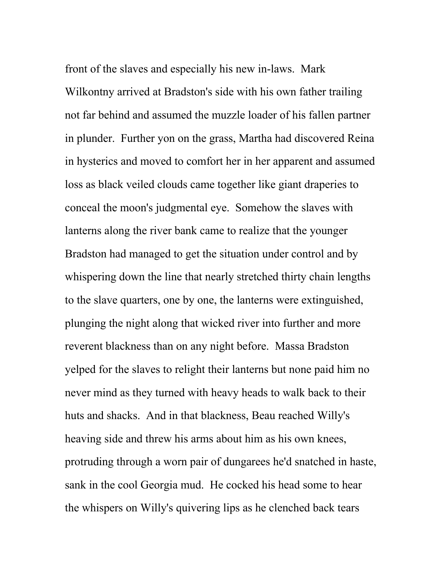front of the slaves and especially his new in-laws. Mark Wilkontny arrived at Bradston's side with his own father trailing not far behind and assumed the muzzle loader of his fallen partner in plunder. Further yon on the grass, Martha had discovered Reina in hysterics and moved to comfort her in her apparent and assumed loss as black veiled clouds came together like giant draperies to conceal the moon's judgmental eye. Somehow the slaves with lanterns along the river bank came to realize that the younger Bradston had managed to get the situation under control and by whispering down the line that nearly stretched thirty chain lengths to the slave quarters, one by one, the lanterns were extinguished, plunging the night along that wicked river into further and more reverent blackness than on any night before. Massa Bradston yelped for the slaves to relight their lanterns but none paid him no never mind as they turned with heavy heads to walk back to their huts and shacks. And in that blackness, Beau reached Willy's heaving side and threw his arms about him as his own knees, protruding through a worn pair of dungarees he'd snatched in haste, sank in the cool Georgia mud. He cocked his head some to hear the whispers on Willy's quivering lips as he clenched back tears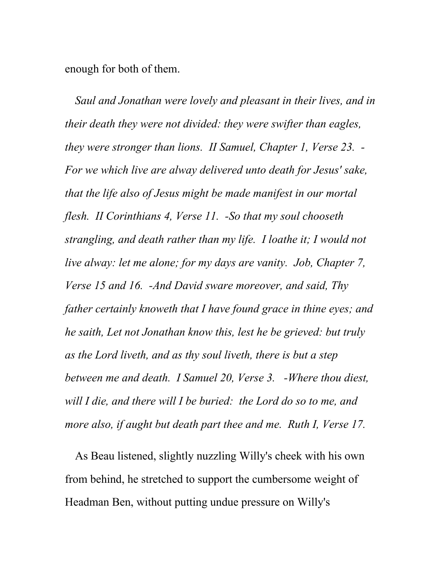enough for both of them.

*Saul and Jonathan were lovely and pleasant in their lives, and in their death they were not divided: they were swifter than eagles, they were stronger than lions. II Samuel, Chapter 1, Verse 23. - For we which live are alway delivered unto death for Jesus' sake, that the life also of Jesus might be made manifest in our mortal flesh. II Corinthians 4, Verse 11. -So that my soul chooseth strangling, and death rather than my life. I loathe it; I would not live alway: let me alone; for my days are vanity. Job, Chapter 7, Verse 15 and 16. -And David sware moreover, and said, Thy father certainly knoweth that I have found grace in thine eyes; and he saith, Let not Jonathan know this, lest he be grieved: but truly as the Lord liveth, and as thy soul liveth, there is but a step between me and death. I Samuel 20, Verse 3. -Where thou diest, will I die, and there will I be buried: the Lord do so to me, and more also, if aught but death part thee and me. Ruth I, Verse 17.*

As Beau listened, slightly nuzzling Willy's cheek with his own from behind, he stretched to support the cumbersome weight of Headman Ben, without putting undue pressure on Willy's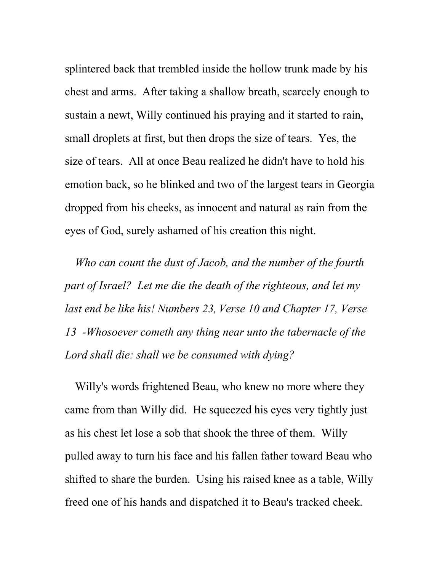splintered back that trembled inside the hollow trunk made by his chest and arms. After taking a shallow breath, scarcely enough to sustain a newt, Willy continued his praying and it started to rain, small droplets at first, but then drops the size of tears. Yes, the size of tears. All at once Beau realized he didn't have to hold his emotion back, so he blinked and two of the largest tears in Georgia dropped from his cheeks, as innocent and natural as rain from the eyes of God, surely ashamed of his creation this night.

*Who can count the dust of Jacob, and the number of the fourth part of Israel? Let me die the death of the righteous, and let my last end be like his! Numbers 23, Verse 10 and Chapter 17, Verse 13 -Whosoever cometh any thing near unto the tabernacle of the Lord shall die: shall we be consumed with dying?*

Willy's words frightened Beau, who knew no more where they came from than Willy did. He squeezed his eyes very tightly just as his chest let lose a sob that shook the three of them. Willy pulled away to turn his face and his fallen father toward Beau who shifted to share the burden. Using his raised knee as a table, Willy freed one of his hands and dispatched it to Beau's tracked cheek.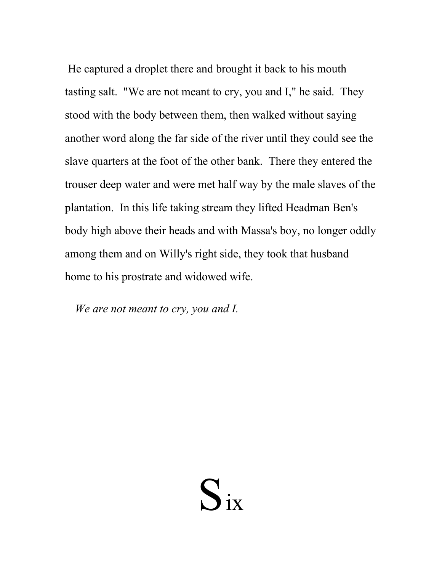He captured a droplet there and brought it back to his mouth tasting salt. "We are not meant to cry, you and I," he said. They stood with the body between them, then walked without saying another word along the far side of the river until they could see the slave quarters at the foot of the other bank. There they entered the trouser deep water and were met half way by the male slaves of the plantation. In this life taking stream they lifted Headman Ben's body high above their heads and with Massa's boy, no longer oddly among them and on Willy's right side, they took that husband home to his prostrate and widowed wife.

*We are not meant to cry, you and I.*

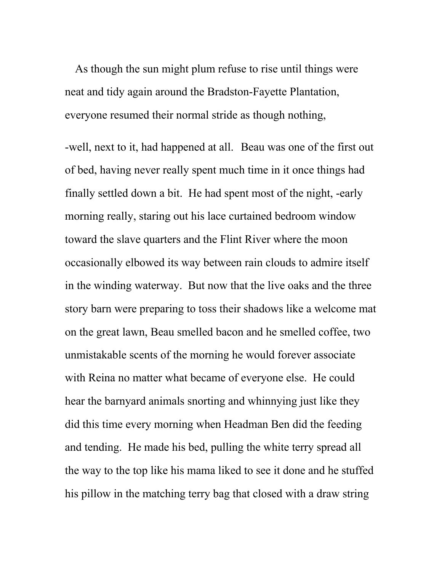As though the sun might plum refuse to rise until things were neat and tidy again around the Bradston-Fayette Plantation, everyone resumed their normal stride as though nothing,

-well, next to it, had happened at all. Beau was one of the first out of bed, having never really spent much time in it once things had finally settled down a bit. He had spent most of the night, -early morning really, staring out his lace curtained bedroom window toward the slave quarters and the Flint River where the moon occasionally elbowed its way between rain clouds to admire itself in the winding waterway. But now that the live oaks and the three story barn were preparing to toss their shadows like a welcome mat on the great lawn, Beau smelled bacon and he smelled coffee, two unmistakable scents of the morning he would forever associate with Reina no matter what became of everyone else. He could hear the barnyard animals snorting and whinnying just like they did this time every morning when Headman Ben did the feeding and tending. He made his bed, pulling the white terry spread all the way to the top like his mama liked to see it done and he stuffed his pillow in the matching terry bag that closed with a draw string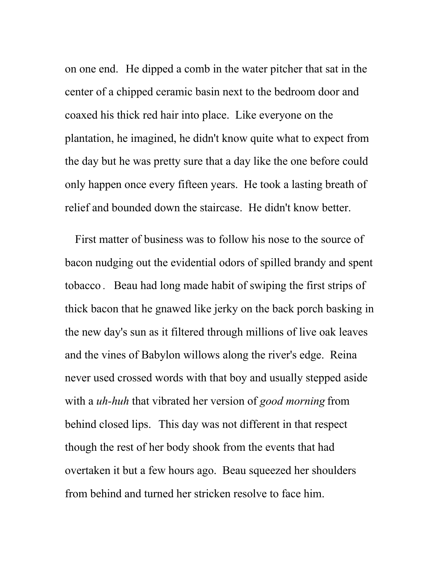on one end. He dipped a comb in the water pitcher that sat in the center of a chipped ceramic basin next to the bedroom door and coaxed his thick red hair into place. Like everyone on the plantation, he imagined, he didn't know quite what to expect from the day but he was pretty sure that a day like the one before could only happen once every fifteen years. He took a lasting breath of relief and bounded down the staircase. He didn't know better.

First matter of business was to follow his nose to the source of bacon nudging out the evidential odors of spilled brandy and spent tobacco *.* Beau had long made habit of swiping the first strips of thick bacon that he gnawed like jerky on the back porch basking in the new day's sun as it filtered through millions of live oak leaves and the vines of Babylon willows along the river's edge. Reina never used crossed words with that boy and usually stepped aside with a *uh-huh* that vibrated her version of *good morning* from behind closed lips. This day was not different in that respect though the rest of her body shook from the events that had overtaken it but a few hours ago. Beau squeezed her shoulders from behind and turned her stricken resolve to face him.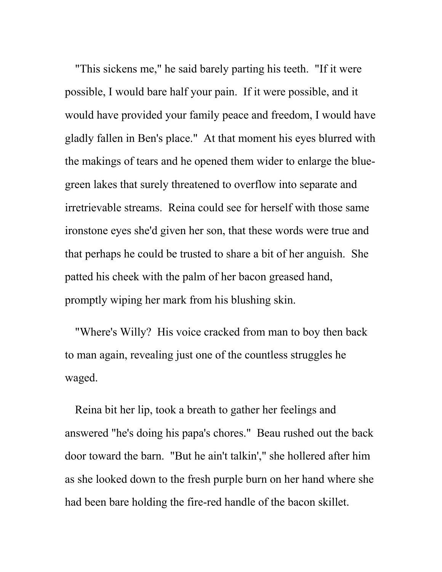"This sickens me," he said barely parting his teeth. "If it were possible, I would bare half your pain. If it were possible, and it would have provided your family peace and freedom, I would have gladly fallen in Ben's place." At that moment his eyes blurred with the makings of tears and he opened them wider to enlarge the bluegreen lakes that surely threatened to overflow into separate and irretrievable streams. Reina could see for herself with those same ironstone eyes she'd given her son, that these words were true and that perhaps he could be trusted to share a bit of her anguish. She patted his cheek with the palm of her bacon greased hand, promptly wiping her mark from his blushing skin.

"Where's Willy? His voice cracked from man to boy then back to man again, revealing just one of the countless struggles he waged.

Reina bit her lip, took a breath to gather her feelings and answered "he's doing his papa's chores." Beau rushed out the back door toward the barn. "But he ain't talkin'," she hollered after him as she looked down to the fresh purple burn on her hand where she had been bare holding the fire-red handle of the bacon skillet.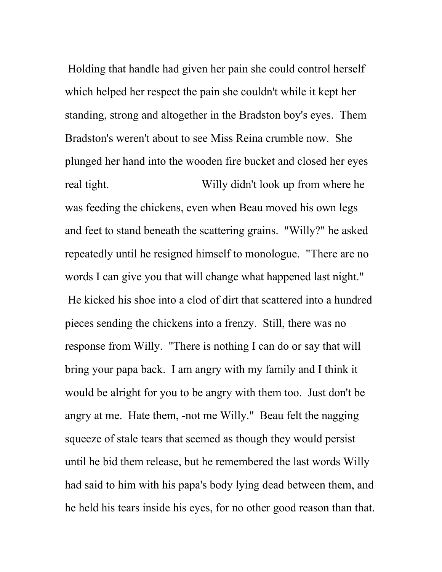Holding that handle had given her pain she could control herself which helped her respect the pain she couldn't while it kept her standing, strong and altogether in the Bradston boy's eyes. Them Bradston's weren't about to see Miss Reina crumble now. She plunged her hand into the wooden fire bucket and closed her eyes real tight. Willy didn't look up from where he was feeding the chickens, even when Beau moved his own legs and feet to stand beneath the scattering grains. "Willy?" he asked repeatedly until he resigned himself to monologue. "There are no words I can give you that will change what happened last night." He kicked his shoe into a clod of dirt that scattered into a hundred pieces sending the chickens into a frenzy. Still, there was no response from Willy. "There is nothing I can do or say that will bring your papa back. I am angry with my family and I think it would be alright for you to be angry with them too. Just don't be angry at me. Hate them, -not me Willy." Beau felt the nagging squeeze of stale tears that seemed as though they would persist until he bid them release, but he remembered the last words Willy had said to him with his papa's body lying dead between them, and he held his tears inside his eyes, for no other good reason than that.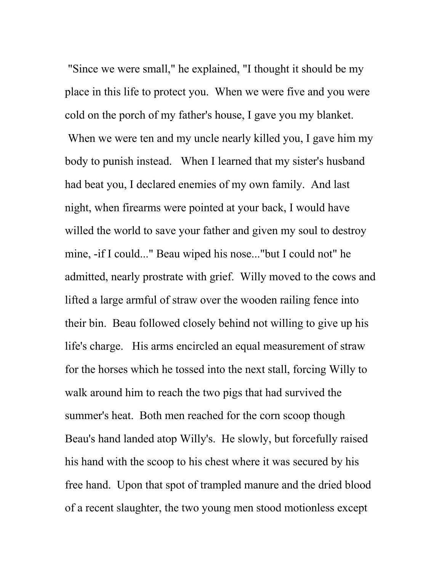"Since we were small," he explained, "I thought it should be my place in this life to protect you. When we were five and you were cold on the porch of my father's house, I gave you my blanket. When we were ten and my uncle nearly killed you, I gave him my body to punish instead. When I learned that my sister's husband had beat you, I declared enemies of my own family. And last night, when firearms were pointed at your back, I would have willed the world to save your father and given my soul to destroy mine, -if I could..." Beau wiped his nose..."but I could not" he admitted, nearly prostrate with grief. Willy moved to the cows and lifted a large armful of straw over the wooden railing fence into their bin. Beau followed closely behind not willing to give up his life's charge. His arms encircled an equal measurement of straw for the horses which he tossed into the next stall, forcing Willy to walk around him to reach the two pigs that had survived the summer's heat. Both men reached for the corn scoop though Beau's hand landed atop Willy's. He slowly, but forcefully raised his hand with the scoop to his chest where it was secured by his free hand. Upon that spot of trampled manure and the dried blood of a recent slaughter, the two young men stood motionless except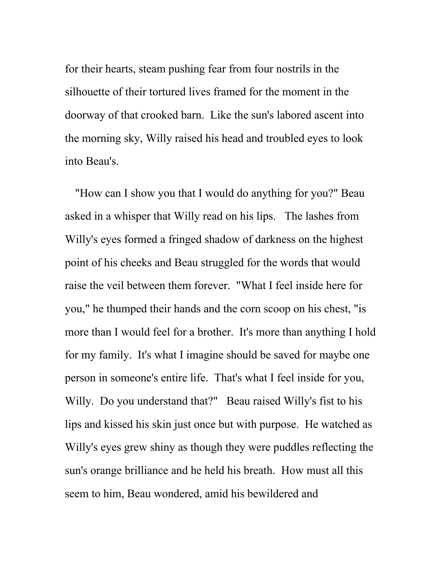for their hearts, steam pushing fear from four nostrils in the silhouette of their tortured lives framed for the moment in the doorway of that crooked barn. Like the sun's labored ascent into the morning sky, Willy raised his head and troubled eyes to look into Beau's.

"How can I show you that I would do anything for you?" Beau asked in a whisper that Willy read on his lips. The lashes from Willy's eyes formed a fringed shadow of darkness on the highest point of his cheeks and Beau struggled for the words that would raise the veil between them forever. "What I feel inside here for you," he thumped their hands and the corn scoop on his chest, "is more than I would feel for a brother. It's more than anything I hold for my family. It's what I imagine should be saved for maybe one person in someone's entire life. That's what I feel inside for you, Willy. Do you understand that?" Beau raised Willy's fist to his lips and kissed his skin just once but with purpose. He watched as Willy's eyes grew shiny as though they were puddles reflecting the sun's orange brilliance and he held his breath. How must all this seem to him, Beau wondered, amid his bewildered and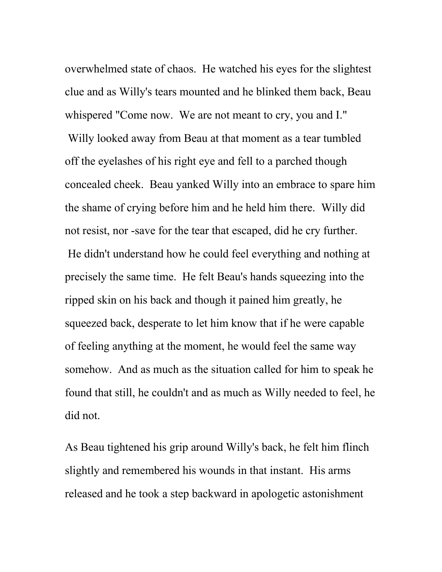overwhelmed state of chaos. He watched his eyes for the slightest clue and as Willy's tears mounted and he blinked them back, Beau whispered "Come now. We are not meant to cry, you and I." Willy looked away from Beau at that moment as a tear tumbled off the eyelashes of his right eye and fell to a parched though concealed cheek. Beau yanked Willy into an embrace to spare him the shame of crying before him and he held him there. Willy did not resist, nor -save for the tear that escaped, did he cry further. He didn't understand how he could feel everything and nothing at precisely the same time. He felt Beau's hands squeezing into the ripped skin on his back and though it pained him greatly, he squeezed back, desperate to let him know that if he were capable of feeling anything at the moment, he would feel the same way somehow. And as much as the situation called for him to speak he found that still, he couldn't and as much as Willy needed to feel, he did not.

As Beau tightened his grip around Willy's back, he felt him flinch slightly and remembered his wounds in that instant. His arms released and he took a step backward in apologetic astonishment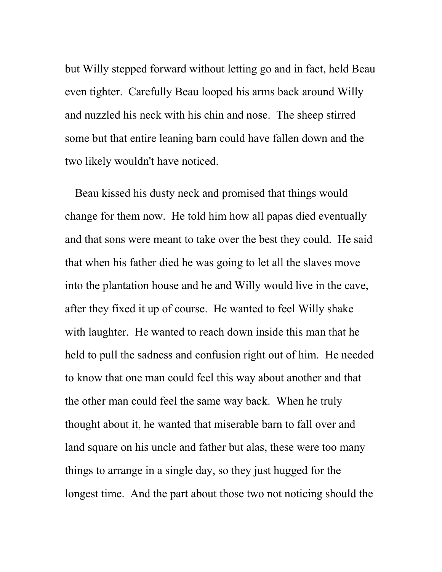but Willy stepped forward without letting go and in fact, held Beau even tighter. Carefully Beau looped his arms back around Willy and nuzzled his neck with his chin and nose. The sheep stirred some but that entire leaning barn could have fallen down and the two likely wouldn't have noticed.

Beau kissed his dusty neck and promised that things would change for them now. He told him how all papas died eventually and that sons were meant to take over the best they could. He said that when his father died he was going to let all the slaves move into the plantation house and he and Willy would live in the cave, after they fixed it up of course. He wanted to feel Willy shake with laughter. He wanted to reach down inside this man that he held to pull the sadness and confusion right out of him. He needed to know that one man could feel this way about another and that the other man could feel the same way back. When he truly thought about it, he wanted that miserable barn to fall over and land square on his uncle and father but alas, these were too many things to arrange in a single day, so they just hugged for the longest time. And the part about those two not noticing should the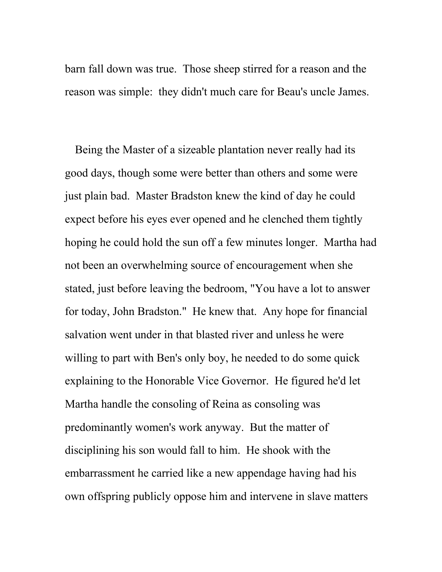barn fall down was true. Those sheep stirred for a reason and the reason was simple: they didn't much care for Beau's uncle James.

Being the Master of a sizeable plantation never really had its good days, though some were better than others and some were just plain bad. Master Bradston knew the kind of day he could expect before his eyes ever opened and he clenched them tightly hoping he could hold the sun off a few minutes longer. Martha had not been an overwhelming source of encouragement when she stated, just before leaving the bedroom, "You have a lot to answer for today, John Bradston." He knew that. Any hope for financial salvation went under in that blasted river and unless he were willing to part with Ben's only boy, he needed to do some quick explaining to the Honorable Vice Governor. He figured he'd let Martha handle the consoling of Reina as consoling was predominantly women's work anyway. But the matter of disciplining his son would fall to him. He shook with the embarrassment he carried like a new appendage having had his own offspring publicly oppose him and intervene in slave matters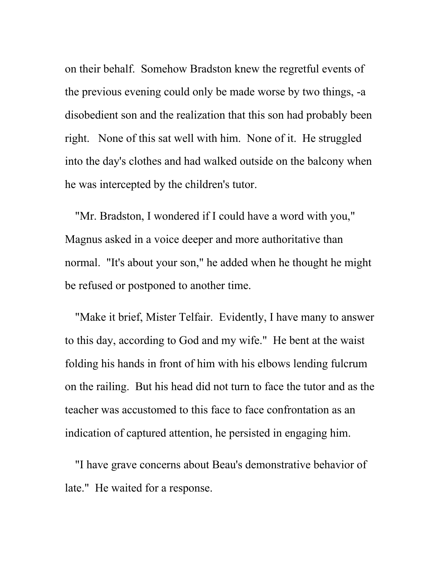on their behalf. Somehow Bradston knew the regretful events of the previous evening could only be made worse by two things, -a disobedient son and the realization that this son had probably been right. None of this sat well with him. None of it. He struggled into the day's clothes and had walked outside on the balcony when he was intercepted by the children's tutor.

"Mr. Bradston, I wondered if I could have a word with you," Magnus asked in a voice deeper and more authoritative than normal. "It's about your son," he added when he thought he might be refused or postponed to another time.

"Make it brief, Mister Telfair. Evidently, I have many to answer to this day, according to God and my wife." He bent at the waist folding his hands in front of him with his elbows lending fulcrum on the railing. But his head did not turn to face the tutor and as the teacher was accustomed to this face to face confrontation as an indication of captured attention, he persisted in engaging him.

"I have grave concerns about Beau's demonstrative behavior of late." He waited for a response.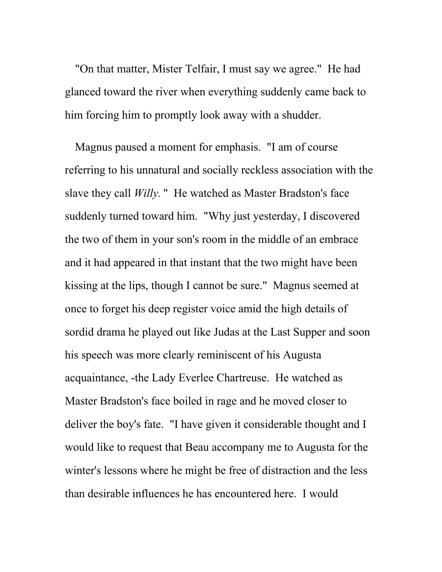"On that matter, Mister Telfair, I must say we agree." He had glanced toward the river when everything suddenly came back to him forcing him to promptly look away with a shudder.

Magnus paused a moment for emphasis. "I am of course referring to his unnatural and socially reckless association with the slave they call *Willy.* " He watched as Master Bradston's face suddenly turned toward him. "Why just yesterday, I discovered the two of them in your son's room in the middle of an embrace and it had appeared in that instant that the two might have been kissing at the lips, though I cannot be sure." Magnus seemed at once to forget his deep register voice amid the high details of sordid drama he played out like Judas at the Last Supper and soon his speech was more clearly reminiscent of his Augusta acquaintance, -the Lady Everlee Chartreuse. He watched as Master Bradston's face boiled in rage and he moved closer to deliver the boy's fate. "I have given it considerable thought and I would like to request that Beau accompany me to Augusta for the winter's lessons where he might be free of distraction and the less than desirable influences he has encountered here. I would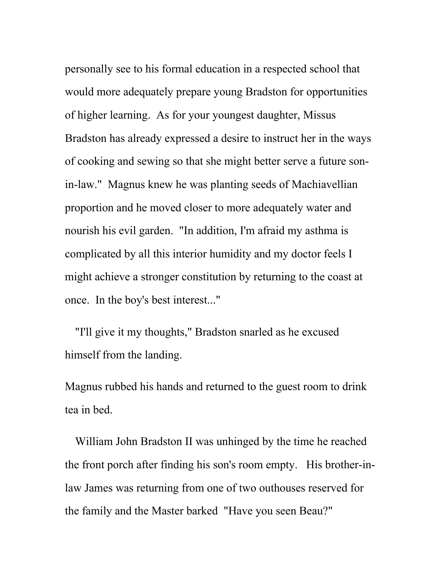personally see to his formal education in a respected school that would more adequately prepare young Bradston for opportunities of higher learning. As for your youngest daughter, Missus Bradston has already expressed a desire to instruct her in the ways of cooking and sewing so that she might better serve a future sonin-law." Magnus knew he was planting seeds of Machiavellian proportion and he moved closer to more adequately water and nourish his evil garden. "In addition, I'm afraid my asthma is complicated by all this interior humidity and my doctor feels I might achieve a stronger constitution by returning to the coast at once. In the boy's best interest..."

"I'll give it my thoughts," Bradston snarled as he excused himself from the landing.

Magnus rubbed his hands and returned to the guest room to drink tea in bed.

William John Bradston II was unhinged by the time he reached the front porch after finding his son's room empty. His brother-inlaw James was returning from one of two outhouses reserved for the family and the Master barked "Have you seen Beau?"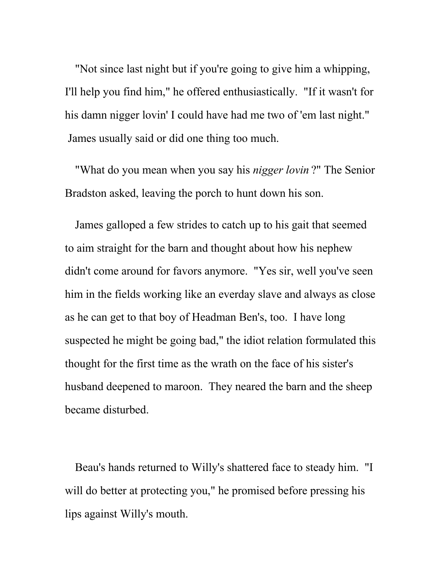"Not since last night but if you're going to give him a whipping, I'll help you find him," he offered enthusiastically. "If it wasn't for his damn nigger lovin' I could have had me two of 'em last night." James usually said or did one thing too much.

"What do you mean when you say his *nigger lovin* ?" The Senior Bradston asked, leaving the porch to hunt down his son.

James galloped a few strides to catch up to his gait that seemed to aim straight for the barn and thought about how his nephew didn't come around for favors anymore. "Yes sir, well you've seen him in the fields working like an everday slave and always as close as he can get to that boy of Headman Ben's, too. I have long suspected he might be going bad," the idiot relation formulated this thought for the first time as the wrath on the face of his sister's husband deepened to maroon. They neared the barn and the sheep became disturbed.

Beau's hands returned to Willy's shattered face to steady him. "I will do better at protecting you," he promised before pressing his lips against Willy's mouth.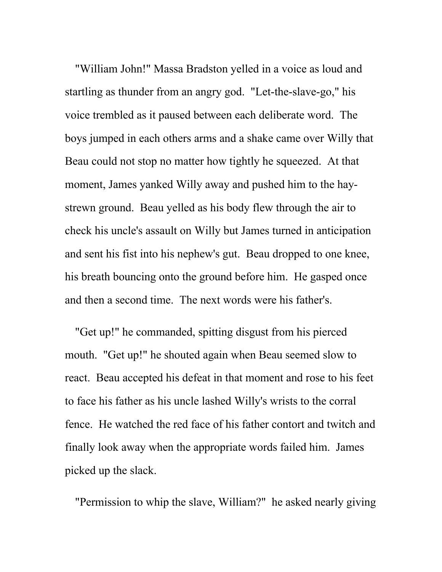"William John!" Massa Bradston yelled in a voice as loud and startling as thunder from an angry god. "Let-the-slave-go," his voice trembled as it paused between each deliberate word. The boys jumped in each others arms and a shake came over Willy that Beau could not stop no matter how tightly he squeezed. At that moment, James yanked Willy away and pushed him to the haystrewn ground. Beau yelled as his body flew through the air to check his uncle's assault on Willy but James turned in anticipation and sent his fist into his nephew's gut. Beau dropped to one knee, his breath bouncing onto the ground before him. He gasped once and then a second time. The next words were his father's.

"Get up!" he commanded, spitting disgust from his pierced mouth. "Get up!" he shouted again when Beau seemed slow to react. Beau accepted his defeat in that moment and rose to his feet to face his father as his uncle lashed Willy's wrists to the corral fence. He watched the red face of his father contort and twitch and finally look away when the appropriate words failed him. James picked up the slack.

"Permission to whip the slave, William?" he asked nearly giving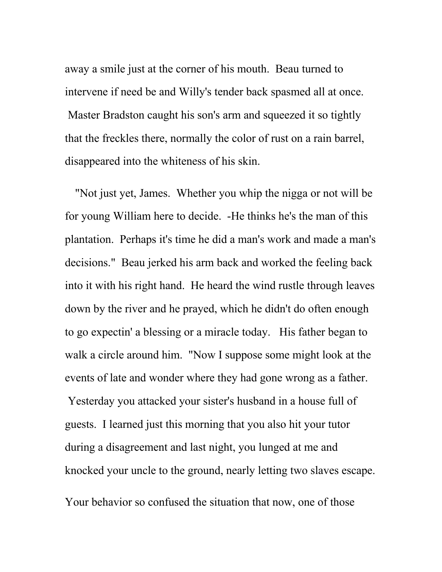away a smile just at the corner of his mouth. Beau turned to intervene if need be and Willy's tender back spasmed all at once. Master Bradston caught his son's arm and squeezed it so tightly that the freckles there, normally the color of rust on a rain barrel, disappeared into the whiteness of his skin.

"Not just yet, James. Whether you whip the nigga or not will be for young William here to decide. -He thinks he's the man of this plantation. Perhaps it's time he did a man's work and made a man's decisions." Beau jerked his arm back and worked the feeling back into it with his right hand. He heard the wind rustle through leaves down by the river and he prayed, which he didn't do often enough to go expectin' a blessing or a miracle today. His father began to walk a circle around him. "Now I suppose some might look at the events of late and wonder where they had gone wrong as a father. Yesterday you attacked your sister's husband in a house full of guests. I learned just this morning that you also hit your tutor during a disagreement and last night, you lunged at me and knocked your uncle to the ground, nearly letting two slaves escape.

Your behavior so confused the situation that now, one of those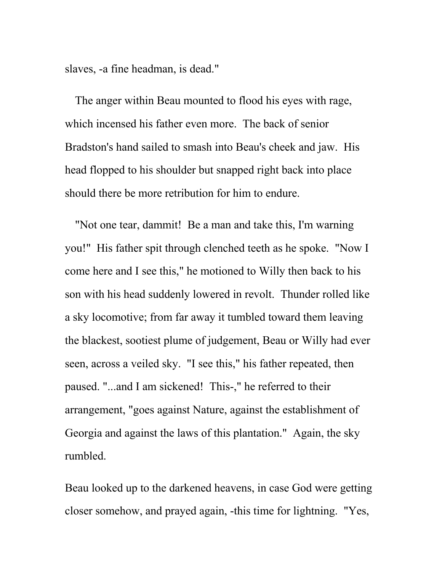slaves, -a fine headman, is dead."

The anger within Beau mounted to flood his eyes with rage, which incensed his father even more. The back of senior Bradston's hand sailed to smash into Beau's cheek and jaw. His head flopped to his shoulder but snapped right back into place should there be more retribution for him to endure.

"Not one tear, dammit! Be a man and take this, I'm warning you!" His father spit through clenched teeth as he spoke. "Now I come here and I see this," he motioned to Willy then back to his son with his head suddenly lowered in revolt. Thunder rolled like a sky locomotive; from far away it tumbled toward them leaving the blackest, sootiest plume of judgement, Beau or Willy had ever seen, across a veiled sky. "I see this," his father repeated, then paused. "...and I am sickened! This-," he referred to their arrangement, "goes against Nature, against the establishment of Georgia and against the laws of this plantation." Again, the sky rumbled.

Beau looked up to the darkened heavens, in case God were getting closer somehow, and prayed again, -this time for lightning. "Yes,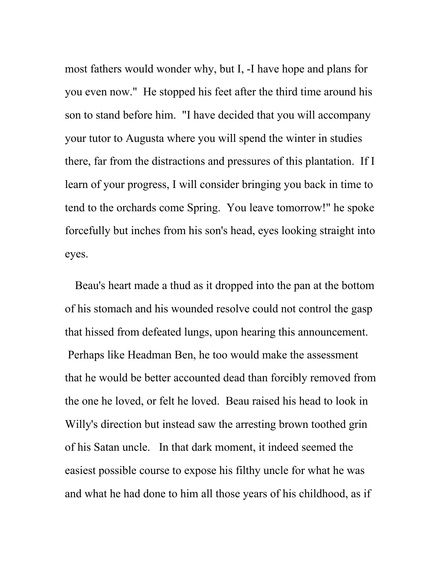most fathers would wonder why, but I, -I have hope and plans for you even now." He stopped his feet after the third time around his son to stand before him. "I have decided that you will accompany your tutor to Augusta where you will spend the winter in studies there, far from the distractions and pressures of this plantation. If I learn of your progress, I will consider bringing you back in time to tend to the orchards come Spring. You leave tomorrow!" he spoke forcefully but inches from his son's head, eyes looking straight into eyes.

Beau's heart made a thud as it dropped into the pan at the bottom of his stomach and his wounded resolve could not control the gasp that hissed from defeated lungs, upon hearing this announcement. Perhaps like Headman Ben, he too would make the assessment that he would be better accounted dead than forcibly removed from the one he loved, or felt he loved. Beau raised his head to look in Willy's direction but instead saw the arresting brown toothed grin of his Satan uncle. In that dark moment, it indeed seemed the easiest possible course to expose his filthy uncle for what he was and what he had done to him all those years of his childhood, as if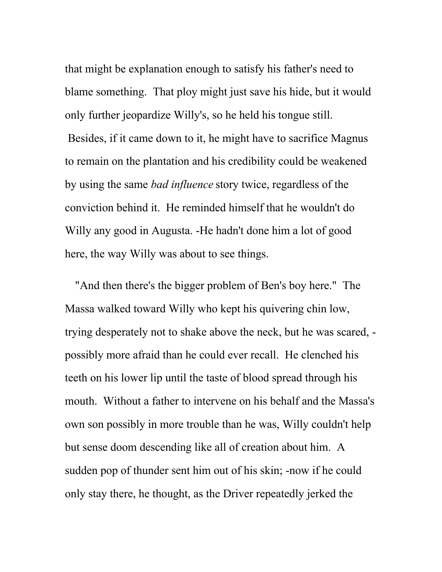that might be explanation enough to satisfy his father's need to blame something. That ploy might just save his hide, but it would only further jeopardize Willy's, so he held his tongue still. Besides, if it came down to it, he might have to sacrifice Magnus to remain on the plantation and his credibility could be weakened by using the same *bad influence* story twice, regardless of the conviction behind it. He reminded himself that he wouldn't do Willy any good in Augusta. -He hadn't done him a lot of good here, the way Willy was about to see things.

"And then there's the bigger problem of Ben's boy here." The Massa walked toward Willy who kept his quivering chin low, trying desperately not to shake above the neck, but he was scared, possibly more afraid than he could ever recall. He clenched his teeth on his lower lip until the taste of blood spread through his mouth. Without a father to intervene on his behalf and the Massa's own son possibly in more trouble than he was, Willy couldn't help but sense doom descending like all of creation about him. A sudden pop of thunder sent him out of his skin; -now if he could only stay there, he thought, as the Driver repeatedly jerked the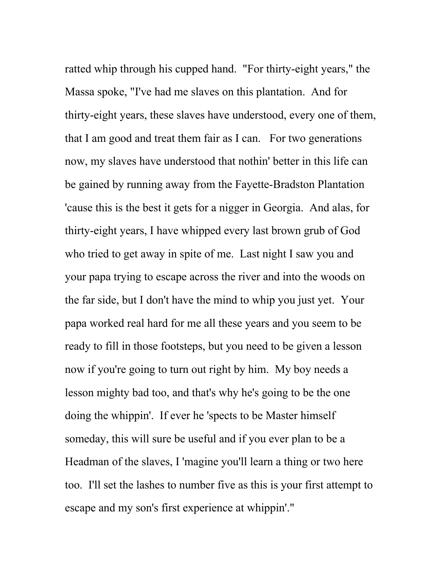ratted whip through his cupped hand. "For thirty-eight years," the Massa spoke, "I've had me slaves on this plantation. And for thirty-eight years, these slaves have understood, every one of them, that I am good and treat them fair as I can. For two generations now, my slaves have understood that nothin' better in this life can be gained by running away from the Fayette-Bradston Plantation 'cause this is the best it gets for a nigger in Georgia. And alas, for thirty-eight years, I have whipped every last brown grub of God who tried to get away in spite of me. Last night I saw you and your papa trying to escape across the river and into the woods on the far side, but I don't have the mind to whip you just yet. Your papa worked real hard for me all these years and you seem to be ready to fill in those footsteps, but you need to be given a lesson now if you're going to turn out right by him. My boy needs a lesson mighty bad too, and that's why he's going to be the one doing the whippin'. If ever he 'spects to be Master himself someday, this will sure be useful and if you ever plan to be a Headman of the slaves, I 'magine you'll learn a thing or two here too. I'll set the lashes to number five as this is your first attempt to escape and my son's first experience at whippin'."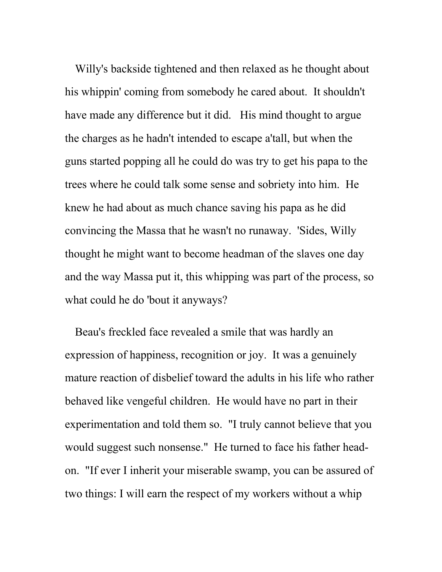Willy's backside tightened and then relaxed as he thought about his whippin' coming from somebody he cared about. It shouldn't have made any difference but it did. His mind thought to argue the charges as he hadn't intended to escape a'tall, but when the guns started popping all he could do was try to get his papa to the trees where he could talk some sense and sobriety into him. He knew he had about as much chance saving his papa as he did convincing the Massa that he wasn't no runaway. 'Sides, Willy thought he might want to become headman of the slaves one day and the way Massa put it, this whipping was part of the process, so what could he do 'bout it anyways?

Beau's freckled face revealed a smile that was hardly an expression of happiness, recognition or joy. It was a genuinely mature reaction of disbelief toward the adults in his life who rather behaved like vengeful children. He would have no part in their experimentation and told them so. "I truly cannot believe that you would suggest such nonsense." He turned to face his father headon. "If ever I inherit your miserable swamp, you can be assured of two things: I will earn the respect of my workers without a whip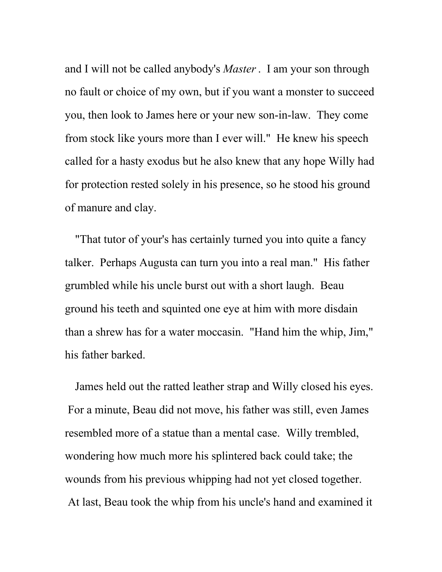and I will not be called anybody's *Master*. I am your son through no fault or choice of my own, but if you want a monster to succeed you, then look to James here or your new son-in-law. They come from stock like yours more than I ever will." He knew his speech called for a hasty exodus but he also knew that any hope Willy had for protection rested solely in his presence, so he stood his ground of manure and clay.

"That tutor of your's has certainly turned you into quite a fancy talker. Perhaps Augusta can turn you into a real man." His father grumbled while his uncle burst out with a short laugh. Beau ground his teeth and squinted one eye at him with more disdain than a shrew has for a water moccasin. "Hand him the whip, Jim," his father barked.

James held out the ratted leather strap and Willy closed his eyes. For a minute, Beau did not move, his father was still, even James resembled more of a statue than a mental case. Willy trembled, wondering how much more his splintered back could take; the wounds from his previous whipping had not yet closed together. At last, Beau took the whip from his uncle's hand and examined it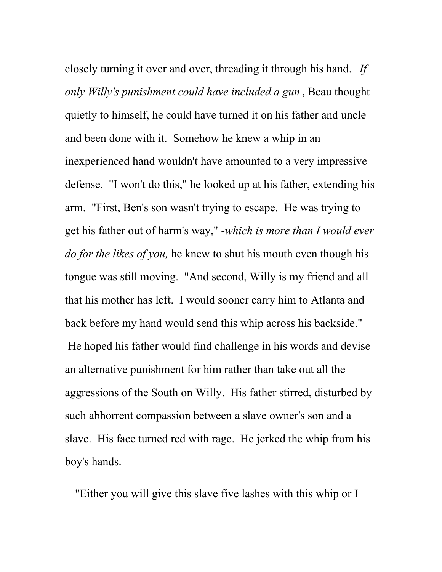closely turning it over and over, threading it through his hand. *If only Willy's punishment could have included a gun* , Beau thought quietly to himself, he could have turned it on his father and uncle and been done with it. Somehow he knew a whip in an inexperienced hand wouldn't have amounted to a very impressive defense. "I won't do this," he looked up at his father, extending his arm. "First, Ben's son wasn't trying to escape. He was trying to get his father out of harm's way," *-which is more than I would ever do for the likes of you,* he knew to shut his mouth even though his tongue was still moving. "And second, Willy is my friend and all that his mother has left. I would sooner carry him to Atlanta and back before my hand would send this whip across his backside." He hoped his father would find challenge in his words and devise an alternative punishment for him rather than take out all the aggressions of the South on Willy. His father stirred, disturbed by such abhorrent compassion between a slave owner's son and a slave. His face turned red with rage. He jerked the whip from his boy's hands.

"Either you will give this slave five lashes with this whip or I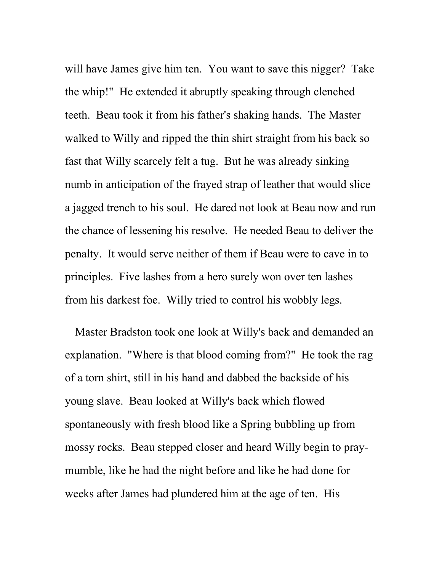will have James give him ten. You want to save this nigger? Take the whip!" He extended it abruptly speaking through clenched teeth. Beau took it from his father's shaking hands. The Master walked to Willy and ripped the thin shirt straight from his back so fast that Willy scarcely felt a tug. But he was already sinking numb in anticipation of the frayed strap of leather that would slice a jagged trench to his soul. He dared not look at Beau now and run the chance of lessening his resolve. He needed Beau to deliver the penalty. It would serve neither of them if Beau were to cave in to principles. Five lashes from a hero surely won over ten lashes from his darkest foe. Willy tried to control his wobbly legs.

Master Bradston took one look at Willy's back and demanded an explanation. "Where is that blood coming from?" He took the rag of a torn shirt, still in his hand and dabbed the backside of his young slave. Beau looked at Willy's back which flowed spontaneously with fresh blood like a Spring bubbling up from mossy rocks. Beau stepped closer and heard Willy begin to praymumble, like he had the night before and like he had done for weeks after James had plundered him at the age of ten. His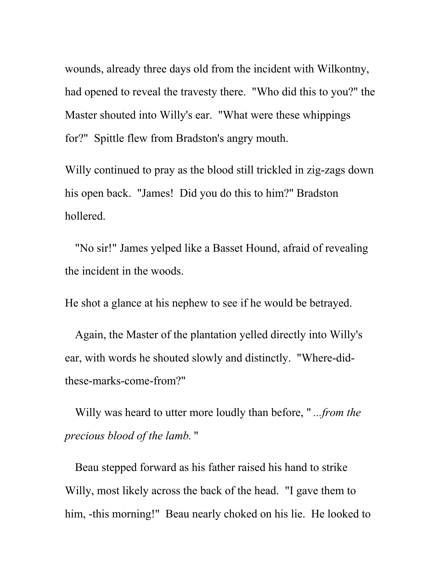wounds, already three days old from the incident with Wilkontny, had opened to reveal the travesty there. "Who did this to you?" the Master shouted into Willy's ear. "What were these whippings for?" Spittle flew from Bradston's angry mouth.

Willy continued to pray as the blood still trickled in zig-zags down his open back. "James! Did you do this to him?" Bradston hollered.

"No sir!" James yelped like a Basset Hound, afraid of revealing the incident in the woods.

He shot a glance at his nephew to see if he would be betrayed.

Again, the Master of the plantation yelled directly into Willy's ear, with words he shouted slowly and distinctly. "Where-didthese-marks-come-from?"

Willy was heard to utter more loudly than before, " *...from the precious blood of the lamb.* "

Beau stepped forward as his father raised his hand to strike Willy, most likely across the back of the head. "I gave them to him, -this morning!" Beau nearly choked on his lie. He looked to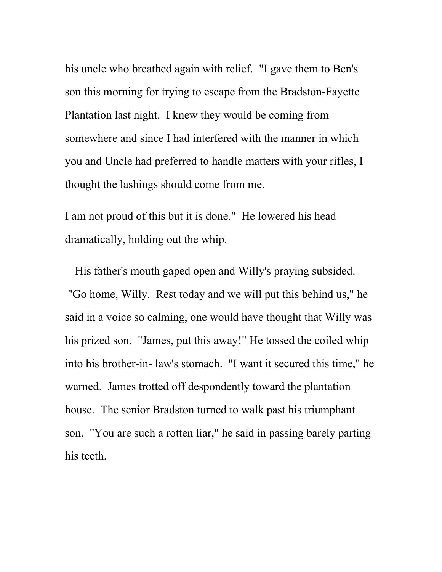his uncle who breathed again with relief. "I gave them to Ben's son this morning for trying to escape from the Bradston-Fayette Plantation last night. I knew they would be coming from somewhere and since I had interfered with the manner in which you and Uncle had preferred to handle matters with your rifles, I thought the lashings should come from me.

I am not proud of this but it is done." He lowered his head dramatically, holding out the whip.

His father's mouth gaped open and Willy's praying subsided. "Go home, Willy. Rest today and we will put this behind us," he said in a voice so calming, one would have thought that Willy was his prized son. "James, put this away!" He tossed the coiled whip into his brother-in- law's stomach. "I want it secured this time," he warned. James trotted off despondently toward the plantation house. The senior Bradston turned to walk past his triumphant son. "You are such a rotten liar," he said in passing barely parting his teeth.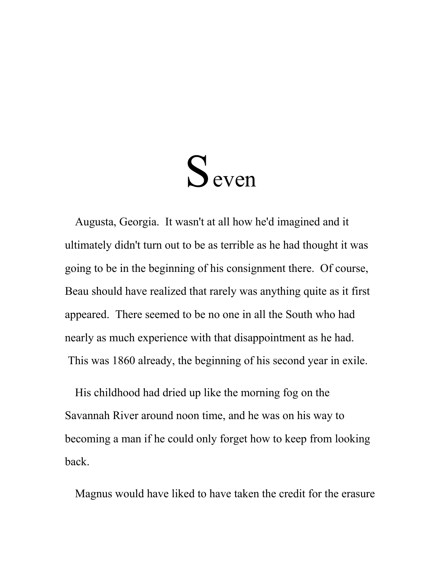

Augusta, Georgia. It wasn't at all how he'd imagined and it ultimately didn't turn out to be as terrible as he had thought it was going to be in the beginning of his consignment there. Of course, Beau should have realized that rarely was anything quite as it first appeared. There seemed to be no one in all the South who had nearly as much experience with that disappointment as he had. This was 1860 already, the beginning of his second year in exile.

His childhood had dried up like the morning fog on the Savannah River around noon time, and he was on his way to becoming a man if he could only forget how to keep from looking back.

Magnus would have liked to have taken the credit for the erasure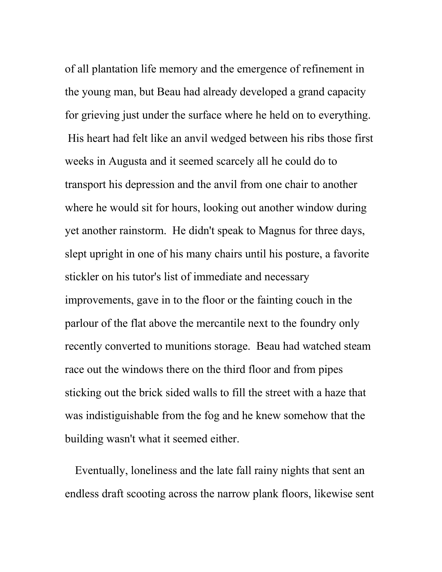of all plantation life memory and the emergence of refinement in the young man, but Beau had already developed a grand capacity for grieving just under the surface where he held on to everything. His heart had felt like an anvil wedged between his ribs those first weeks in Augusta and it seemed scarcely all he could do to transport his depression and the anvil from one chair to another where he would sit for hours, looking out another window during yet another rainstorm. He didn't speak to Magnus for three days, slept upright in one of his many chairs until his posture, a favorite stickler on his tutor's list of immediate and necessary improvements, gave in to the floor or the fainting couch in the parlour of the flat above the mercantile next to the foundry only recently converted to munitions storage. Beau had watched steam race out the windows there on the third floor and from pipes sticking out the brick sided walls to fill the street with a haze that was indistiguishable from the fog and he knew somehow that the building wasn't what it seemed either.

Eventually, loneliness and the late fall rainy nights that sent an endless draft scooting across the narrow plank floors, likewise sent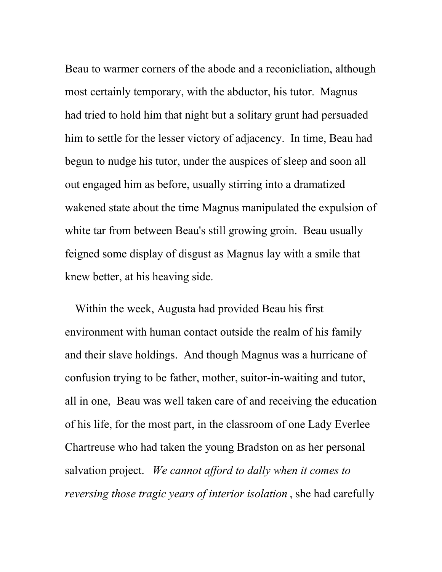Beau to warmer corners of the abode and a reconicliation, although most certainly temporary, with the abductor, his tutor. Magnus had tried to hold him that night but a solitary grunt had persuaded him to settle for the lesser victory of adjacency. In time, Beau had begun to nudge his tutor, under the auspices of sleep and soon all out engaged him as before, usually stirring into a dramatized wakened state about the time Magnus manipulated the expulsion of white tar from between Beau's still growing groin. Beau usually feigned some display of disgust as Magnus lay with a smile that knew better, at his heaving side.

Within the week, Augusta had provided Beau his first environment with human contact outside the realm of his family and their slave holdings. And though Magnus was a hurricane of confusion trying to be father, mother, suitor-in-waiting and tutor, all in one, Beau was well taken care of and receiving the education of his life, for the most part, in the classroom of one Lady Everlee Chartreuse who had taken the young Bradston on as her personal salvation project. *We cannot afford to dally when it comes to reversing those tragic years of interior isolation* , she had carefully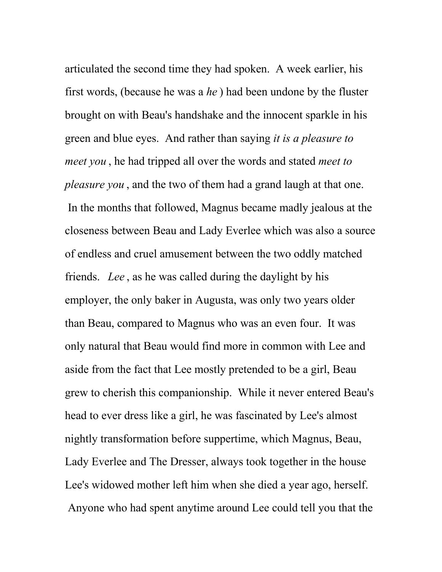articulated the second time they had spoken. A week earlier, his first words, (because he was a *he* ) had been undone by the fluster brought on with Beau's handshake and the innocent sparkle in his green and blue eyes. And rather than saying *it is a pleasure to meet you* , he had tripped all over the words and stated *meet to pleasure you* , and the two of them had a grand laugh at that one. In the months that followed, Magnus became madly jealous at the closeness between Beau and Lady Everlee which was also a source of endless and cruel amusement between the two oddly matched friends. *Lee* , as he was called during the daylight by his employer, the only baker in Augusta, was only two years older than Beau, compared to Magnus who was an even four. It was only natural that Beau would find more in common with Lee and aside from the fact that Lee mostly pretended to be a girl, Beau grew to cherish this companionship. While it never entered Beau's head to ever dress like a girl, he was fascinated by Lee's almost nightly transformation before suppertime, which Magnus, Beau, Lady Everlee and The Dresser, always took together in the house Lee's widowed mother left him when she died a year ago, herself. Anyone who had spent anytime around Lee could tell you that the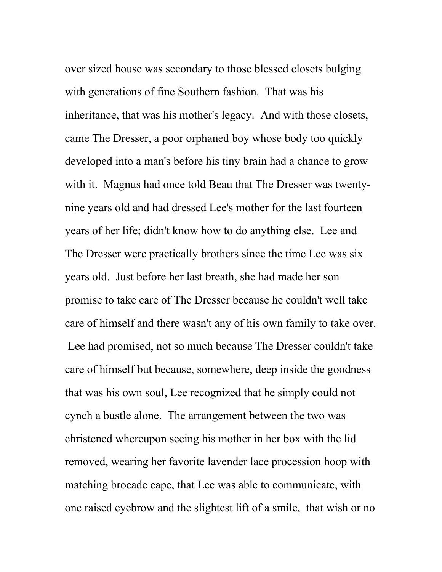over sized house was secondary to those blessed closets bulging with generations of fine Southern fashion. That was his inheritance, that was his mother's legacy. And with those closets, came The Dresser, a poor orphaned boy whose body too quickly developed into a man's before his tiny brain had a chance to grow with it. Magnus had once told Beau that The Dresser was twentynine years old and had dressed Lee's mother for the last fourteen years of her life; didn't know how to do anything else. Lee and The Dresser were practically brothers since the time Lee was six years old. Just before her last breath, she had made her son promise to take care of The Dresser because he couldn't well take care of himself and there wasn't any of his own family to take over. Lee had promised, not so much because The Dresser couldn't take care of himself but because, somewhere, deep inside the goodness that was his own soul, Lee recognized that he simply could not cynch a bustle alone. The arrangement between the two was christened whereupon seeing his mother in her box with the lid removed, wearing her favorite lavender lace procession hoop with matching brocade cape, that Lee was able to communicate, with one raised eyebrow and the slightest lift of a smile, that wish or no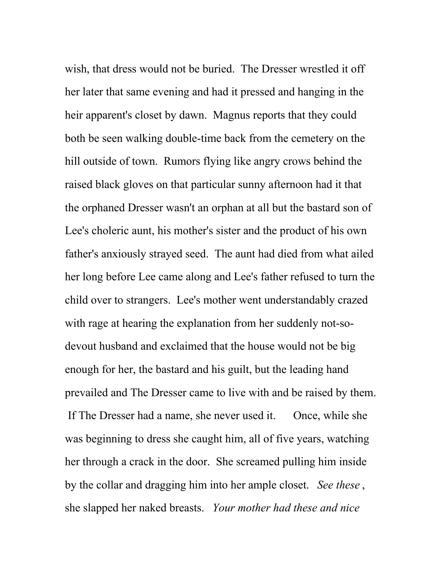wish, that dress would not be buried. The Dresser wrestled it off her later that same evening and had it pressed and hanging in the heir apparent's closet by dawn. Magnus reports that they could both be seen walking double-time back from the cemetery on the hill outside of town. Rumors flying like angry crows behind the raised black gloves on that particular sunny afternoon had it that the orphaned Dresser wasn't an orphan at all but the bastard son of Lee's choleric aunt, his mother's sister and the product of his own father's anxiously strayed seed. The aunt had died from what ailed her long before Lee came along and Lee's father refused to turn the child over to strangers. Lee's mother went understandably crazed with rage at hearing the explanation from her suddenly not-sodevout husband and exclaimed that the house would not be big enough for her, the bastard and his guilt, but the leading hand prevailed and The Dresser came to live with and be raised by them. If The Dresser had a name, she never used it. Once, while she was beginning to dress she caught him, all of five years, watching her through a crack in the door. She screamed pulling him inside by the collar and dragging him into her ample closet. *See these* , she slapped her naked breasts. *Your mother had these and nice*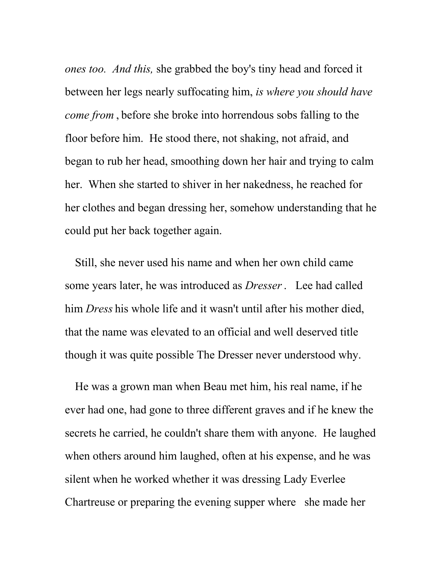*ones too. And this,* she grabbed the boy's tiny head and forced it between her legs nearly suffocating him, *is where you should have come from* , before she broke into horrendous sobs falling to the floor before him. He stood there, not shaking, not afraid, and began to rub her head, smoothing down her hair and trying to calm her. When she started to shiver in her nakedness, he reached for her clothes and began dressing her, somehow understanding that he could put her back together again.

Still, she never used his name and when her own child came some years later, he was introduced as *Dresser*. Lee had called him *Dress* his whole life and it wasn't until after his mother died, that the name was elevated to an official and well deserved title though it was quite possible The Dresser never understood why.

He was a grown man when Beau met him, his real name, if he ever had one, had gone to three different graves and if he knew the secrets he carried, he couldn't share them with anyone. He laughed when others around him laughed, often at his expense, and he was silent when he worked whether it was dressing Lady Everlee Chartreuse or preparing the evening supper where she made her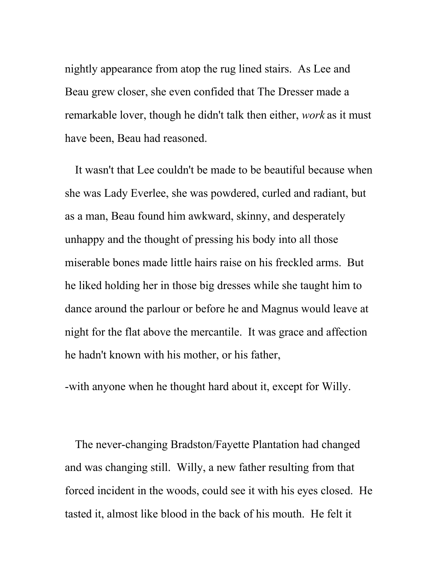nightly appearance from atop the rug lined stairs. As Lee and Beau grew closer, she even confided that The Dresser made a remarkable lover, though he didn't talk then either, *work* as it must have been, Beau had reasoned.

It wasn't that Lee couldn't be made to be beautiful because when she was Lady Everlee, she was powdered, curled and radiant, but as a man, Beau found him awkward, skinny, and desperately unhappy and the thought of pressing his body into all those miserable bones made little hairs raise on his freckled arms. But he liked holding her in those big dresses while she taught him to dance around the parlour or before he and Magnus would leave at night for the flat above the mercantile. It was grace and affection he hadn't known with his mother, or his father,

-with anyone when he thought hard about it, except for Willy.

The never-changing Bradston/Fayette Plantation had changed and was changing still. Willy, a new father resulting from that forced incident in the woods, could see it with his eyes closed. He tasted it, almost like blood in the back of his mouth. He felt it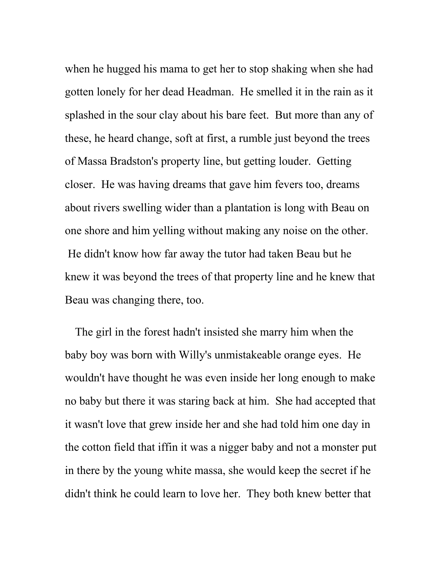when he hugged his mama to get her to stop shaking when she had gotten lonely for her dead Headman. He smelled it in the rain as it splashed in the sour clay about his bare feet. But more than any of these, he heard change, soft at first, a rumble just beyond the trees of Massa Bradston's property line, but getting louder. Getting closer. He was having dreams that gave him fevers too, dreams about rivers swelling wider than a plantation is long with Beau on one shore and him yelling without making any noise on the other. He didn't know how far away the tutor had taken Beau but he knew it was beyond the trees of that property line and he knew that Beau was changing there, too.

The girl in the forest hadn't insisted she marry him when the baby boy was born with Willy's unmistakeable orange eyes. He wouldn't have thought he was even inside her long enough to make no baby but there it was staring back at him. She had accepted that it wasn't love that grew inside her and she had told him one day in the cotton field that iffin it was a nigger baby and not a monster put in there by the young white massa, she would keep the secret if he didn't think he could learn to love her. They both knew better that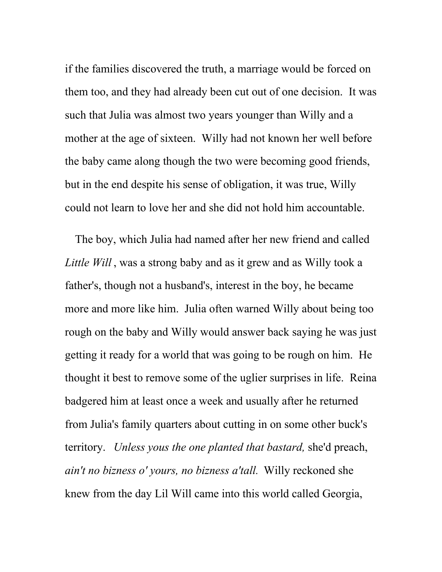if the families discovered the truth, a marriage would be forced on them too, and they had already been cut out of one decision. It was such that Julia was almost two years younger than Willy and a mother at the age of sixteen. Willy had not known her well before the baby came along though the two were becoming good friends, but in the end despite his sense of obligation, it was true, Willy could not learn to love her and she did not hold him accountable.

The boy, which Julia had named after her new friend and called *Little Will* , was a strong baby and as it grew and as Willy took a father's, though not a husband's, interest in the boy, he became more and more like him. Julia often warned Willy about being too rough on the baby and Willy would answer back saying he was just getting it ready for a world that was going to be rough on him. He thought it best to remove some of the uglier surprises in life. Reina badgered him at least once a week and usually after he returned from Julia's family quarters about cutting in on some other buck's territory. *Unless yous the one planted that bastard,* she'd preach, *ain't no bizness o' yours, no bizness a'tall.* Willy reckoned she knew from the day Lil Will came into this world called Georgia,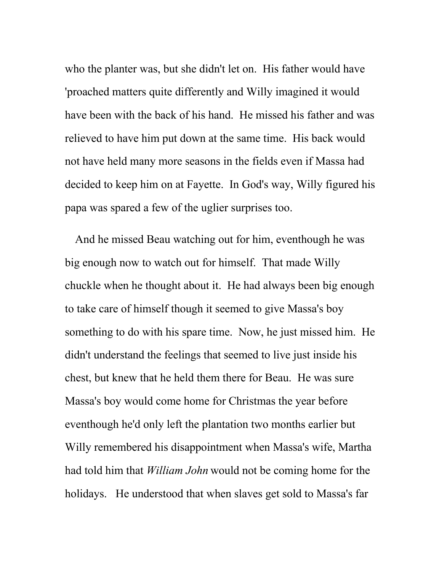who the planter was, but she didn't let on. His father would have 'proached matters quite differently and Willy imagined it would have been with the back of his hand. He missed his father and was relieved to have him put down at the same time. His back would not have held many more seasons in the fields even if Massa had decided to keep him on at Fayette. In God's way, Willy figured his papa was spared a few of the uglier surprises too.

And he missed Beau watching out for him, eventhough he was big enough now to watch out for himself. That made Willy chuckle when he thought about it. He had always been big enough to take care of himself though it seemed to give Massa's boy something to do with his spare time. Now, he just missed him. He didn't understand the feelings that seemed to live just inside his chest, but knew that he held them there for Beau. He was sure Massa's boy would come home for Christmas the year before eventhough he'd only left the plantation two months earlier but Willy remembered his disappointment when Massa's wife, Martha had told him that *William John* would not be coming home for the holidays. He understood that when slaves get sold to Massa's far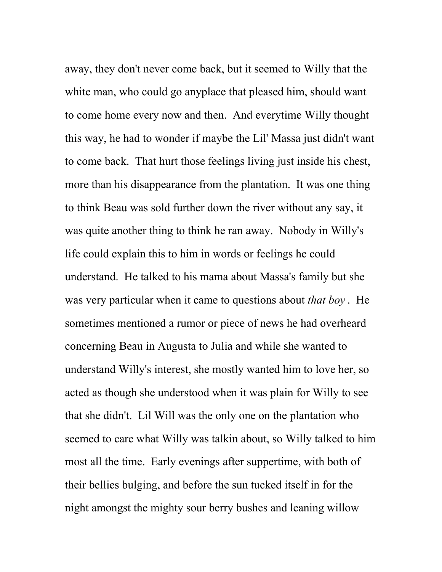away, they don't never come back, but it seemed to Willy that the white man, who could go any place that pleased him, should want to come home every now and then. And everytime Willy thought this way, he had to wonder if maybe the Lil' Massa just didn't want to come back. That hurt those feelings living just inside his chest, more than his disappearance from the plantation. It was one thing to think Beau was sold further down the river without any say, it was quite another thing to think he ran away. Nobody in Willy's life could explain this to him in words or feelings he could understand. He talked to his mama about Massa's family but she was very particular when it came to questions about *that boy* . He sometimes mentioned a rumor or piece of news he had overheard concerning Beau in Augusta to Julia and while she wanted to understand Willy's interest, she mostly wanted him to love her, so acted as though she understood when it was plain for Willy to see that she didn't. Lil Will was the only one on the plantation who seemed to care what Willy was talkin about, so Willy talked to him most all the time. Early evenings after suppertime, with both of their bellies bulging, and before the sun tucked itself in for the night amongst the mighty sour berry bushes and leaning willow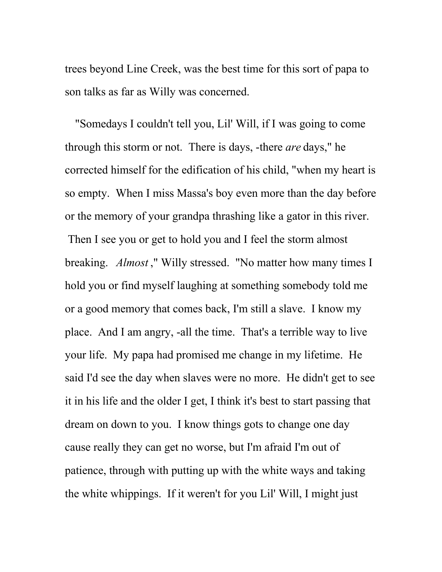trees beyond Line Creek, was the best time for this sort of papa to son talks as far as Willy was concerned.

"Somedays I couldn't tell you, Lil' Will, if I was going to come through this storm or not. There is days, -there *are* days," he corrected himself for the edification of his child, "when my heart is so empty. When I miss Massa's boy even more than the day before or the memory of your grandpa thrashing like a gator in this river. Then I see you or get to hold you and I feel the storm almost breaking. *Almost* ," Willy stressed. "No matter how many times I hold you or find myself laughing at something somebody told me or a good memory that comes back, I'm still a slave. I know my place. And I am angry, -all the time. That's a terrible way to live your life. My papa had promised me change in my lifetime. He said I'd see the day when slaves were no more. He didn't get to see it in his life and the older I get, I think it's best to start passing that dream on down to you. I know things gots to change one day cause really they can get no worse, but I'm afraid I'm out of patience, through with putting up with the white ways and taking the white whippings. If it weren't for you Lil' Will, I might just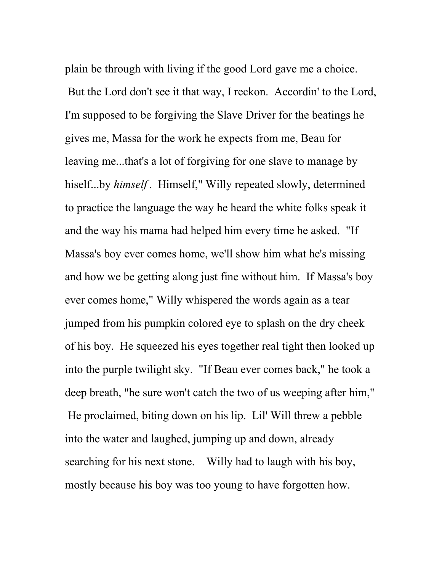plain be through with living if the good Lord gave me a choice. But the Lord don't see it that way, I reckon. Accordin' to the Lord, I'm supposed to be forgiving the Slave Driver for the beatings he gives me, Massa for the work he expects from me, Beau for leaving me...that's a lot of forgiving for one slave to manage by hiself...by *himself* . Himself," Willy repeated slowly, determined to practice the language the way he heard the white folks speak it and the way his mama had helped him every time he asked. "If Massa's boy ever comes home, we'll show him what he's missing and how we be getting along just fine without him. If Massa's boy ever comes home," Willy whispered the words again as a tear jumped from his pumpkin colored eye to splash on the dry cheek of his boy. He squeezed his eyes together real tight then looked up into the purple twilight sky. "If Beau ever comes back," he took a deep breath, "he sure won't catch the two of us weeping after him," He proclaimed, biting down on his lip. Lil' Will threw a pebble into the water and laughed, jumping up and down, already searching for his next stone. Willy had to laugh with his boy, mostly because his boy was too young to have forgotten how.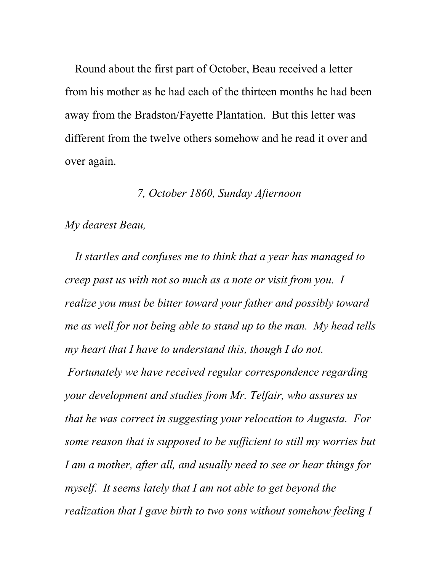Round about the first part of October, Beau received a letter from his mother as he had each of the thirteen months he had been away from the Bradston/Fayette Plantation. But this letter was different from the twelve others somehow and he read it over and over again.

## *7, October 1860, Sunday Afternoon*

## *My dearest Beau,*

*It startles and confuses me to think that a year has managed to creep past us with not so much as a note or visit from you. I realize you must be bitter toward your father and possibly toward me as well for not being able to stand up to the man. My head tells my heart that I have to understand this, though I do not.* 

*Fortunately we have received regular correspondence regarding your development and studies from Mr. Telfair, who assures us that he was correct in suggesting your relocation to Augusta. For some reason that is supposed to be sufficient to still my worries but I am a mother, after all, and usually need to see or hear things for myself. It seems lately that I am not able to get beyond the realization that I gave birth to two sons without somehow feeling I*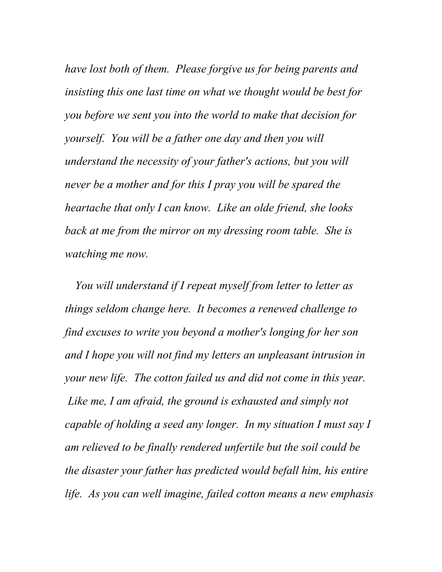*have lost both of them. Please forgive us for being parents and insisting this one last time on what we thought would be best for you before we sent you into the world to make that decision for yourself. You will be a father one day and then you will understand the necessity of your father's actions, but you will never be a mother and for this I pray you will be spared the heartache that only I can know. Like an olde friend, she looks back at me from the mirror on my dressing room table. She is watching me now.*

*You will understand if I repeat myself from letter to letter as things seldom change here. It becomes a renewed challenge to find excuses to write you beyond a mother's longing for her son and I hope you will not find my letters an unpleasant intrusion in your new life. The cotton failed us and did not come in this year. Like me, I am afraid, the ground is exhausted and simply not capable of holding a seed any longer. In my situation I must say I am relieved to be finally rendered unfertile but the soil could be the disaster your father has predicted would befall him, his entire life. As you can well imagine, failed cotton means a new emphasis*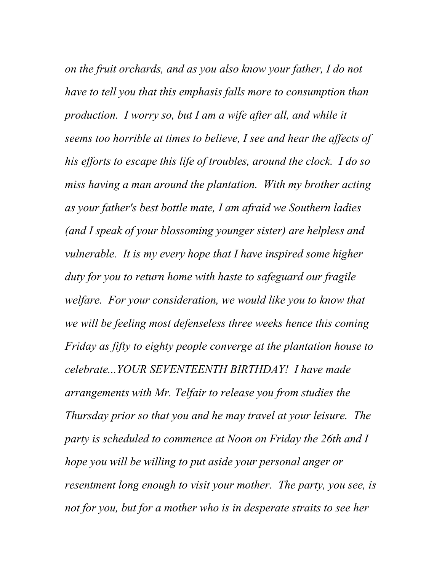*on the fruit orchards, and as you also know your father, I do not have to tell you that this emphasis falls more to consumption than production. I worry so, but I am a wife after all, and while it seems too horrible at times to believe, I see and hear the affects of his efforts to escape this life of troubles, around the clock. I do so miss having a man around the plantation. With my brother acting as your father's best bottle mate, I am afraid we Southern ladies (and I speak of your blossoming younger sister) are helpless and vulnerable. It is my every hope that I have inspired some higher duty for you to return home with haste to safeguard our fragile welfare. For your consideration, we would like you to know that we will be feeling most defenseless three weeks hence this coming Friday as fifty to eighty people converge at the plantation house to celebrate...YOUR SEVENTEENTH BIRTHDAY! I have made arrangements with Mr. Telfair to release you from studies the Thursday prior so that you and he may travel at your leisure. The party is scheduled to commence at Noon on Friday the 26th and I hope you will be willing to put aside your personal anger or resentment long enough to visit your mother. The party, you see, is not for you, but for a mother who is in desperate straits to see her*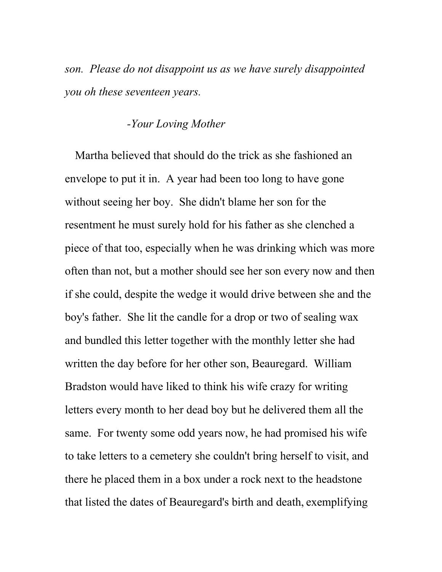*son. Please do not disappoint us as we have surely disappointed you oh these seventeen years.*

## *-Your Loving Mother*

Martha believed that should do the trick as she fashioned an envelope to put it in. A year had been too long to have gone without seeing her boy. She didn't blame her son for the resentment he must surely hold for his father as she clenched a piece of that too, especially when he was drinking which was more often than not, but a mother should see her son every now and then if she could, despite the wedge it would drive between she and the boy's father. She lit the candle for a drop or two of sealing wax and bundled this letter together with the monthly letter she had written the day before for her other son, Beauregard. William Bradston would have liked to think his wife crazy for writing letters every month to her dead boy but he delivered them all the same. For twenty some odd years now, he had promised his wife to take letters to a cemetery she couldn't bring herself to visit, and there he placed them in a box under a rock next to the headstone that listed the dates of Beauregard's birth and death, exemplifying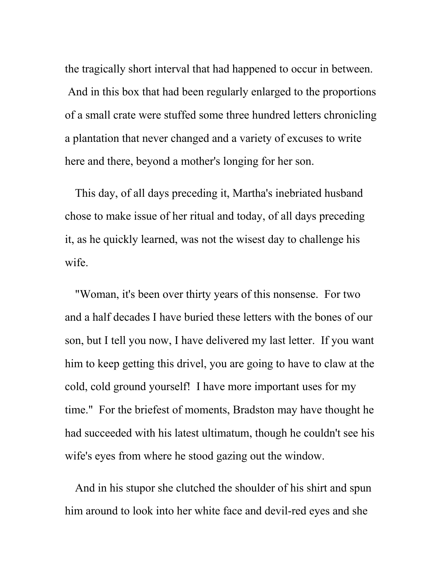the tragically short interval that had happened to occur in between. And in this box that had been regularly enlarged to the proportions of a small crate were stuffed some three hundred letters chronicling a plantation that never changed and a variety of excuses to write here and there, beyond a mother's longing for her son.

This day, of all days preceding it, Martha's inebriated husband chose to make issue of her ritual and today, of all days preceding it, as he quickly learned, was not the wisest day to challenge his wife.

"Woman, it's been over thirty years of this nonsense. For two and a half decades I have buried these letters with the bones of our son, but I tell you now, I have delivered my last letter. If you want him to keep getting this drivel, you are going to have to claw at the cold, cold ground yourself! I have more important uses for my time." For the briefest of moments, Bradston may have thought he had succeeded with his latest ultimatum, though he couldn't see his wife's eyes from where he stood gazing out the window.

And in his stupor she clutched the shoulder of his shirt and spun him around to look into her white face and devil-red eyes and she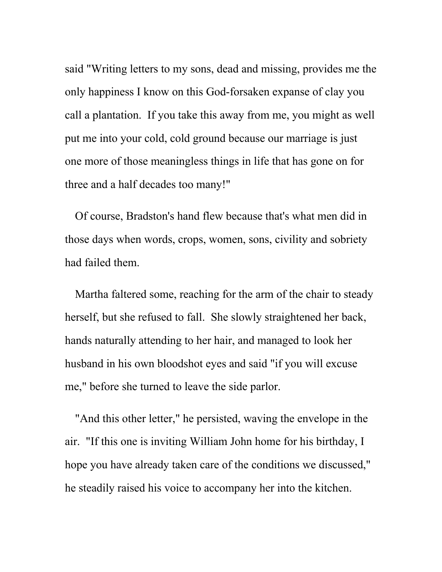said "Writing letters to my sons, dead and missing, provides me the only happiness I know on this God-forsaken expanse of clay you call a plantation. If you take this away from me, you might as well put me into your cold, cold ground because our marriage is just one more of those meaningless things in life that has gone on for three and a half decades too many!"

Of course, Bradston's hand flew because that's what men did in those days when words, crops, women, sons, civility and sobriety had failed them.

Martha faltered some, reaching for the arm of the chair to steady herself, but she refused to fall. She slowly straightened her back, hands naturally attending to her hair, and managed to look her husband in his own bloodshot eyes and said "if you will excuse me," before she turned to leave the side parlor.

"And this other letter," he persisted, waving the envelope in the air. "If this one is inviting William John home for his birthday, I hope you have already taken care of the conditions we discussed," he steadily raised his voice to accompany her into the kitchen.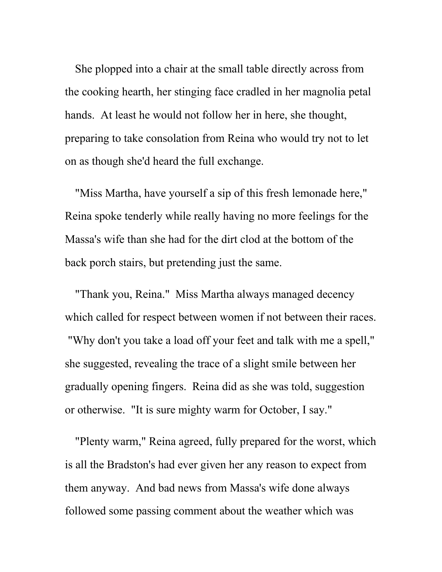She plopped into a chair at the small table directly across from the cooking hearth, her stinging face cradled in her magnolia petal hands. At least he would not follow her in here, she thought, preparing to take consolation from Reina who would try not to let on as though she'd heard the full exchange.

"Miss Martha, have yourself a sip of this fresh lemonade here," Reina spoke tenderly while really having no more feelings for the Massa's wife than she had for the dirt clod at the bottom of the back porch stairs, but pretending just the same.

"Thank you, Reina." Miss Martha always managed decency which called for respect between women if not between their races. "Why don't you take a load off your feet and talk with me a spell," she suggested, revealing the trace of a slight smile between her gradually opening fingers. Reina did as she was told, suggestion or otherwise. "It is sure mighty warm for October, I say."

"Plenty warm," Reina agreed, fully prepared for the worst, which is all the Bradston's had ever given her any reason to expect from them anyway. And bad news from Massa's wife done always followed some passing comment about the weather which was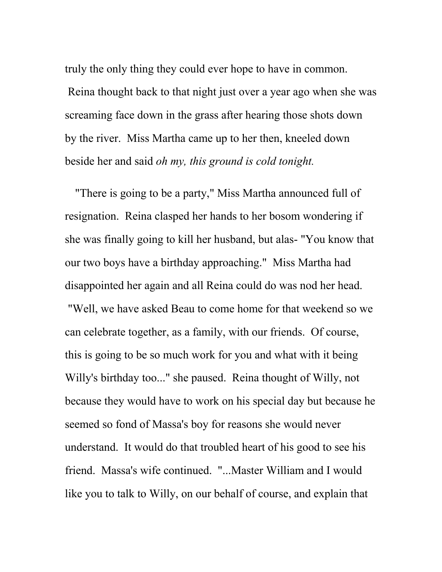truly the only thing they could ever hope to have in common. Reina thought back to that night just over a year ago when she was screaming face down in the grass after hearing those shots down by the river. Miss Martha came up to her then, kneeled down beside her and said *oh my, this ground is cold tonight.*

"There is going to be a party," Miss Martha announced full of resignation. Reina clasped her hands to her bosom wondering if she was finally going to kill her husband, but alas- "You know that our two boys have a birthday approaching." Miss Martha had disappointed her again and all Reina could do was nod her head. "Well, we have asked Beau to come home for that weekend so we can celebrate together, as a family, with our friends. Of course, this is going to be so much work for you and what with it being Willy's birthday too..." she paused. Reina thought of Willy, not because they would have to work on his special day but because he seemed so fond of Massa's boy for reasons she would never understand. It would do that troubled heart of his good to see his friend. Massa's wife continued. "...Master William and I would like you to talk to Willy, on our behalf of course, and explain that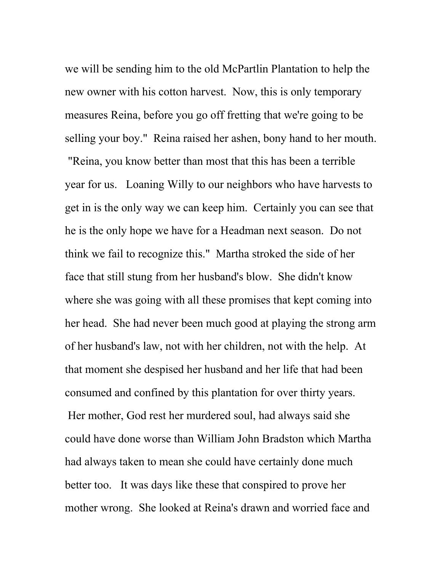we will be sending him to the old McPartlin Plantation to help the new owner with his cotton harvest. Now, this is only temporary measures Reina, before you go off fretting that we're going to be selling your boy." Reina raised her ashen, bony hand to her mouth.

"Reina, you know better than most that this has been a terrible year for us. Loaning Willy to our neighbors who have harvests to get in is the only way we can keep him. Certainly you can see that he is the only hope we have for a Headman next season. Do not think we fail to recognize this." Martha stroked the side of her face that still stung from her husband's blow. She didn't know where she was going with all these promises that kept coming into her head. She had never been much good at playing the strong arm of her husband's law, not with her children, not with the help. At that moment she despised her husband and her life that had been consumed and confined by this plantation for over thirty years. Her mother, God rest her murdered soul, had always said she could have done worse than William John Bradston which Martha had always taken to mean she could have certainly done much better too. It was days like these that conspired to prove her mother wrong. She looked at Reina's drawn and worried face and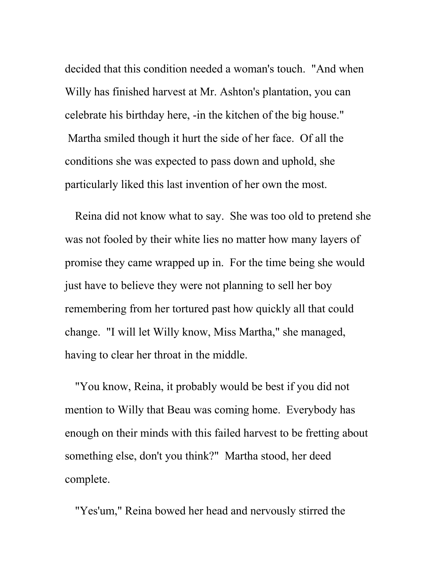decided that this condition needed a woman's touch. "And when Willy has finished harvest at Mr. Ashton's plantation, you can celebrate his birthday here, -in the kitchen of the big house." Martha smiled though it hurt the side of her face. Of all the conditions she was expected to pass down and uphold, she particularly liked this last invention of her own the most.

Reina did not know what to say. She was too old to pretend she was not fooled by their white lies no matter how many layers of promise they came wrapped up in. For the time being she would just have to believe they were not planning to sell her boy remembering from her tortured past how quickly all that could change. "I will let Willy know, Miss Martha," she managed, having to clear her throat in the middle.

"You know, Reina, it probably would be best if you did not mention to Willy that Beau was coming home. Everybody has enough on their minds with this failed harvest to be fretting about something else, don't you think?" Martha stood, her deed complete.

"Yes'um," Reina bowed her head and nervously stirred the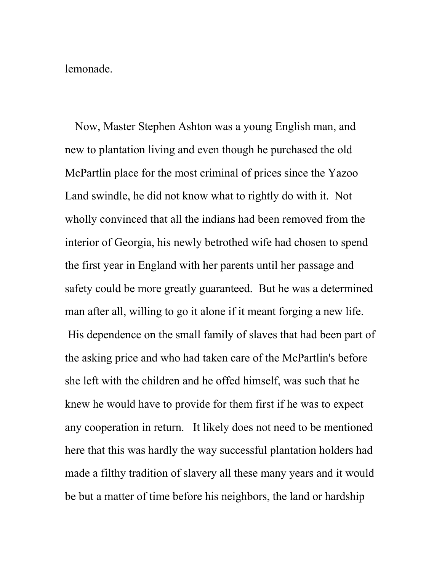lemonade.

Now, Master Stephen Ashton was a young English man, and new to plantation living and even though he purchased the old McPartlin place for the most criminal of prices since the Yazoo Land swindle, he did not know what to rightly do with it. Not wholly convinced that all the indians had been removed from the interior of Georgia, his newly betrothed wife had chosen to spend the first year in England with her parents until her passage and safety could be more greatly guaranteed. But he was a determined man after all, willing to go it alone if it meant forging a new life. His dependence on the small family of slaves that had been part of the asking price and who had taken care of the McPartlin's before she left with the children and he offed himself, was such that he knew he would have to provide for them first if he was to expect any cooperation in return. It likely does not need to be mentioned here that this was hardly the way successful plantation holders had made a filthy tradition of slavery all these many years and it would be but a matter of time before his neighbors, the land or hardship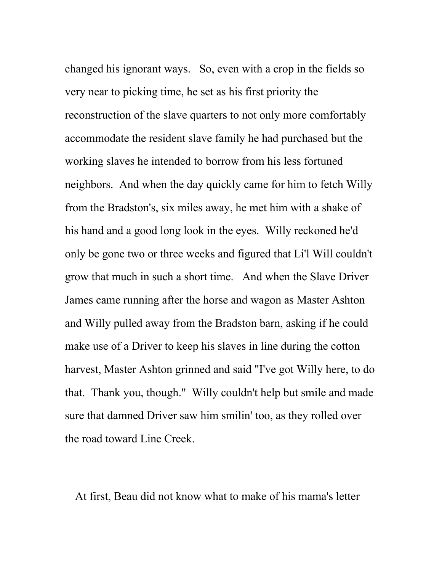changed his ignorant ways. So, even with a crop in the fields so very near to picking time, he set as his first priority the reconstruction of the slave quarters to not only more comfortably accommodate the resident slave family he had purchased but the working slaves he intended to borrow from his less fortuned neighbors. And when the day quickly came for him to fetch Willy from the Bradston's, six miles away, he met him with a shake of his hand and a good long look in the eyes. Willy reckoned he'd only be gone two or three weeks and figured that Li'l Will couldn't grow that much in such a short time. And when the Slave Driver James came running after the horse and wagon as Master Ashton and Willy pulled away from the Bradston barn, asking if he could make use of a Driver to keep his slaves in line during the cotton harvest, Master Ashton grinned and said "I've got Willy here, to do that. Thank you, though." Willy couldn't help but smile and made sure that damned Driver saw him smilin' too, as they rolled over the road toward Line Creek.

At first, Beau did not know what to make of his mama's letter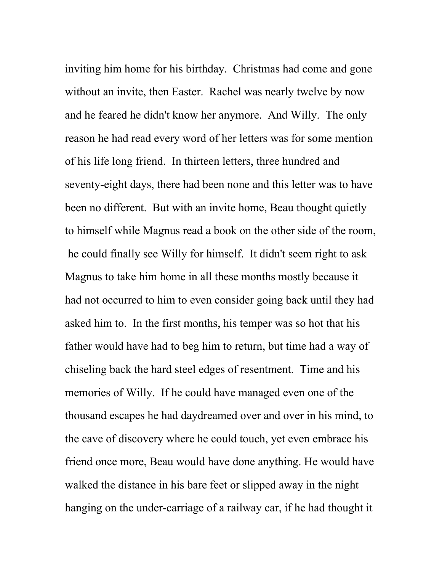inviting him home for his birthday. Christmas had come and gone without an invite, then Easter. Rachel was nearly twelve by now and he feared he didn't know her anymore. And Willy. The only reason he had read every word of her letters was for some mention of his life long friend. In thirteen letters, three hundred and seventy-eight days, there had been none and this letter was to have been no different. But with an invite home, Beau thought quietly to himself while Magnus read a book on the other side of the room, he could finally see Willy for himself. It didn't seem right to ask Magnus to take him home in all these months mostly because it had not occurred to him to even consider going back until they had asked him to. In the first months, his temper was so hot that his father would have had to beg him to return, but time had a way of chiseling back the hard steel edges of resentment. Time and his memories of Willy. If he could have managed even one of the thousand escapes he had daydreamed over and over in his mind, to the cave of discovery where he could touch, yet even embrace his friend once more, Beau would have done anything. He would have walked the distance in his bare feet or slipped away in the night hanging on the under-carriage of a railway car, if he had thought it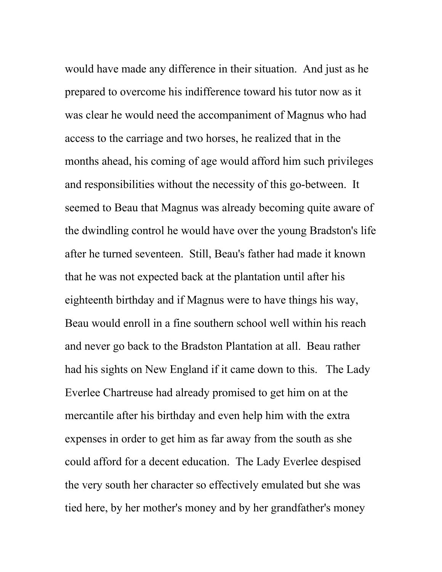would have made any difference in their situation. And just as he prepared to overcome his indifference toward his tutor now as it was clear he would need the accompaniment of Magnus who had access to the carriage and two horses, he realized that in the months ahead, his coming of age would afford him such privileges and responsibilities without the necessity of this go-between. It seemed to Beau that Magnus was already becoming quite aware of the dwindling control he would have over the young Bradston's life after he turned seventeen. Still, Beau's father had made it known that he was not expected back at the plantation until after his eighteenth birthday and if Magnus were to have things his way, Beau would enroll in a fine southern school well within his reach and never go back to the Bradston Plantation at all. Beau rather had his sights on New England if it came down to this. The Lady Everlee Chartreuse had already promised to get him on at the mercantile after his birthday and even help him with the extra expenses in order to get him as far away from the south as she could afford for a decent education. The Lady Everlee despised the very south her character so effectively emulated but she was tied here, by her mother's money and by her grandfather's money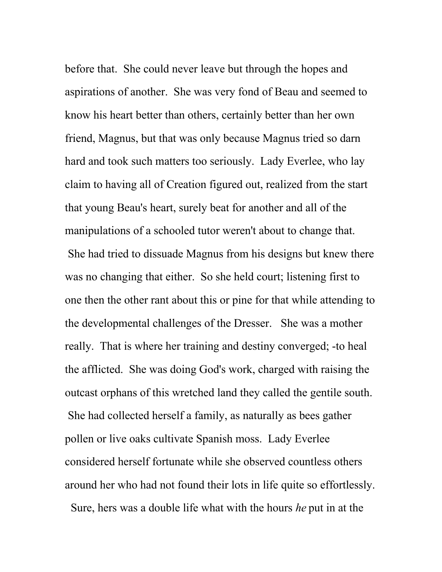before that. She could never leave but through the hopes and aspirations of another. She was very fond of Beau and seemed to know his heart better than others, certainly better than her own friend, Magnus, but that was only because Magnus tried so darn hard and took such matters too seriously. Lady Everlee, who lay claim to having all of Creation figured out, realized from the start that young Beau's heart, surely beat for another and all of the manipulations of a schooled tutor weren't about to change that. She had tried to dissuade Magnus from his designs but knew there was no changing that either. So she held court; listening first to one then the other rant about this or pine for that while attending to the developmental challenges of the Dresser. She was a mother really. That is where her training and destiny converged; -to heal the afflicted. She was doing God's work, charged with raising the outcast orphans of this wretched land they called the gentile south. She had collected herself a family, as naturally as bees gather pollen or live oaks cultivate Spanish moss. Lady Everlee considered herself fortunate while she observed countless others around her who had not found their lots in life quite so effortlessly. Sure, hers was a double life what with the hours *he* put in at the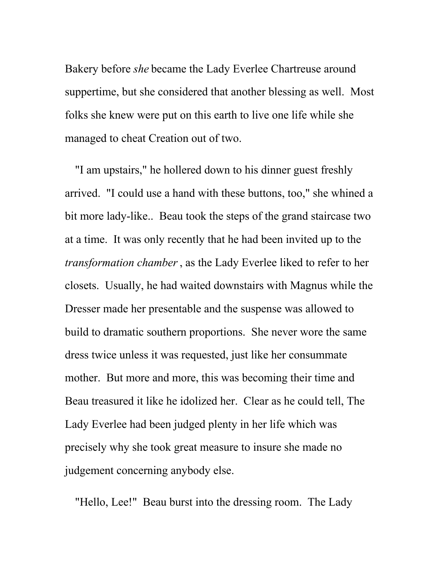Bakery before *she* became the Lady Everlee Chartreuse around suppertime, but she considered that another blessing as well. Most folks she knew were put on this earth to live one life while she managed to cheat Creation out of two.

"I am upstairs," he hollered down to his dinner guest freshly arrived. "I could use a hand with these buttons, too," she whined a bit more lady-like.. Beau took the steps of the grand staircase two at a time. It was only recently that he had been invited up to the *transformation chamber*, as the Lady Everlee liked to refer to her closets. Usually, he had waited downstairs with Magnus while the Dresser made her presentable and the suspense was allowed to build to dramatic southern proportions. She never wore the same dress twice unless it was requested, just like her consummate mother. But more and more, this was becoming their time and Beau treasured it like he idolized her. Clear as he could tell, The Lady Everlee had been judged plenty in her life which was precisely why she took great measure to insure she made no judgement concerning anybody else.

"Hello, Lee!" Beau burst into the dressing room. The Lady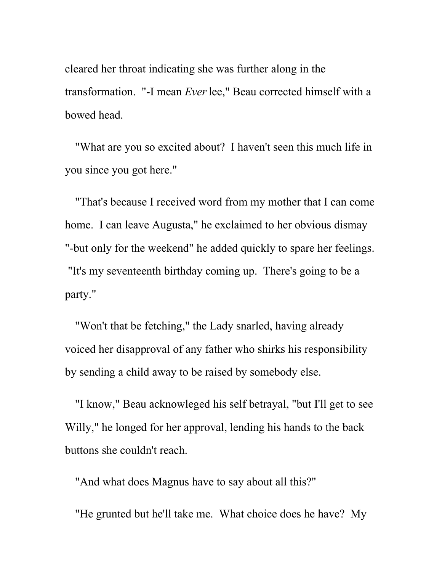cleared her throat indicating she was further along in the transformation. "-I mean *Ever*lee," Beau corrected himself with a bowed head.

"What are you so excited about? I haven't seen this much life in you since you got here."

"That's because I received word from my mother that I can come home. I can leave Augusta," he exclaimed to her obvious dismay "-but only for the weekend" he added quickly to spare her feelings. "It's my seventeenth birthday coming up. There's going to be a party."

"Won't that be fetching," the Lady snarled, having already voiced her disapproval of any father who shirks his responsibility by sending a child away to be raised by somebody else.

"I know," Beau acknowleged his self betrayal, "but I'll get to see Willy," he longed for her approval, lending his hands to the back buttons she couldn't reach.

"And what does Magnus have to say about all this?"

"He grunted but he'll take me. What choice does he have? My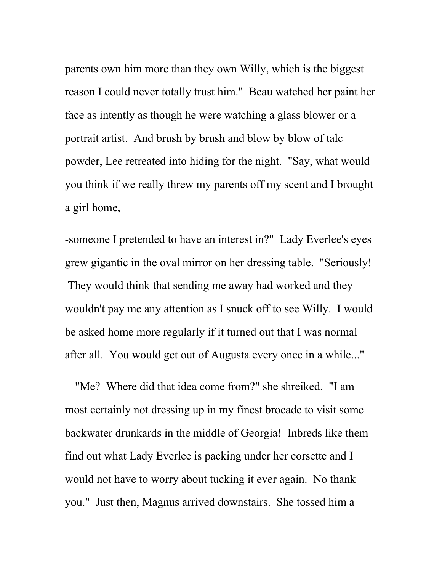parents own him more than they own Willy, which is the biggest reason I could never totally trust him." Beau watched her paint her face as intently as though he were watching a glass blower or a portrait artist. And brush by brush and blow by blow of talc powder, Lee retreated into hiding for the night. "Say, what would you think if we really threw my parents off my scent and I brought a girl home,

-someone I pretended to have an interest in?" Lady Everlee's eyes grew gigantic in the oval mirror on her dressing table. "Seriously! They would think that sending me away had worked and they wouldn't pay me any attention as I snuck off to see Willy. I would be asked home more regularly if it turned out that I was normal after all. You would get out of Augusta every once in a while..."

"Me? Where did that idea come from?" she shreiked. "I am most certainly not dressing up in my finest brocade to visit some backwater drunkards in the middle of Georgia! Inbreds like them find out what Lady Everlee is packing under her corsette and I would not have to worry about tucking it ever again. No thank you." Just then, Magnus arrived downstairs. She tossed him a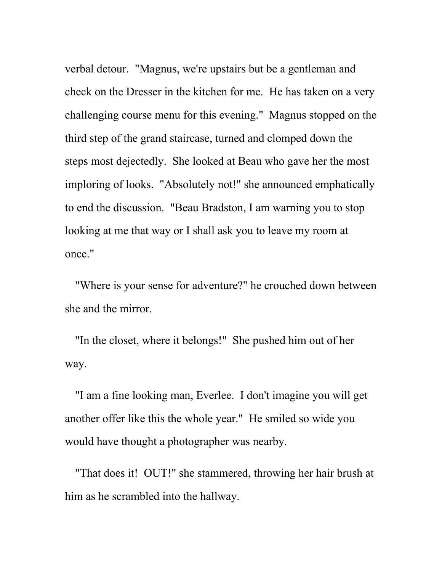verbal detour. "Magnus, we're upstairs but be a gentleman and check on the Dresser in the kitchen for me. He has taken on a very challenging course menu for this evening." Magnus stopped on the third step of the grand staircase, turned and clomped down the steps most dejectedly. She looked at Beau who gave her the most imploring of looks. "Absolutely not!" she announced emphatically to end the discussion. "Beau Bradston, I am warning you to stop looking at me that way or I shall ask you to leave my room at once."

"Where is your sense for adventure?" he crouched down between she and the mirror.

"In the closet, where it belongs!" She pushed him out of her way.

"I am a fine looking man, Everlee. I don't imagine you will get another offer like this the whole year." He smiled so wide you would have thought a photographer was nearby.

"That does it! OUT!" she stammered, throwing her hair brush at him as he scrambled into the hallway.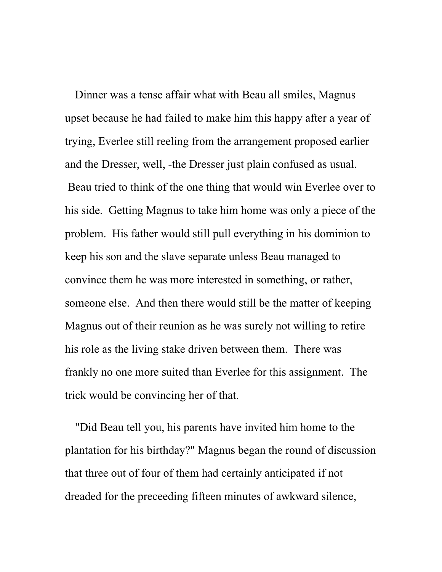Dinner was a tense affair what with Beau all smiles, Magnus upset because he had failed to make him this happy after a year of trying, Everlee still reeling from the arrangement proposed earlier and the Dresser, well, -the Dresser just plain confused as usual. Beau tried to think of the one thing that would win Everlee over to his side. Getting Magnus to take him home was only a piece of the problem. His father would still pull everything in his dominion to keep his son and the slave separate unless Beau managed to convince them he was more interested in something, or rather, someone else. And then there would still be the matter of keeping Magnus out of their reunion as he was surely not willing to retire his role as the living stake driven between them. There was frankly no one more suited than Everlee for this assignment. The trick would be convincing her of that.

"Did Beau tell you, his parents have invited him home to the plantation for his birthday?" Magnus began the round of discussion that three out of four of them had certainly anticipated if not dreaded for the preceeding fifteen minutes of awkward silence,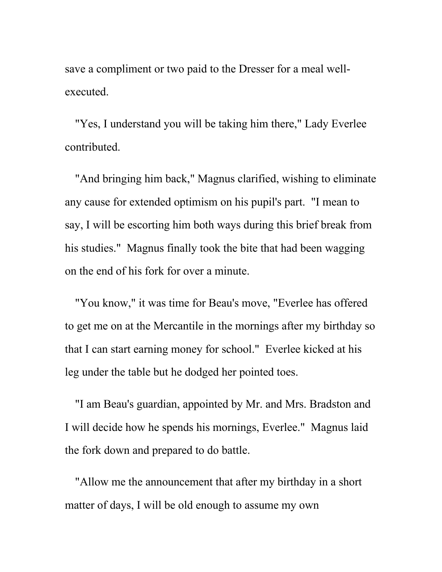save a compliment or two paid to the Dresser for a meal wellexecuted.

"Yes, I understand you will be taking him there," Lady Everlee contributed.

"And bringing him back," Magnus clarified, wishing to eliminate any cause for extended optimism on his pupil's part. "I mean to say, I will be escorting him both ways during this brief break from his studies." Magnus finally took the bite that had been wagging on the end of his fork for over a minute.

"You know," it was time for Beau's move, "Everlee has offered to get me on at the Mercantile in the mornings after my birthday so that I can start earning money for school." Everlee kicked at his leg under the table but he dodged her pointed toes.

"I am Beau's guardian, appointed by Mr. and Mrs. Bradston and I will decide how he spends his mornings, Everlee." Magnus laid the fork down and prepared to do battle.

"Allow me the announcement that after my birthday in a short matter of days, I will be old enough to assume my own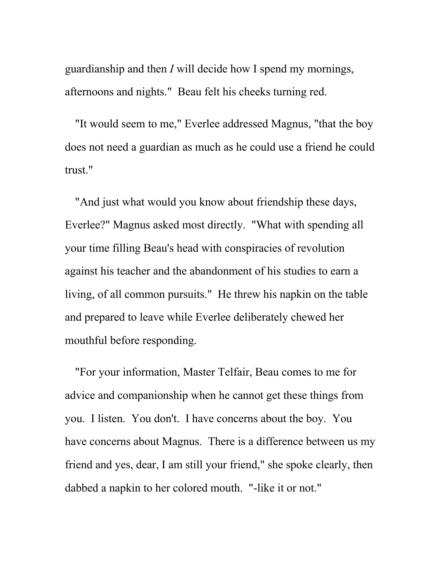guardianship and then *I* will decide how I spend my mornings, afternoons and nights." Beau felt his cheeks turning red.

"It would seem to me," Everlee addressed Magnus, "that the boy does not need a guardian as much as he could use a friend he could trust."

"And just what would you know about friendship these days, Everlee?" Magnus asked most directly. "What with spending all your time filling Beau's head with conspiracies of revolution against his teacher and the abandonment of his studies to earn a living, of all common pursuits." He threw his napkin on the table and prepared to leave while Everlee deliberately chewed her mouthful before responding.

"For your information, Master Telfair, Beau comes to me for advice and companionship when he cannot get these things from you. I listen. You don't. I have concerns about the boy. You have concerns about Magnus. There is a difference between us my friend and yes, dear, I am still your friend," she spoke clearly, then dabbed a napkin to her colored mouth. "-like it or not."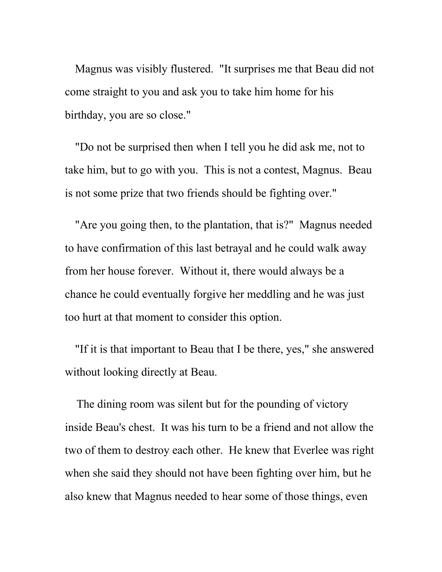Magnus was visibly flustered. "It surprises me that Beau did not come straight to you and ask you to take him home for his birthday, you are so close."

"Do not be surprised then when I tell you he did ask me, not to take him, but to go with you. This is not a contest, Magnus. Beau is not some prize that two friends should be fighting over."

"Are you going then, to the plantation, that is?" Magnus needed to have confirmation of this last betrayal and he could walk away from her house forever. Without it, there would always be a chance he could eventually forgive her meddling and he was just too hurt at that moment to consider this option.

"If it is that important to Beau that I be there, yes," she answered without looking directly at Beau.

 The dining room was silent but for the pounding of victory inside Beau's chest. It was his turn to be a friend and not allow the two of them to destroy each other. He knew that Everlee was right when she said they should not have been fighting over him, but he also knew that Magnus needed to hear some of those things, even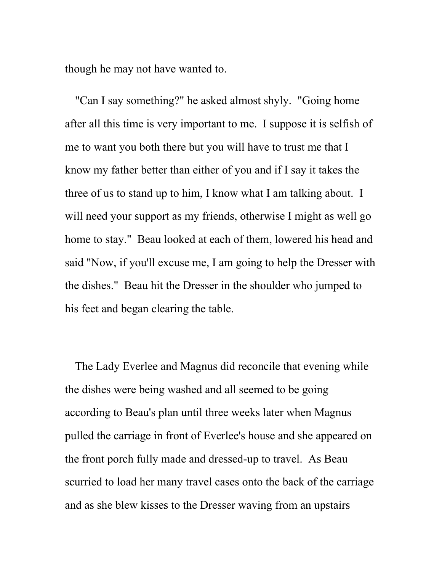though he may not have wanted to.

"Can I say something?" he asked almost shyly. "Going home after all this time is very important to me. I suppose it is selfish of me to want you both there but you will have to trust me that I know my father better than either of you and if I say it takes the three of us to stand up to him, I know what I am talking about. I will need your support as my friends, otherwise I might as well go home to stay." Beau looked at each of them, lowered his head and said "Now, if you'll excuse me, I am going to help the Dresser with the dishes." Beau hit the Dresser in the shoulder who jumped to his feet and began clearing the table.

The Lady Everlee and Magnus did reconcile that evening while the dishes were being washed and all seemed to be going according to Beau's plan until three weeks later when Magnus pulled the carriage in front of Everlee's house and she appeared on the front porch fully made and dressed-up to travel. As Beau scurried to load her many travel cases onto the back of the carriage and as she blew kisses to the Dresser waving from an upstairs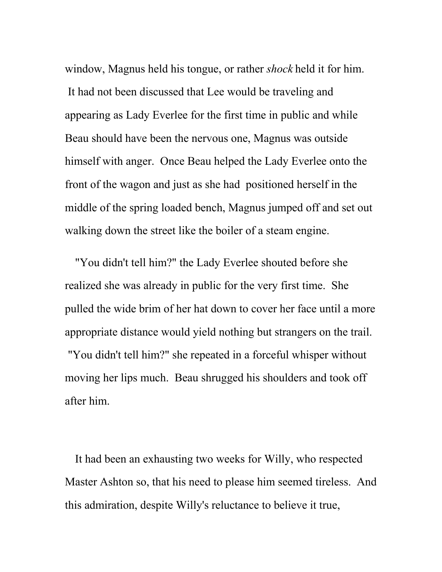window, Magnus held his tongue, or rather *shock* held it for him. It had not been discussed that Lee would be traveling and appearing as Lady Everlee for the first time in public and while Beau should have been the nervous one, Magnus was outside himself with anger. Once Beau helped the Lady Everlee onto the front of the wagon and just as she had positioned herself in the middle of the spring loaded bench, Magnus jumped off and set out walking down the street like the boiler of a steam engine.

"You didn't tell him?" the Lady Everlee shouted before she realized she was already in public for the very first time. She pulled the wide brim of her hat down to cover her face until a more appropriate distance would yield nothing but strangers on the trail. "You didn't tell him?" she repeated in a forceful whisper without moving her lips much. Beau shrugged his shoulders and took off after him.

It had been an exhausting two weeks for Willy, who respected Master Ashton so, that his need to please him seemed tireless. And this admiration, despite Willy's reluctance to believe it true,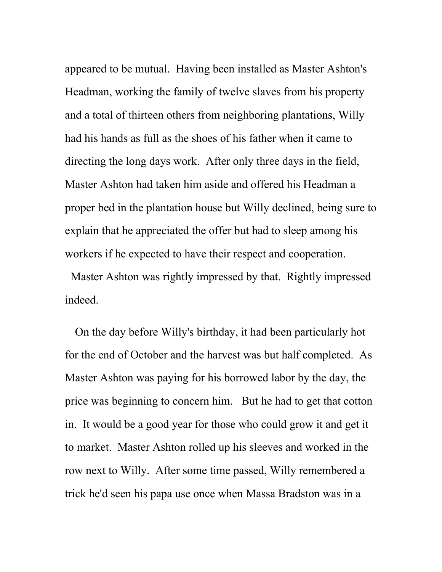appeared to be mutual. Having been installed as Master Ashton's Headman, working the family of twelve slaves from his property and a total of thirteen others from neighboring plantations, Willy had his hands as full as the shoes of his father when it came to directing the long days work. After only three days in the field, Master Ashton had taken him aside and offered his Headman a proper bed in the plantation house but Willy declined, being sure to explain that he appreciated the offer but had to sleep among his workers if he expected to have their respect and cooperation.

 Master Ashton was rightly impressed by that. Rightly impressed indeed.

On the day before Willy's birthday, it had been particularly hot for the end of October and the harvest was but half completed. As Master Ashton was paying for his borrowed labor by the day, the price was beginning to concern him. But he had to get that cotton in. It would be a good year for those who could grow it and get it to market. Master Ashton rolled up his sleeves and worked in the row next to Willy. After some time passed, Willy remembered a trick he'd seen his papa use once when Massa Bradston was in a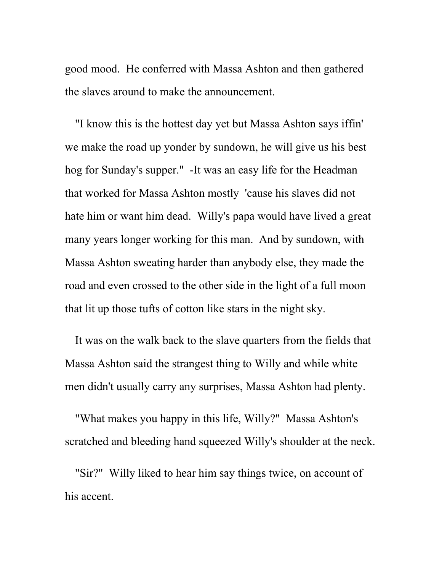good mood. He conferred with Massa Ashton and then gathered the slaves around to make the announcement.

"I know this is the hottest day yet but Massa Ashton says iffin' we make the road up yonder by sundown, he will give us his best hog for Sunday's supper." -It was an easy life for the Headman that worked for Massa Ashton mostly 'cause his slaves did not hate him or want him dead. Willy's papa would have lived a great many years longer working for this man. And by sundown, with Massa Ashton sweating harder than anybody else, they made the road and even crossed to the other side in the light of a full moon that lit up those tufts of cotton like stars in the night sky.

It was on the walk back to the slave quarters from the fields that Massa Ashton said the strangest thing to Willy and while white men didn't usually carry any surprises, Massa Ashton had plenty.

"What makes you happy in this life, Willy?" Massa Ashton's scratched and bleeding hand squeezed Willy's shoulder at the neck.

"Sir?" Willy liked to hear him say things twice, on account of his accent.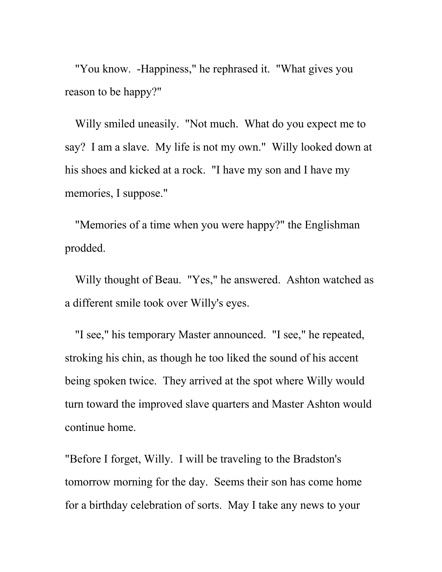"You know. -Happiness," he rephrased it. "What gives you reason to be happy?"

Willy smiled uneasily. "Not much. What do you expect me to say? I am a slave. My life is not my own." Willy looked down at his shoes and kicked at a rock. "I have my son and I have my memories, I suppose."

"Memories of a time when you were happy?" the Englishman prodded.

Willy thought of Beau. "Yes," he answered. Ashton watched as a different smile took over Willy's eyes.

"I see," his temporary Master announced. "I see," he repeated, stroking his chin, as though he too liked the sound of his accent being spoken twice. They arrived at the spot where Willy would turn toward the improved slave quarters and Master Ashton would continue home.

"Before I forget, Willy. I will be traveling to the Bradston's tomorrow morning for the day. Seems their son has come home for a birthday celebration of sorts. May I take any news to your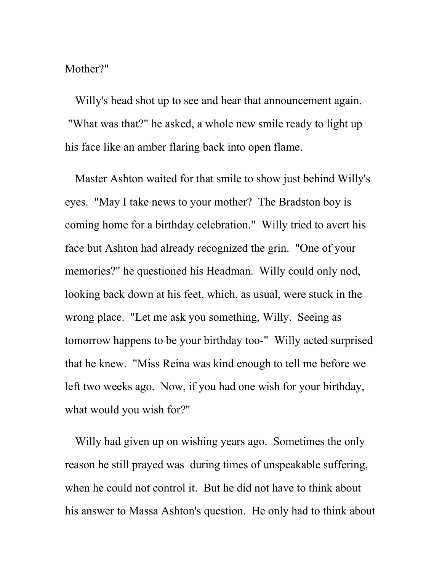## Mother?"

Willy's head shot up to see and hear that announcement again. "What was that?" he asked, a whole new smile ready to light up his face like an amber flaring back into open flame.

Master Ashton waited for that smile to show just behind Willy's eyes. "May I take news to your mother? The Bradston boy is coming home for a birthday celebration." Willy tried to avert his face but Ashton had already recognized the grin. "One of your memories?" he questioned his Headman. Willy could only nod, looking back down at his feet, which, as usual, were stuck in the wrong place. "Let me ask you something, Willy. Seeing as tomorrow happens to be your birthday too-" Willy acted surprised that he knew. "Miss Reina was kind enough to tell me before we left two weeks ago. Now, if you had one wish for your birthday, what would you wish for?"

Willy had given up on wishing years ago. Sometimes the only reason he still prayed was during times of unspeakable suffering, when he could not control it. But he did not have to think about his answer to Massa Ashton's question. He only had to think about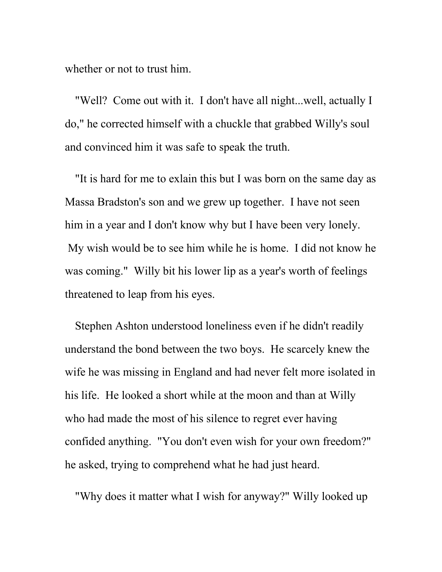whether or not to trust him.

"Well? Come out with it. I don't have all night...well, actually I do," he corrected himself with a chuckle that grabbed Willy's soul and convinced him it was safe to speak the truth.

"It is hard for me to exlain this but I was born on the same day as Massa Bradston's son and we grew up together. I have not seen him in a year and I don't know why but I have been very lonely. My wish would be to see him while he is home. I did not know he was coming." Willy bit his lower lip as a year's worth of feelings threatened to leap from his eyes.

Stephen Ashton understood loneliness even if he didn't readily understand the bond between the two boys. He scarcely knew the wife he was missing in England and had never felt more isolated in his life. He looked a short while at the moon and than at Willy who had made the most of his silence to regret ever having confided anything. "You don't even wish for your own freedom?" he asked, trying to comprehend what he had just heard.

"Why does it matter what I wish for anyway?" Willy looked up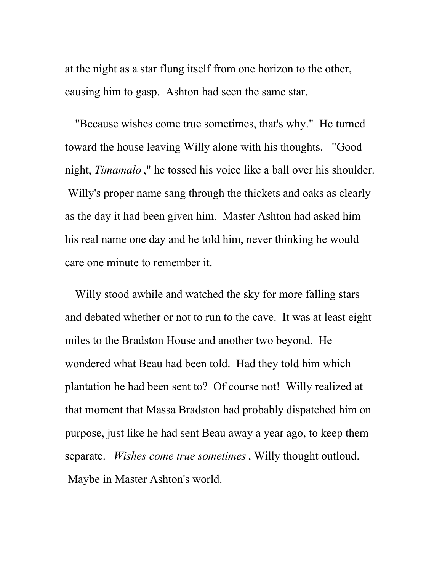at the night as a star flung itself from one horizon to the other, causing him to gasp. Ashton had seen the same star.

"Because wishes come true sometimes, that's why." He turned toward the house leaving Willy alone with his thoughts. "Good night, *Timamalo* ," he tossed his voice like a ball over his shoulder. Willy's proper name sang through the thickets and oaks as clearly as the day it had been given him. Master Ashton had asked him his real name one day and he told him, never thinking he would care one minute to remember it.

Willy stood awhile and watched the sky for more falling stars and debated whether or not to run to the cave. It was at least eight miles to the Bradston House and another two beyond. He wondered what Beau had been told. Had they told him which plantation he had been sent to? Of course not! Willy realized at that moment that Massa Bradston had probably dispatched him on purpose, just like he had sent Beau away a year ago, to keep them separate. *Wishes come true sometimes*, Willy thought outloud. Maybe in Master Ashton's world.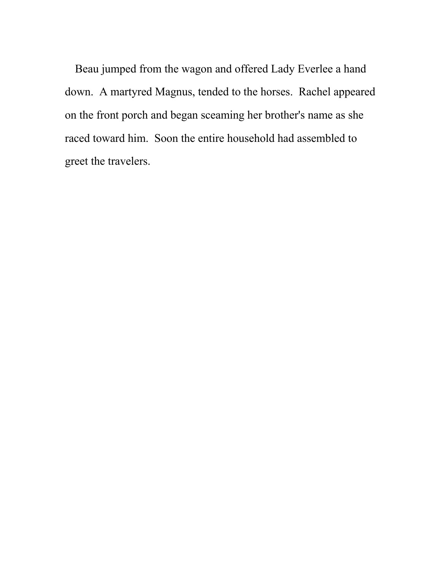Beau jumped from the wagon and offered Lady Everlee a hand down. A martyred Magnus, tended to the horses. Rachel appeared on the front porch and began sceaming her brother's name as she raced toward him. Soon the entire household had assembled to greet the travelers.